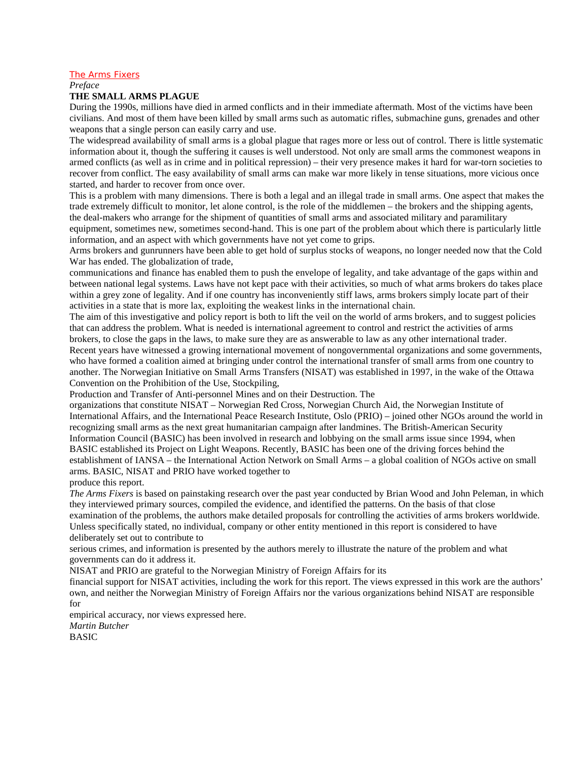#### The Arms Fixers

*Preface*

#### **THE SMALL ARMS PLAGUE**

During the 1990s, millions have died in armed conflicts and in their immediate aftermath. Most of the victims have been civilians. And most of them have been killed by small arms such as automatic rifles, submachine guns, grenades and other weapons that a single person can easily carry and use.

The widespread availability of small arms is a global plague that rages more or less out of control. There is little systematic information about it, though the suffering it causes is well understood. Not only are small arms the commonest weapons in armed conflicts (as well as in crime and in political repression) – their very presence makes it hard for war-torn societies to recover from conflict. The easy availability of small arms can make war more likely in tense situations, more vicious once started, and harder to recover from once over.

This is a problem with many dimensions. There is both a legal and an illegal trade in small arms. One aspect that makes the trade extremely difficult to monitor, let alone control, is the role of the middlemen – the brokers and the shipping agents, the deal-makers who arrange for the shipment of quantities of small arms and associated military and paramilitary

equipment, sometimes new, sometimes second-hand. This is one part of the problem about which there is particularly little information, and an aspect with which governments have not yet come to grips.

Arms brokers and gunrunners have been able to get hold of surplus stocks of weapons, no longer needed now that the Cold War has ended. The globalization of trade,

communications and finance has enabled them to push the envelope of legality, and take advantage of the gaps within and between national legal systems. Laws have not kept pace with their activities, so much of what arms brokers do takes place within a grey zone of legality. And if one country has inconveniently stiff laws, arms brokers simply locate part of their activities in a state that is more lax, exploiting the weakest links in the international chain.

The aim of this investigative and policy report is both to lift the veil on the world of arms brokers, and to suggest policies that can address the problem. What is needed is international agreement to control and restrict the activities of arms brokers, to close the gaps in the laws, to make sure they are as answerable to law as any other international trader.

Recent years have witnessed a growing international movement of nongovernmental organizations and some governments, who have formed a coalition aimed at bringing under control the international transfer of small arms from one country to another. The Norwegian Initiative on Small Arms Transfers (NISAT) was established in 1997, in the wake of the Ottawa Convention on the Prohibition of the Use, Stockpiling,

Production and Transfer of Anti-personnel Mines and on their Destruction. The

organizations that constitute NISAT – Norwegian Red Cross, Norwegian Church Aid, the Norwegian Institute of International Affairs, and the International Peace Research Institute, Oslo (PRIO) – joined other NGOs around the world in recognizing small arms as the next great humanitarian campaign after landmines. The British-American Security Information Council (BASIC) has been involved in research and lobbying on the small arms issue since 1994, when BASIC established its Project on Light Weapons. Recently, BASIC has been one of the driving forces behind the establishment of IANSA – the International Action Network on Small Arms – a global coalition of NGOs active on small arms. BASIC, NISAT and PRIO have worked together to

produce this report.

*The Arms Fixers* is based on painstaking research over the past year conducted by Brian Wood and John Peleman, in which they interviewed primary sources, compiled the evidence, and identified the patterns. On the basis of that close examination of the problems, the authors make detailed proposals for controlling the activities of arms brokers worldwide. Unless specifically stated, no individual, company or other entity mentioned in this report is considered to have deliberately set out to contribute to

serious crimes, and information is presented by the authors merely to illustrate the nature of the problem and what governments can do it address it.

NISAT and PRIO are grateful to the Norwegian Ministry of Foreign Affairs for its

financial support for NISAT activities, including the work for this report. The views expressed in this work are the authors' own, and neither the Norwegian Ministry of Foreign Affairs nor the various organizations behind NISAT are responsible for

empirical accuracy, nor views expressed here. *Martin Butcher* **BASIC**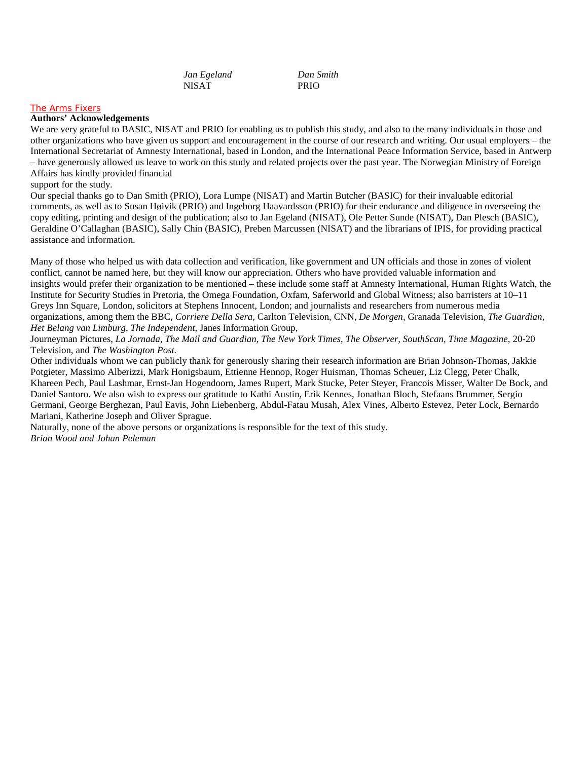*Jan Egeland Dan Smith* NISAT PRIO

#### The Arms Fixers

#### **Authors' Acknowledgements**

We are very grateful to BASIC, NISAT and PRIO for enabling us to publish this study, and also to the many individuals in those and other organizations who have given us support and encouragement in the course of our research and writing. Our usual employers – the International Secretariat of Amnesty International, based in London, and the International Peace Information Service, based in Antwerp – have generously allowed us leave to work on this study and related projects over the past year. The Norwegian Ministry of Foreign Affairs has kindly provided financial

support for the study.

Our special thanks go to Dan Smith (PRIO), Lora Lumpe (NISAT) and Martin Butcher (BASIC) for their invaluable editorial comments, as well as to Susan Høivik (PRIO) and Ingeborg Haavardsson (PRIO) for their endurance and diligence in overseeing the copy editing, printing and design of the publication; also to Jan Egeland (NISAT), Ole Petter Sunde (NISAT), Dan Plesch (BASIC), Geraldine O'Callaghan (BASIC), Sally Chin (BASIC), Preben Marcussen (NISAT) and the librarians of IPIS, for providing practical assistance and information.

Many of those who helped us with data collection and verification, like government and UN officials and those in zones of violent conflict, cannot be named here, but they will know our appreciation. Others who have provided valuable information and insights would prefer their organization to be mentioned – these include some staff at Amnesty International, Human Rights Watch, the Institute for Security Studies in Pretoria, the Omega Foundation, Oxfam, Saferworld and Global Witness; also barristers at 10–11 Greys Inn Square, London, solicitors at Stephens Innocent, London; and journalists and researchers from numerous media organizations, among them the BBC, *Corriere Della Sera,* Carlton Television, CNN, *De Morgen,* Granada Television, *The Guardian, Het Belang van Limburg, The Independent,* Janes Information Group,

Journeyman Pictures, *La Jornada, The Mail and Guardian, The New York Times, The Observer, SouthScan, Time Magazine,* 20-20 Television, and *The Washington Post.*

Other individuals whom we can publicly thank for generously sharing their research information are Brian Johnson-Thomas, Jakkie Potgieter, Massimo Alberizzi, Mark Honigsbaum, Ettienne Hennop, Roger Huisman, Thomas Scheuer, Liz Clegg, Peter Chalk, Khareen Pech, Paul Lashmar, Ernst-Jan Hogendoorn, James Rupert, Mark Stucke, Peter Steyer, Francois Misser, Walter De Bock, and Daniel Santoro. We also wish to express our gratitude to Kathi Austin, Erik Kennes, Jonathan Bloch, Stefaans Brummer, Sergio Germani, George Berghezan, Paul Eavis, John Liebenberg, Abdul-Fatau Musah, Alex Vines, Alberto Estevez, Peter Lock, Bernardo Mariani, Katherine Joseph and Oliver Sprague.

Naturally, none of the above persons or organizations is responsible for the text of this study. *Brian Wood and Johan Peleman*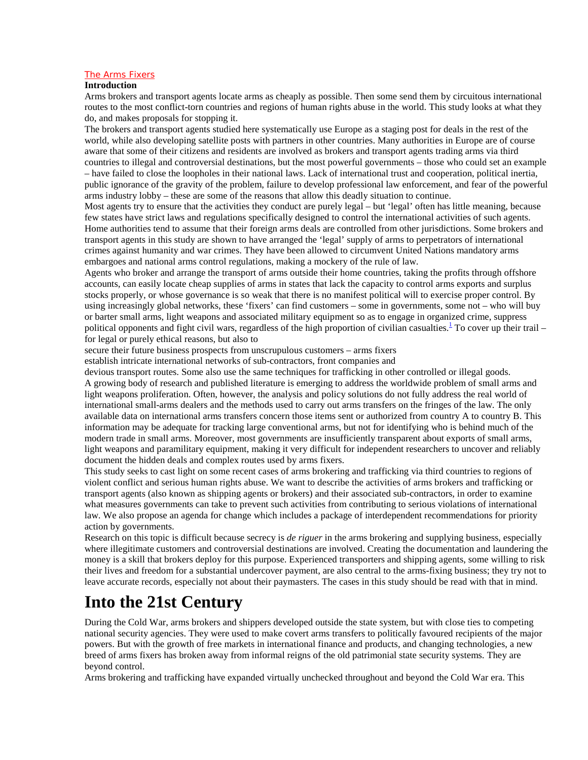#### The Arms Fixers

#### **Introduction**

Arms brokers and transport agents locate arms as cheaply as possible. Then some send them by circuitous international routes to the most conflict-torn countries and regions of human rights abuse in the world. This study looks at what they do, and makes proposals for stopping it.

The brokers and transport agents studied here systematically use Europe as a staging post for deals in the rest of the world, while also developing satellite posts with partners in other countries. Many authorities in Europe are of course aware that some of their citizens and residents are involved as brokers and transport agents trading arms via third countries to illegal and controversial destinations, but the most powerful governments – those who could set an example – have failed to close the loopholes in their national laws. Lack of international trust and cooperation, political inertia, public ignorance of the gravity of the problem, failure to develop professional law enforcement, and fear of the powerful arms industry lobby – these are some of the reasons that allow this deadly situation to continue.

Most agents try to ensure that the activities they conduct are purely legal – but 'legal' often has little meaning, because few states have strict laws and regulations specifically designed to control the international activities of such agents. Home authorities tend to assume that their foreign arms deals are controlled from other jurisdictions. Some brokers and transport agents in this study are shown to have arranged the 'legal' supply of arms to perpetrators of international crimes against humanity and war crimes. They have been allowed to circumvent United Nations mandatory arms embargoes and national arms control regulations, making a mockery of the rule of law.

Agents who broker and arrange the transport of arms outside their home countries, taking the profits through offshore accounts, can easily locate cheap supplies of arms in states that lack the capacity to control arms exports and surplus stocks properly, or whose governance is so weak that there is no manifest political will to exercise proper control. By using increasingly global networks, these 'fixers' can find customers – some in governments, some not – who will buy or barter small arms, light weapons and associated military equipment so as to engage in organized crime, suppress political opponents and fight civil wars, regardless of the high proportion of civilian casualties.<sup>1</sup> To cover up their trail for legal or purely ethical reasons, but also to

secure their future business prospects from unscrupulous customers – arms fixers

establish intricate international networks of sub-contractors, front companies and

devious transport routes. Some also use the same techniques for trafficking in other controlled or illegal goods. A growing body of research and published literature is emerging to address the worldwide problem of small arms and light weapons proliferation. Often, however, the analysis and policy solutions do not fully address the real world of international small-arms dealers and the methods used to carry out arms transfers on the fringes of the law. The only available data on international arms transfers concern those items sent or authorized from country A to country B. This information may be adequate for tracking large conventional arms, but not for identifying who is behind much of the modern trade in small arms. Moreover, most governments are insufficiently transparent about exports of small arms, light weapons and paramilitary equipment, making it very difficult for independent researchers to uncover and reliably document the hidden deals and complex routes used by arms fixers.

This study seeks to cast light on some recent cases of arms brokering and trafficking via third countries to regions of violent conflict and serious human rights abuse. We want to describe the activities of arms brokers and trafficking or transport agents (also known as shipping agents or brokers) and their associated sub-contractors, in order to examine what measures governments can take to prevent such activities from contributing to serious violations of international law. We also propose an agenda for change which includes a package of interdependent recommendations for priority action by governments.

Research on this topic is difficult because secrecy is *de riguer* in the arms brokering and supplying business, especially where illegitimate customers and controversial destinations are involved. Creating the documentation and laundering the money is a skill that brokers deploy for this purpose. Experienced transporters and shipping agents, some willing to risk their lives and freedom for a substantial undercover payment, are also central to the arms-fixing business; they try not to leave accurate records, especially not about their paymasters. The cases in this study should be read with that in mind.

### **Into the 21st Century**

During the Cold War, arms brokers and shippers developed outside the state system, but with close ties to competing national security agencies. They were used to make covert arms transfers to politically favoured recipients of the major powers. But with the growth of free markets in international finance and products, and changing technologies, a new breed of arms fixers has broken away from informal reigns of the old patrimonial state security systems. They are beyond control.

Arms brokering and trafficking have expanded virtually unchecked throughout and beyond the Cold War era. This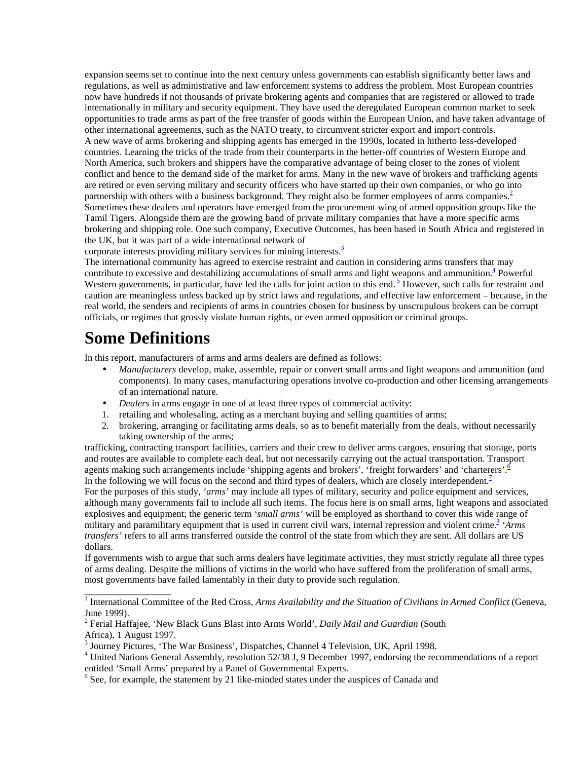expansion seems set to continue into the next century unless governments can establish significantly better laws and regulations, as well as administrative and law enforcement systems to address the problem. Most European countries now have hundreds if not thousands of private brokering agents and companies that are registered or allowed to trade internationally in military and security equipment. They have used the deregulated European common market to seek opportunities to trade arms as part of the free transfer of goods within the European Union, and have taken advantage of other international agreements, such as the NATO treaty, to circumvent stricter export and import controls. A new wave of arms brokering and shipping agents has emerged in the 1990s, located in hitherto less-developed countries. Learning the tricks of the trade from their counterparts in the better-off countries of Western Europe and North America, such brokers and shippers have the comparative advantage of being closer to the zones of violent conflict and hence to the demand side of the market for arms. Many in the new wave of brokers and trafficking agents are retired or even serving military and security officers who have started up their own companies, or who go into partnership with others with a business background. They might also be former employees of arms companies. $2^{\circ}$ Sometimes these dealers and operators have emerged from the procurement wing of armed opposition groups like the Tamil Tigers. Alongside them are the growing band of private military companies that have a more specific arms brokering and shipping role. One such company, Executive Outcomes, has been based in South Africa and registered in the UK, but it was part of a wide international network of

corporate interests providing military services for mining interests. $\frac{3}{2}$ 

The international community has agreed to exercise restraint and caution in considering arms transfers that may contribute to excessive and destabilizing accumulations of small arms and light weapons and ammunition. $4$  Powerful Western governments, in particular, have led the calls for joint action to this end.  $\frac{5}{3}$  However, such calls for restraint and caution are meaningless unless backed up by strict laws and regulations, and effective law enforcement – because, in the real world, the senders and recipients of arms in countries chosen for business by unscrupulous brokers can be corrupt officials, or regimes that grossly violate human rights, or even armed opposition or criminal groups.

# **Some Definitions**

\_\_\_\_\_\_\_\_\_\_\_\_\_\_\_\_\_\_

In this report, manufacturers of arms and arms dealers are defined as follows:

- *Manufacturers* develop, make, assemble, repair or convert small arms and light weapons and ammunition (and components). In many cases, manufacturing operations involve co-production and other licensing arrangements of an international nature.
- *Dealers* in arms engage in one of at least three types of commercial activity:
- 1. retailing and wholesaling, acting as a merchant buying and selling quantities of arms;
- 2. brokering, arranging or facilitating arms deals, so as to benefit materially from the deals, without necessarily taking ownership of the arms;

trafficking, contracting transport facilities, carriers and their crew to deliver arms cargoes, ensuring that storage, ports and routes are available to complete each deal, but not necessarily carrying out the actual transportation. Transport agents making such arrangements include 'shipping agents and brokers', 'freight forwarders' and 'charterers'.<sup>6</sup> In the following we will focus on the second and third types of dealers, which are closely interdependent. $\frac{7}{1}$ For the purposes of this study, *'arms'* may include all types of military, security and police equipment and services, although many governments fail to include all such items. The focus here is on small arms, light weapons and associated explosives and equipment; the generic term *'small arms'* will be employed as shorthand to cover this wide range of military and paramilitary equipment that is used in current civil wars, internal repression and violent crime.<sup>8</sup> 'Arms' *transfers'* refers to all arms transferred outside the control of the state from which they are sent. All dollars are US dollars.

If governments wish to argue that such arms dealers have legitimate activities, they must strictly regulate all three types of arms dealing. Despite the millions of victims in the world who have suffered from the proliferation of small arms, most governments have failed lamentably in their duty to provide such regulation.

<sup>&</sup>lt;sup>1</sup> International Committee of the Red Cross, *Arms Availability and the Situation of Civilians in Armed Conflict* (Geneva, June 1999).

<sup>2</sup> Ferial Haffajee, 'New Black Guns Blast into Arms World', *Daily Mail and Guardian* (South Africa), 1 August 1997.

<sup>&</sup>lt;sup>3</sup> Journey Pictures, 'The War Business', Dispatches, Channel 4 Television, UK, April 1998.

<sup>&</sup>lt;sup>4</sup> United Nations General Assembly, resolution 52/38 J, 9 December 1997, endorsing the recommendations of a report entitled 'Small Arms' prepared by a Panel of Governmental Experts.

<sup>&</sup>lt;sup>5</sup> See, for example, the statement by 21 like-minded states under the auspices of Canada and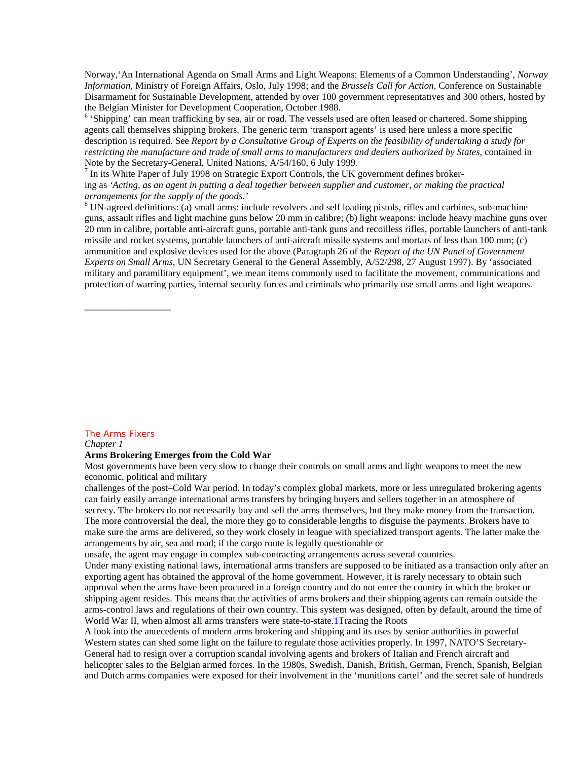Norway,'An International Agenda on Small Arms and Light Weapons: Elements of a Common Understanding', *Norway Information,* Ministry of Foreign Affairs, Oslo, July 1998; and the *Brussels Call for Action,* Conference on Sustainable Disarmament for Sustainable Development, attended by over 100 government representatives and 300 others, hosted by the Belgian Minister for Development Cooperation, October 1988.

<sup>6</sup> 'Shipping' can mean trafficking by sea, air or road. The vessels used are often leased or chartered. Some shipping agents call themselves shipping brokers. The generic term 'transport agents' is used here unless a more specific description is required. See *Report by a Consultative Group of Experts on the feasibility of undertaking a study for restricting the manufacture and trade of small arms to manufacturers and dealers authorized by States*, contained in Note by the Secretary-General, United Nations, A/54/160, 6 July 1999.

 $<sup>7</sup>$  In its White Paper of July 1998 on Strategic Export Controls, the UK government defines broker-</sup> ing as *'Acting, as an agent in putting a deal together between supplier and customer, or making the practical arrangements for the supply of the goods.'*

 $8$  UN-agreed definitions: (a) small arms: include revolvers and self loading pistols, rifles and carbines, sub-machine guns, assault rifles and light machine guns below 20 mm in calibre; (b) light weapons: include heavy machine guns over 20 mm in calibre, portable anti-aircraft guns, portable anti-tank guns and recoilless rifles, portable launchers of anti-tank missile and rocket systems, portable launchers of anti-aircraft missile systems and mortars of less than 100 mm; (c) ammunition and explosive devices used for the above (Paragraph 26 of the *Report of the UN Panel of Government Experts on Small Arms,* UN Secretary General to the General Assembly, A/52/298, 27 August 1997). By 'associated military and paramilitary equipment', we mean items commonly used to facilitate the movement, communications and protection of warring parties, internal security forces and criminals who primarily use small arms and light weapons.

#### The Arms Fixers

\_\_\_\_\_\_\_\_\_\_\_\_\_\_\_\_\_\_

*Chapter 1*

#### **Arms Brokering Emerges from the Cold War**

Most governments have been very slow to change their controls on small arms and light weapons to meet the new economic, political and military

challenges of the post–Cold War period. In today's complex global markets, more or less unregulated brokering agents can fairly easily arrange international arms transfers by bringing buyers and sellers together in an atmosphere of secrecy. The brokers do not necessarily buy and sell the arms themselves, but they make money from the transaction. The more controversial the deal, the more they go to considerable lengths to disguise the payments. Brokers have to make sure the arms are delivered, so they work closely in league with specialized transport agents. The latter make the arrangements by air, sea and road; if the cargo route is legally questionable or

unsafe, the agent may engage in complex sub-contracting arrangements across several countries.

Under many existing national laws, international arms transfers are supposed to be initiated as a transaction only after an exporting agent has obtained the approval of the home government. However, it is rarely necessary to obtain such approval when the arms have been procured in a foreign country and do not enter the country in which the broker or shipping agent resides. This means that the activities of arms brokers and their shipping agents can remain outside the arms-control laws and regulations of their own country. This system was designed, often by default, around the time of World War II, when almost all arms transfers were state-to-state. **Tracing the Roots** 

A look into the antecedents of modern arms brokering and shipping and its uses by senior authorities in powerful Western states can shed some light on the failure to regulate those activities properly. In 1997, NATO'S Secretary-General had to resign over a corruption scandal involving agents and brokers of Italian and French aircraft and helicopter sales to the Belgian armed forces. In the 1980s, Swedish, Danish, British, German, French, Spanish, Belgian and Dutch arms companies were exposed for their involvement in the 'munitions cartel' and the secret sale of hundreds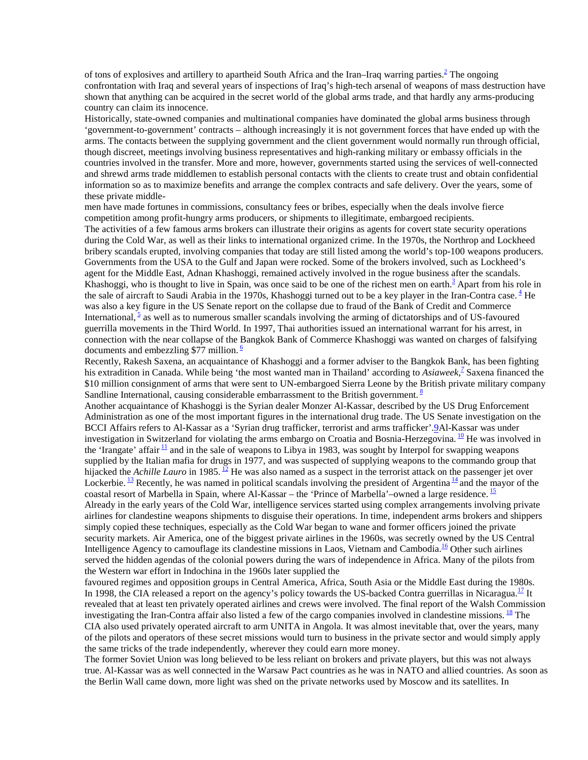of tons of explosives and artillery to apartheid South Africa and the Iran–Iraq warring parties.<sup>2</sup> The ongoing confrontation with Iraq and several years of inspections of Iraq's high-tech arsenal of weapons of mass destruction have shown that anything can be acquired in the secret world of the global arms trade, and that hardly any arms-producing country can claim its innocence.

Historically, state-owned companies and multinational companies have dominated the global arms business through 'government-to-government' contracts – although increasingly it is not government forces that have ended up with the arms. The contacts between the supplying government and the client government would normally run through official, though discreet, meetings involving business representatives and high-ranking military or embassy officials in the countries involved in the transfer. More and more, however, governments started using the services of well-connected and shrewd arms trade middlemen to establish personal contacts with the clients to create trust and obtain confidential information so as to maximize benefits and arrange the complex contracts and safe delivery. Over the years, some of these private middle-

men have made fortunes in commissions, consultancy fees or bribes, especially when the deals involve fierce competition among profit-hungry arms producers, or shipments to illegitimate, embargoed recipients. The activities of a few famous arms brokers can illustrate their origins as agents for covert state security operations during the Cold War, as well as their links to international organized crime. In the 1970s, the Northrop and Lockheed bribery scandals erupted, involving companies that today are still listed among the world's top-100 weapons producers. Governments from the USA to the Gulf and Japan were rocked. Some of the brokers involved, such as Lockheed's agent for the Middle East, Adnan Khashoggi, remained actively involved in the rogue business after the scandals. Khashoggi, who is thought to live in Spain, was once said to be one of the richest men on earth.<sup>3</sup> Apart from his role in the sale of aircraft to Saudi Arabia in the 1970s, Khashoggi turned out to be a key player in the Iran-Contra case.  $4$  He was also a key figure in the US Senate report on the collapse due to fraud of the Bank of Credit and Commerce International,  $\frac{5}{5}$  as well as to numerous smaller scandals involving the arming of dictatorships and of US-favoured guerrilla movements in the Third World. In 1997, Thai authorities issued an international warrant for his arrest, in connection with the near collapse of the Bangkok Bank of Commerce Khashoggi was wanted on charges of falsifying documents and embezzling \$77 million.  $6$ 

Recently, Rakesh Saxena, an acquaintance of Khashoggi and a former adviser to the Bangkok Bank, has been fighting his extradition in Canada. While being 'the most wanted man in Thailand' according to *Asiaweek*,<sup>2</sup> Saxena financed the \$10 million consignment of arms that were sent to UN-embargoed Sierra Leone by the British private military company Sandline International, causing considerable embarrassment to the British government.<sup>8</sup>

Another acquaintance of Khashoggi is the Syrian dealer Monzer Al-Kassar, described by the US Drug Enforcement Administration as one of the most important figures in the international drug trade. The US Senate investigation on the BCCI Affairs refers to Al-Kassar as a 'Syrian drug trafficker, terrorist and arms trafficker'.9Al-Kassar was under investigation in Switzerland for violating the arms embargo on Croatia and Bosnia-Herzegovina. <sup>10</sup> He was involved in the 'Irangate' affair  $\frac{11}{2}$  and in the sale of weapons to Libya in 1983, was sought by Interpol for swapping weapons supplied by the Italian mafia for drugs in 1977, and was suspected of supplying weapons to the commando group that hijacked the *Achille Lauro* in 1985. <sup>12</sup> He was also named as a suspect in the terrorist attack on the passenger jet over Lockerbie. <sup>13</sup> Recently, he was named in political scandals involving the president of Argentina  $\frac{14}{3}$  and the mayor of the coastal resort of Marbella in Spain, where Al-Kassar – the 'Prince of Marbella'–owned a large residence.  $\frac{15}{2}$ Already in the early years of the Cold War, intelligence services started using complex arrangements involving private airlines for clandestine weapons shipments to disguise their operations. In time, independent arms brokers and shippers simply copied these techniques, especially as the Cold War began to wane and former officers joined the private security markets. Air America, one of the biggest private airlines in the 1960s, was secretly owned by the US Central

Intelligence Agency to camouflage its clandestine missions in Laos, Vietnam and Cambodia.<sup>16</sup> Other such airlines served the hidden agendas of the colonial powers during the wars of independence in Africa. Many of the pilots from the Western war effort in Indochina in the 1960s later supplied the

favoured regimes and opposition groups in Central America, Africa, South Asia or the Middle East during the 1980s. In 1998, the CIA released a report on the agency's policy towards the US-backed Contra guerrillas in Nicaragua.<sup>17</sup> It revealed that at least ten privately operated airlines and crews were involved. The final report of the Walsh Commission investigating the Iran-Contra affair also listed a few of the cargo companies involved in clandestine missions. <sup>18</sup> The CIA also used privately operated aircraft to arm UNITA in Angola. It was almost inevitable that, over the years, many of the pilots and operators of these secret missions would turn to business in the private sector and would simply apply the same tricks of the trade independently, wherever they could earn more money.

The former Soviet Union was long believed to be less reliant on brokers and private players, but this was not always true. Al-Kassar was as well connected in the Warsaw Pact countries as he was in NATO and allied countries. As soon as the Berlin Wall came down, more light was shed on the private networks used by Moscow and its satellites. In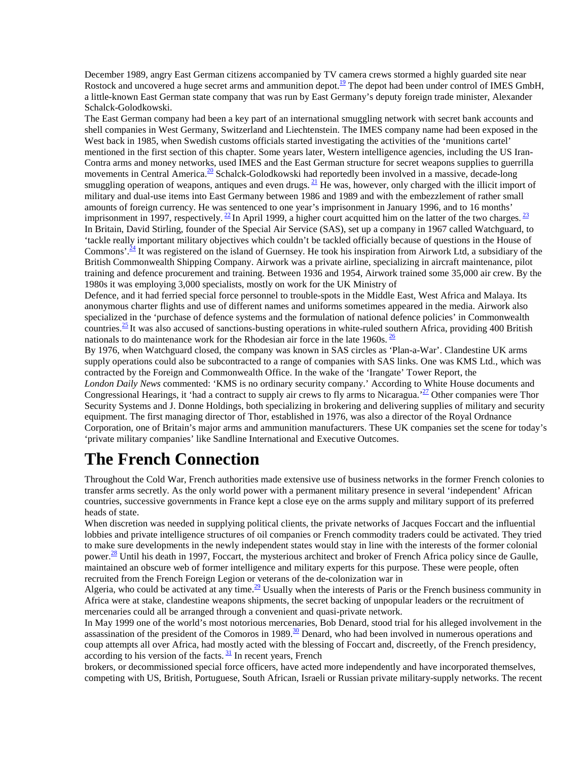December 1989, angry East German citizens accompanied by TV camera crews stormed a highly guarded site near Rostock and uncovered a huge secret arms and ammunition depot.<sup>19</sup> The depot had been under control of IMES GmbH, a little-known East German state company that was run by East Germany's deputy foreign trade minister, Alexander Schalck-Golodkowski.

The East German company had been a key part of an international smuggling network with secret bank accounts and shell companies in West Germany, Switzerland and Liechtenstein. The IMES company name had been exposed in the West back in 1985, when Swedish customs officials started investigating the activities of the 'munitions cartel' mentioned in the first section of this chapter. Some years later, Western intelligence agencies, including the US Iran-Contra arms and money networks, used IMES and the East German structure for secret weapons supplies to guerrilla movements in Central America.<sup>20</sup> Schalck-Golodkowski had reportedly been involved in a massive, decade-long smuggling operation of weapons, antiques and even drugs. <sup>21</sup> He was, however, only charged with the illicit import of military and dual-use items into East Germany between 1986 and 1989 and with the embezzlement of rather small amounts of foreign currency. He was sentenced to one year's imprisonment in January 1996, and to 16 months' imprisonment in 1997, respectively.  $^{22}$  In April 1999, a higher court acquitted him on the latter of the two charges.  $^{23}$ In Britain, David Stirling, founder of the Special Air Service (SAS), set up a company in 1967 called Watchguard, to 'tackle really important military objectives which couldn't be tackled officially because of questions in the House of Commons'.<sup>24</sup> It was registered on the island of Guernsey. He took his inspiration from Airwork Ltd, a subsidiary of the British Commonwealth Shipping Company. Airwork was a private airline, specializing in aircraft maintenance, pilot training and defence procurement and training. Between 1936 and 1954, Airwork trained some 35,000 air crew. By the 1980s it was employing 3,000 specialists, mostly on work for the UK Ministry of

Defence, and it had ferried special force personnel to trouble-spots in the Middle East, West Africa and Malaya. Its anonymous charter flights and use of different names and uniforms sometimes appeared in the media. Airwork also specialized in the 'purchase of defence systems and the formulation of national defence policies' in Commonwealth countries.<sup>25</sup> It was also accused of sanctions-busting operations in white-ruled southern Africa, providing 400 British nationals to do maintenance work for the Rhodesian air force in the late 1960s.  $\frac{26}{5}$ 

By 1976, when Watchguard closed, the company was known in SAS circles as 'Plan-a-War'. Clandestine UK arms supply operations could also be subcontracted to a range of companies with SAS links. One was KMS Ltd., which was contracted by the Foreign and Commonwealth Office. In the wake of the 'Irangate' Tower Report, the *London Daily News* commented: 'KMS is no ordinary security company.' According to White House documents and Congressional Hearings, it 'had a contract to supply air crews to fly arms to Nicaragua.<sup>27</sup> Other companies were Thor Security Systems and J. Donne Holdings, both specializing in brokering and delivering supplies of military and security equipment. The first managing director of Thor, established in 1976, was also a director of the Royal Ordnance Corporation, one of Britain's major arms and ammunition manufacturers. These UK companies set the scene for today's 'private military companies' like Sandline International and Executive Outcomes.

## **The French Connection**

Throughout the Cold War, French authorities made extensive use of business networks in the former French colonies to transfer arms secretly. As the only world power with a permanent military presence in several 'independent' African countries, successive governments in France kept a close eye on the arms supply and military support of its preferred heads of state.

When discretion was needed in supplying political clients, the private networks of Jacques Foccart and the influential lobbies and private intelligence structures of oil companies or French commodity traders could be activated. They tried to make sure developments in the newly independent states would stay in line with the interests of the former colonial power.<sup>28</sup> Until his death in 1997, Foccart, the mysterious architect and broker of French Africa policy since de Gaulle, maintained an obscure web of former intelligence and military experts for this purpose. These were people, often recruited from the French Foreign Legion or veterans of the de-colonization war in

Algeria, who could be activated at any time.<sup>29</sup> Usually when the interests of Paris or the French business community in Africa were at stake, clandestine weapons shipments, the secret backing of unpopular leaders or the recruitment of mercenaries could all be arranged through a convenient and quasi-private network.

In May 1999 one of the world's most notorious mercenaries, Bob Denard, stood trial for his alleged involvement in the assassination of the president of the Comoros in 1989. $\frac{30}{20}$  Denard, who had been involved in numerous operations and coup attempts all over Africa, had mostly acted with the blessing of Foccart and, discreetly, of the French presidency, according to his version of the facts.  $\frac{31}{2}$  In recent years, French

brokers, or decommissioned special force officers, have acted more independently and have incorporated themselves, competing with US, British, Portuguese, South African, Israeli or Russian private military-supply networks. The recent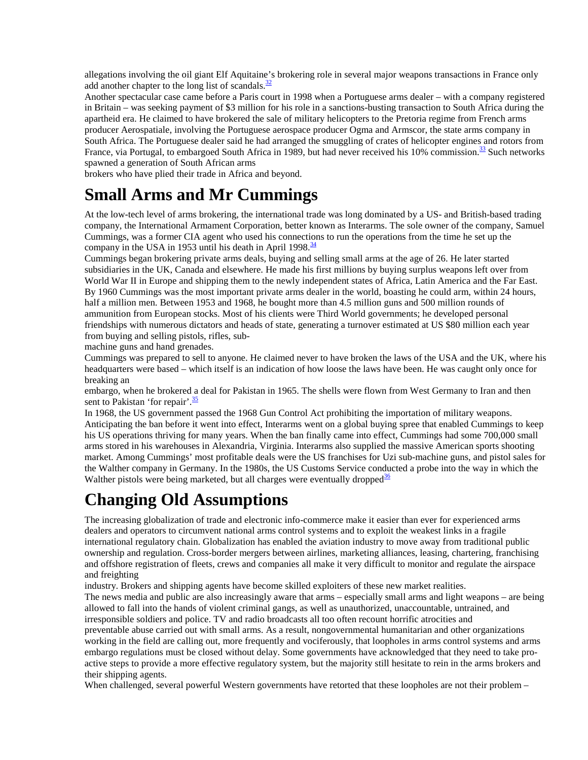allegations involving the oil giant Elf Aquitaine's brokering role in several major weapons transactions in France only add another chapter to the long list of scandals. $\frac{32}{2}$ 

Another spectacular case came before a Paris court in 1998 when a Portuguese arms dealer – with a company registered in Britain – was seeking payment of \$3 million for his role in a sanctions-busting transaction to South Africa during the apartheid era. He claimed to have brokered the sale of military helicopters to the Pretoria regime from French arms producer Aerospatiale, involving the Portuguese aerospace producer Ogma and Armscor, the state arms company in South Africa. The Portuguese dealer said he had arranged the smuggling of crates of helicopter engines and rotors from France, via Portugal, to embargoed South Africa in 1989, but had never received his 10% commission.<sup>33</sup> Such networks spawned a generation of South African arms

brokers who have plied their trade in Africa and beyond.

### **Small Arms and Mr Cummings**

At the low-tech level of arms brokering, the international trade was long dominated by a US- and British-based trading company, the International Armament Corporation, better known as Interarms. The sole owner of the company, Samuel Cummings, was a former CIA agent who used his connections to run the operations from the time he set up the company in the USA in 1953 until his death in April 1998. $\frac{34}{3}$ 

Cummings began brokering private arms deals, buying and selling small arms at the age of 26. He later started subsidiaries in the UK, Canada and elsewhere. He made his first millions by buying surplus weapons left over from World War II in Europe and shipping them to the newly independent states of Africa, Latin America and the Far East. By 1960 Cummings was the most important private arms dealer in the world, boasting he could arm, within 24 hours, half a million men. Between 1953 and 1968, he bought more than 4.5 million guns and 500 million rounds of ammunition from European stocks. Most of his clients were Third World governments; he developed personal friendships with numerous dictators and heads of state, generating a turnover estimated at US \$80 million each year from buying and selling pistols, rifles, sub-

machine guns and hand grenades.

Cummings was prepared to sell to anyone. He claimed never to have broken the laws of the USA and the UK, where his headquarters were based – which itself is an indication of how loose the laws have been. He was caught only once for breaking an

embargo, when he brokered a deal for Pakistan in 1965. The shells were flown from West Germany to Iran and then sent to Pakistan 'for repair'. $\frac{35}{1}$ 

In 1968, the US government passed the 1968 Gun Control Act prohibiting the importation of military weapons. Anticipating the ban before it went into effect, Interarms went on a global buying spree that enabled Cummings to keep his US operations thriving for many years. When the ban finally came into effect, Cummings had some 700,000 small arms stored in his warehouses in Alexandria, Virginia. Interarms also supplied the massive American sports shooting market. Among Cummings' most profitable deals were the US franchises for Uzi sub-machine guns, and pistol sales for the Walther company in Germany. In the 1980s, the US Customs Service conducted a probe into the way in which the Walther pistols were being marketed, but all charges were eventually dropped<sup>36</sup>

# **Changing Old Assumptions**

The increasing globalization of trade and electronic info-commerce make it easier than ever for experienced arms dealers and operators to circumvent national arms control systems and to exploit the weakest links in a fragile international regulatory chain. Globalization has enabled the aviation industry to move away from traditional public ownership and regulation. Cross-border mergers between airlines, marketing alliances, leasing, chartering, franchising and offshore registration of fleets, crews and companies all make it very difficult to monitor and regulate the airspace and freighting

industry. Brokers and shipping agents have become skilled exploiters of these new market realities. The news media and public are also increasingly aware that arms – especially small arms and light weapons – are being allowed to fall into the hands of violent criminal gangs, as well as unauthorized, unaccountable, untrained, and irresponsible soldiers and police. TV and radio broadcasts all too often recount horrific atrocities and preventable abuse carried out with small arms. As a result, nongovernmental humanitarian and other organizations working in the field are calling out, more frequently and vociferously, that loopholes in arms control systems and arms embargo regulations must be closed without delay. Some governments have acknowledged that they need to take proactive steps to provide a more effective regulatory system, but the majority still hesitate to rein in the arms brokers and their shipping agents.

When challenged, several powerful Western governments have retorted that these loopholes are not their problem –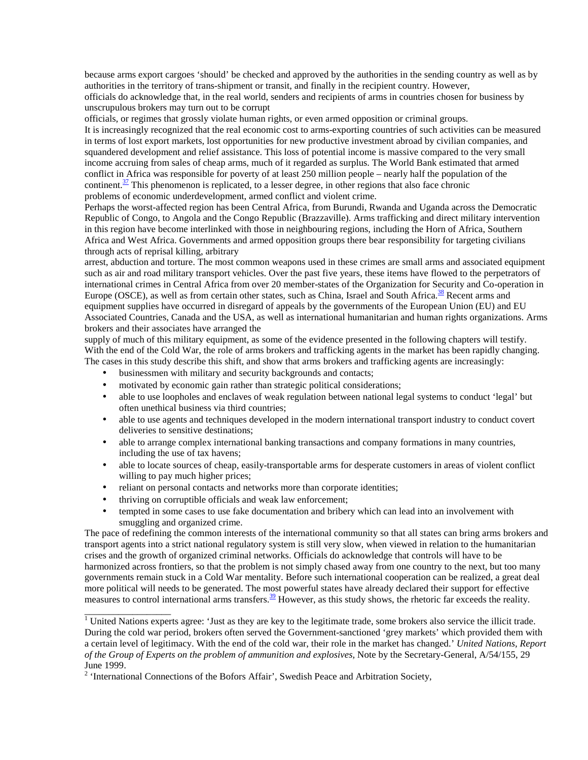because arms export cargoes 'should' be checked and approved by the authorities in the sending country as well as by authorities in the territory of trans-shipment or transit, and finally in the recipient country. However, officials do acknowledge that, in the real world, senders and recipients of arms in countries chosen for business by unscrupulous brokers may turn out to be corrupt

officials, or regimes that grossly violate human rights, or even armed opposition or criminal groups.

It is increasingly recognized that the real economic cost to arms-exporting countries of such activities can be measured in terms of lost export markets, lost opportunities for new productive investment abroad by civilian companies, and squandered development and relief assistance. This loss of potential income is massive compared to the very small income accruing from sales of cheap arms, much of it regarded as surplus. The World Bank estimated that armed conflict in Africa was responsible for poverty of at least 250 million people – nearly half the population of the continent. $\frac{37}{2}$  This phenomenon is replicated, to a lesser degree, in other regions that also face chronic problems of economic underdevelopment, armed conflict and violent crime.

Perhaps the worst-affected region has been Central Africa, from Burundi, Rwanda and Uganda across the Democratic Republic of Congo, to Angola and the Congo Republic (Brazzaville). Arms trafficking and direct military intervention in this region have become interlinked with those in neighbouring regions, including the Horn of Africa, Southern Africa and West Africa. Governments and armed opposition groups there bear responsibility for targeting civilians through acts of reprisal killing, arbitrary

arrest, abduction and torture. The most common weapons used in these crimes are small arms and associated equipment such as air and road military transport vehicles. Over the past five years, these items have flowed to the perpetrators of international crimes in Central Africa from over 20 member-states of the Organization for Security and Co-operation in Europe (OSCE), as well as from certain other states, such as China, Israel and South Africa.<sup>38</sup> Recent arms and equipment supplies have occurred in disregard of appeals by the governments of the European Union (EU) and EU Associated Countries, Canada and the USA, as well as international humanitarian and human rights organizations. Arms brokers and their associates have arranged the

supply of much of this military equipment, as some of the evidence presented in the following chapters will testify. With the end of the Cold War, the role of arms brokers and trafficking agents in the market has been rapidly changing. The cases in this study describe this shift, and show that arms brokers and trafficking agents are increasingly:

- businessmen with military and security backgrounds and contacts;
- motivated by economic gain rather than strategic political considerations;
- able to use loopholes and enclaves of weak regulation between national legal systems to conduct 'legal' but often unethical business via third countries;
- able to use agents and techniques developed in the modern international transport industry to conduct covert deliveries to sensitive destinations;
- able to arrange complex international banking transactions and company formations in many countries, including the use of tax havens;
- able to locate sources of cheap, easily-transportable arms for desperate customers in areas of violent conflict willing to pay much higher prices;
- reliant on personal contacts and networks more than corporate identities;
- thriving on corruptible officials and weak law enforcement;

\_\_\_\_\_\_\_\_\_\_\_\_\_\_\_\_\_\_

• tempted in some cases to use fake documentation and bribery which can lead into an involvement with smuggling and organized crime.

The pace of redefining the common interests of the international community so that all states can bring arms brokers and transport agents into a strict national regulatory system is still very slow, when viewed in relation to the humanitarian crises and the growth of organized criminal networks. Officials do acknowledge that controls will have to be harmonized across frontiers, so that the problem is not simply chased away from one country to the next, but too many governments remain stuck in a Cold War mentality. Before such international cooperation can be realized, a great deal more political will needs to be generated. The most powerful states have already declared their support for effective measures to control international arms transfers.<sup>39</sup> However, as this study shows, the rhetoric far exceeds the reality.

 $1$  United Nations experts agree: 'Just as they are key to the legitimate trade, some brokers also service the illicit trade. During the cold war period, brokers often served the Government-sanctioned 'grey markets' which provided them with a certain level of legitimacy. With the end of the cold war, their role in the market has changed.' *United Nations, Report of the Group of Experts on the problem of ammunition and explosives,* Note by the Secretary-General, A/54/155, 29 June 1999.

<sup>&</sup>lt;sup>2</sup> 'International Connections of the Bofors Affair', Swedish Peace and Arbitration Society,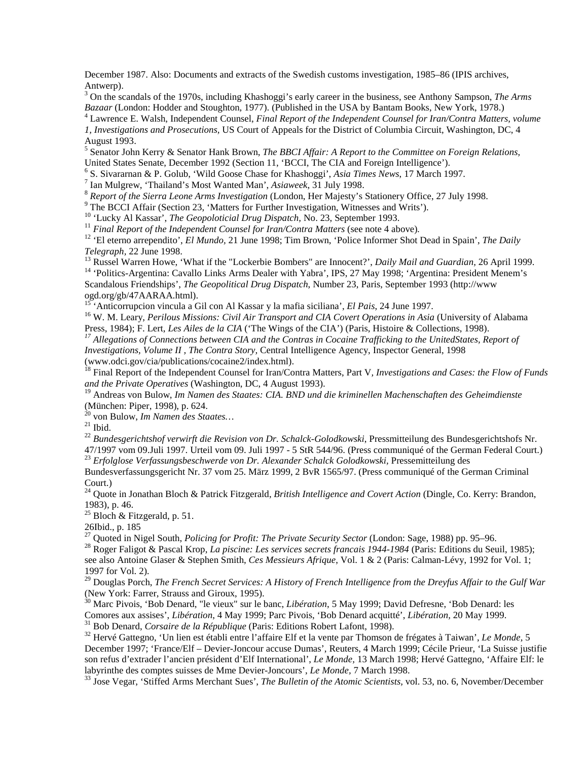December 1987. Also: Documents and extracts of the Swedish customs investigation, 1985–86 (IPIS archives, Antwerp).

3 On the scandals of the 1970s, including Khashoggi's early career in the business, see Anthony Sampson, *The Arms Bazaar* (London: Hodder and Stoughton, 1977). (Published in the USA by Bantam Books, New York, 1978.) <sup>4</sup>

Lawrence E. Walsh, Independent Counsel, *Final Report of the Independent Counsel for Iran/Contra Matters, volume*

*1, Investigations and Prosecutions,* US Court of Appeals for the District of Columbia Circuit, Washington, DC, 4 August 1993.

5 Senator John Kerry & Senator Hank Brown, *The BBCI Affair: A Report to the Committee on Foreign Relations,* United States Senate, December 1992 (Section 11, 'BCCI, The CIA and Foreign Intelligence').

<sup>6</sup> S. Sivararnan & P. Golub, 'Wild Goose Chase for Khashoggi', *Asia Times News*, 17 March 1997.

<sup>7</sup> Ian Mulgrew, 'Thailand's Most Wanted Man', *Asiaweek*, 31 July 1998.<br><sup>8</sup> *Report of the Sierra Leone Arms Investigation* (London, Her Majesty's Stationery Office, 27 July 1998.

<sup>9</sup> The BCCI Affair (Section 23, 'Matters for Further Investigation, Witnesses and Writs').<br><sup>10</sup> 'Lucky Al Kassar', *The Geopoloticial Drug Dispatch*, No. 23, September 1993.

<sup>11</sup> Final Report of the Independent Counsel for Iran/Contra Matters (see note 4 above).<br><sup>12</sup> 'El eterno arrependito', *El Mundo*, 21 June 1998; Tim Brown, 'Police Informer Shot Dead in Spain', *The Daily* 

Telegraph, 22 June 1998.<br><sup>13</sup> Russel Warren Howe, 'What if the "Lockerbie Bombers" are Innocent?', *Daily Mail and Guardian*, 26 April 1999.<br><sup>14</sup> 'Politics-Argentina: Cavallo Links Arms Dealer with Yabra', IPS, 27 May 1998

Scandalous Friendships', *The Geopolitical Drug Dispatch*, Number 23, Paris, September 1993 (http://www ogd.org/gb/47AARAA.html).<br><sup>15</sup> 'Anticorrupcion vincula a Gil con Al Kassar y la mafia siciliana', *El Pais*, 24 June 1997.

<sup>16</sup> W. M. Leary, *Perilous Missions: Civil Air Transport and CIA Covert Operations in Asia* (University of Alabama<br>Press, 1984); F. Lert, *Les Ailes de la CIA* ('The Wings of the CIA') (Paris, Histoire & Collections, 1998

 $^{17}$  Allegations of Connections between CIA and the Contras in Cocaine Trafficking to the UnitedStates, Report of *Investigations, Volume II , The Contra Story,* Central Intelligence Agency, Inspector General, 1998 (www.odci.gov/cia/publications/cocaine2/index.html).

18 Final Report of the Independent Counsel for Iran/Contra Matters, Part V*, Investigations and Cases: the Flow of Funds and the Private Operatives* (Washington, DC, 4 August 1993).

19 Andreas von Bulow, *Im Namen des Staates: CIA. BND und die kriminellen Machenschaften des Geheimdienste* (München: Piper, 1998), p. 624.

<sup>20</sup> von Bulow, *Im Namen des Staates*...<br><sup>21</sup> Ibid.

<sup>22</sup> *Bundesgerichtshof verwirft die Revision von Dr. Schalck-Golodkowski*, Pressmitteilung des Bundesgerichtshofs Nr. 47/1997 vom 09.Juli 1997. Urteil vom 09. Juli 1997 - 5 StR 544/96. (Press communiqué of the German Federal Court.) <sup>23</sup> *Erfolglose Verfassungsbeschwerde von Dr. Alexander Schalck Golodkowski,* Pressemitteilung des

Bundesverfassungsgericht Nr. 37 vom 25. März 1999, 2 BvR 1565/97. (Press communiqué of the German Criminal Court.)

24 Quote in Jonathan Bloch & Patrick Fitzgerald, *British Intelligence and Covert Action* (Dingle, Co. Kerry: Brandon, 1983), p. 46.

<sup>25</sup> Bloch & Fitzgerald, p. 51.

26Ibid., p. 185

<sup>27</sup> Quoted in Nigel South, *Policing for Profit: The Private Security Sector* (London: Sage, 1988) pp. 95–96.<br><sup>28</sup> Roger Faligot & Pascal Krop, *La piscine: Les services secrets francais 1944-1984* (Paris: Editions du Seu see also Antoine Glaser & Stephen Smith, *Ces Messieurs Afrique*, Vol. 1 & 2 (Paris: Calman-Lévy, 1992 for Vol. 1; 1997 for Vol. 2).

29 Douglas Porch, *The French Secret Services: A History of French Intelligence from the Dreyfus Affair to the Gulf War* (New York: Farrer, Strauss and Giroux, 1995).

<sup>30</sup> Marc Pivois, 'Bob Denard, "le vieux" sur le banc, *Libération*, 5 May 1999; David Defresne, 'Bob Denard: les Comores aux assises', *Libération*, 4 May 1999; Parc Pivois, 'Bob Denard acquitté', *Libération*, 20 May 1999.<br><sup>31</sup> Bob Denard, *Corsaire de la République* (Paris: Editions Robert Lafont, 1998).<br><sup>32</sup> Hervé Gattegno, 'Un li

December 1997; 'France/Elf – Devier-Joncour accuse Dumas', Reuters, 4 March 1999; Cécile Prieur, 'La Suisse justifie son refus d'extrader l'ancien président d'Elf International', *Le Monde*, 13 March 1998; Hervé Gattegno, 'Affaire Elf: le labyrinthe des comptes suisses de Mme Devier-Joncours', *Le Monde*, 7 March 1998.

<sup>33</sup> Jose Vegar, 'Stiffed Arms Merchant Sues', *The Bulletin of the Atomic Scientists*, vol. 53, no. 6, November/December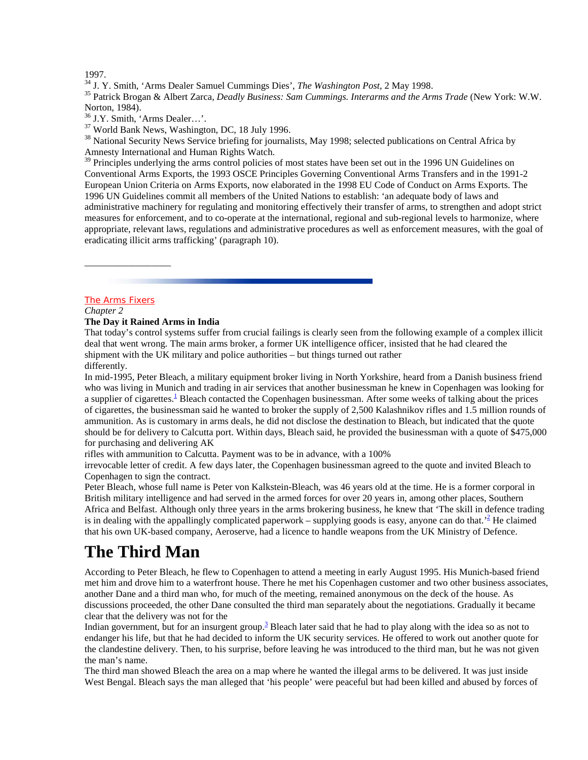1997.<br><sup>34</sup> J. Y. Smith, 'Arms Dealer Samuel Cummings Dies', *The Washington Post*, 2 May 1998.

<sup>35</sup> Patrick Brogan & Albert Zarca, *Deadly Business: Sam Cummings. Interarms and the Arms Trade* (New York: W.W. Norton, 1984).

<sup>37</sup> World Bank News, Washington, DC, 18 July 1996.

<sup>38</sup> National Security News Service briefing for journalists, May 1998; selected publications on Central Africa by Amnesty International and Human Rights Watch.

<sup>39</sup> Principles underlying the arms control policies of most states have been set out in the 1996 UN Guidelines on Conventional Arms Exports, the 1993 OSCE Principles Governing Conventional Arms Transfers and in the 1991-2 European Union Criteria on Arms Exports, now elaborated in the 1998 EU Code of Conduct on Arms Exports. The 1996 UN Guidelines commit all members of the United Nations to establish: 'an adequate body of laws and administrative machinery for regulating and monitoring effectively their transfer of arms, to strengthen and adopt strict measures for enforcement, and to co-operate at the international, regional and sub-regional levels to harmonize, where appropriate, relevant laws, regulations and administrative procedures as well as enforcement measures, with the goal of eradicating illicit arms trafficking' (paragraph 10).

### The Arms Fixers

\_\_\_\_\_\_\_\_\_\_\_\_\_\_\_\_\_\_

### *Chapter 2*

#### **The Day it Rained Arms in India**

That today's control systems suffer from crucial failings is clearly seen from the following example of a complex illicit deal that went wrong. The main arms broker, a former UK intelligence officer, insisted that he had cleared the shipment with the UK military and police authorities – but things turned out rather differently.

In mid-1995, Peter Bleach, a military equipment broker living in North Yorkshire, heard from a Danish business friend who was living in Munich and trading in air services that another businessman he knew in Copenhagen was looking for a supplier of cigarettes.<sup>1</sup> Bleach contacted the Copenhagen businessman. After some weeks of talking about the prices of cigarettes, the businessman said he wanted to broker the supply of 2,500 Kalashnikov rifles and 1.5 million rounds of ammunition. As is customary in arms deals, he did not disclose the destination to Bleach, but indicated that the quote should be for delivery to Calcutta port. Within days, Bleach said, he provided the businessman with a quote of \$475,000 for purchasing and delivering AK

rifles with ammunition to Calcutta. Payment was to be in advance, with a 100%

irrevocable letter of credit. A few days later, the Copenhagen businessman agreed to the quote and invited Bleach to Copenhagen to sign the contract.

Peter Bleach, whose full name is Peter von Kalkstein-Bleach, was 46 years old at the time. He is a former corporal in British military intelligence and had served in the armed forces for over 20 years in, among other places, Southern Africa and Belfast. Although only three years in the arms brokering business, he knew that 'The skill in defence trading is in dealing with the appallingly complicated paperwork – supplying goods is easy, anyone can do that.<sup>2</sup> He claimed that his own UK-based company, Aeroserve, had a licence to handle weapons from the UK Ministry of Defence.

### **The Third Man**

According to Peter Bleach, he flew to Copenhagen to attend a meeting in early August 1995. His Munich-based friend met him and drove him to a waterfront house. There he met his Copenhagen customer and two other business associates, another Dane and a third man who, for much of the meeting, remained anonymous on the deck of the house. As discussions proceeded, the other Dane consulted the third man separately about the negotiations. Gradually it became clear that the delivery was not for the

Indian government, but for an insurgent group.<sup>3</sup> Bleach later said that he had to play along with the idea so as not to endanger his life, but that he had decided to inform the UK security services. He offered to work out another quote for the clandestine delivery. Then, to his surprise, before leaving he was introduced to the third man, but he was not given the man's name.

The third man showed Bleach the area on a map where he wanted the illegal arms to be delivered. It was just inside West Bengal. Bleach says the man alleged that 'his people' were peaceful but had been killed and abused by forces of

<sup>36</sup> J.Y. Smith, 'Arms Dealer…'.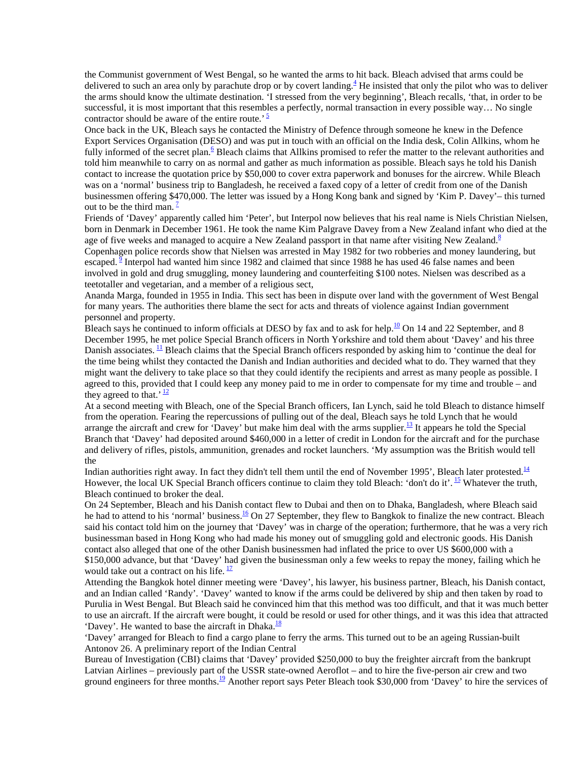the Communist government of West Bengal, so he wanted the arms to hit back. Bleach advised that arms could be delivered to such an area only by parachute drop or by covert landing.<sup>4</sup> He insisted that only the pilot who was to deliver the arms should know the ultimate destination. 'I stressed from the very beginning', Bleach recalls, 'that, in order to be successful, it is most important that this resembles a perfectly, normal transaction in every possible way... No single contractor should be aware of the entire route.'  $\frac{5}{3}$ 

Once back in the UK, Bleach says he contacted the Ministry of Defence through someone he knew in the Defence Export Services Organisation (DESO) and was put in touch with an official on the India desk, Colin Allkins, whom he fully informed of the secret plan.<sup>6</sup> Bleach claims that Allkins promised to refer the matter to the relevant authorities and told him meanwhile to carry on as normal and gather as much information as possible. Bleach says he told his Danish contact to increase the quotation price by \$50,000 to cover extra paperwork and bonuses for the aircrew. While Bleach was on a 'normal' business trip to Bangladesh, he received a faxed copy of a letter of credit from one of the Danish businessmen offering \$470,000. The letter was issued by a Hong Kong bank and signed by 'Kim P. Davey'– this turned out to be the third man.  $\frac{7}{2}$ 

Friends of 'Davey' apparently called him 'Peter', but Interpol now believes that his real name is Niels Christian Nielsen, born in Denmark in December 1961. He took the name Kim Palgrave Davey from a New Zealand infant who died at the age of five weeks and managed to acquire a New Zealand passport in that name after visiting New Zealand.<sup>8</sup> Copenhagen police records show that Nielsen was arrested in May 1982 for two robberies and money laundering, but escaped. <sup>9</sup> Interpol had wanted him since 1982 and claimed that since 1988 he has used 46 false names and been involved in gold and drug smuggling, money laundering and counterfeiting \$100 notes. Nielsen was described as a teetotaller and vegetarian, and a member of a religious sect,

Ananda Marga, founded in 1955 in India. This sect has been in dispute over land with the government of West Bengal for many years. The authorities there blame the sect for acts and threats of violence against Indian government personnel and property.

Bleach says he continued to inform officials at DESO by fax and to ask for help.<sup>10</sup> On 14 and 22 September, and 8 December 1995, he met police Special Branch officers in North Yorkshire and told them about 'Davey' and his three Danish associates. <sup>11</sup> Bleach claims that the Special Branch officers responded by asking him to 'continue the deal for the time being whilst they contacted the Danish and Indian authorities and decided what to do. They warned that they might want the delivery to take place so that they could identify the recipients and arrest as many people as possible. I agreed to this, provided that I could keep any money paid to me in order to compensate for my time and trouble *–* and they agreed to that.<sup>'  $\frac{12}{2}$ </sup>

At a second meeting with Bleach, one of the Special Branch officers, Ian Lynch, said he told Bleach to distance himself from the operation. Fearing the repercussions of pulling out of the deal, Bleach says he told Lynch that he would arrange the aircraft and crew for 'Davey' but make him deal with the arms supplier.<sup>13</sup> It appears he told the Special Branch that 'Davey' had deposited around \$460,000 in a letter of credit in London for the aircraft and for the purchase and delivery of rifles, pistols, ammunition, grenades and rocket launchers. 'My assumption was the British would tell the

Indian authorities right away. In fact they didn't tell them until the end of November 1995', Bleach later protested. $14$ However, the local UK Special Branch officers continue to claim they told Bleach: 'don't do it'. <sup>15</sup> Whatever the truth, Bleach continued to broker the deal.

On 24 September, Bleach and his Danish contact flew to Dubai and then on to Dhaka, Bangladesh, where Bleach said he had to attend to his 'normal' business.<sup>16</sup> On 27 September, they flew to Bangkok to finalize the new contract. Bleach said his contact told him on the journey that 'Davey' was in charge of the operation; furthermore, that he was a very rich businessman based in Hong Kong who had made his money out of smuggling gold and electronic goods. His Danish contact also alleged that one of the other Danish businessmen had inflated the price to over US \$600,000 with a \$150,000 advance, but that 'Davey' had given the businessman only a few weeks to repay the money, failing which he would take out a contract on his life.  $\frac{17}{1}$ 

Attending the Bangkok hotel dinner meeting were 'Davey', his lawyer, his business partner, Bleach, his Danish contact, and an Indian called 'Randy'. 'Davey' wanted to know if the arms could be delivered by ship and then taken by road to Purulia in West Bengal. But Bleach said he convinced him that this method was too difficult, and that it was much better to use an aircraft. If the aircraft were bought, it could be resold or used for other things, and it was this idea that attracted 'Davey'. He wanted to base the aircraft in Dhaka. $\frac{18}{10}$ 

'Davey' arranged for Bleach to find a cargo plane to ferry the arms. This turned out to be an ageing Russian-built Antonov 26. A preliminary report of the Indian Central

Bureau of Investigation (CBI) claims that 'Davey' provided \$250,000 to buy the freighter aircraft from the bankrupt Latvian Airlines – previously part of the USSR state-owned Aeroflot – and to hire the five-person air crew and two ground engineers for three months.<sup>19</sup> Another report says Peter Bleach took \$30,000 from 'Davey' to hire the services of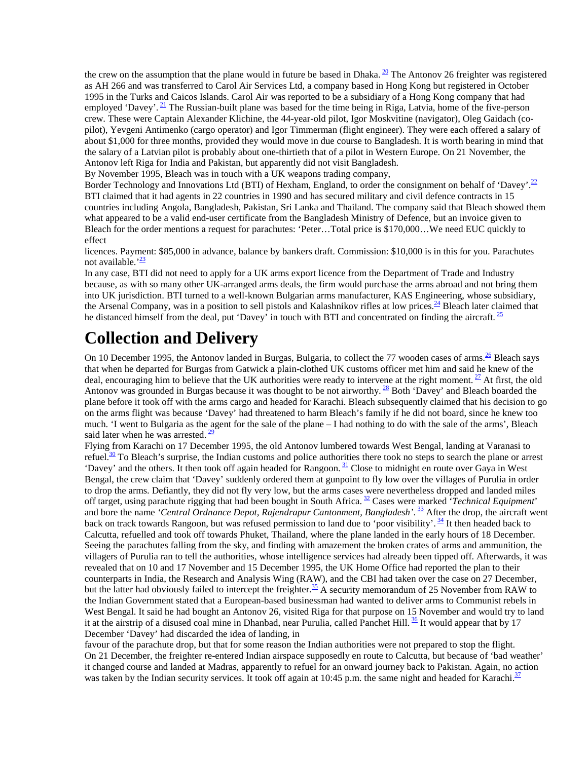the crew on the assumption that the plane would in future be based in Dhaka.  $\frac{20}{2}$  The Antonov 26 freighter was registered as AH 266 and was transferred to Carol Air Services Ltd, a company based in Hong Kong but registered in October 1995 in the Turks and Caicos Islands. Carol Air was reported to be a subsidiary of a Hong Kong company that had employed 'Davey'.  $\frac{21}{2}$  The Russian-built plane was based for the time being in Riga, Latvia, home of the five-person crew. These were Captain Alexander Klichine, the 44-year-old pilot, Igor Moskvitine (navigator), Oleg Gaidach (copilot), Yevgeni Antimenko (cargo operator) and Igor Timmerman (flight engineer). They were each offered a salary of about \$1,000 for three months, provided they would move in due course to Bangladesh. It is worth bearing in mind that the salary of a Latvian pilot is probably about one-thirtieth that of a pilot in Western Europe. On 21 November, the Antonov left Riga for India and Pakistan, but apparently did not visit Bangladesh.

By November 1995, Bleach was in touch with a UK weapons trading company,

Border Technology and Innovations Ltd (BTI) of Hexham, England, to order the consignment on behalf of 'Davey'.<sup>22</sup> BTI claimed that it had agents in 22 countries in 1990 and has secured military and civil defence contracts in 15 countries including Angola, Bangladesh, Pakistan, Sri Lanka and Thailand. The company said that Bleach showed them what appeared to be a valid end-user certificate from the Bangladesh Ministry of Defence, but an invoice given to Bleach for the order mentions a request for parachutes: 'Peter…Total price is \$170,000…We need EUC quickly to effect

licences. Payment: \$85,000 in advance, balance by bankers draft. Commission: \$10,000 is in this for you. Parachutes not available. $\frac{23}{2}$ 

In any case, BTI did not need to apply for a UK arms export licence from the Department of Trade and Industry because, as with so many other UK-arranged arms deals, the firm would purchase the arms abroad and not bring them into UK jurisdiction. BTI turned to a well-known Bulgarian arms manufacturer, KAS Engineering, whose subsidiary, the Arsenal Company, was in a position to sell pistols and Kalashnikov rifles at low prices.<sup>24</sup> Bleach later claimed that he distanced himself from the deal, put 'Davey' in touch with BTI and concentrated on finding the aircraft.  $^{25}$ 

### **Collection and Delivery**

On 10 December 1995, the Antonov landed in Burgas, Bulgaria, to collect the 77 wooden cases of arms.<sup>26</sup> Bleach says that when he departed for Burgas from Gatwick a plain-clothed UK customs officer met him and said he knew of the deal, encouraging him to believe that the UK authorities were ready to intervene at the right moment.  $27$  At first, the old Antonov was grounded in Burgas because it was thought to be not airworthy. <sup>28</sup> Both 'Davey' and Bleach boarded the plane before it took off with the arms cargo and headed for Karachi. Bleach subsequently claimed that his decision to go on the arms flight was because 'Davey' had threatened to harm Bleach's family if he did not board, since he knew too much. 'I went to Bulgaria as the agent for the sale of the plane – I had nothing to do with the sale of the arms', Bleach said later when he was arrested.  $\frac{29}{2}$ 

Flying from Karachi on 17 December 1995, the old Antonov lumbered towards West Bengal, landing at Varanasi to refuel. $\frac{30}{10}$  To Bleach's surprise, the Indian customs and police authorities there took no steps to search the plane or arrest 'Davey' and the others. It then took off again headed for Rangoon.<sup>31</sup> Close to midnight en route over Gaya in West Bengal, the crew claim that 'Davey' suddenly ordered them at gunpoint to fly low over the villages of Purulia in order to drop the arms. Defiantly, they did not fly very low, but the arms cases were nevertheless dropped and landed miles off target, using parachute rigging that had been bought in South Africa. 32 Cases were marked '*Technical Equipment*' and bore the name *'Central Ordnance Depot, Rajendrapur Cantonment, Bangladesh'*. 33 After the drop, the aircraft went back on track towards Rangoon, but was refused permission to land due to 'poor visibility'. <sup>34</sup> It then headed back to Calcutta, refuelled and took off towards Phuket, Thailand, where the plane landed in the early hours of 18 December. Seeing the parachutes falling from the sky, and finding with amazement the broken crates of arms and ammunition, the villagers of Purulia ran to tell the authorities, whose intelligence services had already been tipped off. Afterwards, it was revealed that on 10 and 17 November and 15 December 1995, the UK Home Office had reported the plan to their counterparts in India, the Research and Analysis Wing (RAW), and the CBI had taken over the case on 27 December, but the latter had obviously failed to intercept the freighter.<sup>35</sup> A security memorandum of 25 November from RAW to the Indian Government stated that a European-based businessman had wanted to deliver arms to Communist rebels in West Bengal. It said he had bought an Antonov 26, visited Riga for that purpose on 15 November and would try to land it at the airstrip of a disused coal mine in Dhanbad, near Purulia, called Panchet Hill.  $\frac{36}{1}$  It would appear that by 17 December 'Davey' had discarded the idea of landing, in

favour of the parachute drop, but that for some reason the Indian authorities were not prepared to stop the flight. On 21 December, the freighter re-entered Indian airspace supposedly en route to Calcutta, but because of 'bad weather' it changed course and landed at Madras, apparently to refuel for an onward journey back to Pakistan. Again, no action was taken by the Indian security services. It took off again at 10:45 p.m. the same night and headed for Karachi.<sup>37</sup>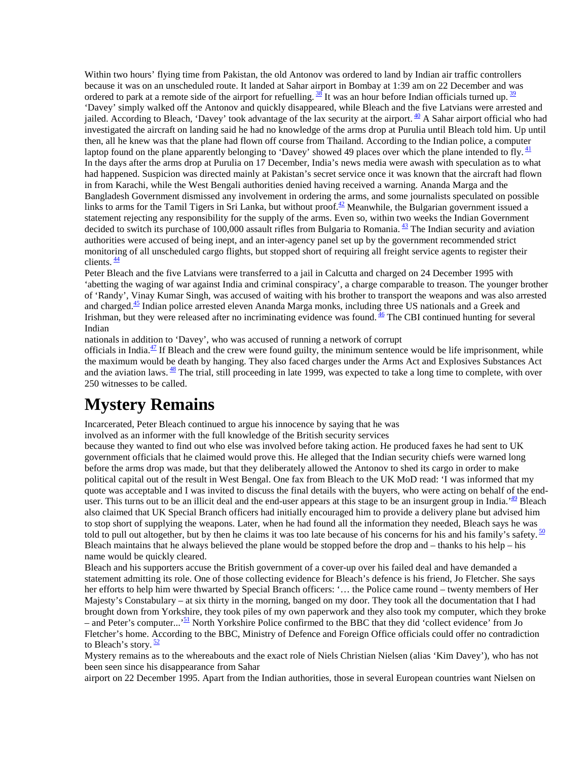Within two hours' flying time from Pakistan, the old Antonov was ordered to land by Indian air traffic controllers because it was on an unscheduled route. It landed at Sahar airport in Bombay at 1:39 am on 22 December and was ordered to park at a remote side of the airport for refuelling.  $\frac{38}{3}$  It was an hour before Indian officials turned up.  $\frac{39}{3}$ 'Davey' simply walked off the Antonov and quickly disappeared, while Bleach and the five Latvians were arrested and jailed. According to Bleach, 'Davey' took advantage of the lax security at the airport.  $^{40}$  A Sahar airport official who had investigated the aircraft on landing said he had no knowledge of the arms drop at Purulia until Bleach told him. Up until then, all he knew was that the plane had flown off course from Thailand. According to the Indian police, a computer laptop found on the plane apparently belonging to 'Davey' showed 49 places over which the plane intended to fly.  $\frac{41}{2}$ In the days after the arms drop at Purulia on 17 December, India's news media were awash with speculation as to what had happened. Suspicion was directed mainly at Pakistan's secret service once it was known that the aircraft had flown in from Karachi, while the West Bengali authorities denied having received a warning. Ananda Marga and the Bangladesh Government dismissed any involvement in ordering the arms, and some journalists speculated on possible links to arms for the Tamil Tigers in Sri Lanka, but without proof.<sup>42</sup> Meanwhile, the Bulgarian government issued a statement rejecting any responsibility for the supply of the arms. Even so, within two weeks the Indian Government decided to switch its purchase of 100,000 assault rifles from Bulgaria to Romania.  $\frac{43}{12}$  The Indian security and aviation authorities were accused of being inept, and an inter-agency panel set up by the government recommended strict monitoring of all unscheduled cargo flights, but stopped short of requiring all freight service agents to register their clients.  $\frac{44}{3}$ 

Peter Bleach and the five Latvians were transferred to a jail in Calcutta and charged on 24 December 1995 with 'abetting the waging of war against India and criminal conspiracy', a charge comparable to treason. The younger brother of 'Randy', Vinay Kumar Singh, was accused of waiting with his brother to transport the weapons and was also arrested and charged.<sup>45</sup> Indian police arrested eleven Ananda Marga monks, including three US nationals and a Greek and Irishman, but they were released after no incriminating evidence was found.  $\frac{46}{1}$  The CBI continued hunting for several Indian

nationals in addition to 'Davey', who was accused of running a network of corrupt

officials in India. $^{47}$  If Bleach and the crew were found guilty, the minimum sentence would be life imprisonment, while the maximum would be death by hanging. They also faced charges under the Arms Act and Explosives Substances Act and the aviation laws.  $\frac{48}{3}$  The trial, still proceeding in late 1999, was expected to take a long time to complete, with over 250 witnesses to be called.

### **Mystery Remains**

Incarcerated, Peter Bleach continued to argue his innocence by saying that he was

involved as an informer with the full knowledge of the British security services

because they wanted to find out who else was involved before taking action. He produced faxes he had sent to UK government officials that he claimed would prove this. He alleged that the Indian security chiefs were warned long before the arms drop was made, but that they deliberately allowed the Antonov to shed its cargo in order to make political capital out of the result in West Bengal. One fax from Bleach to the UK MoD read: 'I was informed that my quote was acceptable and I was invited to discuss the final details with the buyers, who were acting on behalf of the enduser. This turns out to be an illicit deal and the end-user appears at this stage to be an insurgent group in India.<sup>49</sup> Bleach also claimed that UK Special Branch officers had initially encouraged him to provide a delivery plane but advised him to stop short of supplying the weapons. Later, when he had found all the information they needed, Bleach says he was told to pull out altogether, but by then he claims it was too late because of his concerns for his and his family's safety.  $\frac{50}{2}$ Bleach maintains that he always believed the plane would be stopped before the drop and – thanks to his help – his name would be quickly cleared.

Bleach and his supporters accuse the British government of a cover-up over his failed deal and have demanded a statement admitting its role. One of those collecting evidence for Bleach's defence is his friend, Jo Fletcher. She says her efforts to help him were thwarted by Special Branch officers: '… the Police came round – twenty members of Her Majesty's Constabulary – at six thirty in the morning, banged on my door. They took all the documentation that I had brought down from Yorkshire, they took piles of my own paperwork and they also took my computer, which they broke – and Peter's computer...'<sup>51</sup> North Yorkshire Police confirmed to the BBC that they did 'collect evidence' from Jo Fletcher's home. According to the BBC, Ministry of Defence and Foreign Office officials could offer no contradiction to Bleach's story.  $\frac{52}{2}$ 

Mystery remains as to the whereabouts and the exact role of Niels Christian Nielsen (alias 'Kim Davey'), who has not been seen since his disappearance from Sahar

airport on 22 December 1995. Apart from the Indian authorities, those in several European countries want Nielsen on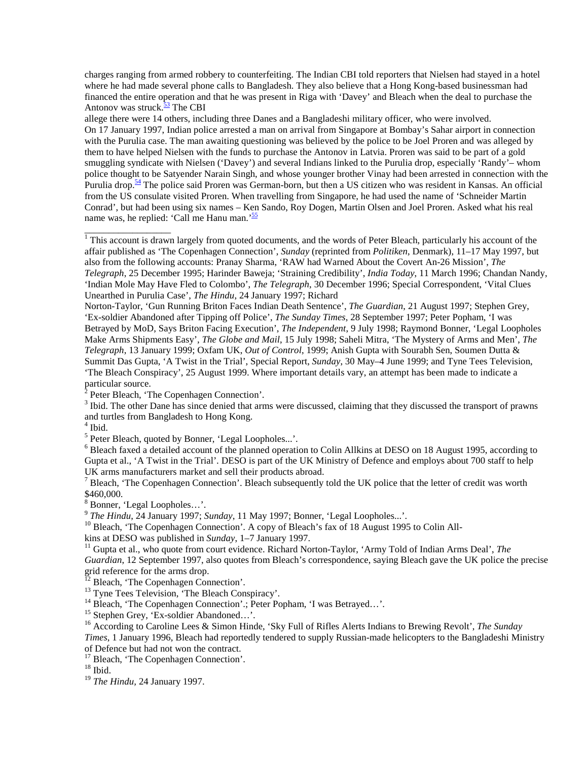charges ranging from armed robbery to counterfeiting. The Indian CBI told reporters that Nielsen had stayed in a hotel where he had made several phone calls to Bangladesh. They also believe that a Hong Kong-based businessman had financed the entire operation and that he was present in Riga with 'Davey' and Bleach when the deal to purchase the Antonov was struck. $\frac{53}{1}$  The CBI

allege there were 14 others, including three Danes and a Bangladeshi military officer, who were involved. On 17 January 1997, Indian police arrested a man on arrival from Singapore at Bombay's Sahar airport in connection with the Purulia case. The man awaiting questioning was believed by the police to be Joel Proren and was alleged by them to have helped Nielsen with the funds to purchase the Antonov in Latvia. Proren was said to be part of a gold smuggling syndicate with Nielsen ('Davey') and several Indians linked to the Purulia drop, especially 'Randy'– whom police thought to be Satyender Narain Singh, and whose younger brother Vinay had been arrested in connection with the Purulia drop.<sup>54</sup> The police said Proren was German-born, but then a US citizen who was resident in Kansas. An official from the US consulate visited Proren. When travelling from Singapore, he had used the name of 'Schneider Martin Conrad', but had been using six names – Ken Sando, Roy Dogen, Martin Olsen and Joel Proren. Asked what his real name was, he replied: 'Call me Hanu man.'<sup>55</sup>

<sup>1</sup> This account is drawn largely from quoted documents, and the words of Peter Bleach, particularly his account of the affair published as 'The Copenhagen Connection', *Sunday* (reprinted from *Politiken*, Denmark), 11–17 May 1997, but also from the following accounts: Pranay Sharma, 'RAW had Warned About the Covert An-26 Mission', *The Telegraph*, 25 December 1995; Harinder Baweja; 'Straining Credibility', *India Today*, 11 March 1996; Chandan Nandy, 'Indian Mole May Have Fled to Colombo', *The Telegraph*, 30 December 1996; Special Correspondent, 'Vital Clues Unearthed in Purulia Case', *The Hindu*, 24 January 1997; Richard

Norton-Taylor, 'Gun Running Briton Faces Indian Death Sentence', *The Guardian*, 21 August 1997; Stephen Grey, 'Ex-soldier Abandoned after Tipping off Police', *The Sunday Times*, 28 September 1997; Peter Popham, 'I was Betrayed by MoD, Says Briton Facing Execution', *The Independent*, 9 July 1998; Raymond Bonner, 'Legal Loopholes Make Arms Shipments Easy', *The Globe and Mail*, 15 July 1998; Saheli Mitra, 'The Mystery of Arms and Men', *The Telegraph*, 13 January 1999; Oxfam UK, *Out of Control*, 1999; Anish Gupta with Sourabh Sen, Soumen Dutta & Summit Das Gupta, 'A Twist in the Trial', Special Report, *Sunday*, 30 May–4 June 1999; and Tyne Tees Television, 'The Bleach Conspiracy', 25 August 1999. Where important details vary, an attempt has been made to indicate a particular source.

<sup>2</sup> Peter Bleach, 'The Copenhagen Connection'.

<sup>3</sup> Ibid. The other Dane has since denied that arms were discussed, claiming that they discussed the transport of prawns and turtles from Bangladesh to Hong Kong.

4 Ibid.

\_\_\_\_\_\_\_\_\_\_\_\_\_\_\_\_\_\_

<sup>5</sup> Peter Bleach, quoted by Bonner, 'Legal Loopholes...'.

<sup>6</sup> Bleach faxed a detailed account of the planned operation to Colin Allkins at DESO on 18 August 1995, according to Gupta et al., 'A Twist in the Trial'. DESO is part of the UK Ministry of Defence and employs about 700 staff to help UK arms manufacturers market and sell their products abroad.

 $<sup>7</sup>$  Bleach, 'The Copenhagen Connection'. Bleach subsequently told the UK police that the letter of credit was worth</sup> \$460,000.

8 Bonner, 'Legal Loopholes…'.

<sup>9</sup> *The Hindu*, 24 January 1997; *Sunday*, 11 May 1997; Bonner, 'Legal Loopholes...'. <sup>10</sup> Bleach, 'The Copenhagen Connection'. A copy of Bleach's fax of 18 August 1995 to Colin All-<br>kins at DESO was published in *Sunday* 

<sup>11</sup> Gupta et al., who quote from court evidence. Richard Norton-Taylor, 'Army Told of Indian Arms Deal', *The Guardian*, 12 September 1997, also quotes from Bleach's correspondence, saying Bleach gave the UK police the precise grid reference for the arms drop.

<sup>12</sup> Bleach, 'The Copenhagen Connection'.

<sup>13</sup> Tyne Tees Television, 'The Bleach Conspiracy'.

<sup>14</sup> Bleach, 'The Copenhagen Connection'.; Peter Popham, 'I was Betrayed...'.

15 Stephen Grey, 'Ex-soldier Abandoned…'.

16 According to Caroline Lees & Simon Hinde, 'Sky Full of Rifles Alerts Indians to Brewing Revolt', *The Sunday Times*, 1 January 1996, Bleach had reportedly tendered to supply Russian-made helicopters to the Bangladeshi Ministry of Defence but had not won the contract.

<sup>17</sup> Bleach, 'The Copenhagen Connection'.

 $18$  Ibid.

<sup>19</sup> *The Hindu,* 24 January 1997.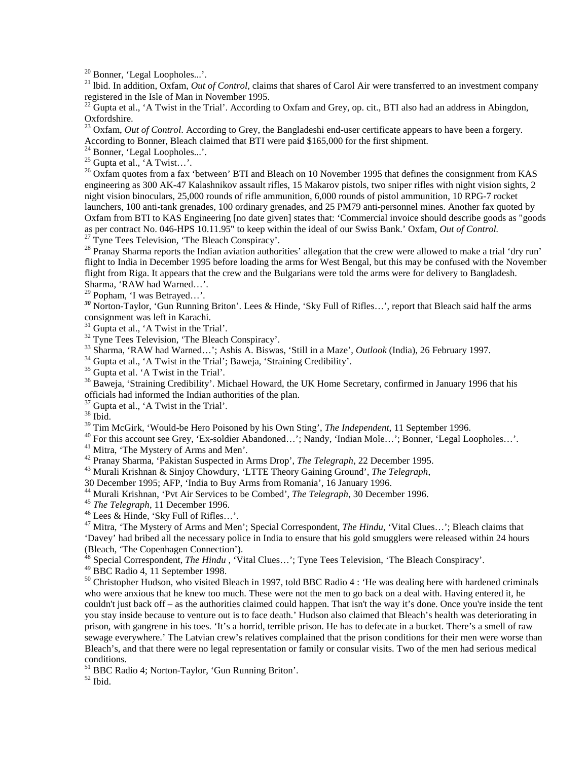20 Bonner, 'Legal Loopholes...'.

<sup>21</sup> lbid. In addition, Oxfam, *Out of Control*, claims that shares of Carol Air were transferred to an investment company registered in the Isle of Man in November 1995.

 $^{22}$  Gupta et al., 'A Twist in the Trial'. According to Oxfam and Grey, op. cit., BTI also had an address in Abingdon, Oxfordshire.

<sup>23</sup> Oxfam, *Out of Control*. According to Grey, the Bangladeshi end-user certificate appears to have been a forgery. According to Bonner, Bleach claimed that BTI were paid \$165,000 for the first shipment.

<sup>24</sup> Bonner, 'Legal Loopholes...'.

 $^{25}$  Gupta et al., 'A Twist...'.

 $^{26}$  Oxfam quotes from a fax 'between' BTI and Bleach on 10 November 1995 that defines the consignment from KAS engineering as 300 AK-47 Kalashnikov assault rifles, 15 Makarov pistols, two sniper rifles with night vision sights, 2 night vision binoculars, 25,000 rounds of rifle ammunition, 6,000 rounds of pistol ammunition, 10 RPG-7 rocket launchers, 100 anti-tank grenades, 100 ordinary grenades, and 25 PM79 anti-personnel mines. Another fax quoted by Oxfam from BTI to KAS Engineering [no date given] states that: 'Commercial invoice should describe goods as "goods as per contract No. 046-HPS 10.11.95" to keep within the ideal of our Swiss Bank.' Oxfam, *Out of Control.* <sup>27</sup> Tyne Tees Television, 'The Bleach Conspiracy'.

 $^{28}$  Pranay Sharma reports the Indian aviation authorities' allegation that the crew were allowed to make a trial 'dry run' flight to India in December 1995 before loading the arms for West Bengal, but this may be confused with the November flight from Riga. It appears that the crew and the Bulgarians were told the arms were for delivery to Bangladesh. Sharma, 'RAW had Warned…'.

29 Popham, 'I was Betrayed…'.

*<sup>30</sup>* Norton-Taylor, 'Gun Running Briton'. Lees & Hinde, 'Sky Full of Rifles…', report that Bleach said half the arms consignment was left in Karachi.

 $31$  Gupta et al., 'A Twist in the Trial'.

 $32$  Tyne Tees Television, 'The Bleach Conspiracy'.

33 Sharma, 'RAW had Warned…'; Ashis A. Biswas, 'Still in a Maze', *Outlook* (India), 26 February 1997. 34 Gupta et al., 'A Twist in the Trial'; Baweja, 'Straining Credibility'.

<sup>35</sup> Gupta et al. 'A Twist in the Trial'.

<sup>36</sup> Baweja, 'Straining Credibility'. Michael Howard, the UK Home Secretary, confirmed in January 1996 that his officials had informed the Indian authorities of the plan.

 $37$  Gupta et al., 'A Twist in the Trial'.

 $\frac{38}{38}$  Ibid.<br> $\frac{38}{39}$  Tim McGirk, 'Would-be Hero Poisoned by his Own Sting', *The Independent*, 11 September 1996.

<sup>40</sup> For this account see Grey, 'Ex-soldier Abandoned...'; Nandy, 'Indian Mole...'; Bonner, 'Legal Loopholes...'.

<sup>41</sup> Mitra, 'The Mystery of Arms and Men'.<br><sup>42</sup> Pranav Sharma, 'Pakistan Suspected in Arms Drop', *The Telegraph*, 22 December 1995.

<sup>43</sup> Murali Krishnan & Sinjoy Chowdury, 'LTTE Theory Gaining Ground', *The Telegraph*,

30 December 1995; AFP, 'India to Buy Arms from Romania', 16 January 1996.

<sup>44</sup> Murali Krishnan, 'Pvt Air Services to be Combed', *The Telegraph*, 30 December 1996.<br><sup>45</sup> *The Telegraph*, 11 December 1996.<br><sup>46</sup> Lees & Hinde, 'Sky Full of Rifles…'.

47 Mitra, 'The Mystery of Arms and Men'; Special Correspondent, *The Hindu*, 'Vital Clues…'; Bleach claims that 'Davey' had bribed all the necessary police in India to ensure that his gold smugglers were released within 24 hours (Bleach, 'The Copenhagen Connection').

48 Special Correspondent, *The Hindu ,* 'Vital Clues…'; Tyne Tees Television, 'The Bleach Conspiracy'.

 $49$  BBC Radio 4, 11 September 1998.

 $50$  Christopher Hudson, who visited Bleach in 1997, told BBC Radio 4 : 'He was dealing here with hardened criminals who were anxious that he knew too much. These were not the men to go back on a deal with. Having entered it, he couldn't just back off – as the authorities claimed could happen. That isn't the way it's done. Once you're inside the tent you stay inside because to venture out is to face death.' Hudson also claimed that Bleach's health was deteriorating in prison, with gangrene in his toes. 'It's a horrid, terrible prison. He has to defecate in a bucket. There's a smell of raw sewage everywhere.' The Latvian crew's relatives complained that the prison conditions for their men were worse than Bleach's, and that there were no legal representation or family or consular visits. Two of the men had serious medical conditions.

51 BBC Radio 4; Norton-Taylor, 'Gun Running Briton'.

 $^{52}$  Ibid.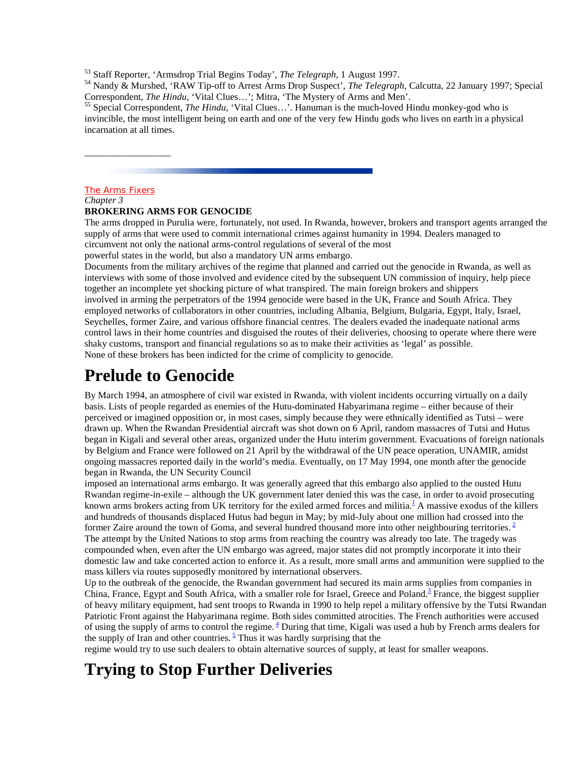<sup>53</sup> Staff Reporter, 'Armsdrop Trial Begins Today', *The Telegraph*, 1 August 1997.<br><sup>54</sup> Nandy & Murshed, 'RAW Tip-off to Arrest Arms Drop Suspect', *The Telegraph*, Calcutta, 22 January 1997; Special Correspondent, *The Hindu*, 'Vital Clues...'; Mitra, 'The Mystery of Arms and Men'.<br><sup>55</sup> Special Correspondent, *The Hindu*, 'Vital Clues...'. Hanuman is the much-loved Hindu monkey-god who is

invincible, the most intelligent being on earth and one of the very few Hindu gods who lives on earth in a physical incarnation at all times.

#### The Arms Fixers

\_\_\_\_\_\_\_\_\_\_\_\_\_\_\_\_\_\_

### *Chapter 3*

#### **BROKERING ARMS FOR GENOCIDE**

The arms dropped in Purulia were, fortunately, not used. In Rwanda, however, brokers and transport agents arranged the supply of arms that were used to commit international crimes against humanity in 1994. Dealers managed to circumvent not only the national arms-control regulations of several of the most

powerful states in the world, but also a mandatory UN arms embargo.

Documents from the military archives of the regime that planned and carried out the genocide in Rwanda, as well as interviews with some of those involved and evidence cited by the subsequent UN commission of inquiry, help piece together an incomplete yet shocking picture of what transpired. The main foreign brokers and shippers involved in arming the perpetrators of the 1994 genocide were based in the UK, France and South Africa. They employed networks of collaborators in other countries, including Albania, Belgium, Bulgaria, Egypt, Italy, Israel, Seychelles, former Zaire, and various offshore financial centres. The dealers evaded the inadequate national arms control laws in their home countries and disguised the routes of their deliveries, choosing to operate where there were shaky customs, transport and financial regulations so as to make their activities as 'legal' as possible. None of these brokers has been indicted for the crime of complicity to genocide.

### **Prelude to Genocide**

By March 1994, an atmosphere of civil war existed in Rwanda, with violent incidents occurring virtually on a daily basis. Lists of people regarded as enemies of the Hutu-dominated Habyarimana regime – either because of their perceived or imagined opposition or, in most cases, simply because they were ethnically identified as Tutsi – were drawn up. When the Rwandan Presidential aircraft was shot down on 6 April, random massacres of Tutsi and Hutus began in Kigali and several other areas, organized under the Hutu interim government. Evacuations of foreign nationals by Belgium and France were followed on 21 April by the withdrawal of the UN peace operation, UNAMIR, amidst ongoing massacres reported daily in the world's media. Eventually, on 17 May 1994, one month after the genocide began in Rwanda, the UN Security Council

imposed an international arms embargo. It was generally agreed that this embargo also applied to the ousted Hutu Rwandan regime-in-exile – although the UK government later denied this was the case, in order to avoid prosecuting known arms brokers acting from UK territory for the exiled armed forces and militia.<sup>1</sup> A massive exodus of the killers and hundreds of thousands displaced Hutus had begun in May; by mid-July about one million had crossed into the former Zaire around the town of Goma, and several hundred thousand more into other neighbouring territories.  $\frac{2}{3}$ The attempt by the United Nations to stop arms from reaching the country was already too late. The tragedy was compounded when, even after the UN embargo was agreed, major states did not promptly incorporate it into their domestic law and take concerted action to enforce it. As a result, more small arms and ammunition were supplied to the mass killers via routes supposedly monitored by international observers.

Up to the outbreak of the genocide, the Rwandan government had secured its main arms supplies from companies in China, France, Egypt and South Africa, with a smaller role for Israel, Greece and Poland.<sup>3</sup> France, the biggest supplier of heavy military equipment, had sent troops to Rwanda in 1990 to help repel a military offensive by the Tutsi Rwandan Patriotic Front against the Habyarimana regime. Both sides committed atrocities. The French authorities were accused of using the supply of arms to control the regime.  $\frac{4}{3}$  During that time, Kigali was used a hub by French arms dealers for the supply of Iran and other countries.  $\frac{5}{5}$  Thus it was hardly surprising that the

regime would try to use such dealers to obtain alternative sources of supply, at least for smaller weapons.

### **Trying to Stop Further Deliveries**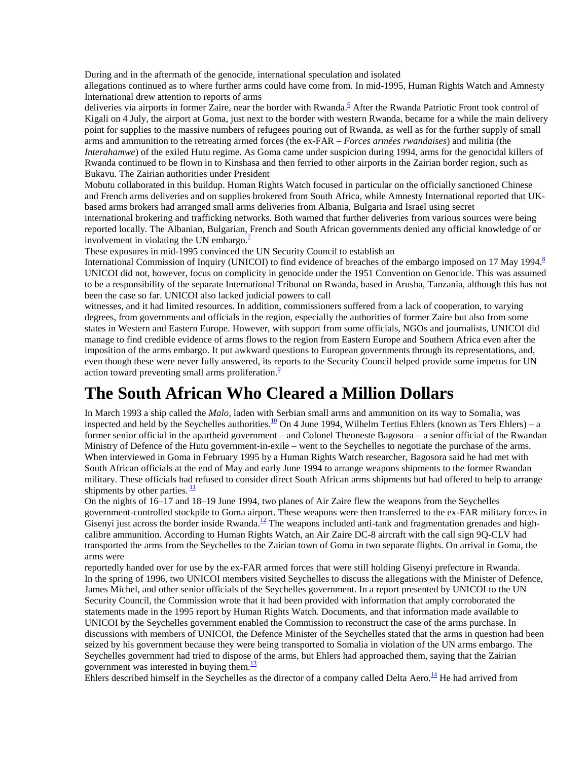During and in the aftermath of the genocide, international speculation and isolated

allegations continued as to where further arms could have come from. In mid-1995, Human Rights Watch and Amnesty International drew attention to reports of arms

deliveries via airports in former Zaire, near the border with Rwanda.<sup>6</sup> After the Rwanda Patriotic Front took control of Kigali on 4 July, the airport at Goma, just next to the border with western Rwanda, became for a while the main delivery point for supplies to the massive numbers of refugees pouring out of Rwanda, as well as for the further supply of small arms and ammunition to the retreating armed forces (the ex-FAR – *Forces armées rwandaises*) and militia (the *Interahamwe*) of the exiled Hutu regime. As Goma came under suspicion during 1994, arms for the genocidal killers of Rwanda continued to be flown in to Kinshasa and then ferried to other airports in the Zairian border region, such as Bukavu. The Zairian authorities under President

Mobutu collaborated in this buildup. Human Rights Watch focused in particular on the officially sanctioned Chinese and French arms deliveries and on supplies brokered from South Africa, while Amnesty International reported that UKbased arms brokers had arranged small arms deliveries from Albania, Bulgaria and Israel using secret international brokering and trafficking networks. Both warned that further deliveries from various sources were being

reported locally. The Albanian, Bulgarian, French and South African governments denied any official knowledge of or involvement in violating the UN embargo. $\frac{1}{2}$ 

These exposures in mid-1995 convinced the UN Security Council to establish an

International Commission of Inquiry (UNICOI) to find evidence of breaches of the embargo imposed on 17 May 1994.<sup>8</sup> UNICOI did not, however, focus on complicity in genocide under the 1951 Convention on Genocide. This was assumed to be a responsibility of the separate International Tribunal on Rwanda, based in Arusha, Tanzania, although this has not been the case so far. UNICOI also lacked judicial powers to call

witnesses, and it had limited resources. In addition, commissioners suffered from a lack of cooperation, to varying degrees, from governments and officials in the region, especially the authorities of former Zaire but also from some states in Western and Eastern Europe. However, with support from some officials, NGOs and journalists, UNICOI did manage to find credible evidence of arms flows to the region from Eastern Europe and Southern Africa even after the imposition of the arms embargo. It put awkward questions to European governments through its representations, and, even though these were never fully answered, its reports to the Security Council helped provide some impetus for UN action toward preventing small arms proliferation.<sup>9</sup>

### **The South African Who Cleared a Million Dollars**

In March 1993 a ship called the *Malo,* laden with Serbian small arms and ammunition on its way to Somalia, was inspected and held by the Seychelles authorities.<sup>10</sup> On 4 June 1994, Wilhelm Tertius Ehlers (known as Ters Ehlers) – a former senior official in the apartheid government – and Colonel Theoneste Bagosora – a senior official of the Rwandan Ministry of Defence of the Hutu government-in-exile – went to the Seychelles to negotiate the purchase of the arms. When interviewed in Goma in February 1995 by a Human Rights Watch researcher, Bagosora said he had met with South African officials at the end of May and early June 1994 to arrange weapons shipments to the former Rwandan military. These officials had refused to consider direct South African arms shipments but had offered to help to arrange shipments by other parties.  $\frac{11}{1}$ 

On the nights of 16–17 and 18–19 June 1994, two planes of Air Zaire flew the weapons from the Seychelles government-controlled stockpile to Goma airport. These weapons were then transferred to the ex-FAR military forces in Gisenyi just across the border inside Rwanda.<sup>12</sup> The weapons included anti-tank and fragmentation grenades and highcalibre ammunition. According to Human Rights Watch, an Air Zaire DC-8 aircraft with the call sign 9Q-CLV had transported the arms from the Seychelles to the Zairian town of Goma in two separate flights. On arrival in Goma, the arms were

reportedly handed over for use by the ex-FAR armed forces that were still holding Gisenyi prefecture in Rwanda. In the spring of 1996, two UNICOI members visited Seychelles to discuss the allegations with the Minister of Defence, James Michel, and other senior officials of the Seychelles government. In a report presented by UNICOI to the UN Security Council, the Commission wrote that it had been provided with information that amply corroborated the statements made in the 1995 report by Human Rights Watch. Documents, and that information made available to UNICOI by the Seychelles government enabled the Commission to reconstruct the case of the arms purchase. In discussions with members of UNICOI, the Defence Minister of the Seychelles stated that the arms in question had been seized by his government because they were being transported to Somalia in violation of the UN arms embargo. The Seychelles government had tried to dispose of the arms, but Ehlers had approached them, saying that the Zairian government was interested in buying them. $\frac{13}{2}$ 

Ehlers described himself in the Seychelles as the director of a company called Delta Aero.<sup>14</sup> He had arrived from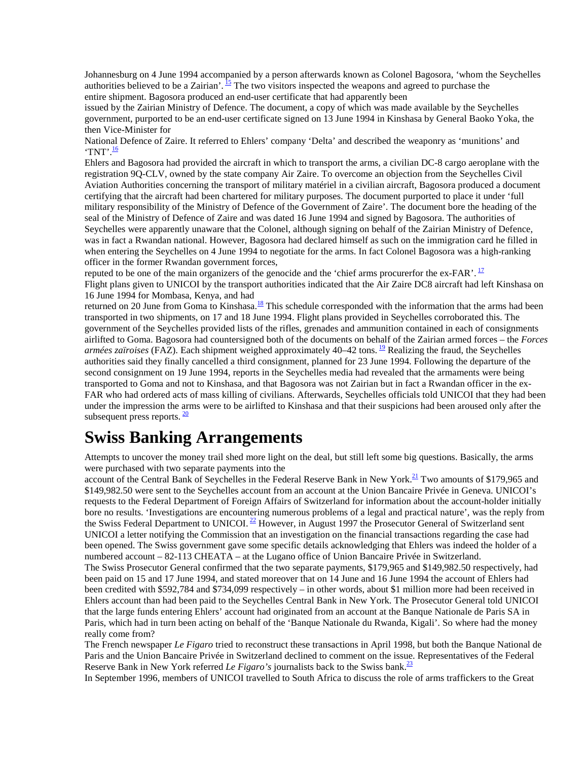Johannesburg on 4 June 1994 accompanied by a person afterwards known as Colonel Bagosora, 'whom the Seychelles authorities believed to be a Zairian'. <sup>15</sup> The two visitors inspected the weapons and agreed to purchase the entire shipment. Bagosora produced an end-user certificate that had apparently been

issued by the Zairian Ministry of Defence. The document, a copy of which was made available by the Seychelles government, purported to be an end-user certificate signed on 13 June 1994 in Kinshasa by General Baoko Yoka, the then Vice-Minister for

National Defence of Zaire. It referred to Ehlers' company 'Delta' and described the weaponry as 'munitions' and 'TNT'. $\frac{16}{1}$ 

Ehlers and Bagosora had provided the aircraft in which to transport the arms, a civilian DC-8 cargo aeroplane with the registration 9Q-CLV, owned by the state company Air Zaire. To overcome an objection from the Seychelles Civil Aviation Authorities concerning the transport of military matériel in a civilian aircraft, Bagosora produced a document certifying that the aircraft had been chartered for military purposes. The document purported to place it under 'full military responsibility of the Ministry of Defence of the Government of Zaire'. The document bore the heading of the seal of the Ministry of Defence of Zaire and was dated 16 June 1994 and signed by Bagosora. The authorities of Seychelles were apparently unaware that the Colonel, although signing on behalf of the Zairian Ministry of Defence, was in fact a Rwandan national. However, Bagosora had declared himself as such on the immigration card he filled in when entering the Seychelles on 4 June 1994 to negotiate for the arms. In fact Colonel Bagosora was a high-ranking officer in the former Rwandan government forces,

reputed to be one of the main organizers of the genocide and the 'chief arms procurerfor the ex-FAR'.  $\frac{17}{12}$ Flight plans given to UNICOI by the transport authorities indicated that the Air Zaire DC8 aircraft had left Kinshasa on

16 June 1994 for Mombasa, Kenya, and had returned on 20 June from Goma to Kinshasa.<sup>18</sup> This schedule corresponded with the information that the arms had been transported in two shipments, on 17 and 18 June 1994. Flight plans provided in Seychelles corroborated this. The government of the Seychelles provided lists of the rifles, grenades and ammunition contained in each of consignments airlifted to Goma. Bagosora had countersigned both of the documents on behalf of the Zairian armed forces – the *Forces armées zaïroises* (FAZ). Each shipment weighed approximately 40–42 tons. 19 Realizing the fraud, the Seychelles authorities said they finally cancelled a third consignment, planned for 23 June 1994. Following the departure of the second consignment on 19 June 1994, reports in the Seychelles media had revealed that the armaments were being transported to Goma and not to Kinshasa, and that Bagosora was not Zairian but in fact a Rwandan officer in the ex-FAR who had ordered acts of mass killing of civilians. Afterwards, Seychelles officials told UNICOI that they had been under the impression the arms were to be airlifted to Kinshasa and that their suspicions had been aroused only after the subsequent press reports.  $\frac{20}{20}$ 

# **Swiss Banking Arrangements**

Attempts to uncover the money trail shed more light on the deal, but still left some big questions. Basically, the arms were purchased with two separate payments into the

account of the Central Bank of Seychelles in the Federal Reserve Bank in New York.<sup>21</sup> Two amounts of \$179.965 and \$149,982.50 were sent to the Seychelles account from an account at the Union Bancaire Privée in Geneva. UNICOI's requests to the Federal Department of Foreign Affairs of Switzerland for information about the account-holder initially bore no results. 'Investigations are encountering numerous problems of a legal and practical nature', was the reply from the Swiss Federal Department to UNICOI.<sup>22</sup> However, in August 1997 the Prosecutor General of Switzerland sent UNICOI a letter notifying the Commission that an investigation on the financial transactions regarding the case had been opened. The Swiss government gave some specific details acknowledging that Ehlers was indeed the holder of a numbered account – 82-113 CHEATA – at the Lugano office of Union Bancaire Privée in Switzerland. The Swiss Prosecutor General confirmed that the two separate payments, \$179,965 and \$149,982.50 respectively, had been paid on 15 and 17 June 1994, and stated moreover that on 14 June and 16 June 1994 the account of Ehlers had been credited with \$592,784 and \$734,099 respectively – in other words, about \$1 million more had been received in Ehlers account than had been paid to the Seychelles Central Bank in New York. The Prosecutor General told UNICOI that the large funds entering Ehlers' account had originated from an account at the Banque Nationale de Paris SA in Paris, which had in turn been acting on behalf of the 'Banque Nationale du Rwanda, Kigali'. So where had the money really come from?

The French newspaper *Le Figaro* tried to reconstruct these transactions in April 1998, but both the Banque National de Paris and the Union Bancaire Privée in Switzerland declined to comment on the issue. Representatives of the Federal Reserve Bank in New York referred *Le Figaro's* journalists back to the Swiss bank.23

In September 1996, members of UNICOI travelled to South Africa to discuss the role of arms traffickers to the Great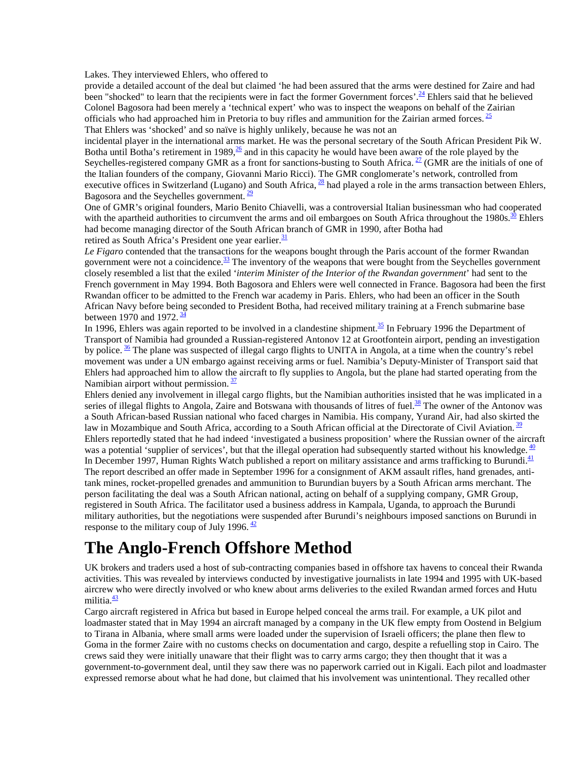Lakes. They interviewed Ehlers, who offered to

provide a detailed account of the deal but claimed 'he had been assured that the arms were destined for Zaire and had been "shocked" to learn that the recipients were in fact the former Government forces'.<sup>24</sup> Ehlers said that he believed Colonel Bagosora had been merely a 'technical expert' who was to inspect the weapons on behalf of the Zairian officials who had approached him in Pretoria to buy rifles and ammunition for the Zairian armed forces.  $\frac{25}{2}$ That Ehlers was 'shocked' and so naïve is highly unlikely, because he was not an

incidental player in the international arms market. He was the personal secretary of the South African President Pik W. Botha until Botha's retirement in 1989, $\frac{26}{5}$  and in this capacity he would have been aware of the role played by the Seychelles-registered company GMR as a front for sanctions-busting to South Africa.  $27$  (GMR are the initials of one of the Italian founders of the company, Giovanni Mario Ricci). The GMR conglomerate's network, controlled from executive offices in Switzerland (Lugano) and South Africa,  $^{28}$  had played a role in the arms transaction between Ehlers, Bagosora and the Seychelles government.  $\frac{29}{29}$ 

One of GMR's original founders, Mario Benito Chiavelli, was a controversial Italian businessman who had cooperated with the apartheid authorities to circumvent the arms and oil embargoes on South Africa throughout the 1980s.<sup>30</sup> Ehlers had become managing director of the South African branch of GMR in 1990, after Botha had retired as South Africa's President one year earlier. $\frac{31}{2}$ 

*Le Figaro* contended that the transactions for the weapons bought through the Paris account of the former Rwandan government were not a coincidence. $33$  The inventory of the weapons that were bought from the Seychelles government closely resembled a list that the exiled '*interim Minister of the Interior of the Rwandan government*' had sent to the French government in May 1994. Both Bagosora and Ehlers were well connected in France. Bagosora had been the first Rwandan officer to be admitted to the French war academy in Paris. Ehlers, who had been an officer in the South African Navy before being seconded to President Botha, had received military training at a French submarine base between 1970 and 1972.  $\frac{34}{3}$ 

In 1996, Ehlers was again reported to be involved in a clandestine shipment. $\frac{35}{2}$  In February 1996 the Department of Transport of Namibia had grounded a Russian-registered Antonov 12 at Grootfontein airport, pending an investigation by police.  $\frac{36}{10}$  The plane was suspected of illegal cargo flights to UNITA in Angola, at a time when the country's rebel movement was under a UN embargo against receiving arms or fuel. Namibia's Deputy-Minister of Transport said that Ehlers had approached him to allow the aircraft to fly supplies to Angola, but the plane had started operating from the Namibian airport without permission.  $\frac{37}{2}$ 

Ehlers denied any involvement in illegal cargo flights, but the Namibian authorities insisted that he was implicated in a series of illegal flights to Angola, Zaire and Botswana with thousands of litres of fuel.<sup>38</sup> The owner of the Antonov was a South African-based Russian national who faced charges in Namibia. His company, Yurand Air, had also skirted the law in Mozambique and South Africa, according to a South African official at the Directorate of Civil Aviation. <sup>39</sup> Ehlers reportedly stated that he had indeed 'investigated a business proposition' where the Russian owner of the aircraft was a potential 'supplier of services', but that the illegal operation had subsequently started without his knowledge.  $\frac{40}{3}$ In December 1997, Human Rights Watch published a report on military assistance and arms trafficking to Burundi.<sup>41</sup> The report described an offer made in September 1996 for a consignment of AKM assault rifles, hand grenades, antitank mines, rocket-propelled grenades and ammunition to Burundian buyers by a South African arms merchant. The person facilitating the deal was a South African national, acting on behalf of a supplying company, GMR Group, registered in South Africa. The facilitator used a business address in Kampala, Uganda, to approach the Burundi military authorities, but the negotiations were suspended after Burundi's neighbours imposed sanctions on Burundi in response to the military coup of July 1996.  $\frac{42}{ }$ 

### **The Anglo-French Offshore Method**

UK brokers and traders used a host of sub-contracting companies based in offshore tax havens to conceal their Rwanda activities. This was revealed by interviews conducted by investigative journalists in late 1994 and 1995 with UK-based aircrew who were directly involved or who knew about arms deliveries to the exiled Rwandan armed forces and Hutu militia.<sup>43</sup>

Cargo aircraft registered in Africa but based in Europe helped conceal the arms trail. For example, a UK pilot and loadmaster stated that in May 1994 an aircraft managed by a company in the UK flew empty from Oostend in Belgium to Tirana in Albania, where small arms were loaded under the supervision of Israeli officers; the plane then flew to Goma in the former Zaire with no customs checks on documentation and cargo, despite a refuelling stop in Cairo. The crews said they were initially unaware that their flight was to carry arms cargo; they then thought that it was a government-to-government deal, until they saw there was no paperwork carried out in Kigali. Each pilot and loadmaster expressed remorse about what he had done, but claimed that his involvement was unintentional. They recalled other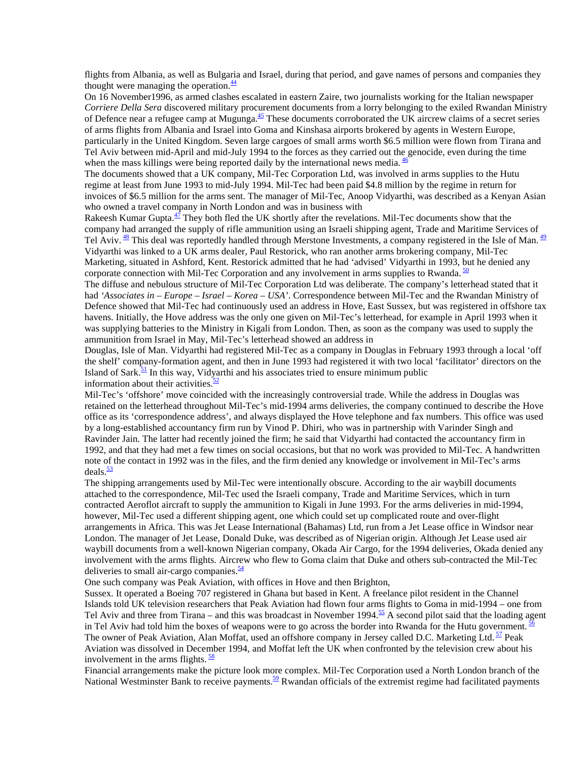flights from Albania, as well as Bulgaria and Israel, during that period, and gave names of persons and companies they thought were managing the operation. $\frac{44}{3}$ 

On 16 November1996, as armed clashes escalated in eastern Zaire, two journalists working for the Italian newspaper *Corriere Della Sera* discovered military procurement documents from a lorry belonging to the exiled Rwandan Ministry of Defence near a refugee camp at Mugunga. $45$  These documents corroborated the UK aircrew claims of a secret series of arms flights from Albania and Israel into Goma and Kinshasa airports brokered by agents in Western Europe, particularly in the United Kingdom. Seven large cargoes of small arms worth \$6.5 million were flown from Tirana and Tel Aviv between mid-April and mid-July 1994 to the forces as they carried out the genocide, even during the time when the mass killings were being reported daily by the international news media.  $\frac{46}{3}$ 

The documents showed that a UK company, Mil-Tec Corporation Ltd, was involved in arms supplies to the Hutu regime at least from June 1993 to mid-July 1994. Mil-Tec had been paid \$4.8 million by the regime in return for invoices of \$6.5 million for the arms sent. The manager of Mil-Tec, Anoop Vidyarthi, was described as a Kenyan Asian who owned a travel company in North London and was in business with

Rakeesh Kumar Gupta. $\frac{47}{1}$  They both fled the UK shortly after the revelations. Mil-Tec documents show that the company had arranged the supply of rifle ammunition using an Israeli shipping agent, Trade and Maritime Services of Tel Aviv.  $\frac{48}{12}$  This deal was reportedly handled through Merstone Investments, a company registered in the Isle of Man.  $\frac{49}{12}$ Vidyarthi was linked to a UK arms dealer, Paul Restorick, who ran another arms brokering company, Mil-Tec Marketing, situated in Ashford, Kent. Restorick admitted that he had 'advised' Vidyarthi in 1993, but he denied any corporate connection with Mil-Tec Corporation and any involvement in arms supplies to Rwanda.  $50$ 

The diffuse and nebulous structure of Mil-Tec Corporation Ltd was deliberate. The company's letterhead stated that it had *'Associates in – Europe – Israel – Korea – USA'*. Correspondence between Mil-Tec and the Rwandan Ministry of Defence showed that Mil-Tec had continuously used an address in Hove, East Sussex, but was registered in offshore tax havens. Initially, the Hove address was the only one given on Mil-Tec's letterhead, for example in April 1993 when it was supplying batteries to the Ministry in Kigali from London. Then, as soon as the company was used to supply the ammunition from Israel in May, Mil-Tec's letterhead showed an address in

Douglas, Isle of Man. Vidyarthi had registered Mil-Tec as a company in Douglas in February 1993 through a local 'off the shelf' company-formation agent, and then in June 1993 had registered it with two local 'facilitator' directors on the Island of Sark. $\frac{51}{2}$  In this way, Vidyarthi and his associates tried to ensure minimum public information about their activities. $\frac{52}{5}$ 

Mil-Tec's 'offshore' move coincided with the increasingly controversial trade. While the address in Douglas was retained on the letterhead throughout Mil-Tec's mid-1994 arms deliveries, the company continued to describe the Hove office as its 'correspondence address', and always displayed the Hove telephone and fax numbers. This office was used by a long-established accountancy firm run by Vinod P. Dhiri, who was in partnership with Varinder Singh and Ravinder Jain. The latter had recently joined the firm; he said that Vidyarthi had contacted the accountancy firm in 1992, and that they had met a few times on social occasions, but that no work was provided to Mil-Tec. A handwritten note of the contact in 1992 was in the files, and the firm denied any knowledge or involvement in Mil-Tec's arms  $deals.<sup>53</sup>$ 

The shipping arrangements used by Mil-Tec were intentionally obscure. According to the air waybill documents attached to the correspondence, Mil-Tec used the Israeli company, Trade and Maritime Services, which in turn contracted Aeroflot aircraft to supply the ammunition to Kigali in June 1993. For the arms deliveries in mid-1994, however, Mil-Tec used a different shipping agent, one which could set up complicated route and over-flight arrangements in Africa. This was Jet Lease International (Bahamas) Ltd, run from a Jet Lease office in Windsor near London. The manager of Jet Lease, Donald Duke, was described as of Nigerian origin. Although Jet Lease used air waybill documents from a well-known Nigerian company, Okada Air Cargo, for the 1994 deliveries, Okada denied any involvement with the arms flights. Aircrew who flew to Goma claim that Duke and others sub-contracted the Mil-Tec deliveries to small air-cargo companies. $\frac{54}{54}$ 

One such company was Peak Aviation, with offices in Hove and then Brighton,

Sussex. It operated a Boeing 707 registered in Ghana but based in Kent. A freelance pilot resident in the Channel Islands told UK television researchers that Peak Aviation had flown four arms flights to Goma in mid-1994 – one from Tel Aviv and three from Tirana – and this was broadcast in November 1994.<sup>55</sup> A second pilot said that the loading agent in Tel Aviv had told him the boxes of weapons were to go across the border into Rwanda for the Hutu government.  $\frac{56}{10}$ The owner of Peak Aviation, Alan Moffat, used an offshore company in Jersey called D.C. Marketing Ltd.  $\frac{57}{2}$  Peak Aviation was dissolved in December 1994, and Moffat left the UK when confronted by the television crew about his involvement in the arms flights.  $\frac{58}{2}$ 

Financial arrangements make the picture look more complex. Mil-Tec Corporation used a North London branch of the National Westminster Bank to receive payments.<sup>59</sup> Rwandan officials of the extremist regime had facilitated payments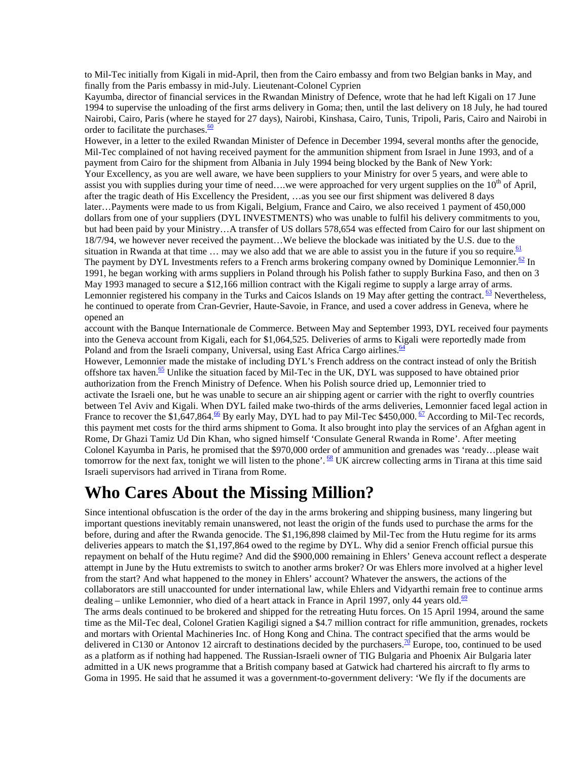to Mil-Tec initially from Kigali in mid-April, then from the Cairo embassy and from two Belgian banks in May, and finally from the Paris embassy in mid-July. Lieutenant-Colonel Cyprien

Kayumba, director of financial services in the Rwandan Ministry of Defence, wrote that he had left Kigali on 17 June 1994 to supervise the unloading of the first arms delivery in Goma; then, until the last delivery on 18 July, he had toured Nairobi, Cairo, Paris (where he stayed for 27 days), Nairobi, Kinshasa, Cairo, Tunis, Tripoli, Paris, Cairo and Nairobi in order to facilitate the purchases. $\frac{60}{60}$ 

However, in a letter to the exiled Rwandan Minister of Defence in December 1994, several months after the genocide, Mil-Tec complained of not having received payment for the ammunition shipment from Israel in June 1993, and of a payment from Cairo for the shipment from Albania in July 1994 being blocked by the Bank of New York: Your Excellency, as you are well aware, we have been suppliers to your Ministry for over 5 years, and were able to assist you with supplies during your time of need….we were approached for very urgent supplies on the  $10<sup>th</sup>$  of April, after the tragic death of His Excellency the President, …as you see our first shipment was delivered 8 days later…Payments were made to us from Kigali, Belgium, France and Cairo, we also received 1 payment of 450,000 dollars from one of your suppliers (DYL INVESTMENTS) who was unable to fulfil his delivery commitments to you, but had been paid by your Ministry…A transfer of US dollars 578,654 was effected from Cairo for our last shipment on 18/7/94, we however never received the payment…We believe the blockade was initiated by the U.S. due to the situation in Rwanda at that time  $\ldots$  may we also add that we are able to assist you in the future if you so require.  $61$ The payment by DYL Investments refers to a French arms brokering company owned by Dominique Lemonnier.<sup>62</sup> In 1991, he began working with arms suppliers in Poland through his Polish father to supply Burkina Faso, and then on 3 May 1993 managed to secure a \$12,166 million contract with the Kigali regime to supply a large array of arms. Lemonnier registered his company in the Turks and Caicos Islands on 19 May after getting the contract. 63 Nevertheless, he continued to operate from Cran-Gevrier, Haute-Savoie, in France, and used a cover address in Geneva, where he opened an

account with the Banque Internationale de Commerce. Between May and September 1993, DYL received four payments into the Geneva account from Kigali, each for \$1,064,525. Deliveries of arms to Kigali were reportedly made from Poland and from the Israeli company, Universal, using East Africa Cargo airlines.<sup>64</sup>

However, Lemonnier made the mistake of including DYL's French address on the contract instead of only the British offshore tax haven.<sup>65</sup> Unlike the situation faced by Mil-Tec in the UK, DYL was supposed to have obtained prior authorization from the French Ministry of Defence. When his Polish source dried up, Lemonnier tried to activate the Israeli one, but he was unable to secure an air shipping agent or carrier with the right to overfly countries between Tel Aviv and Kigali. When DYL failed make two-thirds of the arms deliveries, Lemonnier faced legal action in France to recover the \$1,647,864.<sup>66</sup> By early May, DYL had to pay Mil-Tec \$450,000.<sup>67</sup> According to Mil-Tec records, this payment met costs for the third arms shipment to Goma. It also brought into play the services of an Afghan agent in Rome, Dr Ghazi Tamiz Ud Din Khan, who signed himself 'Consulate General Rwanda in Rome'. After meeting Colonel Kayumba in Paris, he promised that the \$970,000 order of ammunition and grenades was 'ready…please wait tomorrow for the next fax, tonight we will listen to the phone'.  $\frac{68}{5}$  UK aircrew collecting arms in Tirana at this time said Israeli supervisors had arrived in Tirana from Rome.

### **Who Cares About the Missing Million?**

Since intentional obfuscation is the order of the day in the arms brokering and shipping business, many lingering but important questions inevitably remain unanswered, not least the origin of the funds used to purchase the arms for the before, during and after the Rwanda genocide. The \$1,196,898 claimed by Mil-Tec from the Hutu regime for its arms deliveries appears to match the \$1,197,864 owed to the regime by DYL. Why did a senior French official pursue this repayment on behalf of the Hutu regime? And did the \$900,000 remaining in Ehlers' Geneva account reflect a desperate attempt in June by the Hutu extremists to switch to another arms broker? Or was Ehlers more involved at a higher level from the start? And what happened to the money in Ehlers' account? Whatever the answers, the actions of the collaborators are still unaccounted for under international law, while Ehlers and Vidyarthi remain free to continue arms dealing – unlike Lemonnier, who died of a heart attack in France in April 1997, only 44 years old.<sup>69</sup> The arms deals continued to be brokered and shipped for the retreating Hutu forces. On 15 April 1994, around the same time as the Mil-Tec deal, Colonel Gratien Kagiligi signed a \$4.7 million contract for rifle ammunition, grenades, rockets and mortars with Oriental Machineries Inc. of Hong Kong and China. The contract specified that the arms would be delivered in C130 or Antonov 12 aircraft to destinations decided by the purchasers.<sup>70</sup> Europe, too, continued to be used as a platform as if nothing had happened. The Russian-Israeli owner of TIG Bulgaria and Phoenix Air Bulgaria later admitted in a UK news programme that a British company based at Gatwick had chartered his aircraft to fly arms to Goma in 1995. He said that he assumed it was a government-to-government delivery: 'We fly if the documents are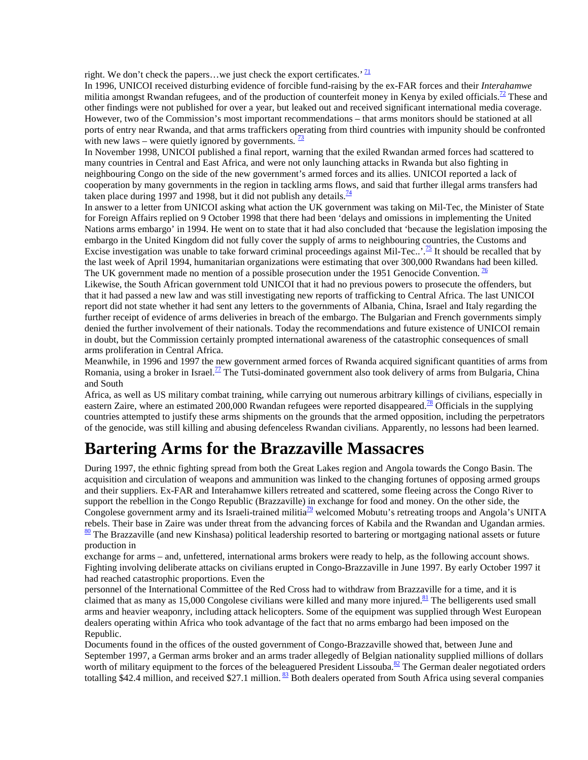right. We don't check the papers...we just check the export certificates.'  $\frac{71}{2}$ 

In 1996, UNICOI received disturbing evidence of forcible fund-raising by the ex-FAR forces and their *Interahamwe* militia amongst Rwandan refugees, and of the production of counterfeit money in Kenya by exiled officials.<sup>72</sup> These and other findings were not published for over a year, but leaked out and received significant international media coverage. However, two of the Commission's most important recommendations – that arms monitors should be stationed at all ports of entry near Rwanda, and that arms traffickers operating from third countries with impunity should be confronted with new laws – were quietly ignored by governments.  $\frac{73}{2}$ 

In November 1998, UNICOI published a final report, warning that the exiled Rwandan armed forces had scattered to many countries in Central and East Africa, and were not only launching attacks in Rwanda but also fighting in neighbouring Congo on the side of the new government's armed forces and its allies. UNICOI reported a lack of cooperation by many governments in the region in tackling arms flows, and said that further illegal arms transfers had taken place during 1997 and 1998, but it did not publish any details.<sup>74</sup>

In answer to a letter from UNICOI asking what action the UK government was taking on Mil-Tec, the Minister of State for Foreign Affairs replied on 9 October 1998 that there had been 'delays and omissions in implementing the United Nations arms embargo' in 1994. He went on to state that it had also concluded that 'because the legislation imposing the embargo in the United Kingdom did not fully cover the supply of arms to neighbouring countries, the Customs and Excise investigation was unable to take forward criminal proceedings against Mil-Tec..'.<sup>75</sup> It should be recalled that by the last week of April 1994, humanitarian organizations were estimating that over 300,000 Rwandans had been killed. The UK government made no mention of a possible prosecution under the 1951 Genocide Convention. <sup>76</sup>

Likewise, the South African government told UNICOI that it had no previous powers to prosecute the offenders, but that it had passed a new law and was still investigating new reports of trafficking to Central Africa. The last UNICOI report did not state whether it had sent any letters to the governments of Albania, China, Israel and Italy regarding the further receipt of evidence of arms deliveries in breach of the embargo. The Bulgarian and French governments simply denied the further involvement of their nationals. Today the recommendations and future existence of UNICOI remain in doubt, but the Commission certainly prompted international awareness of the catastrophic consequences of small arms proliferation in Central Africa.

Meanwhile, in 1996 and 1997 the new government armed forces of Rwanda acquired significant quantities of arms from Romania, using a broker in Israel.<sup>77</sup> The Tutsi-dominated government also took delivery of arms from Bulgaria, China and South

Africa, as well as US military combat training, while carrying out numerous arbitrary killings of civilians, especially in eastern Zaire, where an estimated 200,000 Rwandan refugees were reported disappeared.<sup>78</sup> Officials in the supplying countries attempted to justify these arms shipments on the grounds that the armed opposition, including the perpetrators of the genocide, was still killing and abusing defenceless Rwandan civilians. Apparently, no lessons had been learned.

### **Bartering Arms for the Brazzaville Massacres**

During 1997, the ethnic fighting spread from both the Great Lakes region and Angola towards the Congo Basin. The acquisition and circulation of weapons and ammunition was linked to the changing fortunes of opposing armed groups and their suppliers. Ex-FAR and Interahamwe killers retreated and scattered, some fleeing across the Congo River to support the rebellion in the Congo Republic (Brazzaville) in exchange for food and money. On the other side, the Congolese government army and its Israeli-trained militia<sup>79</sup> welcomed Mobutu's retreating troops and Angola's UNITA rebels. Their base in Zaire was under threat from the advancing forces of Kabila and the Rwandan and Ugandan armies.  $\frac{80}{2}$  The Brazzaville (and new Kinshasa) political leadership resorted to bartering or mortgaging national assets or future production in

exchange for arms – and, unfettered, international arms brokers were ready to help, as the following account shows. Fighting involving deliberate attacks on civilians erupted in Congo-Brazzaville in June 1997. By early October 1997 it had reached catastrophic proportions. Even the

personnel of the International Committee of the Red Cross had to withdraw from Brazzaville for a time, and it is claimed that as many as 15,000 Congolese civilians were killed and many more injured.<sup>81</sup> The belligerents used small arms and heavier weaponry, including attack helicopters. Some of the equipment was supplied through West European dealers operating within Africa who took advantage of the fact that no arms embargo had been imposed on the Republic.

Documents found in the offices of the ousted government of Congo-Brazzaville showed that, between June and September 1997, a German arms broker and an arms trader allegedly of Belgian nationality supplied millions of dollars worth of military equipment to the forces of the beleaguered President Lissouba.<sup>82</sup> The German dealer negotiated orders totalling \$42.4 million, and received \$27.1 million.  $\frac{83}{2}$  Both dealers operated from South Africa using several companies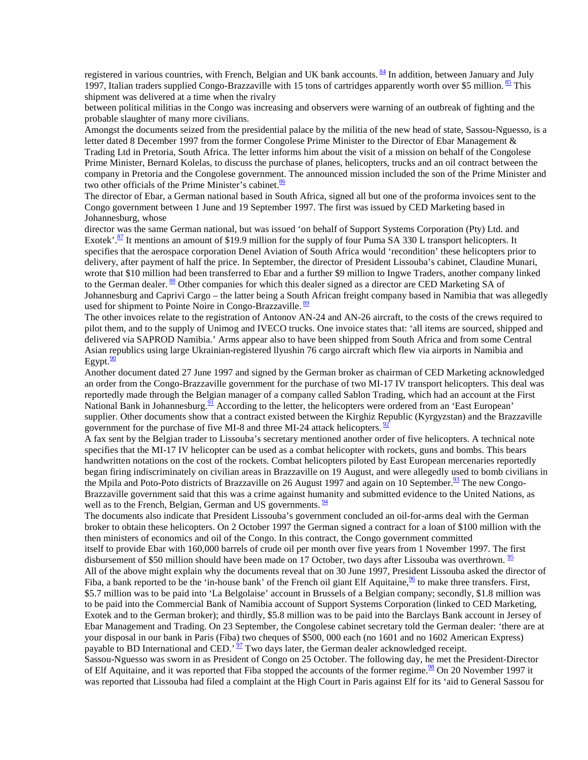registered in various countries, with French, Belgian and UK bank accounts. 84 In addition, between January and July 1997, Italian traders supplied Congo-Brazzaville with 15 tons of cartridges apparently worth over \$5 million.  $85$  This shipment was delivered at a time when the rivalry

between political militias in the Congo was increasing and observers were warning of an outbreak of fighting and the probable slaughter of many more civilians.

Amongst the documents seized from the presidential palace by the militia of the new head of state, Sassou-Nguesso, is a letter dated 8 December 1997 from the former Congolese Prime Minister to the Director of Ebar Management & Trading Ltd in Pretoria, South Africa. The letter informs him about the visit of a mission on behalf of the Congolese Prime Minister, Bernard Kolelas, to discuss the purchase of planes, helicopters, trucks and an oil contract between the company in Pretoria and the Congolese government. The announced mission included the son of the Prime Minister and two other officials of the Prime Minister's cabinet. $\frac{86}{5}$ 

The director of Ebar, a German national based in South Africa, signed all but one of the proforma invoices sent to the Congo government between 1 June and 19 September 1997. The first was issued by CED Marketing based in Johannesburg, whose

director was the same German national, but was issued 'on behalf of Support Systems Corporation (Pty) Ltd. and Exotek'.<sup>87</sup> It mentions an amount of \$19.9 million for the supply of four Puma SA 330 L transport helicopters. It specifies that the aerospace corporation Denel Aviation of South Africa would 'recondition' these helicopters prior to delivery, after payment of half the price. In September, the director of President Lissouba's cabinet, Claudine Munari, wrote that \$10 million had been transferred to Ebar and a further \$9 million to Ingwe Traders, another company linked to the German dealer. 88 Other companies for which this dealer signed as a director are CED Marketing SA of Johannesburg and Caprivi Cargo – the latter being a South African freight company based in Namibia that was allegedly used for shipment to Pointe Noire in Congo-Brazzaville. <sup>89</sup>

The other invoices relate to the registration of Antonov AN-24 and AN-26 aircraft, to the costs of the crews required to pilot them, and to the supply of Unimog and IVECO trucks. One invoice states that: 'all items are sourced, shipped and delivered via SAPROD Namibia.' Arms appear also to have been shipped from South Africa and from some Central Asian republics using large Ukrainian-registered llyushin 76 cargo aircraft which flew via airports in Namibia and Egypt. $\frac{90}{2}$ 

Another document dated 27 June 1997 and signed by the German broker as chairman of CED Marketing acknowledged an order from the Congo-Brazzaville government for the purchase of two MI-17 IV transport helicopters. This deal was reportedly made through the Belgian manager of a company called Sablon Trading, which had an account at the First National Bank in Johannesburg.<sup>91</sup> According to the letter, the helicopters were ordered from an 'East European' supplier. Other documents show that a contract existed between the Kirghiz Republic (Kyrgyzstan) and the Brazzaville government for the purchase of five MI-8 and three MI-24 attack helicopters.  $\frac{92}{2}$ 

A fax sent by the Belgian trader to Lissouba's secretary mentioned another order of five helicopters. A technical note specifies that the MI-17 IV helicopter can be used as a combat helicopter with rockets, guns and bombs. This bears handwritten notations on the cost of the rockets. Combat helicopters piloted by East European mercenaries reportedly began firing indiscriminately on civilian areas in Brazzaville on 19 August, and were allegedly used to bomb civilians in the Mpila and Poto-Poto districts of Brazzaville on 26 August 1997 and again on 10 September.<sup>93</sup> The new Congo-Brazzaville government said that this was a crime against humanity and submitted evidence to the United Nations, as well as to the French, Belgian, German and US governments.  $\frac{94}{94}$ 

The documents also indicate that President Lissouba's government concluded an oil-for-arms deal with the German broker to obtain these helicopters. On 2 October 1997 the German signed a contract for a loan of \$100 million with the then ministers of economics and oil of the Congo. In this contract, the Congo government committed itself to provide Ebar with 160,000 barrels of crude oil per month over five years from 1 November 1997. The first disbursement of \$50 million should have been made on 17 October, two days after Lissouba was overthrown. <sup>95</sup> All of the above might explain why the documents reveal that on 30 June 1997, President Lissouba asked the director of Fiba, a bank reported to be the 'in-house bank' of the French oil giant Elf Aquitaine,  $\frac{96}{10}$  to make three transfers. First, \$5.7 million was to be paid into 'La Belgolaise' account in Brussels of a Belgian company; secondly, \$1.8 million was to be paid into the Commercial Bank of Namibia account of Support Systems Corporation (linked to CED Marketing, Exotek and to the German broker); and thirdly, \$5.8 million was to be paid into the Barclays Bank account in Jersey of Ebar Management and Trading. On 23 September, the Congolese cabinet secretary told the German dealer: 'there are at your disposal in our bank in Paris (Fiba) two cheques of \$500, 000 each (no 1601 and no 1602 American Express) payable to BD International and CED.<sup>'  $\frac{97}{2}$ </sup> Two days later, the German dealer acknowledged receipt. Sassou-Nguesso was sworn in as President of Congo on 25 October. The following day, he met the President-Director of Elf Aquitaine, and it was reported that Fiba stopped the accounts of the former regime.<sup>98</sup> On 20 November 1997 it was reported that Lissouba had filed a complaint at the High Court in Paris against Elf for its 'aid to General Sassou for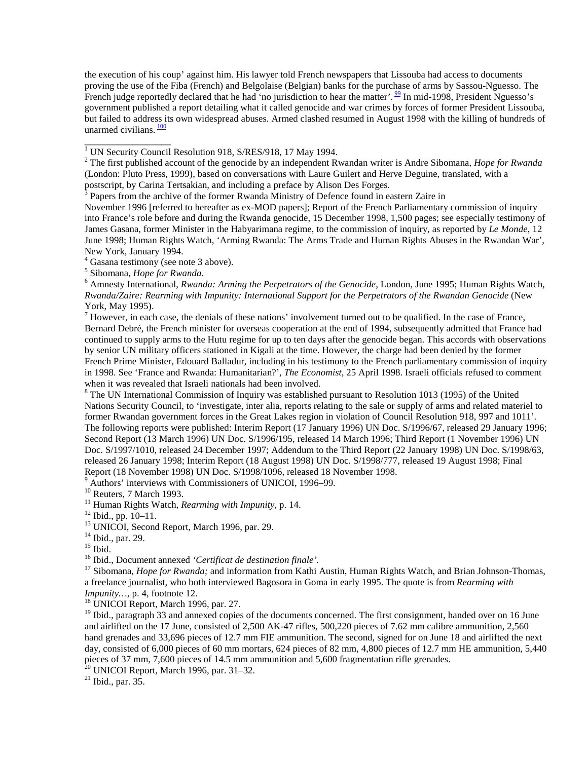the execution of his coup' against him. His lawyer told French newspapers that Lissouba had access to documents proving the use of the Fiba (French) and Belgolaise (Belgian) banks for the purchase of arms by Sassou-Nguesso. The French judge reportedly declared that he had 'no jurisdiction to hear the matter'.  $\frac{99}{2}$  In mid-1998, President Nguesso's government published a report detailing what it called genocide and war crimes by forces of former President Lissouba, but failed to address its own widespread abuses. Armed clashed resumed in August 1998 with the killing of hundreds of unarmed civilians.  $\frac{100}{20}$ 

November 1996 [referred to hereafter as ex-MOD papers]; Report of the French Parliamentary commission of inquiry into France's role before and during the Rwanda genocide, 15 December 1998, 1,500 pages; see especially testimony of James Gasana, former Minister in the Habyarimana regime, to the commission of inquiry, as reported by *Le Monde*, 12 June 1998; Human Rights Watch, 'Arming Rwanda: The Arms Trade and Human Rights Abuses in the Rwandan War', New York, January 1994.

4 Gasana testimony (see note 3 above).

<sup>5</sup> Sibomana, *Hope for Rwanda*.

 $<sup>7</sup>$  However, in each case, the denials of these nations' involvement turned out to be qualified. In the case of France,</sup> Bernard Debré, the French minister for overseas cooperation at the end of 1994, subsequently admitted that France had continued to supply arms to the Hutu regime for up to ten days after the genocide began. This accords with observations by senior UN military officers stationed in Kigali at the time. However, the charge had been denied by the former French Prime Minister, Edouard Balladur, including in his testimony to the French parliamentary commission of inquiry in 1998. See 'France and Rwanda: Humanitarian?', *The Economist*, 25 April 1998. Israeli officials refused to comment when it was revealed that Israeli nationals had been involved.

 $8$  The UN International Commission of Inquiry was established pursuant to Resolution 1013 (1995) of the United Nations Security Council, to 'investigate, inter alia, reports relating to the sale or supply of arms and related materiel to former Rwandan government forces in the Great Lakes region in violation of Council Resolution 918, 997 and 1011'. The following reports were published: Interim Report (17 January 1996) UN Doc. S/1996/67, released 29 January 1996; Second Report (13 March 1996) UN Doc. S/1996/195, released 14 March 1996; Third Report (1 November 1996) UN Doc. S/1997/1010, released 24 December 1997; Addendum to the Third Report (22 January 1998) UN Doc. S/1998/63, released 26 January 1998; Interim Report (18 August 1998) UN Doc. S/1998/777, released 19 August 1998; Final Report (18 November 1998) UN Doc. S/1998/1096, released 18 November 1998.

<sup>9</sup> Authors' interviews with Commissioners of UNICOI, 1996–99.

 $10$  Reuters, 7 March 1993.

<sup>11</sup> Human Rights Watch, *Rearming with Impunity*, p. 14.<br><sup>12</sup> Ibid., pp. 10–11.

<sup>13</sup> UNICOI, Second Report, March 1996, par. 29.

 $14$  Ibid., par. 29.

<sup>15</sup> Ibid.  $\overline{16}$  Ibid., Document annexed *'Certificat de destination finale'*.

<sup>17</sup> Sibomana, *Hope for Rwanda;* and information from Kathi Austin, Human Rights Watch, and Brian Johnson-Thomas, a freelance journalist, who both interviewed Bagosora in Goma in early 1995. The quote is from *Rearming with*

*Impunity...,* p. 4, footnote 12.<br><sup>18</sup> UNICOI Report, March 1996, par. 27.

<sup>19</sup> Ibid., paragraph 33 and annexed copies of the documents concerned. The first consignment, handed over on 16 June and airlifted on the 17 June, consisted of 2,500 AK-47 rifles, 500,220 pieces of 7.62 mm calibre ammunition, 2,560 hand grenades and 33,696 pieces of 12.7 mm FIE ammunition. The second, signed for on June 18 and airlifted the next day, consisted of 6,000 pieces of 60 mm mortars, 624 pieces of 82 mm, 4,800 pieces of 12.7 mm HE ammunition, 5,440 pieces of 37 mm, 7,600 pieces of 14.5 mm ammunition and 5,600 fragmentation rifle grenades.

 $20$  UNICOI Report, March 1996, par. 31–32.

 $21$  Ibid., par. 35.

<sup>&</sup>lt;sup>1</sup> UN Security Council Resolution 918, S/RES/918, 17 May 1994.

<sup>2</sup> The first published account of the genocide by an independent Rwandan writer is Andre Sibomana, *Hope for Rwanda* (London: Pluto Press, 1999), based on conversations with Laure Guilert and Herve Deguine, translated, with a postscript, by Carina Tertsakian, and including a preface by Alison Des Forges.

 $3$  Papers from the archive of the former Rwanda Ministry of Defence found in eastern Zaire in

Amnesty International, *Rwanda: Arming the Perpetrators of the Genocide,* London, June 1995; Human Rights Watch, *Rwanda/Zaire: Rearming with Impunity: International Support for the Perpetrators of the Rwandan Genocide* (New York, May 1995).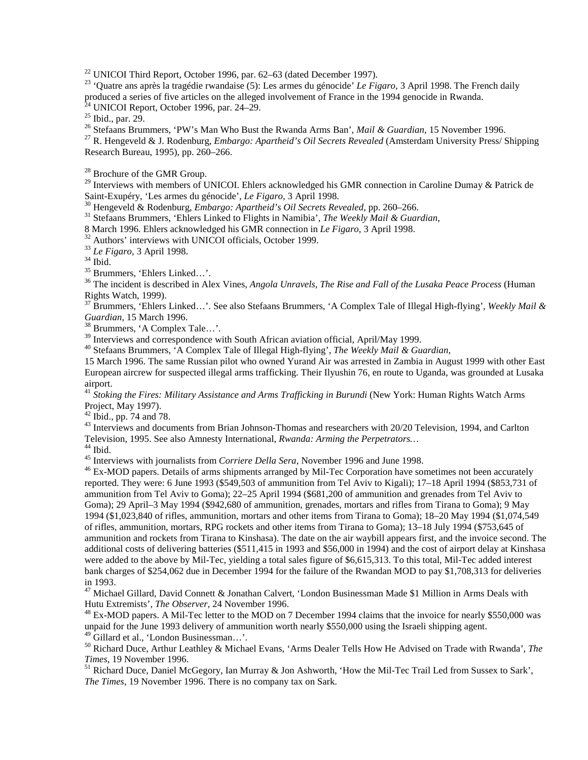<sup>22</sup> UNICOI Third Report, October 1996, par. 62–63 (dated December 1997).

23 'Quatre ans après la tragédie rwandaise (5): Les armes du génocide' *Le Figaro*, 3 April 1998. The French daily produced a series of five articles on the alleged involvement of France in the 1994 genocide in Rwanda.

 $^{24}$  UNICOI Report, October 1996, par. 24–29.

<sup>25</sup> Ibid., par. 29.<br><sup>26</sup> Stefaans Brummers, 'PW's Man Who Bust the Rwanda Arms Ban', *Mail & Guardian*, 15 November 1996.

<sup>27</sup> R. Hengeveld & J. Rodenburg, *Embargo: Apartheid's Oil Secrets Revealed* (Amsterdam University Press/ Shipping Research Bureau, 1995), pp. 260–266.

<sup>28</sup> Brochure of the GMR Group.

<sup>29</sup> Interviews with members of UNICOI. Ehlers acknowledged his GMR connection in Caroline Dumay & Patrick de Saint-Exupéry, 'Les armes du génocide', Le Figaro, 3 April 1998.<br><sup>30</sup> Hengeveld & Rodenburg, *Embargo: Apartheid's Oil Secrets Revealed*, pp. 260–266.<br><sup>31</sup> Stefaans Brummers, 'Ehlers Linked to Flights in Namibia', *The Wee* 

8 March 1996. Ehlers acknowledged his GMR connection in *Le Figaro*, 3 April 1998. 32 Authors' interviews with UNICOI officials, October 1999.

<sup>33</sup> *Le Figaro,* 3 April 1998. 34 Ibid.

35 Brummers, 'Ehlers Linked…'.

36 The incident is described in Alex Vines, *Angola Unravels, The Rise and Fall of the Lusaka Peace Process* (Human Rights Watch, 1999).

37 Brummers, 'Ehlers Linked…'. See also Stefaans Brummers, 'A Complex Tale of Illegal High-flying', *Weekly Mail &*

<sup>38</sup> Brummers, 'A Complex Tale...'.

<sup>39</sup> Interviews and correspondence with South African aviation official, April/May 1999.

40 Stefaans Brummers, 'A Complex Tale of Illegal High-flying', *The Weekly Mail & Guardian*,

15 March 1996. The same Russian pilot who owned Yurand Air was arrested in Zambia in August 1999 with other East European aircrew for suspected illegal arms trafficking. Their Ilyushin 76, en route to Uganda, was grounded at Lusaka airport.

<sup>41</sup> *Stoking the Fires: Military Assistance and Arms Trafficking in Burundi* (New York: Human Rights Watch Arms) Project, May 1997).

 $42$  Ibid., pp. 74 and 78.

<sup>43</sup> Interviews and documents from Brian Johnson-Thomas and researchers with 20/20 Television, 1994, and Carlton Television, 1995. See also Amnesty International, *Rwanda: Arming the Perpetrators...*<br><sup>44</sup> Ibid.<br><sup>45</sup> Interviews with iournalists from *Corriere Della Sera*. November 1996 and June 1998.

<sup>46</sup> Ex-MOD papers. Details of arms shipments arranged by Mil-Tec Corporation have sometimes not been accurately reported. They were: 6 June 1993 (\$549,503 of ammunition from Tel Aviv to Kigali); 17–18 April 1994 (\$853,731 of ammunition from Tel Aviv to Goma); 22–25 April 1994 (\$681,200 of ammunition and grenades from Tel Aviv to Goma); 29 April–3 May 1994 (\$942,680 of ammunition, grenades, mortars and rifles from Tirana to Goma); 9 May 1994 (\$1,023,840 of rifles, ammunition, mortars and other items from Tirana to Goma); 18–20 May 1994 (\$1,074,549 of rifles, ammunition, mortars, RPG rockets and other items from Tirana to Goma); 13–18 July 1994 (\$753,645 of ammunition and rockets from Tirana to Kinshasa). The date on the air waybill appears first, and the invoice second. The additional costs of delivering batteries (\$511,415 in 1993 and \$56,000 in 1994) and the cost of airport delay at Kinshasa were added to the above by Mil-Tec, yielding a total sales figure of \$6,615,313. To this total, Mil-Tec added interest bank charges of \$254,062 due in December 1994 for the failure of the Rwandan MOD to pay \$1,708,313 for deliveries in 1993.

<sup>47</sup> Michael Gillard, David Connett & Jonathan Calvert, 'London Businessman Made \$1 Million in Arms Deals with Hutu Extremists', *The Observer*, 24 November 1996.

<sup>48</sup> Ex-MOD papers. A Mil-Tec letter to the MOD on 7 December 1994 claims that the invoice for nearly \$550,000 was unpaid for the June 1993 delivery of ammunition worth nearly \$550,000 using the Israeli shipping agent.

49 Gillard et al., 'London Businessman…'.

50 Richard Duce, Arthur Leathley & Michael Evans, 'Arms Dealer Tells How He Advised on Trade with Rwanda', *The*

<sup>51</sup> Richard Duce, Daniel McGegory, Ian Murray & Jon Ashworth, 'How the Mil-Tec Trail Led from Sussex to Sark', *The Times*, 19 November 1996. There is no company tax on Sark.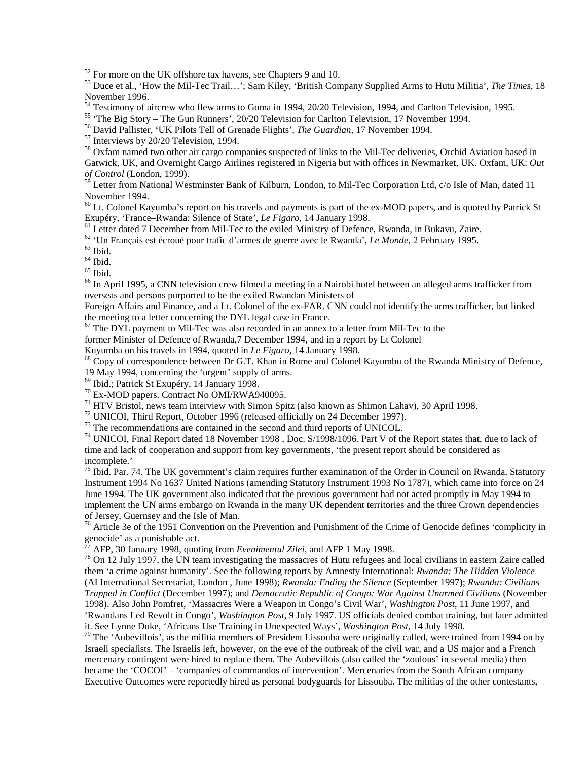<sup>52</sup> For more on the UK offshore tax havens, see Chapters 9 and 10.

53 Duce et al., 'How the Mil-Tec Trail…'; Sam Kiley, 'British Company Supplied Arms to Hutu Militia', *The Times*, 18 November 1996.

<sup>54</sup> Testimony of aircrew who flew arms to Goma in 1994, 20/20 Television, 1994, and Carlton Television, 1995.

55 'The Big Story – The Gun Runners', 20/20 Television for Carlton Television, 17 November 1994.

<sup>56</sup> David Pallister, 'UK Pilots Tell of Grenade Flights', *The Guardian*, 17 November 1994.<br><sup>57</sup> Interviews by 20/20 Television, 1994.

<sup>58</sup> Oxfam named two other air cargo companies suspected of links to the Mil-Tec deliveries, Orchid Aviation based in Gatwick, UK, and Overnight Cargo Airlines registered in Nigeria but with offices in Newmarket, UK. Oxfam, UK: *Out of Control* (London, 1999).

<sup>59</sup> Letter from National Westminster Bank of Kilburn, London, to Mil-Tec Corporation Ltd, c/o Isle of Man, dated 11 November 1994.

<sup>60</sup> Lt. Colonel Kayumba's report on his travels and payments is part of the ex-MOD papers, and is quoted by Patrick St Exupéry, 'France–Rwanda: Silence of State', Le Figaro, 14 January 1998.

<sup>61</sup> Letter dated 7 December from Mil-Tec to the exiled Ministry of Defence, Rwanda, in Bukavu, Zaire.

62 'Un Français est écroué pour trafic d'armes de guerre avec le Rwanda', *Le Monde*, 2 February 1995. 63 Ibid.

 $^{64}$  Ibid.

 $65$  Ibid.

<sup>66</sup> In April 1995, a CNN television crew filmed a meeting in a Nairobi hotel between an alleged arms trafficker from overseas and persons purported to be the exiled Rwandan Ministers of

Foreign Affairs and Finance, and a Lt. Colonel of the ex-FAR. CNN could not identify the arms trafficker, but linked the meeting to a letter concerning the DYL legal case in France.

 $67$  The DYL payment to Mil-Tec was also recorded in an annex to a letter from Mil-Tec to the

former Minister of Defence of Rwanda,7 December 1994, and in a report by Lt Colonel Kuyumba on his travels in 1994, quoted in Le Figaro, 14 January 1998.

<sup>68</sup> Copy of correspondence between Dr G.T. Khan in Rome and Colonel Kayumbu of the Rwanda Ministry of Defence,

19 May 1994, concerning the 'urgent' supply of arms.

69 Ibid.; Patrick St Exupéry, 14 January 1998.

70 Ex-MOD papers. Contract No OMI/RWA940095.

 $71$  HTV Bristol, news team interview with Simon Spitz (also known as Shimon Lahav), 30 April 1998.

<sup>72</sup> UNICOI, Third Report, October 1996 (released officially on 24 December 1997).

<sup>73</sup> The recommendations are contained in the second and third reports of UNICOL.

<sup>74</sup> UNICOI, Final Report dated 18 November 1998, Doc.  $S/1998/1096$ . Part V of the Report states that, due to lack of time and lack of cooperation and support from key governments, 'the present report should be considered as incomplete.'

 $75$  Ibid. Par. 74. The UK government's claim requires further examination of the Order in Council on Rwanda, Statutory Instrument 1994 No 1637 United Nations (amending Statutory Instrument 1993 No 1787), which came into force on 24 June 1994. The UK government also indicated that the previous government had not acted promptly in May 1994 to implement the UN arms embargo on Rwanda in the many UK dependent territories and the three Crown dependencies of Jersey, Guernsey and the Isle of Man.

<sup>76</sup> Article 3e of the 1951 Convention on the Prevention and Punishment of the Crime of Genocide defines 'complicity in genocide' as a punishable act.<br>
<sup>77</sup> AFP, 30 January 1998, quoting from *Evenimentul Zilei*, and AFP 1 May 1998.

<sup>78</sup> On 12 July 1997, the UN team investigating the massacres of Hutu refugees and local civilians in eastern Zaire called them 'a crime against humanity'. See the following reports by Amnesty International: *Rwanda: The Hidden Violence* (AI International Secretariat, London , June 1998); *Rwanda: Ending the Silence* (September 1997); *Rwanda: Civilians Trapped in Conflict* (December 1997); and *Democratic Republic of Congo: War Against Unarmed Civilians* (November 1998). Also John Pomfret, 'Massacres Were a Weapon in Congo's Civil War', *Washington Post*, 11 June 1997, and 'Rwandans Led Revolt in Congo', *Washington Post*, 9 July 1997. US officials denied combat training, but later admitted it. See Lynne Duke, 'Africans Use Training in Unexpected Ways', *Washington Post*, 14 July 1998.<br><sup>79</sup> The 'Aubevillois', as the militia members of President Lissouba were originally called, were trained from 1994 on by

Israeli specialists. The Israelis left, however, on the eve of the outbreak of the civil war, and a US major and a French mercenary contingent were hired to replace them. The Aubevillois (also called the 'zoulous' in several media) then became the 'COCOI' – 'companies of commandos of intervention'. Mercenaries from the South African company Executive Outcomes were reportedly hired as personal bodyguards for Lissouba. The militias of the other contestants,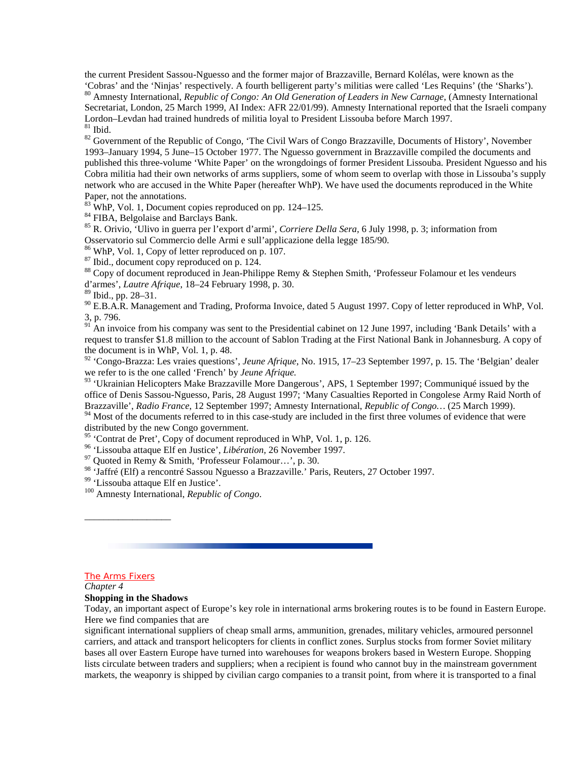the current President Sassou-Nguesso and the former major of Brazzaville, Bernard Kolélas, were known as the 'Cobras' and the 'Ninjas' respectively. A fourth belligerent party's militias were called 'Les Requins' (the 'Sharks'). 80 Amnesty International, *Republic of Congo: An Old Generation of Leaders in New Carnage*, (Amnesty International Secretariat, London, 25 March 1999, AI Index: AFR 22/01/99). Amnesty International reported that the Israeli company Lordon–Levdan had trained hundreds of militia loyal to President Lissouba before March 1997.  $^{\,81}$  Ibid.

<sup>82</sup> Government of the Republic of Congo, 'The Civil Wars of Congo Brazzaville, Documents of History', November 1993–January 1994, 5 June–15 October 1977. The Nguesso government in Brazzaville compiled the documents and published this three-volume 'White Paper' on the wrongdoings of former President Lissouba. President Nguesso and his Cobra militia had their own networks of arms suppliers, some of whom seem to overlap with those in Lissouba's supply network who are accused in the White Paper (hereafter WhP). We have used the documents reproduced in the White Paper, not the annotations.

 $83$  WhP, Vol. 1, Document copies reproduced on pp. 124–125.

<sup>84</sup> FIBA, Belgolaise and Barclays Bank.

85 R. Orivio, 'Ulivo in guerra per l'export d'armi', *Corriere Della Sera,* 6 July 1998, p. 3; information from Osservatorio sul Commercio delle Armi e sull'applicazione della legge 185/90.

86 WhP, Vol. 1, Copy of letter reproduced on p. 107.

87 Ibid., document copy reproduced on p. 124.

<sup>88</sup> Copy of document reproduced in Jean-Philippe Remy & Stephen Smith, 'Professeur Folamour et les vendeurs d'armes', *Lautre Afrique*, 18–24 February 1998, p. 30.

89 Ibid., pp. 28–31.

<sup>90</sup> E.B.A.R. Management and Trading, Proforma Invoice, dated 5 August 1997. Copy of letter reproduced in WhP, Vol. 3, p. 796.

 $^{91}$  An invoice from his company was sent to the Presidential cabinet on 12 June 1997, including 'Bank Details' with a request to transfer \$1.8 million to the account of Sablon Trading at the First National Bank in Johannesburg. A copy of the document is in WhP, Vol. 1, p. 48.

92 'Congo-Brazza: Les vraies questions', *Jeune Afrique*, No. 1915, 17–23 September 1997, p. 15. The 'Belgian' dealer we refer to is the one called 'French' by *Jeune Afrique.*

<sup>93</sup> 'Ukrainian Helicopters Make Brazzaville More Dangerous', APS, 1 September 1997; Communiqué issued by the office of Denis Sassou-Nguesso, Paris, 28 August 1997; 'Many Casualties Reported in Congolese Army Raid North of Brazzaville', *Radio France*, 12 September 1997; Amnesty International, *Republic of Congo…* (25 March 1999).

 $94$  Most of the documents referred to in this case-study are included in the first three volumes of evidence that were distributed by the new Congo government.

<sup>95</sup> 'Contrat de Pret', Copy of document reproduced in WhP, Vol. 1, p. 126.

<sup>96</sup> 'Lissouba attaque Elf en Justice', *Libération*, 26 November 1997.<br><sup>97</sup> Quoted in Remy & Smith, 'Professeur Folamour...', p. 30.

<sup>98</sup> 'Jaffré (Elf) a rencontré Sassou Nguesso a Brazzaville.' Paris, Reuters, 27 October 1997.<br><sup>99</sup> 'Lissouba attaque Elf en Justice'.

100 Amnesty International, *Republic of Congo*.

#### The Arms Fixers

\_\_\_\_\_\_\_\_\_\_\_\_\_\_\_\_\_\_

*Chapter 4*

#### **Shopping in the Shadows**

Today, an important aspect of Europe's key role in international arms brokering routes is to be found in Eastern Europe. Here we find companies that are

significant international suppliers of cheap small arms, ammunition, grenades, military vehicles, armoured personnel carriers, and attack and transport helicopters for clients in conflict zones. Surplus stocks from former Soviet military bases all over Eastern Europe have turned into warehouses for weapons brokers based in Western Europe. Shopping lists circulate between traders and suppliers; when a recipient is found who cannot buy in the mainstream government markets, the weaponry is shipped by civilian cargo companies to a transit point, from where it is transported to a final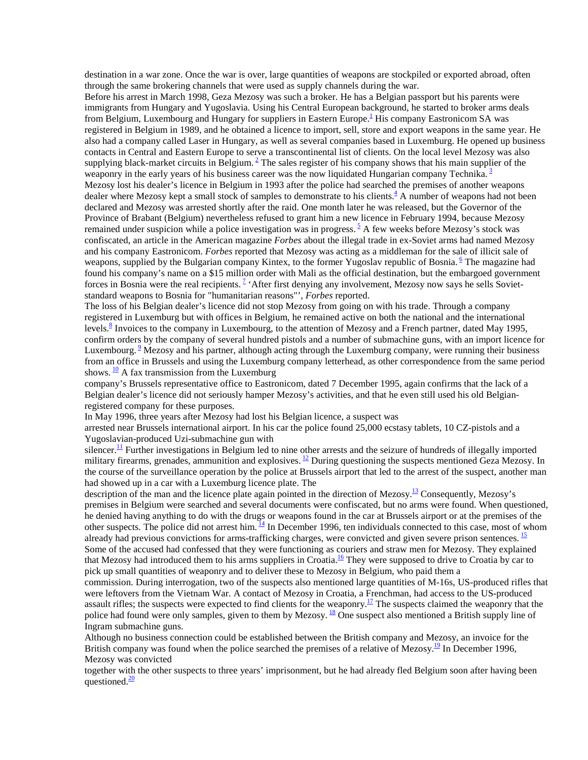destination in a war zone. Once the war is over, large quantities of weapons are stockpiled or exported abroad, often through the same brokering channels that were used as supply channels during the war.

Before his arrest in March 1998, Geza Mezosy was such a broker. He has a Belgian passport but his parents were immigrants from Hungary and Yugoslavia. Using his Central European background, he started to broker arms deals from Belgium, Luxembourg and Hungary for suppliers in Eastern Europe.<sup>1</sup> His company Eastronicom SA was registered in Belgium in 1989, and he obtained a licence to import, sell, store and export weapons in the same year. He also had a company called Laser in Hungary, as well as several companies based in Luxemburg. He opened up business contacts in Central and Eastern Europe to serve a transcontinental list of clients. On the local level Mezosy was also supplying black-market circuits in Belgium. $<sup>2</sup>$  The sales register of his company shows that his main supplier of the</sup> weaponry in the early years of his business career was the now liquidated Hungarian company Technika.<sup>3</sup> Mezosy lost his dealer's licence in Belgium in 1993 after the police had searched the premises of another weapons dealer where Mezosy kept a small stock of samples to demonstrate to his clients. $\frac{4}{3}$  A number of weapons had not been declared and Mezosy was arrested shortly after the raid. One month later he was released, but the Governor of the Province of Brabant (Belgium) nevertheless refused to grant him a new licence in February 1994, because Mezosy remained under suspicion while a police investigation was in progress.<sup>5</sup> A few weeks before Mezosy's stock was confiscated, an article in the American magazine *Forbes* about the illegal trade in ex-Soviet arms had named Mezosy and his company Eastronicom. *Forbes* reported that Mezosy was acting as a middleman for the sale of illicit sale of weapons, supplied by the Bulgarian company Kintex, to the former Yugoslav republic of Bosnia. <sup>6</sup> The magazine had found his company's name on a \$15 million order with Mali as the official destination, but the embargoed government forces in Bosnia were the real recipients.<sup>2</sup> 'After first denying any involvement, Mezosy now says he sells Sovietstandard weapons to Bosnia for "humanitarian reasons"', *Forbes* reported.

The loss of his Belgian dealer's licence did not stop Mezosy from going on with his trade. Through a company registered in Luxemburg but with offices in Belgium, he remained active on both the national and the international levels.<sup>8</sup> Invoices to the company in Luxembourg, to the attention of Mezosy and a French partner, dated May 1995, confirm orders by the company of several hundred pistols and a number of submachine guns, with an import licence for Luxembourg. <sup>2</sup> Mezosy and his partner, although acting through the Luxemburg company, were running their business from an office in Brussels and using the Luxemburg company letterhead, as other correspondence from the same period shows.  $\frac{10}{10}$  A fax transmission from the Luxemburg

company's Brussels representative office to Eastronicom, dated 7 December 1995, again confirms that the lack of a Belgian dealer's licence did not seriously hamper Mezosy's activities, and that he even still used his old Belgianregistered company for these purposes.

In May 1996, three years after Mezosy had lost his Belgian licence, a suspect was

arrested near Brussels international airport. In his car the police found 25,000 ecstasy tablets, 10 CZ-pistols and a Yugoslavian-produced Uzi-submachine gun with

silencer.<sup>11</sup> Further investigations in Belgium led to nine other arrests and the seizure of hundreds of illegally imported military firearms, grenades, ammunition and explosives.  $\frac{12}{2}$  During questioning the suspects mentioned Geza Mezosy. In the course of the surveillance operation by the police at Brussels airport that led to the arrest of the suspect, another man had showed up in a car with a Luxemburg licence plate. The

description of the man and the licence plate again pointed in the direction of Mezosy.<sup>13</sup> Consequently, Mezosy's premises in Belgium were searched and several documents were confiscated, but no arms were found. When questioned, he denied having anything to do with the drugs or weapons found in the car at Brussels airport or at the premises of the other suspects. The police did not arrest him. <sup>14</sup> In December 1996, ten individuals connected to this case, most of whom already had previous convictions for arms-trafficking charges, were convicted and given severe prison sentences. <sup>15</sup> Some of the accused had confessed that they were functioning as couriers and straw men for Mezosy. They explained that Mezosy had introduced them to his arms suppliers in Croatia.<sup>16</sup> They were supposed to drive to Croatia by car to pick up small quantities of weaponry and to deliver these to Mezosy in Belgium, who paid them a

commission. During interrogation, two of the suspects also mentioned large quantities of M-16s, US-produced rifles that were leftovers from the Vietnam War. A contact of Mezosy in Croatia, a Frenchman, had access to the US-produced assault rifles; the suspects were expected to find clients for the weaponry.<sup>17</sup> The suspects claimed the weaponry that the police had found were only samples, given to them by Mezosy. <sup>18</sup> One suspect also mentioned a British supply line of Ingram submachine guns.

Although no business connection could be established between the British company and Mezosy, an invoice for the British company was found when the police searched the premises of a relative of Mezosy.<sup>19</sup> In December 1996, Mezosy was convicted

together with the other suspects to three years' imprisonment, but he had already fled Belgium soon after having been questioned. $\frac{20}{20}$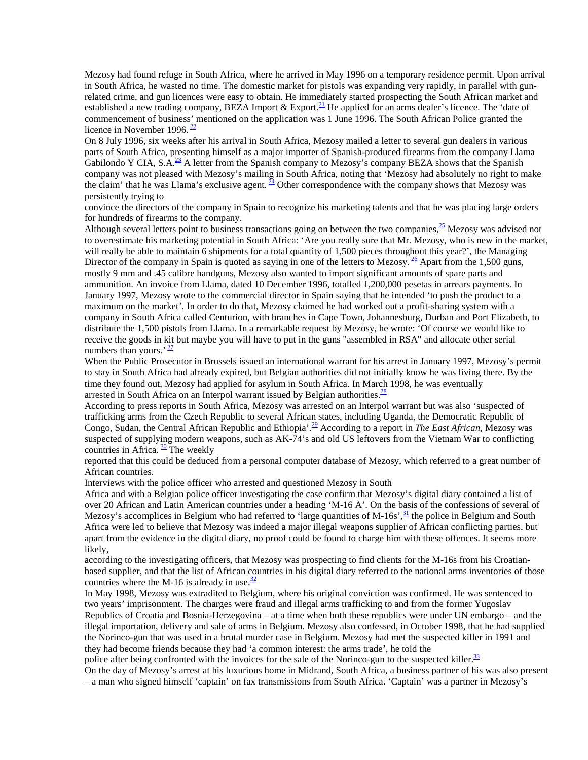Mezosy had found refuge in South Africa, where he arrived in May 1996 on a temporary residence permit. Upon arrival in South Africa, he wasted no time. The domestic market for pistols was expanding very rapidly, in parallel with gunrelated crime, and gun licences were easy to obtain. He immediately started prospecting the South African market and established a new trading company, BEZA Import  $&$  Export.<sup>21</sup> He applied for an arms dealer's licence. The 'date of commencement of business' mentioned on the application was 1 June 1996. The South African Police granted the licence in November 1996.  $\frac{22}{ }$ 

On 8 July 1996, six weeks after his arrival in South Africa, Mezosy mailed a letter to several gun dealers in various parts of South Africa, presenting himself as a major importer of Spanish-produced firearms from the company Llama Gabilondo Y CIA, S.A. $^{23}$  A letter from the Spanish company to Mezosy's company BEZA shows that the Spanish company was not pleased with Mezosy's mailing in South Africa, noting that 'Mezosy had absolutely no right to make the claim' that he was Llama's exclusive agent.  $\frac{24}{1}$  Other correspondence with the company shows that Mezosy was persistently trying to

convince the directors of the company in Spain to recognize his marketing talents and that he was placing large orders for hundreds of firearms to the company.

Although several letters point to business transactions going on between the two companies, $^{25}$  Mezosy was advised not to overestimate his marketing potential in South Africa: 'Are you really sure that Mr. Mezosy, who is new in the market, will really be able to maintain 6 shipments for a total quantity of 1,500 pieces throughout this year?', the Managing Director of the company in Spain is quoted as saying in one of the letters to Mezosy. <sup>26</sup> Apart from the 1,500 guns, mostly 9 mm and .45 calibre handguns, Mezosy also wanted to import significant amounts of spare parts and ammunition. An invoice from Llama, dated 10 December 1996, totalled 1,200,000 pesetas in arrears payments. In January 1997, Mezosy wrote to the commercial director in Spain saying that he intended 'to push the product to a maximum on the market'. In order to do that, Mezosy claimed he had worked out a profit-sharing system with a company in South Africa called Centurion, with branches in Cape Town, Johannesburg, Durban and Port Elizabeth, to distribute the 1,500 pistols from Llama. In a remarkable request by Mezosy, he wrote: 'Of course we would like to receive the goods in kit but maybe you will have to put in the guns "assembled in RSA" and allocate other serial numbers than yours.<sup> $27$ </sup>

When the Public Prosecutor in Brussels issued an international warrant for his arrest in January 1997, Mezosy's permit to stay in South Africa had already expired, but Belgian authorities did not initially know he was living there. By the time they found out, Mezosy had applied for asylum in South Africa. In March 1998, he was eventually arrested in South Africa on an Interpol warrant issued by Belgian authorities.<sup>28</sup>

According to press reports in South Africa, Mezosy was arrested on an Interpol warrant but was also 'suspected of trafficking arms from the Czech Republic to several African states, including Uganda, the Democratic Republic of Congo, Sudan, the Central African Republic and Ethiopia'.29 According to a report in *The East African,* Mezosy was suspected of supplying modern weapons, such as AK-74's and old US leftovers from the Vietnam War to conflicting countries in Africa.  $\frac{30}{2}$  The weekly

reported that this could be deduced from a personal computer database of Mezosy, which referred to a great number of African countries.

Interviews with the police officer who arrested and questioned Mezosy in South

Africa and with a Belgian police officer investigating the case confirm that Mezosy's digital diary contained a list of over 20 African and Latin American countries under a heading 'M-16 A'. On the basis of the confessions of several of Mezosy's accomplices in Belgium who had referred to 'large quantities of M-16s',  $\frac{31}{2}$  the police in Belgium and South Africa were led to believe that Mezosy was indeed a major illegal weapons supplier of African conflicting parties, but apart from the evidence in the digital diary, no proof could be found to charge him with these offences. It seems more likely,

according to the investigating officers, that Mezosy was prospecting to find clients for the M-16s from his Croatianbased supplier, and that the list of African countries in his digital diary referred to the national arms inventories of those countries where the M-16 is already in use. $\frac{32}{3}$ 

In May 1998, Mezosy was extradited to Belgium, where his original conviction was confirmed. He was sentenced to two years' imprisonment. The charges were fraud and illegal arms trafficking to and from the former Yugoslav Republics of Croatia and Bosnia-Herzegovina – at a time when both these republics were under UN embargo – and the illegal importation, delivery and sale of arms in Belgium. Mezosy also confessed, in October 1998, that he had supplied the Norinco-gun that was used in a brutal murder case in Belgium. Mezosy had met the suspected killer in 1991 and they had become friends because they had 'a common interest: the arms trade', he told the

police after being confronted with the invoices for the sale of the Norinco-gun to the suspected killer. $33$ 

On the day of Mezosy's arrest at his luxurious home in Midrand, South Africa, a business partner of his was also present – a man who signed himself 'captain' on fax transmissions from South Africa. 'Captain' was a partner in Mezosy's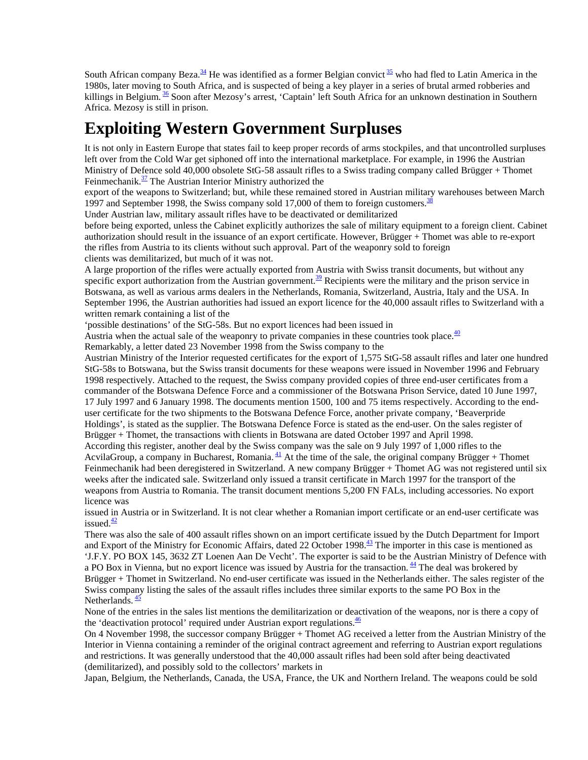South African company Beza. $34$  He was identified as a former Belgian convict  $35$  who had fled to Latin America in the 1980s, later moving to South Africa, and is suspected of being a key player in a series of brutal armed robberies and killings in Belgium. <sup>36</sup> Soon after Mezosy's arrest, 'Captain' left South Africa for an unknown destination in Southern Africa. Mezosy is still in prison.

## **Exploiting Western Government Surpluses**

It is not only in Eastern Europe that states fail to keep proper records of arms stockpiles, and that uncontrolled surpluses left over from the Cold War get siphoned off into the international marketplace. For example, in 1996 the Austrian Ministry of Defence sold 40,000 obsolete StG-58 assault rifles to a Swiss trading company called Brügger + Thomet Feinmechanik. $\frac{37}{2}$  The Austrian Interior Ministry authorized the

export of the weapons to Switzerland; but, while these remained stored in Austrian military warehouses between March 1997 and September 1998, the Swiss company sold 17,000 of them to foreign customers.<sup>38</sup>

Under Austrian law, military assault rifles have to be deactivated or demilitarized

before being exported, unless the Cabinet explicitly authorizes the sale of military equipment to a foreign client. Cabinet authorization should result in the issuance of an export certificate. However, Brügger + Thomet was able to re-export the rifles from Austria to its clients without such approval. Part of the weaponry sold to foreign clients was demilitarized, but much of it was not.

A large proportion of the rifles were actually exported from Austria with Swiss transit documents, but without any specific export authorization from the Austrian government.<sup>39</sup> Recipients were the military and the prison service in Botswana, as well as various arms dealers in the Netherlands, Romania, Switzerland, Austria, Italy and the USA. In September 1996, the Austrian authorities had issued an export licence for the 40,000 assault rifles to Switzerland with a written remark containing a list of the

'possible destinations' of the StG-58s. But no export licences had been issued in

Austria when the actual sale of the weaponry to private companies in these countries took place. $\frac{40}{3}$ 

Remarkably, a letter dated 23 November 1998 from the Swiss company to the

Austrian Ministry of the Interior requested certificates for the export of 1,575 StG-58 assault rifles and later one hundred StG-58s to Botswana, but the Swiss transit documents for these weapons were issued in November 1996 and February 1998 respectively. Attached to the request, the Swiss company provided copies of three end-user certificates from a commander of the Botswana Defence Force and a commissioner of the Botswana Prison Service, dated 10 June 1997, 17 July 1997 and 6 January 1998. The documents mention 1500, 100 and 75 items respectively. According to the enduser certificate for the two shipments to the Botswana Defence Force, another private company, 'Beaverpride Holdings', is stated as the supplier. The Botswana Defence Force is stated as the end-user. On the sales register of Brügger + Thomet, the transactions with clients in Botswana are dated October 1997 and April 1998.

According this register, another deal by the Swiss company was the sale on 9 July 1997 of 1,000 rifles to the AcvilaGroup, a company in Bucharest, Romania.  $\frac{41}{1}$  At the time of the sale, the original company Brügger + Thomet Feinmechanik had been deregistered in Switzerland. A new company Brügger + Thomet AG was not registered until six weeks after the indicated sale. Switzerland only issued a transit certificate in March 1997 for the transport of the weapons from Austria to Romania. The transit document mentions 5,200 FN FALs, including accessories. No export licence was

issued in Austria or in Switzerland. It is not clear whether a Romanian import certificate or an end-user certificate was issued. $\frac{42}{ }$ 

There was also the sale of 400 assault rifles shown on an import certificate issued by the Dutch Department for Import and Export of the Ministry for Economic Affairs, dated 22 October 1998.<sup>43</sup> The importer in this case is mentioned as 'J.F.Y. PO BOX 145, 3632 ZT Loenen Aan De Vecht'. The exporter is said to be the Austrian Ministry of Defence with a PO Box in Vienna, but no export licence was issued by Austria for the transaction.<sup>44</sup> The deal was brokered by Brügger + Thomet in Switzerland. No end-user certificate was issued in the Netherlands either. The sales register of the Swiss company listing the sales of the assault rifles includes three similar exports to the same PO Box in the Netherlands.  $\frac{45}{5}$ 

None of the entries in the sales list mentions the demilitarization or deactivation of the weapons, nor is there a copy of the 'deactivation protocol' required under Austrian export regulations. $\frac{46}{5}$ 

On 4 November 1998, the successor company Brügger + Thomet AG received a letter from the Austrian Ministry of the Interior in Vienna containing a reminder of the original contract agreement and referring to Austrian export regulations and restrictions. It was generally understood that the 40,000 assault rifles had been sold after being deactivated (demilitarized), and possibly sold to the collectors' markets in

Japan, Belgium, the Netherlands, Canada, the USA, France, the UK and Northern Ireland. The weapons could be sold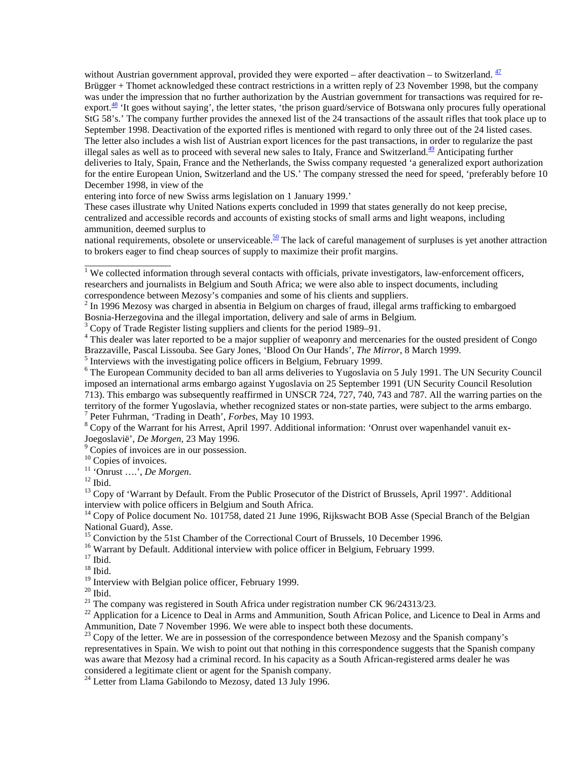without Austrian government approval, provided they were exported – after deactivation – to Switzerland.  $\frac{47}{1}$ Brügger + Thomet acknowledged these contract restrictions in a written reply of 23 November 1998, but the company was under the impression that no further authorization by the Austrian government for transactions was required for reexport.<sup>48</sup> 'It goes without saying', the letter states, 'the prison guard/service of Botswana only procures fully operational StG 58's.' The company further provides the annexed list of the 24 transactions of the assault rifles that took place up to September 1998. Deactivation of the exported rifles is mentioned with regard to only three out of the 24 listed cases. The letter also includes a wish list of Austrian export licences for the past transactions, in order to regularize the past illegal sales as well as to proceed with several new sales to Italy, France and Switzerland. $49$  Anticipating further deliveries to Italy, Spain, France and the Netherlands, the Swiss company requested 'a generalized export authorization for the entire European Union, Switzerland and the US.' The company stressed the need for speed, 'preferably before 10 December 1998, in view of the

entering into force of new Swiss arms legislation on 1 January 1999.'

These cases illustrate why United Nations experts concluded in 1999 that states generally do not keep precise, centralized and accessible records and accounts of existing stocks of small arms and light weapons, including ammunition, deemed surplus to

national requirements, obsolete or unserviceable.<sup>50</sup> The lack of careful management of surpluses is yet another attraction to brokers eager to find cheap sources of supply to maximize their profit margins.

<sup>3</sup> Copy of Trade Register listing suppliers and clients for the period 1989–91.

<sup>4</sup> This dealer was later reported to be a major supplier of weaponry and mercenaries for the ousted president of Congo Brazzaville, Pascal Lissouba. See Gary Jones, 'Blood On Our Hands', *The Mirror*, 8 March 1999. <sup>5</sup>

 $<sup>5</sup>$  Interviews with the investigating police officers in Belgium, February 1999.</sup>

<sup>8</sup> Copy of the Warrant for his Arrest, April 1997. Additional information: 'Onrust over wapenhandel vanuit ex-Joegoslavië', *De Morgen*, 23 May 1996. <sup>9</sup>

<sup>9</sup> Copies of invoices are in our possession.

<sup>10</sup> Copies of invoices.

11 'Onrust ….', *De Morgen*. 12 Ibid.

<sup>13</sup> Copy of 'Warrant by Default. From the Public Prosecutor of the District of Brussels, April 1997'. Additional interview with police officers in Belgium and South Africa.

<sup>14</sup> Copy of Police document No. 101758, dated 21 June 1996, Rijkswacht BOB Asse (Special Branch of the Belgian National Guard), Asse.

<sup>16</sup> Warrant by Default. Additional interview with police officer in Belgium, February 1999.

 $^{18}$  Ibid.

<sup>19</sup> Interview with Belgian police officer, February 1999.

<sup>21</sup> The company was registered in South Africa under registration number CK 96/24313/23.

 $^{22}$  Application for a Licence to Deal in Arms and Ammunition, South African Police, and Licence to Deal in Arms and Ammunition, Date 7 November 1996. We were able to inspect both these documents.

 $^{23}$  Copy of the letter. We are in possession of the correspondence between Mezosy and the Spanish company's representatives in Spain. We wish to point out that nothing in this correspondence suggests that the Spanish company was aware that Mezosy had a criminal record. In his capacity as a South African-registered arms dealer he was considered a legitimate client or agent for the Spanish company.

<sup>24</sup> Letter from Llama Gabilondo to Mezosy, dated 13 July 1996.

<sup>&</sup>lt;sup>1</sup> We collected information through several contacts with officials, private investigators, law-enforcement officers, researchers and journalists in Belgium and South Africa; we were also able to inspect documents, including correspondence between Mezosy's companies and some of his clients and suppliers.

 $2$  In 1996 Mezosy was charged in absentia in Belgium on charges of fraud, illegal arms trafficking to embargoed Bosnia-Herzegovina and the illegal importation, delivery and sale of arms in Belgium.

<sup>&</sup>lt;sup>6</sup> The European Community decided to ban all arms deliveries to Yugoslavia on 5 July 1991. The UN Security Council imposed an international arms embargo against Yugoslavia on 25 September 1991 (UN Security Council Resolution 713). This embargo was subsequently reaffirmed in UNSCR 724, 727, 740, 743 and 787. All the warring parties on the territory of the former Yugoslavia, whether recognized states or non-state parties, were subject to the arms embargo. <sup>7</sup> Peter Fuhrman, 'Trading in Death', *Forbes*, May 10 1993.

<sup>&</sup>lt;sup>15</sup> Conviction by the 51st Chamber of the Correctional Court of Brussels, 10 December 1996.

 $17$  Ibid.

 $20$  Ibid.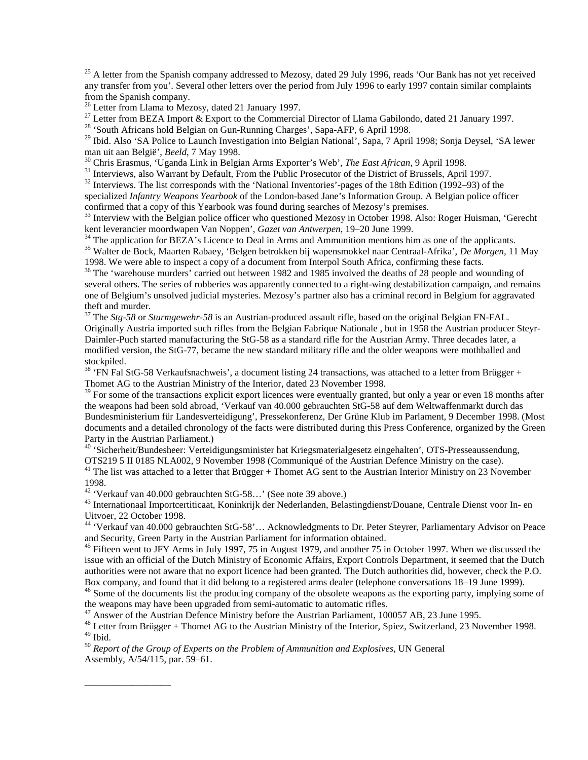$25$  A letter from the Spanish company addressed to Mezosy, dated 29 July 1996, reads 'Our Bank has not yet received any transfer from you'. Several other letters over the period from July 1996 to early 1997 contain similar complaints from the Spanish company.

<sup>26</sup> Letter from Llama to Mezosy, dated 21 January 1997.

<sup>27</sup> Letter from BEZA Import  $\&$  Export to the Commercial Director of Llama Gabilondo, dated 21 January 1997.

<sup>28</sup> 'South Africans hold Belgian on Gun-Running Charges', Sapa-AFP, 6 April 1998.

<sup>29</sup> Ibid. Also 'SA Police to Launch Investigation into Belgian National', Sapa, 7 April 1998; Sonja Deysel, 'SA lewer man uit aan België', *Beeld*, 7 May 1998.

 $^{30}$  Chris Erasmus, 'Uganda Link in Belgian Arms Exporter's Web', *The East African*, 9 April 1998.<br><sup>31</sup> Interviews, also Warrant by Default, From the Public Prosecutor of the District of Brussels, April 1997.

<sup>32</sup> Interviews. The list corresponds with the 'National Inventories'-pages of the 18th Edition (1992–93) of the specialized *Infantry Weapons Yearbook* of the London-based Jane's Information Group. A Belgian police officer

confirmed that a copy of this Yearbook was found during searches of Mezosy's premises.

<sup>33</sup> Interview with the Belgian police officer who questioned Mezosy in October 1998. Also: Roger Huisman, 'Gerecht kent leverancier moordwapen Van Noppen', *Gazet van Antwerpen*, 19–20 June 1999.<br><sup>34</sup> The application for BEZA's Licence to Deal in Arms and Ammunition mentions him as one of the applicants.

35 Walter de Bock, Maarten Rabaey, 'Belgen betrokken bij wapensmokkel naar Centraal-Afrika', *De Morgen,* 11 May 1998. We were able to inspect a copy of a document from Interpol South Africa, confirming these facts.

<sup>36</sup> The 'warehouse murders' carried out between 1982 and 1985 involved the deaths of 28 people and wounding of several others. The series of robberies was apparently connected to a right-wing destabilization campaign, and remains one of Belgium's unsolved judicial mysteries. Mezosy's partner also has a criminal record in Belgium for aggravated theft and murder.

37 The *Stg-58* or *Sturmgewehr-58* is an Austrian-produced assault rifle, based on the original Belgian FN-FAL. Originally Austria imported such rifles from the Belgian Fabrique Nationale , but in 1958 the Austrian producer Steyr-Daimler-Puch started manufacturing the StG-58 as a standard rifle for the Austrian Army. Three decades later, a modified version, the StG-77*,* became the new standard military rifle and the older weapons were mothballed and stockpiled.

 $38$  'FN Fal StG-58 Verkaufsnachweis', a document listing 24 transactions, was attached to a letter from Brügger + Thomet AG to the Austrian Ministry of the Interior, dated 23 November 1998.

<sup>39</sup> For some of the transactions explicit export licences were eventually granted, but only a year or even 18 months after the weapons had been sold abroad, 'Verkauf van 40.000 gebrauchten StG-58 auf dem Weltwaffenmarkt durch das Bundesministerium für Landesverteidigung', Pressekonferenz, Der Grüne Klub im Parlament, 9 December 1998. (Most documents and a detailed chronology of the facts were distributed during this Press Conference, organized by the Green Party in the Austrian Parliament.)

40 'Sicherheit/Bundesheer: Verteidigungsminister hat Kriegsmaterialgesetz eingehalten', OTS-Presseaussendung, OTS219 5 II 0185 NLA002, 9 November 1998 (Communiqué of the Austrian Defence Ministry on the case).

 $41$  The list was attached to a letter that Brügger + Thomet AG sent to the Austrian Interior Ministry on 23 November 1998.

42 'Verkauf van 40.000 gebrauchten StG-58…' (See note 39 above.)

\_\_\_\_\_\_\_\_\_\_\_\_\_\_\_\_\_\_

43 Internationaal Importcertiticaat, Koninkrijk der Nederlanden, Belastingdienst/Douane, Centrale Dienst voor In- en Uitvoer, 22 October 1998.

44 'Verkauf van 40.000 gebrauchten StG-58'… Acknowledgments to Dr. Peter Steyrer, Parliamentary Advisor on Peace and Security, Green Party in the Austrian Parliament for information obtained.

<sup>45</sup> Fifteen went to JFY Arms in July 1997, 75 in August 1979, and another 75 in October 1997. When we discussed the issue with an official of the Dutch Ministry of Economic Affairs, Export Controls Department, it seemed that the Dutch authorities were not aware that no export licence had been granted. The Dutch authorities did, however, check the P.O. Box company, and found that it did belong to a registered arms dealer (telephone conversations 18–19 June 1999).

<sup>46</sup> Some of the documents list the producing company of the obsolete weapons as the exporting party, implying some of the weapons may have been upgraded from semi-automatic to automatic rifles.

<sup>47</sup> Answer of the Austrian Defence Ministry before the Austrian Parliament, 100057 AB, 23 June 1995.

<sup>48</sup> Letter from Brügger + Thomet AG to the Austrian Ministry of the Interior, Spiez, Switzerland, 23 November 1998.  $^{\rm 49}$  Ibid.

<sup>50</sup> *Report of the Group of Experts on the Problem of Ammunition and Explosives,* UN General Assembly, A/54/115, par. 59–61.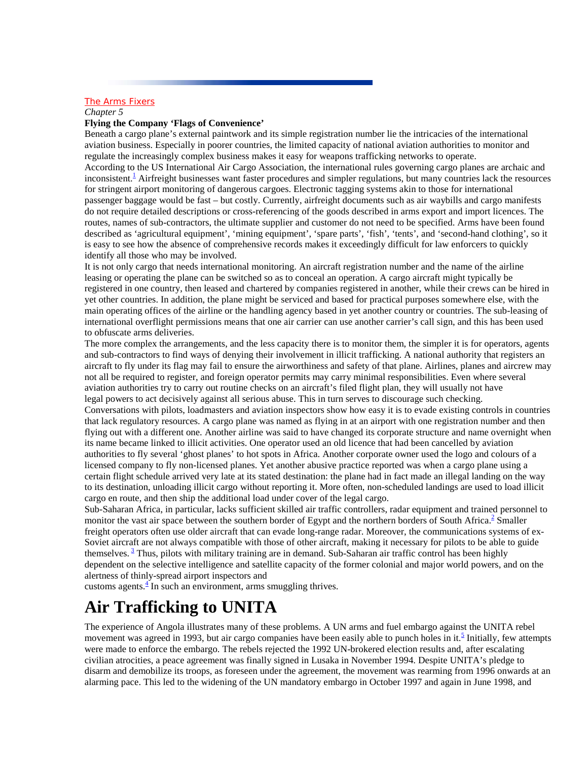### **The Arms Fixers**

*Chapter 5*

#### **Flying the Company 'Flags of Convenience'**

Beneath a cargo plane's external paintwork and its simple registration number lie the intricacies of the international aviation business. Especially in poorer countries, the limited capacity of national aviation authorities to monitor and regulate the increasingly complex business makes it easy for weapons trafficking networks to operate. According to the US International Air Cargo Association, the international rules governing cargo planes are archaic and inconsistent.<sup>1</sup> Airfreight businesses want faster procedures and simpler regulations, but many countries lack the resources for stringent airport monitoring of dangerous cargoes. Electronic tagging systems akin to those for international passenger baggage would be fast – but costly. Currently, airfreight documents such as air waybills and cargo manifests do not require detailed descriptions or cross-referencing of the goods described in arms export and import licences. The routes, names of sub-contractors, the ultimate supplier and customer do not need to be specified. Arms have been found described as 'agricultural equipment', 'mining equipment', 'spare parts', 'fish', 'tents', and 'second-hand clothing', so it is easy to see how the absence of comprehensive records makes it exceedingly difficult for law enforcers to quickly identify all those who may be involved.

It is not only cargo that needs international monitoring. An aircraft registration number and the name of the airline leasing or operating the plane can be switched so as to conceal an operation. A cargo aircraft might typically be registered in one country, then leased and chartered by companies registered in another, while their crews can be hired in yet other countries. In addition, the plane might be serviced and based for practical purposes somewhere else, with the main operating offices of the airline or the handling agency based in yet another country or countries. The sub-leasing of international overflight permissions means that one air carrier can use another carrier's call sign, and this has been used to obfuscate arms deliveries.

The more complex the arrangements, and the less capacity there is to monitor them, the simpler it is for operators, agents and sub-contractors to find ways of denying their involvement in illicit trafficking. A national authority that registers an aircraft to fly under its flag may fail to ensure the airworthiness and safety of that plane. Airlines, planes and aircrew may not all be required to register, and foreign operator permits may carry minimal responsibilities. Even where several aviation authorities try to carry out routine checks on an aircraft's filed flight plan, they will usually not have legal powers to act decisively against all serious abuse. This in turn serves to discourage such checking.

Conversations with pilots, loadmasters and aviation inspectors show how easy it is to evade existing controls in countries that lack regulatory resources. A cargo plane was named as flying in at an airport with one registration number and then flying out with a different one. Another airline was said to have changed its corporate structure and name overnight when its name became linked to illicit activities. One operator used an old licence that had been cancelled by aviation authorities to fly several 'ghost planes' to hot spots in Africa. Another corporate owner used the logo and colours of a licensed company to fly non-licensed planes. Yet another abusive practice reported was when a cargo plane using a certain flight schedule arrived very late at its stated destination: the plane had in fact made an illegal landing on the way to its destination, unloading illicit cargo without reporting it. More often, non-scheduled landings are used to load illicit cargo en route, and then ship the additional load under cover of the legal cargo.

Sub-Saharan Africa, in particular, lacks sufficient skilled air traffic controllers, radar equipment and trained personnel to monitor the vast air space between the southern border of Egypt and the northern borders of South Africa.<sup>2</sup> Smaller freight operators often use older aircraft that can evade long-range radar. Moreover, the communications systems of ex-Soviet aircraft are not always compatible with those of other aircraft, making it necessary for pilots to be able to guide themselves.<sup>3</sup> Thus, pilots with military training are in demand. Sub-Saharan air traffic control has been highly dependent on the selective intelligence and satellite capacity of the former colonial and major world powers, and on the alertness of thinly-spread airport inspectors and

customs agents. $\frac{4}{3}$  In such an environment, arms smuggling thrives.

### **Air Trafficking to UNITA**

The experience of Angola illustrates many of these problems. A UN arms and fuel embargo against the UNITA rebel movement was agreed in 1993, but air cargo companies have been easily able to punch holes in it.<sup>5</sup> Initially, few attempts were made to enforce the embargo. The rebels rejected the 1992 UN-brokered election results and, after escalating civilian atrocities, a peace agreement was finally signed in Lusaka in November 1994. Despite UNITA's pledge to disarm and demobilize its troops, as foreseen under the agreement, the movement was rearming from 1996 onwards at an alarming pace. This led to the widening of the UN mandatory embargo in October 1997 and again in June 1998, and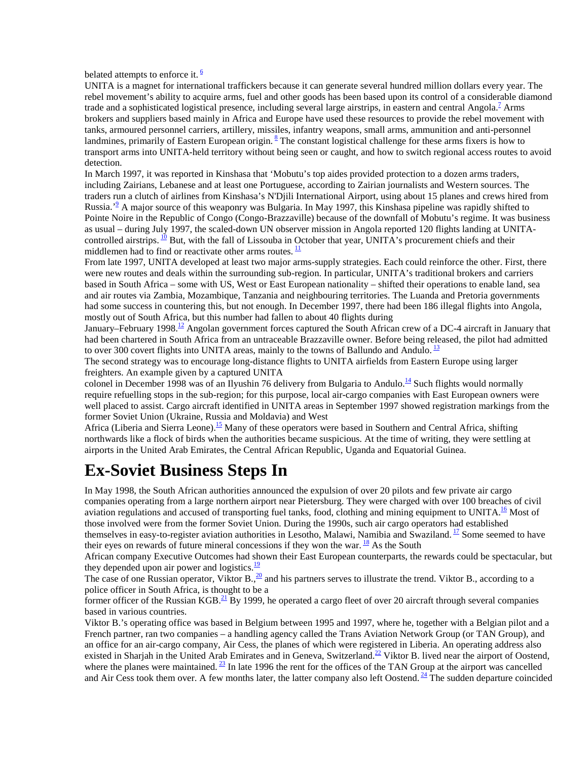belated attempts to enforce it.  $\frac{6}{3}$ 

UNITA is a magnet for international traffickers because it can generate several hundred million dollars every year. The rebel movement's ability to acquire arms, fuel and other goods has been based upon its control of a considerable diamond trade and a sophisticated logistical presence, including several large airstrips, in eastern and central Angola.<sup>7</sup> Arms brokers and suppliers based mainly in Africa and Europe have used these resources to provide the rebel movement with tanks, armoured personnel carriers, artillery, missiles, infantry weapons, small arms, ammunition and anti-personnel landmines, primarily of Eastern European origin. <sup>8</sup> The constant logistical challenge for these arms fixers is how to transport arms into UNITA-held territory without being seen or caught, and how to switch regional access routes to avoid detection.

In March 1997, it was reported in Kinshasa that 'Mobutu's top aides provided protection to a dozen arms traders, including Zairians, Lebanese and at least one Portuguese, according to Zairian journalists and Western sources. The traders run a clutch of airlines from Kinshasa's N'Djili International Airport, using about 15 planes and crews hired from Russia.<sup>, o</sup> A major source of this weaponry was Bulgaria. In May 1997, this Kinshasa pipeline was rapidly shifted to Pointe Noire in the Republic of Congo (Congo-Brazzaville) because of the downfall of Mobutu's regime. It was business as usual – during July 1997, the scaled-down UN observer mission in Angola reported 120 flights landing at UNITAcontrolled airstrips.  $\frac{10}{2}$  But, with the fall of Lissouba in October that year, UNITA's procurement chiefs and their middlemen had to find or reactivate other arms routes.  $\frac{11}{1}$ 

From late 1997, UNITA developed at least two major arms-supply strategies. Each could reinforce the other. First, there were new routes and deals within the surrounding sub-region. In particular, UNITA's traditional brokers and carriers based in South Africa – some with US, West or East European nationality – shifted their operations to enable land, sea and air routes via Zambia, Mozambique, Tanzania and neighbouring territories. The Luanda and Pretoria governments had some success in countering this, but not enough. In December 1997, there had been 186 illegal flights into Angola, mostly out of South Africa, but this number had fallen to about 40 flights during

January–February 1998.<sup>12</sup> Angolan government forces captured the South African crew of a DC-4 aircraft in January that had been chartered in South Africa from an untraceable Brazzaville owner. Before being released, the pilot had admitted to over 300 covert flights into UNITA areas, mainly to the towns of Ballundo and Andulo.  $^{13}$ 

The second strategy was to encourage long-distance flights to UNITA airfields from Eastern Europe using larger freighters. An example given by a captured UNITA

colonel in December 1998 was of an Ilyushin 76 delivery from Bulgaria to Andulo.<sup>14</sup> Such flights would normally require refuelling stops in the sub-region; for this purpose, local air-cargo companies with East European owners were well placed to assist. Cargo aircraft identified in UNITA areas in September 1997 showed registration markings from the former Soviet Union (Ukraine, Russia and Moldavia) and West

Africa (Liberia and Sierra Leone).<sup>15</sup> Many of these operators were based in Southern and Central Africa, shifting northwards like a flock of birds when the authorities became suspicious. At the time of writing, they were settling at airports in the United Arab Emirates, the Central African Republic, Uganda and Equatorial Guinea.

## **Ex-Soviet Business Steps In**

In May 1998, the South African authorities announced the expulsion of over 20 pilots and few private air cargo companies operating from a large northern airport near Pietersburg. They were charged with over 100 breaches of civil aviation regulations and accused of transporting fuel tanks, food, clothing and mining equipment to UNITA. $\frac{16}{10}$  Most of those involved were from the former Soviet Union. During the 1990s, such air cargo operators had established themselves in easy-to-register aviation authorities in Lesotho, Malawi, Namibia and Swaziland.  $\frac{17}{2}$  Some seemed to have their eyes on rewards of future mineral concessions if they won the war.  $^{18}$  As the South

African company Executive Outcomes had shown their East European counterparts, the rewards could be spectacular, but they depended upon air power and logistics. $\frac{19}{2}$ 

The case of one Russian operator, Viktor B.,  $\frac{20}{2}$  and his partners serves to illustrate the trend. Viktor B., according to a police officer in South Africa, is thought to be a

former officer of the Russian KGB.<sup>21</sup> By 1999, he operated a cargo fleet of over 20 aircraft through several companies based in various countries.

Viktor B.'s operating office was based in Belgium between 1995 and 1997, where he, together with a Belgian pilot and a French partner, ran two companies – a handling agency called the Trans Aviation Network Group (or TAN Group), and an office for an air-cargo company, Air Cess, the planes of which were registered in Liberia. An operating address also existed in Sharjah in the United Arab Emirates and in Geneva, Switzerland.<sup>22</sup> Viktor B. lived near the airport of Oostend, where the planes were maintained.  $^{23}$  In late 1996 the rent for the offices of the TAN Group at the airport was cancelled and Air Cess took them over. A few months later, the latter company also left Oostend.  $\frac{24}{1}$  The sudden departure coincided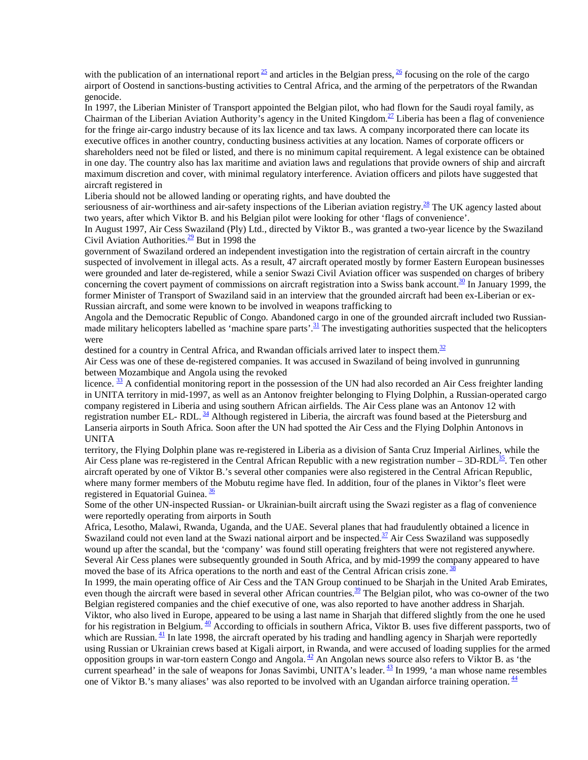with the publication of an international report  $\frac{25}{ }$  and articles in the Belgian press,  $\frac{26}{ }$  focusing on the role of the cargo airport of Oostend in sanctions-busting activities to Central Africa, and the arming of the perpetrators of the Rwandan genocide.

In 1997, the Liberian Minister of Transport appointed the Belgian pilot, who had flown for the Saudi royal family, as Chairman of the Liberian Aviation Authority's agency in the United Kingdom.<sup>27</sup> Liberia has been a flag of convenience for the fringe air-cargo industry because of its lax licence and tax laws. A company incorporated there can locate its executive offices in another country, conducting business activities at any location. Names of corporate officers or shareholders need not be filed or listed, and there is no minimum capital requirement. A legal existence can be obtained in one day. The country also has lax maritime and aviation laws and regulations that provide owners of ship and aircraft maximum discretion and cover, with minimal regulatory interference. Aviation officers and pilots have suggested that aircraft registered in

Liberia should not be allowed landing or operating rights, and have doubted the

seriousness of air-worthiness and air-safety inspections of the Liberian aviation registry. $\frac{28}{5}$  The UK agency lasted about two years, after which Viktor B. and his Belgian pilot were looking for other 'flags of convenience'.

In August 1997, Air Cess Swaziland (Ply) Ltd., directed by Viktor B., was granted a two-year licence by the Swaziland Civil Aviation Authorities. $\frac{29}{2}$  But in 1998 the

government of Swaziland ordered an independent investigation into the registration of certain aircraft in the country suspected of involvement in illegal acts. As a result, 47 aircraft operated mostly by former Eastern European businesses were grounded and later de-registered, while a senior Swazi Civil Aviation officer was suspended on charges of bribery concerning the covert payment of commissions on aircraft registration into a Swiss bank account.<sup>30</sup> In January 1999, the former Minister of Transport of Swaziland said in an interview that the grounded aircraft had been ex-Liberian or ex-Russian aircraft, and some were known to be involved in weapons trafficking to

Angola and the Democratic Republic of Congo. Abandoned cargo in one of the grounded aircraft included two Russianmade military helicopters labelled as 'machine spare parts'.  $\frac{31}{2}$  The investigating authorities suspected that the helicopters were

destined for a country in Central Africa, and Rwandan officials arrived later to inspect them. $32$ 

Air Cess was one of these de-registered companies. It was accused in Swaziland of being involved in gunrunning between Mozambique and Angola using the revoked

licence.  $\frac{33}{12}$  A confidential monitoring report in the possession of the UN had also recorded an Air Cess freighter landing in UNITA territory in mid-1997, as well as an Antonov freighter belonging to Flying Dolphin, a Russian-operated cargo company registered in Liberia and using southern African airfields. The Air Cess plane was an Antonov 12 with registration number EL- RDL. <sup>34</sup> Although registered in Liberia, the aircraft was found based at the Pietersburg and Lanseria airports in South Africa. Soon after the UN had spotted the Air Cess and the Flying Dolphin Antonovs in UNITA

territory, the Flying Dolphin plane was re-registered in Liberia as a division of Santa Cruz Imperial Airlines, while the Air Cess plane was re-registered in the Central African Republic with a new registration number – 3D-RDL $^{35}$ . Ten other aircraft operated by one of Viktor B.'s several other companies were also registered in the Central African Republic, where many former members of the Mobutu regime have fled. In addition, four of the planes in Viktor's fleet were registered in Equatorial Guinea.  $\frac{36}{3}$ 

Some of the other UN-inspected Russian- or Ukrainian-built aircraft using the Swazi register as a flag of convenience were reportedly operating from airports in South

Africa, Lesotho, Malawi, Rwanda, Uganda, and the UAE. Several planes that had fraudulently obtained a licence in Swaziland could not even land at the Swazi national airport and be inspected. $\frac{37}{12}$  Air Cess Swaziland was supposedly wound up after the scandal, but the 'company' was found still operating freighters that were not registered anywhere. Several Air Cess planes were subsequently grounded in South Africa, and by mid-1999 the company appeared to have moved the base of its Africa operations to the north and east of the Central African crisis zone.  $38$ 

In 1999, the main operating office of Air Cess and the TAN Group continued to be Sharjah in the United Arab Emirates, even though the aircraft were based in several other African countries.<sup>39</sup> The Belgian pilot, who was co-owner of the two Belgian registered companies and the chief executive of one, was also reported to have another address in Sharjah. Viktor, who also lived in Europe, appeared to be using a last name in Sharjah that differed slightly from the one he used for his registration in Belgium.  $\frac{40}{10}$  According to officials in southern Africa, Viktor B. uses five different passports, two of which are Russian.  $\frac{41}{1}$  In late 1998, the aircraft operated by his trading and handling agency in Sharjah were reportedly using Russian or Ukrainian crews based at Kigali airport, in Rwanda, and were accused of loading supplies for the armed opposition groups in war-torn eastern Congo and Angola. <sup>42</sup> An Angolan news source also refers to Viktor B. as 'the current spearhead' in the sale of weapons for Jonas Savimbi, UNITA's leader.  $\frac{43}{2}$  In 1999, 'a man whose name resembles one of Viktor B.'s many aliases' was also reported to be involved with an Ugandan airforce training operation.  $\frac{44}{5}$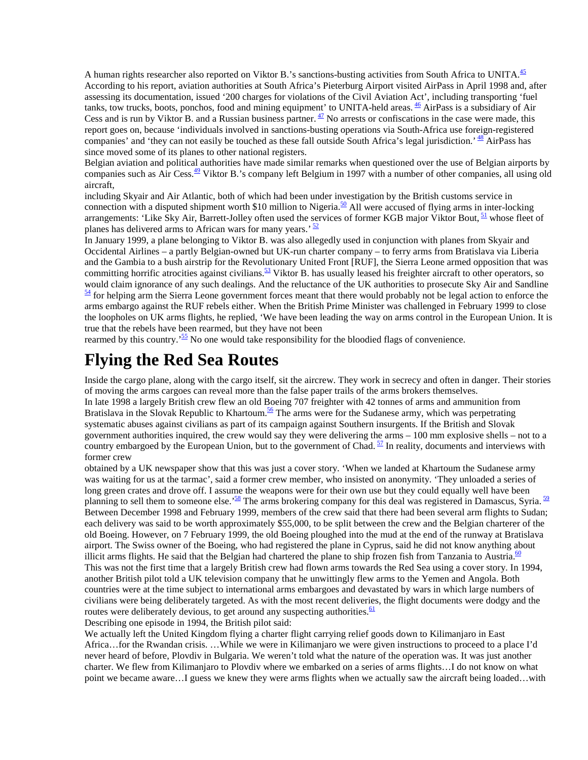A human rights researcher also reported on Viktor B.'s sanctions-busting activities from South Africa to UNITA.<sup>45</sup> According to his report, aviation authorities at South Africa's Pieterburg Airport visited AirPass in April 1998 and, after assessing its documentation, issued '200 charges for violations of the Civil Aviation Act', including transporting 'fuel tanks, tow trucks, boots, ponchos, food and mining equipment' to UNITA-held areas.  $\frac{46}{ }$  AirPass is a subsidiary of Air Cess and is run by Viktor B. and a Russian business partner.  $\frac{47}{12}$  No arrests or confiscations in the case were made, this report goes on, because 'individuals involved in sanctions-busting operations via South-Africa use foreign-registered companies' and 'they can not easily be touched as these fall outside South Africa's legal jurisdiction.'  $^{48}$  AirPass has since moved some of its planes to other national registers.

Belgian aviation and political authorities have made similar remarks when questioned over the use of Belgian airports by companies such as Air Cess.<sup>49</sup> Viktor B.'s company left Belgium in 1997 with a number of other companies, all using old aircraft,

including Skyair and Air Atlantic, both of which had been under investigation by the British customs service in connection with a disputed shipment worth \$10 million to Nigeria.<sup>50</sup> All were accused of flying arms in inter-locking arrangements: 'Like Sky Air, Barrett-Jolley often used the services of former KGB major Viktor Bout,  $\frac{51}{10}$  whose fleet of planes has delivered arms to African wars for many years.<sup>'  $\frac{52}{2}$ </sup>

In January 1999, a plane belonging to Viktor B. was also allegedly used in conjunction with planes from Skyair and Occidental Airlines – a partly Belgian-owned but UK-run charter company – to ferry arms from Bratislava via Liberia and the Gambia to a bush airstrip for the Revolutionary United Front [RUF], the Sierra Leone armed opposition that was committing horrific atrocities against civilians. $\frac{53}{2}$  Viktor B. has usually leased his freighter aircraft to other operators, so would claim ignorance of any such dealings. And the reluctance of the UK authorities to prosecute Sky Air and Sandline  $\frac{54}{4}$  for helping arm the Sierra Leone government forces meant that there would probably not be legal action to enforce the arms embargo against the RUF rebels either. When the British Prime Minister was challenged in February 1999 to close the loopholes on UK arms flights, he replied, 'We have been leading the way on arms control in the European Union. It is true that the rebels have been rearmed, but they have not been

rearmed by this country.<sup>55</sup> No one would take responsibility for the bloodied flags of convenience.

### **Flying the Red Sea Routes**

Inside the cargo plane, along with the cargo itself, sit the aircrew. They work in secrecy and often in danger. Their stories of moving the arms cargoes can reveal more than the false paper trails of the arms brokers themselves.

In late 1998 a largely British crew flew an old Boeing 707 freighter with 42 tonnes of arms and ammunition from Bratislava in the Slovak Republic to Khartoum.<sup>56</sup> The arms were for the Sudanese army, which was perpetrating systematic abuses against civilians as part of its campaign against Southern insurgents. If the British and Slovak government authorities inquired, the crew would say they were delivering the arms – 100 mm explosive shells – not to a country embargoed by the European Union, but to the government of Chad.  $\frac{57}{1}$  In reality, documents and interviews with former crew

obtained by a UK newspaper show that this was just a cover story. 'When we landed at Khartoum the Sudanese army was waiting for us at the tarmac', said a former crew member, who insisted on anonymity. 'They unloaded a series of long green crates and drove off. I assume the weapons were for their own use but they could equally well have been planning to sell them to someone else.<sup>58</sup> The arms brokering company for this deal was registered in Damascus, Syria.<sup>59</sup> Between December 1998 and February 1999, members of the crew said that there had been several arm flights to Sudan; each delivery was said to be worth approximately \$55,000, to be split between the crew and the Belgian charterer of the old Boeing. However, on 7 February 1999, the old Boeing ploughed into the mud at the end of the runway at Bratislava airport. The Swiss owner of the Boeing, who had registered the plane in Cyprus, said he did not know anything about illicit arms flights. He said that the Belgian had chartered the plane to ship frozen fish from Tanzania to Austria.<sup>60</sup> This was not the first time that a largely British crew had flown arms towards the Red Sea using a cover story. In 1994, another British pilot told a UK television company that he unwittingly flew arms to the Yemen and Angola. Both countries were at the time subject to international arms embargoes and devastated by wars in which large numbers of civilians were being deliberately targeted. As with the most recent deliveries, the flight documents were dodgy and the routes were deliberately devious, to get around any suspecting authorities.  $61$ 

Describing one episode in 1994, the British pilot said:

We actually left the United Kingdom flying a charter flight carrying relief goods down to Kilimanjaro in East Africa…for the Rwandan crisis. …While we were in Kilimanjaro we were given instructions to proceed to a place I'd never heard of before, Plovdiv in Bulgaria. We weren't told what the nature of the operation was. It was just another charter. We flew from Kilimanjaro to Plovdiv where we embarked on a series of arms flights…I do not know on what point we became aware…I guess we knew they were arms flights when we actually saw the aircraft being loaded…with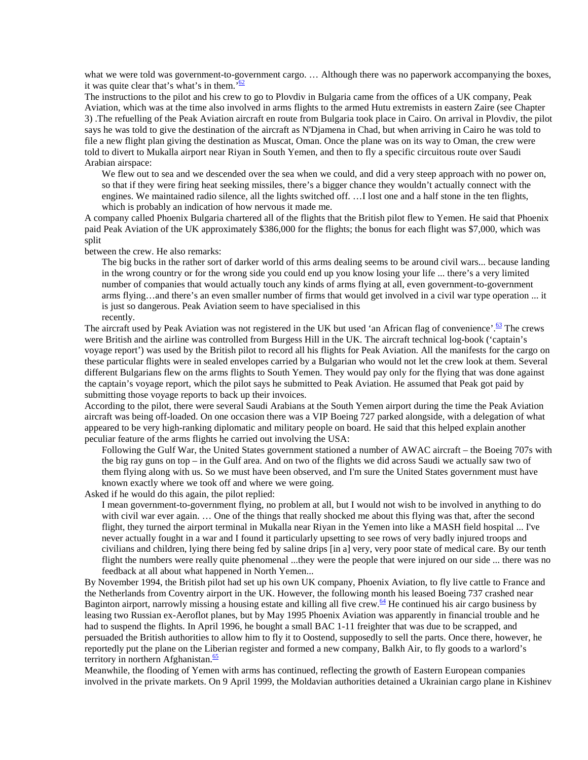what we were told was government-to-government cargo. ... Although there was no paperwork accompanying the boxes, it was quite clear that's what's in them. $\frac{62}{62}$ 

The instructions to the pilot and his crew to go to Plovdiv in Bulgaria came from the offices of a UK company, Peak Aviation, which was at the time also involved in arms flights to the armed Hutu extremists in eastern Zaire (see Chapter 3) .The refuelling of the Peak Aviation aircraft en route from Bulgaria took place in Cairo. On arrival in Plovdiv, the pilot says he was told to give the destination of the aircraft as N'Djamena in Chad, but when arriving in Cairo he was told to file a new flight plan giving the destination as Muscat, Oman. Once the plane was on its way to Oman, the crew were told to divert to Mukalla airport near Riyan in South Yemen, and then to fly a specific circuitous route over Saudi Arabian airspace:

We flew out to sea and we descended over the sea when we could, and did a very steep approach with no power on, so that if they were firing heat seeking missiles, there's a bigger chance they wouldn't actually connect with the engines. We maintained radio silence, all the lights switched off. …I lost one and a half stone in the ten flights, which is probably an indication of how nervous it made me.

A company called Phoenix Bulgaria chartered all of the flights that the British pilot flew to Yemen. He said that Phoenix paid Peak Aviation of the UK approximately \$386,000 for the flights; the bonus for each flight was \$7,000, which was split

between the crew. He also remarks:

The big bucks in the rather sort of darker world of this arms dealing seems to be around civil wars... because landing in the wrong country or for the wrong side you could end up you know losing your life ... there's a very limited number of companies that would actually touch any kinds of arms flying at all, even government-to-government arms flying…and there's an even smaller number of firms that would get involved in a civil war type operation ... it is just so dangerous. Peak Aviation seem to have specialised in this recently.

The aircraft used by Peak Aviation was not registered in the UK but used 'an African flag of convenience'. $\frac{63}{5}$  The crews were British and the airline was controlled from Burgess Hill in the UK. The aircraft technical log-book ('captain's voyage report') was used by the British pilot to record all his flights for Peak Aviation. All the manifests for the cargo on these particular flights were in sealed envelopes carried by a Bulgarian who would not let the crew look at them. Several different Bulgarians flew on the arms flights to South Yemen. They would pay only for the flying that was done against the captain's voyage report, which the pilot says he submitted to Peak Aviation. He assumed that Peak got paid by submitting those voyage reports to back up their invoices.

According to the pilot, there were several Saudi Arabians at the South Yemen airport during the time the Peak Aviation aircraft was being off-loaded. On one occasion there was a VIP Boeing 727 parked alongside, with a delegation of what appeared to be very high-ranking diplomatic and military people on board. He said that this helped explain another peculiar feature of the arms flights he carried out involving the USA:

Following the Gulf War, the United States government stationed a number of AWAC aircraft – the Boeing 707s with the big ray guns on top – in the Gulf area. And on two of the flights we did across Saudi we actually saw two of them flying along with us. So we must have been observed, and I'm sure the United States government must have known exactly where we took off and where we were going.

Asked if he would do this again, the pilot replied:

I mean government-to-government flying, no problem at all, but I would not wish to be involved in anything to do with civil war ever again. … One of the things that really shocked me about this flying was that, after the second flight, they turned the airport terminal in Mukalla near Riyan in the Yemen into like a MASH field hospital ... I've never actually fought in a war and I found it particularly upsetting to see rows of very badly injured troops and civilians and children, lying there being fed by saline drips [in a] very, very poor state of medical care. By our tenth flight the numbers were really quite phenomenal ...they were the people that were injured on our side ... there was no feedback at all about what happened in North Yemen...

By November 1994, the British pilot had set up his own UK company, Phoenix Aviation, to fly live cattle to France and the Netherlands from Coventry airport in the UK. However, the following month his leased Boeing 737 crashed near Baginton airport, narrowly missing a housing estate and killing all five crew. $\frac{64}{1}$  He continued his air cargo business by leasing two Russian ex-Aeroflot planes, but by May 1995 Phoenix Aviation was apparently in financial trouble and he had to suspend the flights. In April 1996, he bought a small BAC 1-11 freighter that was due to be scrapped, and persuaded the British authorities to allow him to fly it to Oostend, supposedly to sell the parts. Once there, however, he reportedly put the plane on the Liberian register and formed a new company, Balkh Air, to fly goods to a warlord's territory in northern Afghanistan. $\frac{65}{6}$ 

Meanwhile, the flooding of Yemen with arms has continued, reflecting the growth of Eastern European companies involved in the private markets. On 9 April 1999, the Moldavian authorities detained a Ukrainian cargo plane in Kishinev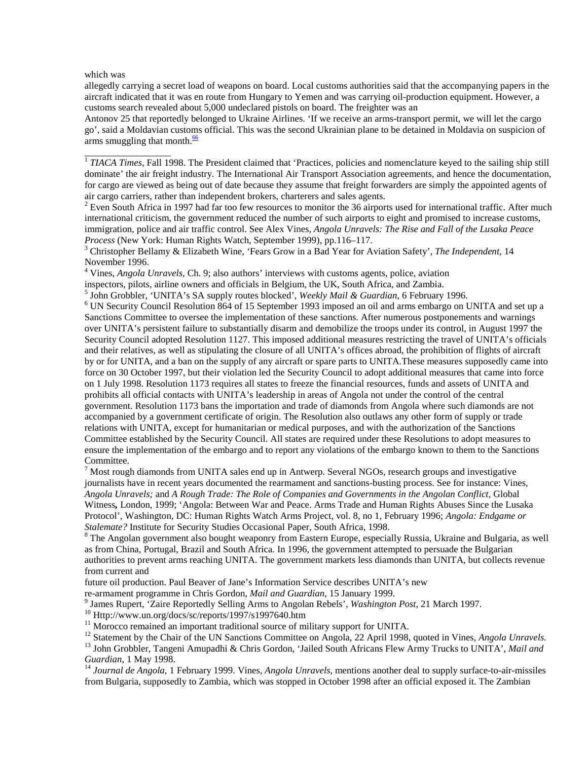which was

\_\_\_\_\_\_\_\_\_\_\_\_\_\_\_\_\_\_

allegedly carrying a secret load of weapons on board. Local customs authorities said that the accompanying papers in the aircraft indicated that it was en route from Hungary to Yemen and was carrying oil-production equipment. However, a customs search revealed about 5,000 undeclared pistols on board. The freighter was an

Antonov 25 that reportedly belonged to Ukraine Airlines. 'If we receive an arms-transport permit, we will let the cargo go', said a Moldavian customs official. This was the second Ukrainian plane to be detained in Moldavia on suspicion of arms smuggling that month. $\frac{66}{6}$ 

<sup>1</sup> TIACA Times, Fall 1998. The President claimed that 'Practices, policies and nomenclature keyed to the sailing ship still dominate' the air freight industry. The International Air Transport Association agreements, and hence the documentation, for cargo are viewed as being out of date because they assume that freight forwarders are simply the appointed agents of air cargo carriers, rather than independent brokers, charterers and sales agents.

 $2$  Even South Africa in 1997 had far too few resources to monitor the 36 airports used for international traffic. After much international criticism, the government reduced the number of such airports to eight and promised to increase customs, immigration, police and air traffic control. See Alex Vines, *Angola Unravels: The Rise and Fall of the Lusaka Peace Process* (New York: Human Rights Watch, September 1999), pp.116–117. <sup>3</sup>

 Christopher Bellamy & Elizabeth Wine, 'Fears Grow in a Bad Year for Aviation Safety', *The Independent*, 14 November 1996.

4 Vines, *Angola Unravels,* Ch. 9; also authors' interviews with customs agents, police, aviation

inspectors, pilots, airline owners and officials in Belgium, the UK, South Africa, and Zambia.

<sup>5</sup> John Grobbler, 'UNITA's SA supply routes blocked', *Weekly Mail & Guardian*, 6 February 1996.

 UN Security Council Resolution 864 of 15 September 1993 imposed an oil and arms embargo on UNITA and set up a Sanctions Committee to oversee the implementation of these sanctions. After numerous postponements and warnings over UNITA's persistent failure to substantially disarm and demobilize the troops under its control, in August 1997 the Security Council adopted Resolution 1127. This imposed additional measures restricting the travel of UNITA's officials and their relatives, as well as stipulating the closure of all UNITA's offices abroad, the prohibition of flights of aircraft by or for UNITA, and a ban on the supply of any aircraft or spare parts to UNITA.These measures supposedly came into force on 30 October 1997, but their violation led the Security Council to adopt additional measures that came into force on 1 July 1998. Resolution 1173 requires all states to freeze the financial resources, funds and assets of UNITA and prohibits all official contacts with UNITA's leadership in areas of Angola not under the control of the central government. Resolution 1173 bans the importation and trade of diamonds from Angola where such diamonds are not accompanied by a government certificate of origin. The Resolution also outlaws any other form of supply or trade relations with UNITA, except for humanitarian or medical purposes, and with the authorization of the Sanctions Committee established by the Security Council. All states are required under these Resolutions to adopt measures to ensure the implementation of the embargo and to report any violations of the embargo known to them to the Sanctions Committee.

 $<sup>7</sup>$  Most rough diamonds from UNITA sales end up in Antwerp. Several NGOs, research groups and investigative</sup> journalists have in recent years documented the rearmament and sanctions-busting process. See for instance: Vines, *Angola Unravels;* and *A Rough Trade: The Role of Companies and Governments in the Angolan Conflict,* Global Witness*,* London, 1999; 'Angola: Between War and Peace. Arms Trade and Human Rights Abuses Since the Lusaka Protocol', Washington, DC: Human Rights Watch Arms Project, vol. 8, no 1, February 1996; *Angola: Endgame or Stalemate?* Institute for Security Studies Occasional Paper, South Africa, 1998.

<sup>8</sup> The Angolan government also bought weaponry from Eastern Europe, especially Russia, Ukraine and Bulgaria, as well as from China, Portugal, Brazil and South Africa. In 1996, the government attempted to persuade the Bulgarian authorities to prevent arms reaching UNITA. The government markets less diamonds than UNITA, but collects revenue from current and

future oil production. Paul Beaver of Jane's Information Service describes UNITA's new

re-armament programme in Chris Gordon, *Mail and Guardian*, 15 January 1999.

<sup>9</sup> James Rupert, 'Zaire Reportedly Selling Arms to Angolan Rebels', *Washington Post*, 21 March 1997.<br><sup>10</sup> Http://www.un.org/docs/sc/reports/1997/s1997640.htm

<sup>11</sup> Morocco remained an important traditional source of military support for UNITA.

<sup>12</sup> Statement by the Chair of the UN Sanctions Committee on Angola, 22 April 1998, quoted in Vines, *Angola Unravels*.<br><sup>13</sup> John Grobbler, Tangeni Amupadhi & Chris Gordon, 'Jailed South Africans Flew Army Trucks to UNITA

<sup>14</sup> Journal de Angola, 1 February 1999. Vines, *Angola Unravels*, mentions another deal to supply surface-to-air-missiles from Bulgaria, supposedly to Zambia, which was stopped in October 1998 after an official exposed it. The Zambian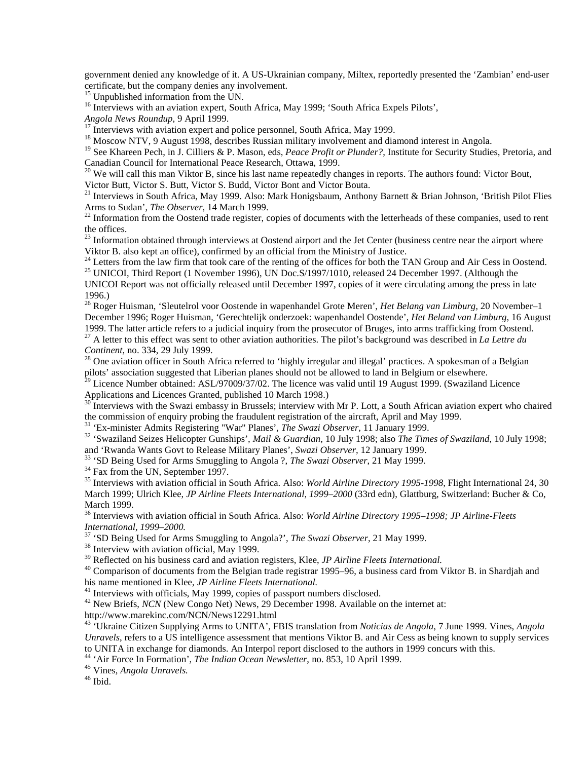government denied any knowledge of it. A US-Ukrainian company, Miltex, reportedly presented the 'Zambian' end-user certificate, but the company denies any involvement.

<sup>15</sup> Unpublished information from the UN.

<sup>16</sup> Interviews with an aviation expert, South Africa, May 1999; 'South Africa Expels Pilots',

*Angola News Roundup*, 9 April 1999.<br><sup>17</sup> Interviews with aviation expert and police personnel, South Africa, May 1999.

<sup>18</sup> Moscow NTV, 9 August 1998, describes Russian military involvement and diamond interest in Angola.

<sup>19</sup> See Khareen Pech, in J. Cilliers & P. Mason, eds, *Peace Profit or Plunder?*, Institute for Security Studies, Pretoria, and Canadian Council for International Peace Research, Ottawa, 1999.

 $20$  We will call this man Viktor B, since his last name repeatedly changes in reports. The authors found: Victor Bout, Victor Butt, Victor S. Butt, Victor S. Budd, Victor Bont and Victor Bouta.

<sup>21</sup> Interviews in South Africa, May 1999. Also: Mark Honigsbaum, Anthony Barnett & Brian Johnson, 'British Pilot Flies Arms to Sudan', *The Observer*, 14 March 1999.<br><sup>22</sup> Information from the Oostend trade register, copies of documents with the letterheads of these companies, used to rent

the offices.

 $^{23}$  Information obtained through interviews at Oostend airport and the Jet Center (business centre near the airport where Viktor B. also kept an office), confirmed by an official from the Ministry of Justice.

<sup>24</sup> Letters from the law firm that took care of the renting of the offices for both the TAN Group and Air Cess in Oostend.

<sup>25</sup> UNICOI, Third Report (1 November 1996), UN Doc. S/1997/1010, released 24 December 1997. (Although the UNICOI Report was not officially released until December 1997, copies of it were circulating among the press in late

1996.)

26 Roger Huisman, 'Sleutelrol voor Oostende in wapenhandel Grote Meren', *Het Belang van Limburg,* 20 November–1 December 1996; Roger Huisman, 'Gerechtelijk onderzoek: wapenhandel Oostende', *Het Beland van Limburg*, 16 August 1999. The latter article refers to a judicial inquiry from the prosecutor of Bruges, into arms trafficking from Oostend. <sup>27</sup> A letter to this effect was sent to other aviation authorities. The pilot's background was described in *La Lettre du* Continent, no. 334, 29 July 1999.

<sup>28</sup> One aviation officer in South Africa referred to 'highly irregular and illegal' practices. A spokesman of a Belgian pilots' association suggested that Liberian planes should not be allowed to land in Belgium or elsewhere.

 $^{29}$  Licence Number obtained: ASL/97009/37/02. The licence was valid until 19 August 1999. (Swaziland Licence Applications and Licences Granted, published 10 March 1998.)

Interviews with the Swazi embassy in Brussels; interview with Mr P. Lott, a South African aviation expert who chaired the commission of enquiry probing the fraudulent registration of the aircraft, April and May 1999.<br><sup>31</sup> 'Ex-minister Admits Registering "War" Planes', *The Swazi Observer*, 11 January 1999.

<sup>32</sup> 'Swaziland Seizes Helicopter Gunships', *Mail & Guardian*, 10 July 1998; also *The Times of Swaziland*, 10 July 1998; and 'Rwanda Wants Govt to Release Military Planes', *Swazi Observer*, 12 January 1999.

<sup>33</sup> 'SD Being Used for Arms Smuggling to Angola ?, *The Swazi Observer*, 21 May 1999. <sup>34</sup> Fax from the UN, September 1997.

35 Interviews with aviation official in South Africa. Also: *World Airline Directory 1995-1998,* Flight International 24, 30 March 1999; Ulrich Klee, *JP Airline Fleets International, 1999–2000* (33rd edn), Glattburg, Switzerland: Bucher & Co, March 1999.

36 Interviews with aviation official in South Africa. Also: *World Airline Directory 1995–1998; JP Airline-Fleets International, 1999–2000.*

<sup>37</sup> 'SD Being Used for Arms Smuggling to Angola?', *The Swazi Observer*, 21 May 1999.<br><sup>38</sup> Interview with aviation official, May 1999.<br><sup>39</sup> Reflected on his business card and aviation registers, Klee, *JP Airline Fleets I* 

<sup>40</sup> Comparison of documents from the Belgian trade registrar 1995–96, a business card from Viktor B. in Shardjah and his name mentioned in Klee, *JP Airline Fleets International*.

<sup>41</sup> Interviews with officials, May 1999, copies of passport numbers disclosed.

<sup>42</sup> New Briefs, *NCN* (New Congo Net) News, 29 December 1998. Available on the internet at:

http://www.marekinc.com/NCN/News12291.html

43 'Ukraine Citizen Supplying Arms to UNITA', FBIS translation from *Noticias de Angola*, 7 June 1999. Vines, *Angola Unravels*, refers to a US intelligence assessment that mentions Viktor B. and Air Cess as being known to supply services to UNITA in exchange for diamonds. An Interpol report disclosed to the authors in 1999 concurs with this.

44 'Air Force In Formation', *The Indian Ocean Newsletter*, no. 853, 10 April 1999. 45 Vines, *Angola Unravels.* 46 Ibid.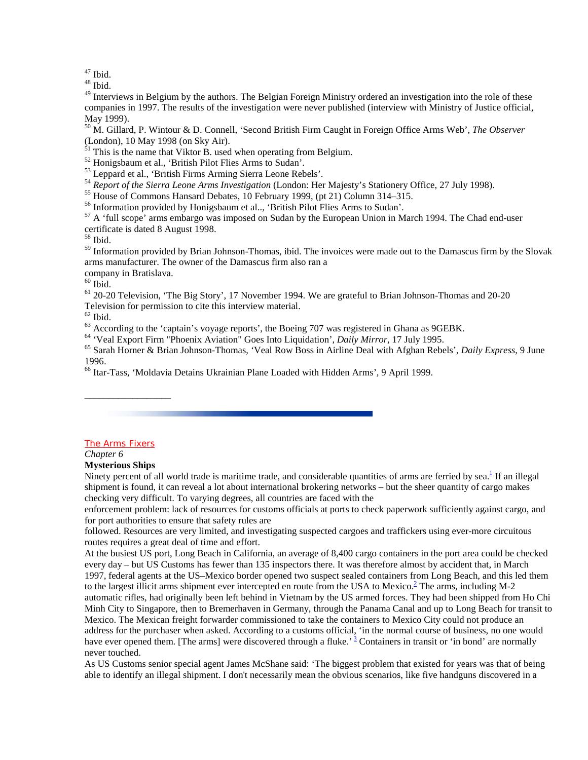$47$  Ibid.

 $^{48}$  Ibid.

 $49$  Interviews in Belgium by the authors. The Belgian Foreign Ministry ordered an investigation into the role of these companies in 1997. The results of the investigation were never published (interview with Ministry of Justice official, May 1999).

50 M. Gillard, P. Wintour & D. Connell, 'Second British Firm Caught in Foreign Office Arms Web', *The Observer* (London), 10 May 1998 (on Sky Air).

 $51$  This is the name that Viktor B. used when operating from Belgium.

52 Honigsbaum et al., 'British Pilot Flies Arms to Sudan'.

53 Leppard et al., 'British Firms Arming Sierra Leone Rebels'.

<sup>54</sup> *Report of the Sierra Leone Arms Investigation* (London: Her Majesty's Stationery Office, 27 July 1998).<br><sup>55</sup> House of Commons Hansard Debates, 10 February 1999, (pt 21) Column 314–315.

56 Information provided by Honigsbaum et al.., 'British Pilot Flies Arms to Sudan'.

<sup>57</sup> A 'full scope' arms embargo was imposed on Sudan by the European Union in March 1994. The Chad end-user certificate is dated 8 August 1998.

58 Ibid.

<sup>59</sup> Information provided by Brian Johnson-Thomas, ibid. The invoices were made out to the Damascus firm by the Slovak arms manufacturer. The owner of the Damascus firm also ran a

company in Bratislava.

 $60$  Ibid.

<sup>61</sup> 20-20 Television, 'The Big Story', 17 November 1994. We are grateful to Brian Johnson-Thomas and 20-20 Television for permission to cite this interview material.

 $62$  Ibid.

 $^{63}$  According to the 'captain's voyage reports', the Boeing 707 was registered in Ghana as 9GEBK.<br> $^{64}$  'Veal Export Firm "Phoenix Aviation" Goes Into Liquidation', *Daily Mirror*, 17 July 1995.

<sup>65</sup> Sarah Horner & Brian Johnson-Thomas, 'Veal Row Boss in Airline Deal with Afghan Rebels', *Daily Express*, 9 June 1996.

66 Itar-Tass, 'Moldavia Detains Ukrainian Plane Loaded with Hidden Arms', 9 April 1999.

#### The Arms Fixers

\_\_\_\_\_\_\_\_\_\_\_\_\_\_\_\_\_\_

#### *Chapter 6*

#### **Mysterious Ships**

Ninety percent of all world trade is maritime trade, and considerable quantities of arms are ferried by sea. ${}^{1}$  If an illegal shipment is found, it can reveal a lot about international brokering networks – but the sheer quantity of cargo makes checking very difficult. To varying degrees, all countries are faced with the

enforcement problem: lack of resources for customs officials at ports to check paperwork sufficiently against cargo, and for port authorities to ensure that safety rules are

followed. Resources are very limited, and investigating suspected cargoes and traffickers using ever-more circuitous routes requires a great deal of time and effort.

At the busiest US port, Long Beach in California, an average of 8,400 cargo containers in the port area could be checked every day – but US Customs has fewer than 135 inspectors there. It was therefore almost by accident that, in March 1997, federal agents at the US–Mexico border opened two suspect sealed containers from Long Beach, and this led them to the largest illicit arms shipment ever intercepted en route from the USA to Mexico. $\frac{2}{\epsilon}$  The arms, including M-2 automatic rifles, had originally been left behind in Vietnam by the US armed forces. They had been shipped from Ho Chi Minh City to Singapore, then to Bremerhaven in Germany, through the Panama Canal and up to Long Beach for transit to Mexico. The Mexican freight forwarder commissioned to take the containers to Mexico City could not produce an address for the purchaser when asked. According to a customs official, 'in the normal course of business, no one would have ever opened them. [The arms] were discovered through a fluke.<sup>3</sup> Containers in transit or 'in bond' are normally never touched.

As US Customs senior special agent James McShane said: 'The biggest problem that existed for years was that of being able to identify an illegal shipment. I don't necessarily mean the obvious scenarios, like five handguns discovered in a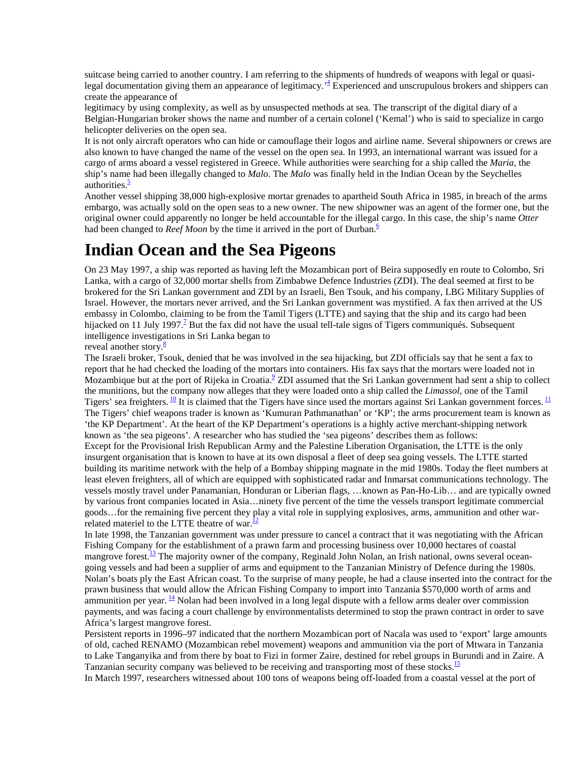suitcase being carried to another country. I am referring to the shipments of hundreds of weapons with legal or quasilegal documentation giving them an appearance of legitimacy.<sup>4</sup> Experienced and unscrupulous brokers and shippers can create the appearance of

legitimacy by using complexity, as well as by unsuspected methods at sea. The transcript of the digital diary of a Belgian-Hungarian broker shows the name and number of a certain colonel ('Kemal') who is said to specialize in cargo helicopter deliveries on the open sea.

It is not only aircraft operators who can hide or camouflage their logos and airline name. Several shipowners or crews are also known to have changed the name of the vessel on the open sea. In 1993, an international warrant was issued for a cargo of arms aboard a vessel registered in Greece. While authorities were searching for a ship called the *Maria*, the ship's name had been illegally changed to *Malo*. The *Malo* was finally held in the Indian Ocean by the Seychelles authorities. $\frac{5}{5}$ 

Another vessel shipping 38,000 high-explosive mortar grenades to apartheid South Africa in 1985, in breach of the arms embargo, was actually sold on the open seas to a new owner. The new shipowner was an agent of the former one, but the original owner could apparently no longer be held accountable for the illegal cargo. In this case, the ship's name *Otter* had been changed to *Reef Moon* by the time it arrived in the port of Durban.<sup>6</sup>

## **Indian Ocean and the Sea Pigeons**

On 23 May 1997, a ship was reported as having left the Mozambican port of Beira supposedly en route to Colombo, Sri Lanka, with a cargo of 32,000 mortar shells from Zimbabwe Defence Industries (ZDI). The deal seemed at first to be brokered for the Sri Lankan government and ZDI by an Israeli, Ben Tsouk, and his company, LBG Military Supplies of Israel. However, the mortars never arrived, and the Sri Lankan government was mystified. A fax then arrived at the US embassy in Colombo, claiming to be from the Tamil Tigers (LTTE) and saying that the ship and its cargo had been hijacked on 11 July 1997.<sup>7</sup> But the fax did not have the usual tell-tale signs of Tigers communiqués. Subsequent intelligence investigations in Sri Lanka began to

reveal another story. $\frac{8}{3}$ 

The Israeli broker, Tsouk, denied that he was involved in the sea hijacking, but ZDI officials say that he sent a fax to report that he had checked the loading of the mortars into containers. His fax says that the mortars were loaded not in Mozambique but at the port of Rijeka in Croatia. $^2$  ZDI assumed that the Sri Lankan government had sent a ship to collect the munitions, but the company now alleges that they were loaded onto a ship called the *Limassol,* one of the Tamil Tigers' sea freighters.  $\frac{10}{1}$  It is claimed that the Tigers have since used the mortars against Sri Lankan government forces.  $\frac{11}{1}$ The Tigers' chief weapons trader is known as 'Kumuran Pathmanathan' or 'KP'; the arms procurement team is known as 'the KP Department'. At the heart of the KP Department's operations is a highly active merchant-shipping network known as 'the sea pigeons'. A researcher who has studied the 'sea pigeons' describes them as follows: Except for the Provisional Irish Republican Army and the Palestine Liberation Organisation, the LTTE is the only insurgent organisation that is known to have at its own disposal a fleet of deep sea going vessels. The LTTE started building its maritime network with the help of a Bombay shipping magnate in the mid 1980s. Today the fleet numbers at least eleven freighters, all of which are equipped with sophisticated radar and Inmarsat communications technology. The vessels mostly travel under Panamanian, Honduran or Liberian flags, …known as Pan-Ho-Lib… and are typically owned by various front companies located in Asia…ninety five percent of the time the vessels transport legitimate commercial goods…for the remaining five percent they play a vital role in supplying explosives, arms, ammunition and other warrelated materiel to the LTTE theatre of war. $\frac{12}{2}$ 

In late 1998, the Tanzanian government was under pressure to cancel a contract that it was negotiating with the African Fishing Company for the establishment of a prawn farm and processing business over 10,000 hectares of coastal mangrove forest.<sup>13</sup> The majority owner of the company, Reginald John Nolan, an Irish national, owns several oceangoing vessels and had been a supplier of arms and equipment to the Tanzanian Ministry of Defence during the 1980s. Nolan's boats ply the East African coast. To the surprise of many people, he had a clause inserted into the contract for the prawn business that would allow the African Fishing Company to import into Tanzania \$570,000 worth of arms and ammunition per year.  $\frac{14}{14}$  Nolan had been involved in a long legal dispute with a fellow arms dealer over commission payments, and was facing a court challenge by environmentalists determined to stop the prawn contract in order to save Africa's largest mangrove forest.

Persistent reports in 1996–97 indicated that the northern Mozambican port of Nacala was used to 'export' large amounts of old, cached RENAMO (Mozambican rebel movement) weapons and ammunition via the port of Mtwara in Tanzania to Lake Tanganyika and from there by boat to Fizi in former Zaire, destined for rebel groups in Burundi and in Zaire. A Tanzanian security company was believed to be receiving and transporting most of these stocks.<sup>15</sup>

In March 1997, researchers witnessed about 100 tons of weapons being off-loaded from a coastal vessel at the port of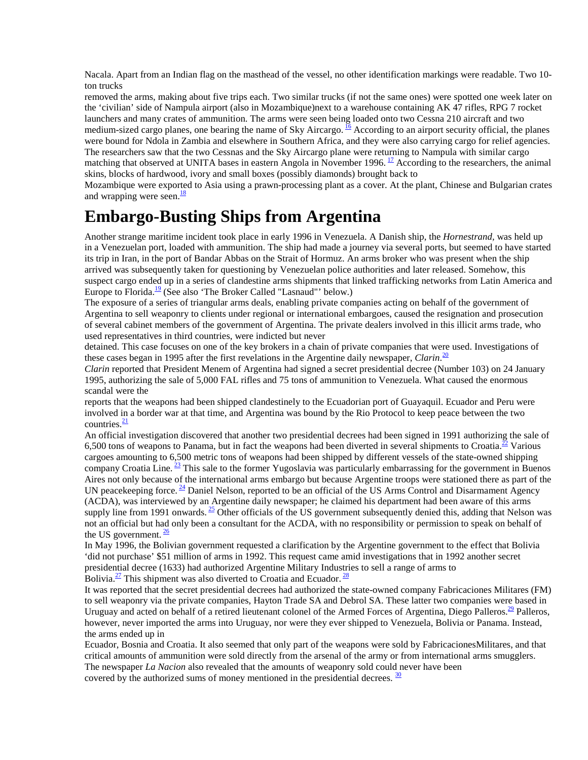Nacala. Apart from an Indian flag on the masthead of the vessel, no other identification markings were readable. Two 10 ton trucks

removed the arms, making about five trips each. Two similar trucks (if not the same ones) were spotted one week later on the 'civilian' side of Nampula airport (also in Mozambique)next to a warehouse containing AK 47 rifles, RPG 7 rocket launchers and many crates of ammunition. The arms were seen being loaded onto two Cessna 210 aircraft and two medium-sized cargo planes, one bearing the name of Sky Aircargo.  $^{16}$  According to an airport security official, the planes were bound for Ndola in Zambia and elsewhere in Southern Africa, and they were also carrying cargo for relief agencies. The researchers saw that the two Cessnas and the Sky Aircargo plane were returning to Nampula with similar cargo matching that observed at UNITA bases in eastern Angola in November 1996.<sup>17</sup> According to the researchers, the animal skins, blocks of hardwood, ivory and small boxes (possibly diamonds) brought back to

Mozambique were exported to Asia using a prawn-processing plant as a cover. At the plant, Chinese and Bulgarian crates and wrapping were seen. $\frac{18}{18}$ 

### **Embargo-Busting Ships from Argentina**

Another strange maritime incident took place in early 1996 in Venezuela. A Danish ship, the *Hornestrand,* was held up in a Venezuelan port, loaded with ammunition. The ship had made a journey via several ports, but seemed to have started its trip in Iran, in the port of Bandar Abbas on the Strait of Hormuz. An arms broker who was present when the ship arrived was subsequently taken for questioning by Venezuelan police authorities and later released. Somehow, this suspect cargo ended up in a series of clandestine arms shipments that linked trafficking networks from Latin America and Europe to Florida.<sup>19</sup> (See also 'The Broker Called "Lasnaud"' below.)

The exposure of a series of triangular arms deals, enabling private companies acting on behalf of the government of Argentina to sell weaponry to clients under regional or international embargoes, caused the resignation and prosecution of several cabinet members of the government of Argentina. The private dealers involved in this illicit arms trade, who used representatives in third countries, were indicted but never

detained. This case focuses on one of the key brokers in a chain of private companies that were used. Investigations of these cases began in 1995 after the first revelations in the Argentine daily newspaper, *Clarin*. 20

*Clarin* reported that President Menem of Argentina had signed a secret presidential decree (Number 103) on 24 January 1995, authorizing the sale of 5,000 FAL rifles and 75 tons of ammunition to Venezuela. What caused the enormous scandal were the

reports that the weapons had been shipped clandestinely to the Ecuadorian port of Guayaquil. Ecuador and Peru were involved in a border war at that time, and Argentina was bound by the Rio Protocol to keep peace between the two countries. $\frac{21}{2}$ 

An official investigation discovered that another two presidential decrees had been signed in 1991 authorizing the sale of 6,500 tons of weapons to Panama, but in fact the weapons had been diverted in several shipments to Croatia. $\frac{22}{1}$  Various cargoes amounting to 6,500 metric tons of weapons had been shipped by different vessels of the state-owned shipping company Croatia Line.  $\frac{23}{5}$  This sale to the former Yugoslavia was particularly embarrassing for the government in Buenos Aires not only because of the international arms embargo but because Argentine troops were stationed there as part of the UN peacekeeping force.  $^{24}$  Daniel Nelson, reported to be an official of the US Arms Control and Disarmament Agency (ACDA), was interviewed by an Argentine daily newspaper; he claimed his department had been aware of this arms supply line from 1991 onwards.  $^{25}$  Other officials of the US government subsequently denied this, adding that Nelson was not an official but had only been a consultant for the ACDA, with no responsibility or permission to speak on behalf of the US government.  $\frac{26}{2}$ 

In May 1996, the Bolivian government requested a clarification by the Argentine government to the effect that Bolivia 'did not purchase' \$51 million of arms in 1992. This request came amid investigations that in 1992 another secret presidential decree (1633) had authorized Argentine Military Industries to sell a range of arms to Bolivia.<sup>27</sup> This shipment was also diverted to Croatia and Ecuador.<sup>28</sup>

It was reported that the secret presidential decrees had authorized the state-owned company Fabricaciones Militares (FM) to sell weaponry via the private companies, Hayton Trade SA and Debrol SA. These latter two companies were based in Uruguay and acted on behalf of a retired lieutenant colonel of the Armed Forces of Argentina, Diego Palleros.<sup>29</sup> Palleros, however, never imported the arms into Uruguay, nor were they ever shipped to Venezuela, Bolivia or Panama. Instead, the arms ended up in

Ecuador, Bosnia and Croatia. It also seemed that only part of the weapons were sold by FabricacionesMilitares, and that critical amounts of ammunition were sold directly from the arsenal of the army or from international arms smugglers. The newspaper *La Nacion* also revealed that the amounts of weaponry sold could never have been covered by the authorized sums of money mentioned in the presidential decrees.  $\frac{30}{2}$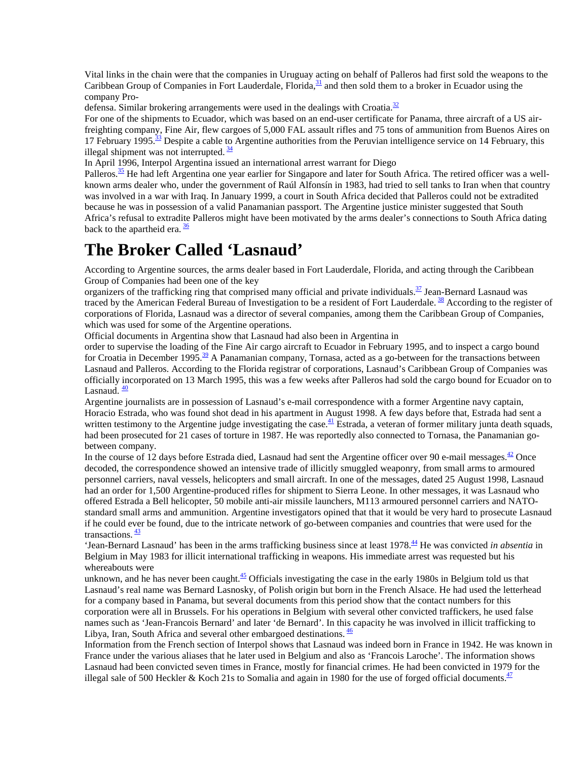Vital links in the chain were that the companies in Uruguay acting on behalf of Palleros had first sold the weapons to the Caribbean Group of Companies in Fort Lauderdale, Florida,  $31$  and then sold them to a broker in Ecuador using the company Pro-

defensa. Similar brokering arrangements were used in the dealings with Croatia.<sup>32</sup>

For one of the shipments to Ecuador, which was based on an end-user certificate for Panama, three aircraft of a US airfreighting company, Fine Air, flew cargoes of 5,000 FAL assault rifles and 75 tons of ammunition from Buenos Aires on 17 February 1995.<sup>33</sup> Despite a cable to Argentine authorities from the Peruvian intelligence service on 14 February, this illegal shipment was not interrupted.  $\frac{34}{3}$ 

In April 1996, Interpol Argentina issued an international arrest warrant for Diego

Palleros.<sup>35</sup> He had left Argentina one year earlier for Singapore and later for South Africa. The retired officer was a wellknown arms dealer who, under the government of Raúl Alfonsín in 1983, had tried to sell tanks to Iran when that country was involved in a war with Iraq. In January 1999, a court in South Africa decided that Palleros could not be extradited because he was in possession of a valid Panamanian passport. The Argentine justice minister suggested that South Africa's refusal to extradite Palleros might have been motivated by the arms dealer's connections to South Africa dating back to the apartheid era.  $\frac{36}{3}$ 

#### **The Broker Called 'Lasnaud'**

According to Argentine sources, the arms dealer based in Fort Lauderdale, Florida, and acting through the Caribbean Group of Companies had been one of the key

organizers of the trafficking ring that comprised many official and private individuals.<sup>37</sup> Jean-Bernard Lasnaud was traced by the American Federal Bureau of Investigation to be a resident of Fort Lauderdale. <sup>38</sup> According to the register of corporations of Florida, Lasnaud was a director of several companies, among them the Caribbean Group of Companies, which was used for some of the Argentine operations.

Official documents in Argentina show that Lasnaud had also been in Argentina in

order to supervise the loading of the Fine Air cargo aircraft to Ecuador in February 1995, and to inspect a cargo bound for Croatia in December 1995.<sup>39</sup> A Panamanian company, Tornasa, acted as a go-between for the transactions between Lasnaud and Palleros. According to the Florida registrar of corporations, Lasnaud's Caribbean Group of Companies was officially incorporated on 13 March 1995, this was a few weeks after Palleros had sold the cargo bound for Ecuador on to Lasnaud.  $\frac{40}{1}$ 

Argentine journalists are in possession of Lasnaud's e-mail correspondence with a former Argentine navy captain, Horacio Estrada, who was found shot dead in his apartment in August 1998. A few days before that, Estrada had sent a written testimony to the Argentine judge investigating the case.<sup>41</sup> Estrada, a veteran of former military junta death squads, had been prosecuted for 21 cases of torture in 1987. He was reportedly also connected to Tornasa, the Panamanian gobetween company.

In the course of 12 days before Estrada died, Lasnaud had sent the Argentine officer over 90 e-mail messages. $\frac{42}{2}$  Once decoded, the correspondence showed an intensive trade of illicitly smuggled weaponry, from small arms to armoured personnel carriers, naval vessels, helicopters and small aircraft. In one of the messages, dated 25 August 1998, Lasnaud had an order for 1,500 Argentine-produced rifles for shipment to Sierra Leone. In other messages, it was Lasnaud who offered Estrada a Bell helicopter, 50 mobile anti-air missile launchers, M113 armoured personnel carriers and NATOstandard small arms and ammunition. Argentine investigators opined that that it would be very hard to prosecute Lasnaud if he could ever be found, due to the intricate network of go-between companies and countries that were used for the transactions.  $\frac{43}{5}$ 

'Jean-Bernard Lasnaud' has been in the arms trafficking business since at least 1978.44 He was convicted *in absentia* in Belgium in May 1983 for illicit international trafficking in weapons. His immediate arrest was requested but his whereabouts were

unknown, and he has never been caught. $\frac{45}{5}$  Officials investigating the case in the early 1980s in Belgium told us that Lasnaud's real name was Bernard Lasnosky, of Polish origin but born in the French Alsace. He had used the letterhead for a company based in Panama, but several documents from this period show that the contact numbers for this corporation were all in Brussels. For his operations in Belgium with several other convicted traffickers, he used false names such as 'Jean-Francois Bernard' and later 'de Bernard'. In this capacity he was involved in illicit trafficking to Libya, Iran, South Africa and several other embargoed destinations.  $\frac{46}{5}$ 

Information from the French section of Interpol shows that Lasnaud was indeed born in France in 1942. He was known in France under the various aliases that he later used in Belgium and also as 'Francois Laroche'. The information shows Lasnaud had been convicted seven times in France, mostly for financial crimes. He had been convicted in 1979 for the illegal sale of 500 Heckler & Koch 21s to Somalia and again in 1980 for the use of forged official documents. $\frac{47}{10}$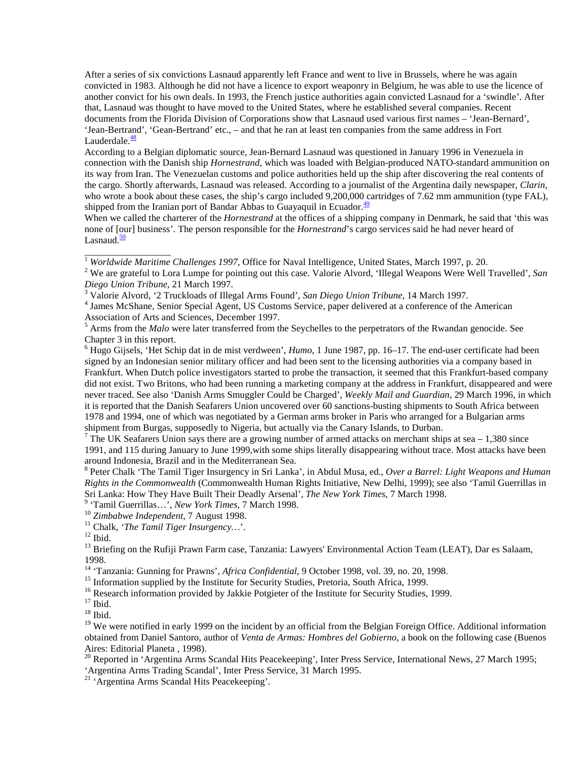After a series of six convictions Lasnaud apparently left France and went to live in Brussels, where he was again convicted in 1983. Although he did not have a licence to export weaponry in Belgium, he was able to use the licence of another convict for his own deals. In 1993, the French justice authorities again convicted Lasnaud for a 'swindle'. After that, Lasnaud was thought to have moved to the United States, where he established several companies. Recent documents from the Florida Division of Corporations show that Lasnaud used various first names – 'Jean-Bernard', 'Jean-Bertrand', 'Gean-Bertrand' etc., – and that he ran at least ten companies from the same address in Fort Lauderdale. $\frac{48}{3}$ 

According to a Belgian diplomatic source, Jean-Bernard Lasnaud was questioned in January 1996 in Venezuela in connection with the Danish ship *Hornestrand*, which was loaded with Belgian-produced NATO-standard ammunition on its way from Iran. The Venezuelan customs and police authorities held up the ship after discovering the real contents of the cargo. Shortly afterwards, Lasnaud was released. According to a journalist of the Argentina daily newspaper, *Clarin*, who wrote a book about these cases, the ship's cargo included 9,200,000 cartridges of 7.62 mm ammunition (type FAL), shipped from the Iranian port of Bandar Abbas to Guayaquil in Ecuador. $\frac{49}{49}$ 

When we called the charterer of the *Hornestrand* at the offices of a shipping company in Denmark, he said that 'this was none of [our] business'. The person responsible for the *Hornestrand*'s cargo services said he had never heard of Lasnaud. $\frac{50}{2}$ 

<sup>1</sup> *Worldwide Maritime Challenges 1997*, Office for Naval Intelligence, United States, March 1997, p. 20. <sup>2</sup> *We are grateful to Lere Lymne for pointing out this gase Veloria Alverd 'Illegel Wenners Ware Well* 

 We are grateful to Lora Lumpe for pointing out this case. Valorie Alvord, 'Illegal Weapons Were Well Travelled', *San Diego Union Tribune*, 21 March 1997. <sup>3</sup>

Valorie Alvord, '2 Truckloads of Illegal Arms Found', *San Diego Union Tribune*, 14 March 1997. <sup>4</sup>

<sup>4</sup> James McShane, Senior Special Agent, US Customs Service, paper delivered at a conference of the American Association of Arts and Sciences, December 1997.

<sup>5</sup> Arms from the *Malo* were later transferred from the Seychelles to the perpetrators of the Rwandan genocide. See Chapter 3 in this report.

<sup>6</sup> Hugo Gijsels, 'Het Schip dat in de mist verdween', *Humo*, 1 June 1987, pp. 16–17. The end-user certificate had been signed by an Indonesian senior military officer and had been sent to the licensing authorities via a company based in Frankfurt. When Dutch police investigators started to probe the transaction, it seemed that this Frankfurt-based company did not exist. Two Britons, who had been running a marketing company at the address in Frankfurt, disappeared and were never traced. See also 'Danish Arms Smuggler Could be Charged', *Weekly Mail and Guardian*, 29 March 1996, in which it is reported that the Danish Seafarers Union uncovered over 60 sanctions-busting shipments to South Africa between 1978 and 1994, one of which was negotiated by a German arms broker in Paris who arranged for a Bulgarian arms shipment from Burgas, supposedly to Nigeria, but actually via the Canary Islands, to Durban.

<sup>7</sup> The UK Seafarers Union says there are a growing number of armed attacks on merchant ships at sea  $-1,380$  since 1991, and 115 during January to June 1999,with some ships literally disappearing without trace. Most attacks have been around Indonesia, Brazil and in the Mediterranean Sea.

8 Peter Chalk 'The Tamil Tiger Insurgency in Sri Lanka', in Abdul Musa, ed., *Over a Barrel: Light Weapons and Human Rights in the Commonwealth* (Commonwealth Human Rights Initiative, New Delhi, 1999); see also 'Tamil Guerrillas in Sri Lanka: How They Have Built Their Deadly Arsenal', *The New York Times*, 7 March 1998.<br><sup>9</sup> 'Tamil Guarrillas, *Naw York Times*, 7 March 1998.

<sup>9</sup> 'Tamil Guerrillas...', *New York Times*, 7 March 1998.<br><sup>10</sup> *Zimbabwe Independent*, 7 August 1998.<br><sup>11</sup> Chalk, *'The Tamil Tiger Insurgency*...'.<br><sup>12</sup> Ibid.

\_\_\_\_\_\_\_\_\_\_\_\_\_\_\_\_\_\_

<sup>13</sup> Briefing on the Rufiji Prawn Farm case, Tanzania: Lawyers' Environmental Action Team (LEAT), Dar es Salaam,

1998.<br><sup>14</sup> 'Tanzania: Gunning for Prawns', *Africa Confidential*, 9 October 1998, vol. 39, no. 20, 1998.

<sup>15</sup> Information supplied by the Institute for Security Studies, Pretoria, South Africa, 1999.

<sup>16</sup> Research information provided by Jakkie Potgieter of the Institute for Security Studies, 1999.

 $17$  Ibid.

 $18$  Ibid.

<sup>19</sup> We were notified in early 1999 on the incident by an official from the Belgian Foreign Office. Additional information obtained from Daniel Santoro, author of *Venta de Armas: Hombres del Gobierno*, a book on the following case (Buenos Aires: Editorial Planeta , 1998).

 $20$  Reported in 'Argentina Arms Scandal Hits Peacekeeping', Inter Press Service, International News, 27 March 1995; 'Argentina Arms Trading Scandal', Inter Press Service, 31 March 1995.

21 'Argentina Arms Scandal Hits Peacekeeping'.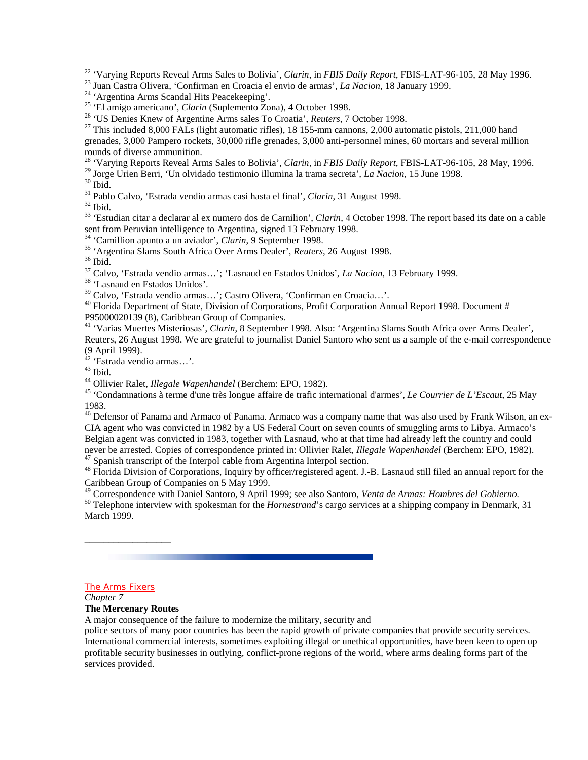<sup>22</sup> 'Varying Reports Reveal Arms Sales to Bolivia', *Clarin*, in *FBIS Daily Report*, *FBIS-LAT-96-105*, 28 May 1996.<br><sup>23</sup> Juan Castra Olivera, 'Confirman en Croacia el envio de armas', *La Nacion*, 18 January 1999.<br><sup>24</sup>

<sup>26</sup> 'US Denies Knew of Argentine Arms sales To Croatia', *Reuters*, 7 October 1998.<br><sup>27</sup> This included 8,000 FALs (light automatic rifles), 18 155-mm cannons, 2,000 automatic pistols, 211,000 hand grenades, 3,000 Pampero rockets, 30,000 rifle grenades, 3,000 anti-personnel mines, 60 mortars and several million rounds of diverse ammunition.

<sup>28</sup> 'Varying Reports Reveal Arms Sales to Bolivia', *Clarin*, in *FBIS Daily Report*, FBIS-LAT-96-105, 28 May, 1996.<br><sup>29</sup> Jorge Urien Berri, 'Un olvidado testimonio illumina la trama secreta', *La Nacion*, 15 June 1998.<br>

<sup>31</sup> Pablo Calvo, 'Estrada vendio armas casi hasta el final', *Clarin*, 31 August 1998.<br><sup>32</sup> Ibid.

33 'Estudian citar a declarar al ex numero dos de Carnilion', *Clarin*, 4 October 1998. The report based its date on a cable sent from Peruvian intelligence to Argentina, signed 13 February 1998.<br><sup>34</sup> 'Camillion apunto a un aviador', *Clarin*, 9 September 1998.

34 'Camillion apunto a un aviador', *Clarin*, 9 September 1998. 35 'Argentina Slams South Africa Over Arms Dealer', *Reuters*, 26 August 1998. 36 Ibid.

37 Calvo, 'Estrada vendio armas…'; 'Lasnaud en Estados Unidos', *La Nacion*, 13 February 1999. 38 'Lasnaud en Estados Unidos'.

39 Calvo, 'Estrada vendio armas…'; Castro Olivera, 'Confirman en Croacia…'.

<sup>40</sup> Florida Department of State, Division of Corporations, Profit Corporation Annual Report 1998. Document # P95000020139 (8), Caribbean Group of Companies.

41 'Varias Muertes Misteriosas', *Clarin*, 8 September 1998. Also: 'Argentina Slams South Africa over Arms Dealer', Reuters, 26 August 1998. We are grateful to journalist Daniel Santoro who sent us a sample of the e-mail correspondence (9 April 1999).

42 'Estrada vendio armas…'.

<sup>43</sup> Ibid.<br><sup>44</sup> Ollivier Ralet, *Illegale Wapenhandel* (Berchem: EPO, 1982).

<sup>45</sup> 'Condamnations à terme d'une très longue affaire de trafic international d'armes', *Le Courrier de L'Escaut*, 25 May 1983.

<sup>46</sup> Defensor of Panama and Armaco of Panama. Armaco was a company name that was also used by Frank Wilson, an ex-CIA agent who was convicted in 1982 by a US Federal Court on seven counts of smuggling arms to Libya. Armaco's Belgian agent was convicted in 1983, together with Lasnaud, who at that time had already left the country and could never be arrested. Copies of correspondence printed in: Ollivier Ralet, *Illegale Wapenhandel* (Berchem: EPO, 1982).<br><sup>47</sup> Spanish transcript of the Interpol cable from Argentina Interpol section.

48 Florida Division of Corporations, Inquiry by officer/registered agent. J.-B. Lasnaud still filed an annual report for the Caribbean Group of Companies on 5 May 1999.<br><sup>49</sup> Correspondence with Daniel Santoro, 9 April 1999; see also Santoro, Venta de Armas: Hombres del Gobierno.

 $50$  Telephone interview with spokesman for the *Hornestrand*'s cargo services at a shipping company in Denmark, 31 March 1999.

#### The Arms Fixers

\_\_\_\_\_\_\_\_\_\_\_\_\_\_\_\_\_\_

*Chapter 7*

#### **The Mercenary Routes**

A major consequence of the failure to modernize the military, security and

police sectors of many poor countries has been the rapid growth of private companies that provide security services. International commercial interests, sometimes exploiting illegal or unethical opportunities, have been keen to open up profitable security businesses in outlying, conflict-prone regions of the world, where arms dealing forms part of the services provided.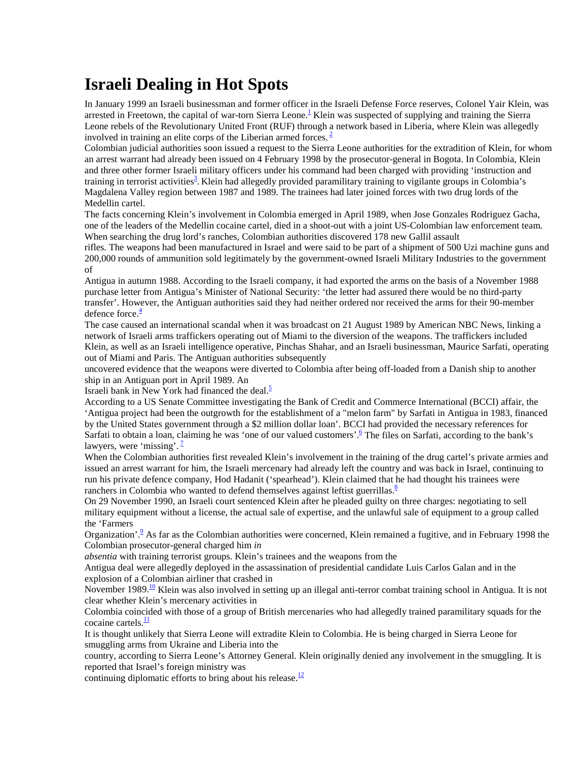## **Israeli Dealing in Hot Spots**

In January 1999 an Israeli businessman and former officer in the Israeli Defense Force reserves, Colonel Yair Klein, was arrested in Freetown, the capital of war-torn Sierra Leone.<sup>1</sup> Klein was suspected of supplying and training the Sierra Leone rebels of the Revolutionary United Front (RUF) through a network based in Liberia, where Klein was allegedly involved in training an elite corps of the Liberian armed forces.<sup>2</sup>

Colombian judicial authorities soon issued a request to the Sierra Leone authorities for the extradition of Klein, for whom an arrest warrant had already been issued on 4 February 1998 by the prosecutor-general in Bogota. In Colombia, Klein and three other former Israeli military officers under his command had been charged with providing 'instruction and training in terrorist activities<sup>3</sup>. Klein had allegedly provided paramilitary training to vigilante groups in Colombia's Magdalena Valley region between 1987 and 1989. The trainees had later joined forces with two drug lords of the Medellin cartel.

The facts concerning Klein's involvement in Colombia emerged in April 1989, when Jose Gonzales Rodriguez Gacha, one of the leaders of the Medellin cocaine cartel, died in a shoot-out with a joint US-Colombian law enforcement team. When searching the drug lord's ranches, Colombian authorities discovered 178 new Gallil assault

rifles. The weapons had been manufactured in Israel and were said to be part of a shipment of 500 Uzi machine guns and 200,000 rounds of ammunition sold legitimately by the government-owned Israeli Military Industries to the government of

Antigua in autumn 1988. According to the Israeli company, it had exported the arms on the basis of a November 1988 purchase letter from Antigua's Minister of National Security: 'the letter had assured there would be no third-party transfer'. However, the Antiguan authorities said they had neither ordered nor received the arms for their 90-member defence force. $\frac{4}{1}$ 

The case caused an international scandal when it was broadcast on 21 August 1989 by American NBC News, linking a network of Israeli arms traffickers operating out of Miami to the diversion of the weapons. The traffickers included Klein, as well as an Israeli intelligence operative, Pinchas Shahar, and an Israeli businessman, Maurice Sarfati, operating out of Miami and Paris. The Antiguan authorities subsequently

uncovered evidence that the weapons were diverted to Colombia after being off-loaded from a Danish ship to another ship in an Antiguan port in April 1989. An

Israeli bank in New York had financed the deal. $\frac{5}{5}$ 

According to a US Senate Committee investigating the Bank of Credit and Commerce International (BCCI) affair, the 'Antigua project had been the outgrowth for the establishment of a "melon farm" by Sarfati in Antigua in 1983, financed by the United States government through a \$2 million dollar loan'. BCCI had provided the necessary references for Sarfati to obtain a loan, claiming he was 'one of our valued customers'.<sup>6</sup> The files on Sarfati, according to the bank's lawyers, were 'missing'.  $\frac{7}{2}$ 

When the Colombian authorities first revealed Klein's involvement in the training of the drug cartel's private armies and issued an arrest warrant for him, the Israeli mercenary had already left the country and was back in Israel, continuing to run his private defence company, Hod Hadanit ('spearhead'). Klein claimed that he had thought his trainees were ranchers in Colombia who wanted to defend themselves against leftist guerrillas.<sup>8</sup>

On 29 November 1990, an Israeli court sentenced Klein after he pleaded guilty on three charges: negotiating to sell military equipment without a license, the actual sale of expertise, and the unlawful sale of equipment to a group called the 'Farmers

Organization'.<sup>9</sup> As far as the Colombian authorities were concerned, Klein remained a fugitive, and in February 1998 the Colombian prosecutor-general charged him *in*

*absentia* with training terrorist groups. Klein's trainees and the weapons from the

Antigua deal were allegedly deployed in the assassination of presidential candidate Luis Carlos Galan and in the explosion of a Colombian airliner that crashed in

November 1989.<sup>10</sup> Klein was also involved in setting up an illegal anti-terror combat training school in Antigua. It is not clear whether Klein's mercenary activities in

Colombia coincided with those of a group of British mercenaries who had allegedly trained paramilitary squads for the cocaine cartels. $\frac{11}{1}$ 

It is thought unlikely that Sierra Leone will extradite Klein to Colombia. He is being charged in Sierra Leone for smuggling arms from Ukraine and Liberia into the

country, according to Sierra Leone's Attorney General. Klein originally denied any involvement in the smuggling. It is reported that Israel's foreign ministry was

continuing diplomatic efforts to bring about his release.<sup>12</sup>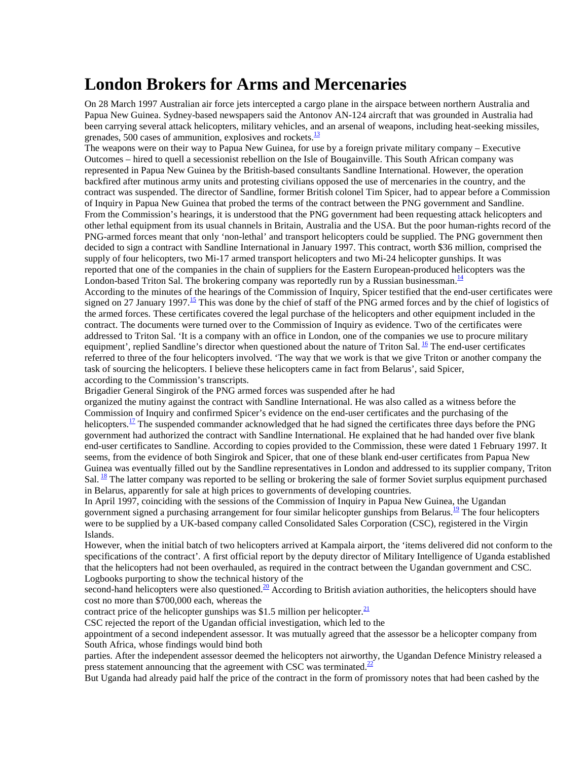#### **London Brokers for Arms and Mercenaries**

On 28 March 1997 Australian air force jets intercepted a cargo plane in the airspace between northern Australia and Papua New Guinea. Sydney-based newspapers said the Antonov AN-124 aircraft that was grounded in Australia had been carrying several attack helicopters, military vehicles, and an arsenal of weapons, including heat-seeking missiles, grenades, 500 cases of ammunition, explosives and rockets. $\frac{13}{2}$ 

The weapons were on their way to Papua New Guinea, for use by a foreign private military company – Executive Outcomes – hired to quell a secessionist rebellion on the Isle of Bougainville. This South African company was represented in Papua New Guinea by the British-based consultants Sandline International. However, the operation backfired after mutinous army units and protesting civilians opposed the use of mercenaries in the country, and the contract was suspended. The director of Sandline, former British colonel Tim Spicer, had to appear before a Commission of Inquiry in Papua New Guinea that probed the terms of the contract between the PNG government and Sandline. From the Commission's hearings, it is understood that the PNG government had been requesting attack helicopters and other lethal equipment from its usual channels in Britain, Australia and the USA. But the poor human-rights record of the PNG-armed forces meant that only 'non-lethal' and transport helicopters could be supplied. The PNG government then decided to sign a contract with Sandline International in January 1997. This contract, worth \$36 million, comprised the supply of four helicopters, two Mi-17 armed transport helicopters and two Mi-24 helicopter gunships. It was reported that one of the companies in the chain of suppliers for the Eastern European-produced helicopters was the London-based Triton Sal. The brokering company was reportedly run by a Russian businessman.<sup>14</sup>

According to the minutes of the hearings of the Commission of Inquiry, Spicer testified that the end-user certificates were signed on 27 January 1997.<sup>15</sup> This was done by the chief of staff of the PNG armed forces and by the chief of logistics of the armed forces. These certificates covered the legal purchase of the helicopters and other equipment included in the contract. The documents were turned over to the Commission of Inquiry as evidence. Two of the certificates were addressed to Triton Sal. 'It is a company with an office in London, one of the companies we use to procure military equipment', replied Sandline's director when questioned about the nature of Triton Sal.  $^{16}$  The end-user certificates referred to three of the four helicopters involved. 'The way that we work is that we give Triton or another company the task of sourcing the helicopters. I believe these helicopters came in fact from Belarus', said Spicer, according to the Commission's transcripts.

Brigadier General Singirok of the PNG armed forces was suspended after he had

organized the mutiny against the contract with Sandline International. He was also called as a witness before the Commission of Inquiry and confirmed Spicer's evidence on the end-user certificates and the purchasing of the helicopters.<sup>17</sup> The suspended commander acknowledged that he had signed the certificates three days before the PNG government had authorized the contract with Sandline International. He explained that he had handed over five blank end-user certificates to Sandline. According to copies provided to the Commission, these were dated 1 February 1997. It seems, from the evidence of both Singirok and Spicer, that one of these blank end-user certificates from Papua New Guinea was eventually filled out by the Sandline representatives in London and addressed to its supplier company, Triton Sal.  $\frac{18}{18}$  The latter company was reported to be selling or brokering the sale of former Soviet surplus equipment purchased in Belarus, apparently for sale at high prices to governments of developing countries.

In April 1997, coinciding with the sessions of the Commission of Inquiry in Papua New Guinea, the Ugandan government signed a purchasing arrangement for four similar helicopter gunships from Belarus.<sup>19</sup> The four helicopters were to be supplied by a UK-based company called Consolidated Sales Corporation (CSC), registered in the Virgin Islands.

However, when the initial batch of two helicopters arrived at Kampala airport, the 'items delivered did not conform to the specifications of the contract'. A first official report by the deputy director of Military Intelligence of Uganda established that the helicopters had not been overhauled, as required in the contract between the Ugandan government and CSC. Logbooks purporting to show the technical history of the

second-hand helicopters were also questioned.<sup>20</sup> According to British aviation authorities, the helicopters should have cost no more than \$700,000 each, whereas the

contract price of the helicopter gunships was \$1.5 million per helicopter.<sup>21</sup>

CSC rejected the report of the Ugandan official investigation, which led to the

appointment of a second independent assessor. It was mutually agreed that the assessor be a helicopter company from South Africa, whose findings would bind both

parties. After the independent assessor deemed the helicopters not airworthy, the Ugandan Defence Ministry released a press statement announcing that the agreement with CSC was terminated. $\frac{22}{3}$ 

But Uganda had already paid half the price of the contract in the form of promissory notes that had been cashed by the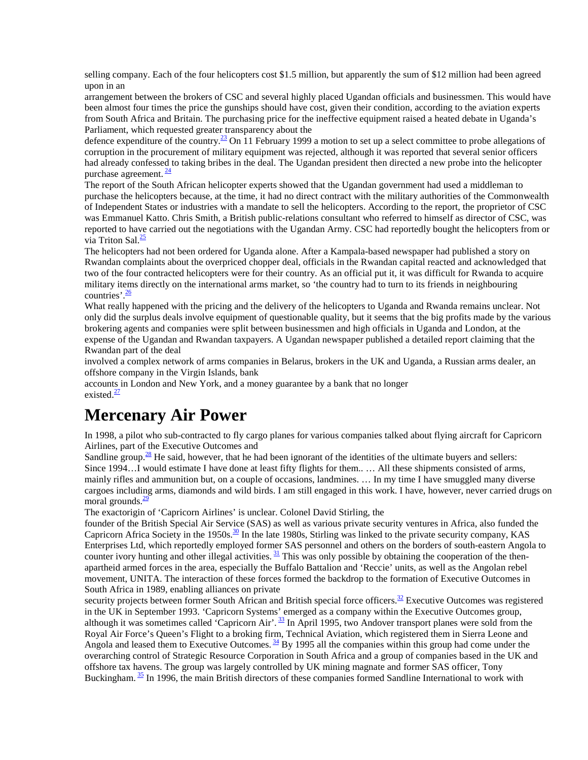selling company. Each of the four helicopters cost \$1.5 million, but apparently the sum of \$12 million had been agreed upon in an

arrangement between the brokers of CSC and several highly placed Ugandan officials and businessmen. This would have been almost four times the price the gunships should have cost, given their condition, according to the aviation experts from South Africa and Britain. The purchasing price for the ineffective equipment raised a heated debate in Uganda's Parliament, which requested greater transparency about the

defence expenditure of the country.<sup>23</sup> On 11 February 1999 a motion to set up a select committee to probe allegations of corruption in the procurement of military equipment was rejected, although it was reported that several senior officers had already confessed to taking bribes in the deal. The Ugandan president then directed a new probe into the helicopter purchase agreement.  $\frac{24}{3}$ 

The report of the South African helicopter experts showed that the Ugandan government had used a middleman to purchase the helicopters because, at the time, it had no direct contract with the military authorities of the Commonwealth of Independent States or industries with a mandate to sell the helicopters. According to the report, the proprietor of CSC was Emmanuel Katto. Chris Smith, a British public-relations consultant who referred to himself as director of CSC, was reported to have carried out the negotiations with the Ugandan Army. CSC had reportedly bought the helicopters from or via Triton Sal. $\frac{25}{2}$ 

The helicopters had not been ordered for Uganda alone. After a Kampala-based newspaper had published a story on Rwandan complaints about the overpriced chopper deal, officials in the Rwandan capital reacted and acknowledged that two of the four contracted helicopters were for their country. As an official put it, it was difficult for Rwanda to acquire military items directly on the international arms market, so 'the country had to turn to its friends in neighbouring countries'. $\frac{26}{1}$ 

What really happened with the pricing and the delivery of the helicopters to Uganda and Rwanda remains unclear. Not only did the surplus deals involve equipment of questionable quality, but it seems that the big profits made by the various brokering agents and companies were split between businessmen and high officials in Uganda and London, at the expense of the Ugandan and Rwandan taxpayers. A Ugandan newspaper published a detailed report claiming that the Rwandan part of the deal

involved a complex network of arms companies in Belarus, brokers in the UK and Uganda, a Russian arms dealer, an offshore company in the Virgin Islands, bank

accounts in London and New York, and a money guarantee by a bank that no longer existed. $\frac{27}{2}$ 

### **Mercenary Air Power**

In 1998, a pilot who sub-contracted to fly cargo planes for various companies talked about flying aircraft for Capricorn Airlines, part of the Executive Outcomes and

Sandline group.<sup>28</sup> He said, however, that he had been ignorant of the identities of the ultimate buyers and sellers: Since 1994…I would estimate I have done at least fifty flights for them.. … All these shipments consisted of arms, mainly rifles and ammunition but, on a couple of occasions, landmines. … In my time I have smuggled many diverse cargoes including arms, diamonds and wild birds. I am still engaged in this work. I have, however, never carried drugs on moral grounds. $\frac{29}{2}$ 

The exactorigin of 'Capricorn Airlines' is unclear. Colonel David Stirling, the

founder of the British Special Air Service (SAS) as well as various private security ventures in Africa, also funded the Capricorn Africa Society in the 1950s. $\frac{30}{2}$  In the late 1980s, Stirling was linked to the private security company, KAS Enterprises Ltd, which reportedly employed former SAS personnel and others on the borders of south-eastern Angola to counter ivory hunting and other illegal activities.  $31$  This was only possible by obtaining the cooperation of the thenapartheid armed forces in the area, especially the Buffalo Battalion and 'Reccie' units, as well as the Angolan rebel movement, UNITA. The interaction of these forces formed the backdrop to the formation of Executive Outcomes in South Africa in 1989, enabling alliances on private

security projects between former South African and British special force officers.<sup>32</sup> Executive Outcomes was registered in the UK in September 1993. 'Capricorn Systems' emerged as a company within the Executive Outcomes group, although it was sometimes called 'Capricorn Air'.<sup>33</sup> In April 1995, two Andover transport planes were sold from the Royal Air Force's Queen's Flight to a broking firm, Technical Aviation, which registered them in Sierra Leone and Angola and leased them to Executive Outcomes.  $\frac{34}{9}$  By 1995 all the companies within this group had come under the overarching control of Strategic Resource Corporation in South Africa and a group of companies based in the UK and offshore tax havens. The group was largely controlled by UK mining magnate and former SAS officer, Tony Buckingham. <sup>35</sup> In 1996, the main British directors of these companies formed Sandline International to work with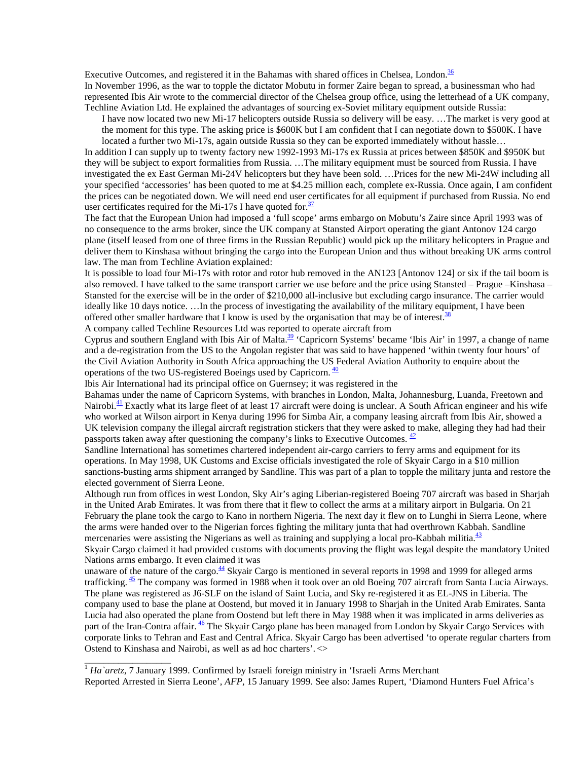Executive Outcomes, and registered it in the Bahamas with shared offices in Chelsea, London.<sup>36</sup> In November 1996, as the war to topple the dictator Mobutu in former Zaire began to spread, a businessman who had represented Ibis Air wrote to the commercial director of the Chelsea group office, using the letterhead of a UK company, Techline Aviation Ltd. He explained the advantages of sourcing ex-Soviet military equipment outside Russia:

I have now located two new Mi-17 helicopters outside Russia so delivery will be easy. …The market is very good at the moment for this type. The asking price is \$600K but I am confident that I can negotiate down to \$500K. I have located a further two Mi-17s, again outside Russia so they can be exported immediately without hassle…

In addition I can supply up to twenty factory new 1992-1993 Mi-17s ex Russia at prices between \$850K and \$950K but they will be subject to export formalities from Russia. …The military equipment must be sourced from Russia. I have investigated the ex East German Mi-24V helicopters but they have been sold. …Prices for the new Mi-24W including all your specified 'accessories' has been quoted to me at \$4.25 million each, complete ex-Russia. Once again, I am confident the prices can be negotiated down. We will need end user certificates for all equipment if purchased from Russia. No end user certificates required for the Mi-17s I have quoted for. $\frac{37}{2}$ 

The fact that the European Union had imposed a 'full scope' arms embargo on Mobutu's Zaire since April 1993 was of no consequence to the arms broker, since the UK company at Stansted Airport operating the giant Antonov 124 cargo plane (itself leased from one of three firms in the Russian Republic) would pick up the military helicopters in Prague and deliver them to Kinshasa without bringing the cargo into the European Union and thus without breaking UK arms control law. The man from Techline Aviation explained:

It is possible to load four Mi-17s with rotor and rotor hub removed in the AN123 [Antonov 124] or six if the tail boom is also removed. I have talked to the same transport carrier we use before and the price using Stansted – Prague –Kinshasa – Stansted for the exercise will be in the order of \$210,000 all-inclusive but excluding cargo insurance. The carrier would ideally like 10 days notice. …In the process of investigating the availability of the military equipment, I have been offered other smaller hardware that I know is used by the organisation that may be of interest. $38$ 

A company called Techline Resources Ltd was reported to operate aircraft from

Cyprus and southern England with Ibis Air of Malta.<sup>39</sup> 'Capricorn Systems' became 'Ibis Air' in 1997, a change of name and a de-registration from the US to the Angolan register that was said to have happened 'within twenty four hours' of the Civil Aviation Authority in South Africa approaching the US Federal Aviation Authority to enquire about the operations of the two US-registered Boeings used by Capricorn.  $\frac{40}{2}$ 

Ibis Air International had its principal office on Guernsey; it was registered in the

Bahamas under the name of Capricorn Systems, with branches in London, Malta, Johannesburg, Luanda, Freetown and Nairobi.<sup>41</sup> Exactly what its large fleet of at least 17 aircraft were doing is unclear. A South African engineer and his wife who worked at Wilson airport in Kenya during 1996 for Simba Air, a company leasing aircraft from Ibis Air, showed a UK television company the illegal aircraft registration stickers that they were asked to make, alleging they had had their passports taken away after questioning the company's links to Executive Outcomes.  $\frac{42}{3}$ 

Sandline International has sometimes chartered independent air-cargo carriers to ferry arms and equipment for its operations. In May 1998, UK Customs and Excise officials investigated the role of Skyair Cargo in a \$10 million sanctions-busting arms shipment arranged by Sandline. This was part of a plan to topple the military junta and restore the elected government of Sierra Leone.

Although run from offices in west London, Sky Air's aging Liberian-registered Boeing 707 aircraft was based in Sharjah in the United Arab Emirates. It was from there that it flew to collect the arms at a military airport in Bulgaria. On 21 February the plane took the cargo to Kano in northern Nigeria. The next day it flew on to Lunghi in Sierra Leone, where the arms were handed over to the Nigerian forces fighting the military junta that had overthrown Kabbah. Sandline mercenaries were assisting the Nigerians as well as training and supplying a local pro-Kabbah militia.<sup>43</sup>

Skyair Cargo claimed it had provided customs with documents proving the flight was legal despite the mandatory United Nations arms embargo. It even claimed it was

unaware of the nature of the cargo. $44$  Skyair Cargo is mentioned in several reports in 1998 and 1999 for alleged arms trafficking.  $45$  The company was formed in 1988 when it took over an old Boeing 707 aircraft from Santa Lucia Airways. The plane was registered as J6-SLF on the island of Saint Lucia, and Sky re-registered it as EL-JNS in Liberia. The company used to base the plane at Oostend, but moved it in January 1998 to Sharjah in the United Arab Emirates. Santa Lucia had also operated the plane from Oostend but left there in May 1988 when it was implicated in arms deliveries as part of the Iran-Contra affair.<sup>46</sup> The Skyair Cargo plane has been managed from London by Skyair Cargo Services with corporate links to Tehran and East and Central Africa. Skyair Cargo has been advertised 'to operate regular charters from Ostend to Kinshasa and Nairobi, as well as ad hoc charters'. <>

<sup>1</sup> *Ha`aretz*, 7 January 1999. Confirmed by Israeli foreign ministry in 'Israeli Arms Merchant

\_\_\_\_\_\_\_\_\_\_\_\_\_\_\_\_\_\_

Reported Arrested in Sierra Leone', *AFP*, 15 January 1999. See also: James Rupert, 'Diamond Hunters Fuel Africa's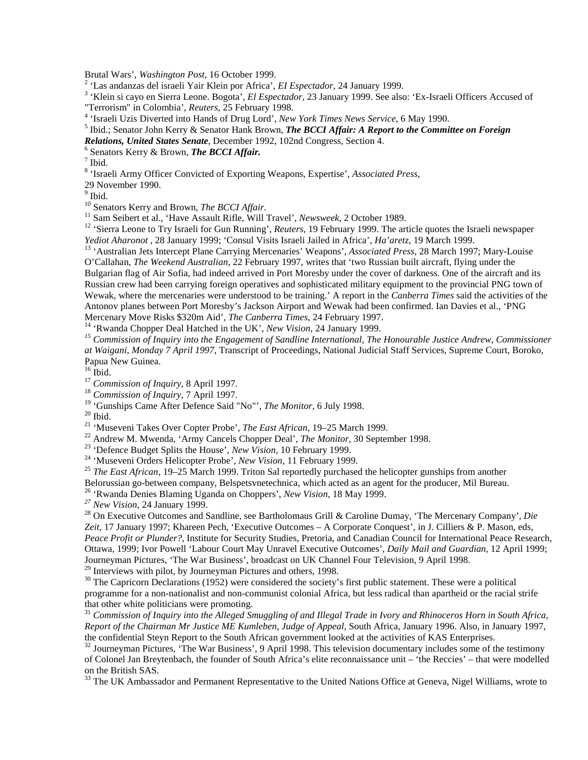Brutal Wars', *Washington Post*, 16 October 1999.<br><sup>2</sup> 'Las andanzas del israeli Yair Klein por Africa', *El Espectador*, 24 January 1999.

<sup>2</sup> 'Las andanzas del israeli Yair Klein por Africa', *El Espectador*, 24 January 1999.<br><sup>3</sup> 'Klein si cayo en Sierra Leone. Bogota', *El Espectador*, 23 January 1999. See also: 'Ex-Israeli Officers Accused of "Terrorism" in Colombia', *Reuters*, 25 February 1998. <sup>4</sup>

'Israeli Uzis Diverted into Hands of Drug Lord', *New York Times News Service*, 6 May 1990. <sup>5</sup>

<sup>5</sup> Ibid.; Senator John Kerry & Senator Hank Brown, *The BCCI Affair: A Report to the Committee on Foreign* 

*Relations, United States Senate*, December 1992, 102nd Congress, Section 4. <sup>6</sup>

<sup>6</sup> Senators Kerry & Brown, *The BCCI Affair*.

 $^7$  Ibid.

8 'Israeli Army Officer Convicted of Exporting Weapons, Expertise', *Associated Press*,

29 November 1990.

<sup>9</sup> Ibid.

<sup>10</sup> Senators Kerry and Brown, *The BCCI Affair*.<br><sup>11</sup> Sam Seibert et al., 'Have Assault Rifle, Will Travel', *Newsweek*, 2 October 1989.<br><sup>12</sup> 'Sierra Leone to Try Israeli for Gun Running', *Reuters*, 19 February 1999. Th

<sup>13</sup> 'Australian Jets Intercept Plane Carrying Mercenaries' Weapons', Associated Press, 28 March 1997; Mary-Louise O'Callahan, *The Weekend Australian*, 22 February 1997, writes that 'two Russian built aircraft, flying under the Bulgarian flag of Air Sofia, had indeed arrived in Port Moresby under the cover of darkness. One of the aircraft and its Russian crew had been carrying foreign operatives and sophisticated military equipment to the provincial PNG town of Wewak, where the mercenaries were understood to be training.' A report in the *Canberra Times* said the activities of the Antonov planes between Port Moresby's Jackson Airport and Wewak had been confirmed. Ian Davies et al., 'PNG

Mercenary Move Risks \$320m Aid', *The Canberra Times*, 24 February 1997.<br><sup>14</sup> 'Rwanda Chopper Deal Hatched in the UK', *New Vision*, 24 January 1999.<br><sup>15</sup> Commission of Inauiry into the Engagement of Sandline International *at Waigani, Monday 7 April 1997,* Transcript of Proceedings, National Judicial Staff Services, Supreme Court, Boroko, Papua New Guinea.

 $16$  Ibid.

<sup>17</sup> *Commission of Inquiry*, 8 April 1997.<br><sup>18</sup> *Commission of Inquiry*, 7 April 1997.

<sup>19</sup> 'Gunships Came After Defence Said "No"', *The Monitor*, 6 July 1998.<br><sup>20</sup> Ibid.<br><sup>21</sup> 'Museveni Takes Over Copter Probe', *The East African*, 19–25 March 1999.

<sup>22</sup> Andrew M. Mwenda, 'Army Cancels Chopper Deal', *The Monitor*, 30 September 1998.<br><sup>23</sup> 'Defence Budget Splits the House', *New Vision*, 10 February 1999.<br><sup>24</sup> 'Museveni Orders Helicopter Probe', *New Vision*, 11 Febru

Belorussian go-between company, Belspetsvnetechnica, which acted as an agent for the producer, Mil Bureau.<br><sup>26</sup> 'Rwanda Denies Blaming Uganda on Choppers', *New Vision*, 18 May 1999.

<sup>27</sup> New Vision, 24 January 1999.<br><sup>28</sup> On Executive Outcomes and Sandline, see Bartholomaus Grill & Caroline Dumay, 'The Mercenary Company', *Die Zeit,* 17 January 1997; Khareen Pech, 'Executive Outcomes – A Corporate Conquest', in J. Cilliers & P. Mason, eds, *Peace Profit or Plunder?*, Institute for Security Studies, Pretoria, and Canadian Council for International Peace Research, Ottawa, 1999; Ivor Powell 'Labour Court May Unravel Executive Outcomes', *Daily Mail and Guardian,* 12 April 1999; Journeyman Pictures, 'The War Business', broadcast on UK Channel Four Television, 9 April 1998. <sup>29</sup> Interviews with pilot, by Journeyman Pictures and others, 1998.

 $30$  The Capricorn Declarations (1952) were considered the society's first public statement. These were a political programme for a non-nationalist and non-communist colonial Africa, but less radical than apartheid or the racial strife that other white politicians were promoting.

<sup>31</sup> *Commission of Inquiry into the Alleged Smuggling of and Illegal Trade in Ivory and Rhinoceros Horn in South Africa, Report of the Chairman Mr Justice ME Kumleben, Judge of Appeal,* South Africa, January 1996. Also, in January 1997, the confidential Steyn Report to the South African government looked at the activities of KAS Enterprises.

<sup>32</sup> Journeyman Pictures, 'The War Business', 9 April 1998. This television documentary includes some of the testimony of Colonel Jan Breytenbach, the founder of South Africa's elite reconnaissance unit – 'the Reccies' – that were modelled on the British SAS.

<sup>33</sup> The UK Ambassador and Permanent Representative to the United Nations Office at Geneva, Nigel Williams, wrote to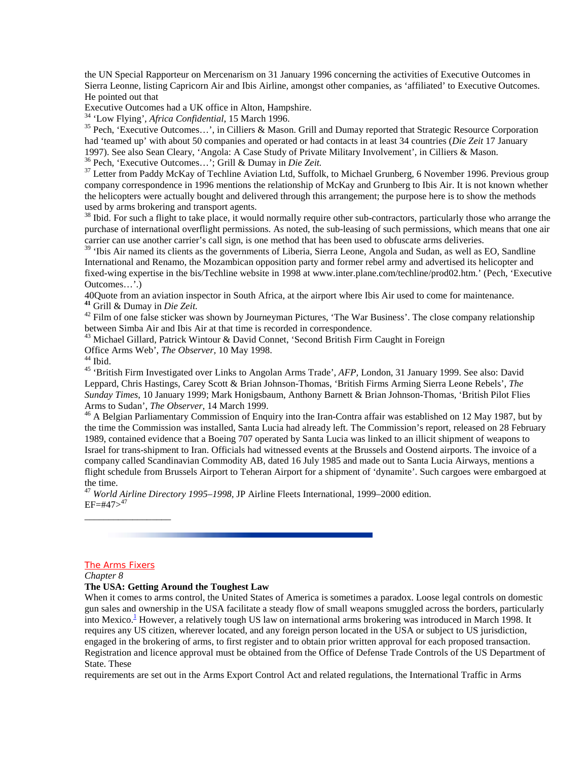the UN Special Rapporteur on Mercenarism on 31 January 1996 concerning the activities of Executive Outcomes in Sierra Leonne, listing Capricorn Air and Ibis Airline, amongst other companies, as 'affiliated' to Executive Outcomes. He pointed out that

Executive Outcomes had a UK office in Alton, Hampshire.<br><sup>34</sup> 'Low Flying', *Africa Confidential*, 15 March 1996.

<sup>35</sup> Pech, 'Executive Outcomes...', in Cilliers & Mason. Grill and Dumay reported that Strategic Resource Corporation had 'teamed up' with about 50 companies and operated or had contacts in at least 34 countries (*Die Zeit* 17 January 1997). See also Sean Cleary, 'Angola: A Case Study of Private Military Involvement', in Cilliers & Mason. <sup>36</sup> Pech, 'Executive Outcomes...'; Grill & Dumay in *Die Zeit*.

<sup>37</sup> Letter from Paddy McKay of Techline Aviation Ltd, Suffolk, to Michael Grunberg, 6 November 1996. Previous group company correspondence in 1996 mentions the relationship of McKay and Grunberg to Ibis Air. It is not known whether the helicopters were actually bought and delivered through this arrangement; the purpose here is to show the methods used by arms brokering and transport agents.

<sup>38</sup> Ibid. For such a flight to take place, it would normally require other sub-contractors, particularly those who arrange the purchase of international overflight permissions. As noted, the sub-leasing of such permissions, which means that one air carrier can use another carrier's call sign, is one method that has been used to obfuscate arms deliveries.

<sup>39</sup> 'Ibis Air named its clients as the governments of Liberia, Sierra Leone, Angola and Sudan, as well as EO, Sandline International and Renamo, the Mozambican opposition party and former rebel army and advertised its helicopter and fixed-wing expertise in the bis/Techline website in 1998 at www.inter.plane.com/techline/prod02.htm.' (Pech, 'Executive Outcomes…'.)

40Quote from an aviation inspector in South Africa, at the airport where Ibis Air used to come for maintenance.<br><sup>41</sup> Grill & Dumay in *Die Zeit*.

<sup>42</sup> Film of one false sticker was shown by Journeyman Pictures, 'The War Business'. The close company relationship between Simba Air and Ibis Air at that time is recorded in correspondence.

<sup>43</sup> Michael Gillard, Patrick Wintour & David Connet, 'Second British Firm Caught in Foreign

Office Arms Web', *The Observer,* 10 May 1998. 44 Ibid.

45 'British Firm Investigated over Links to Angolan Arms Trade', *AFP,* London, 31 January 1999. See also: David Leppard, Chris Hastings, Carey Scott & Brian Johnson-Thomas, 'British Firms Arming Sierra Leone Rebels', *The Sunday Times*, 10 January 1999; Mark Honigsbaum, Anthony Barnett & Brian Johnson-Thomas, 'British Pilot Flies

Arms to Sudan', *The Observer*, 14 March 1999.<br><sup>46</sup> A Belgian Parliamentary Commission of Enquiry into the Iran-Contra affair was established on 12 May 1987, but by the time the Commission was installed, Santa Lucia had already left. The Commission's report, released on 28 February 1989, contained evidence that a Boeing 707 operated by Santa Lucia was linked to an illicit shipment of weapons to Israel for trans-shipment to Iran. Officials had witnessed events at the Brussels and Oostend airports. The invoice of a company called Scandinavian Commodity AB, dated 16 July 1985 and made out to Santa Lucia Airways, mentions a flight schedule from Brussels Airport to Teheran Airport for a shipment of 'dynamite'. Such cargoes were embargoed at the time.

<sup>47</sup> *World Airline Directory 1995–1998,* JP Airline Fleets International, 1999–2000 edition.  $EF=\#47>^{47}$ 

#### The Arms Fixers

\_\_\_\_\_\_\_\_\_\_\_\_\_\_\_\_\_\_

*Chapter 8*

#### **The USA: Getting Around the Toughest Law**

When it comes to arms control, the United States of America is sometimes a paradox. Loose legal controls on domestic gun sales and ownership in the USA facilitate a steady flow of small weapons smuggled across the borders, particularly into Mexico.<sup>1</sup> However, a relatively tough US law on international arms brokering was introduced in March 1998. It requires any US citizen, wherever located, and any foreign person located in the USA or subject to US jurisdiction, engaged in the brokering of arms, to first register and to obtain prior written approval for each proposed transaction. Registration and licence approval must be obtained from the Office of Defense Trade Controls of the US Department of State. These

requirements are set out in the Arms Export Control Act and related regulations, the International Traffic in Arms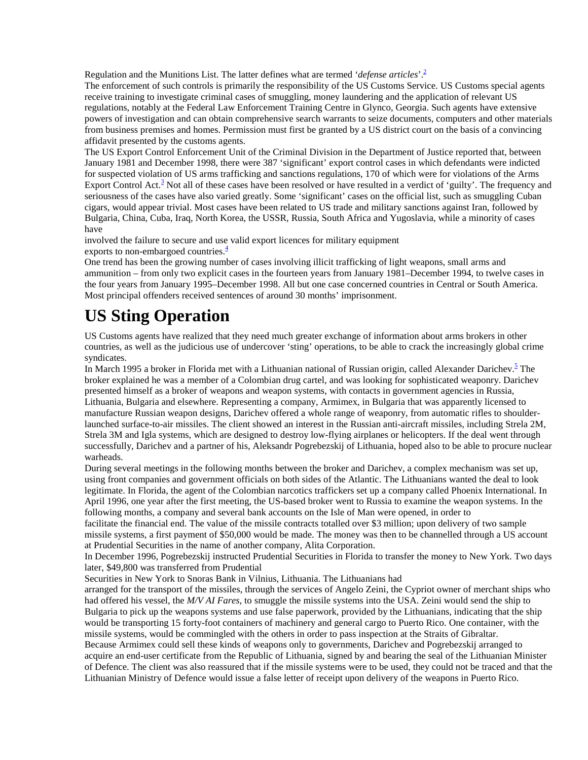Regulation and the Munitions List. The latter defines what are termed '*defense articles*'.<sup>2</sup>

The enforcement of such controls is primarily the responsibility of the US Customs Service. US Customs special agents receive training to investigate criminal cases of smuggling, money laundering and the application of relevant US regulations, notably at the Federal Law Enforcement Training Centre in Glynco, Georgia. Such agents have extensive powers of investigation and can obtain comprehensive search warrants to seize documents, computers and other materials from business premises and homes. Permission must first be granted by a US district court on the basis of a convincing affidavit presented by the customs agents.

The US Export Control Enforcement Unit of the Criminal Division in the Department of Justice reported that, between January 1981 and December 1998, there were 387 'significant' export control cases in which defendants were indicted for suspected violation of US arms trafficking and sanctions regulations, 170 of which were for violations of the Arms Export Control Act.<sup>3</sup> Not all of these cases have been resolved or have resulted in a verdict of 'guilty'. The frequency and seriousness of the cases have also varied greatly. Some 'significant' cases on the official list, such as smuggling Cuban cigars, would appear trivial. Most cases have been related to US trade and military sanctions against Iran, followed by Bulgaria, China, Cuba, Iraq, North Korea, the USSR, Russia, South Africa and Yugoslavia, while a minority of cases have

involved the failure to secure and use valid export licences for military equipment

exports to non-embargoed countries. $\frac{4}{3}$ 

One trend has been the growing number of cases involving illicit trafficking of light weapons, small arms and ammunition – from only two explicit cases in the fourteen years from January 1981–December 1994, to twelve cases in the four years from January 1995–December 1998. All but one case concerned countries in Central or South America. Most principal offenders received sentences of around 30 months' imprisonment.

# **US Sting Operation**

US Customs agents have realized that they need much greater exchange of information about arms brokers in other countries, as well as the judicious use of undercover 'sting' operations, to be able to crack the increasingly global crime syndicates.

In March 1995 a broker in Florida met with a Lithuanian national of Russian origin, called Alexander Darichev.<sup>5</sup> The broker explained he was a member of a Colombian drug cartel, and was looking for sophisticated weaponry. Darichev presented himself as a broker of weapons and weapon systems, with contacts in government agencies in Russia, Lithuania, Bulgaria and elsewhere. Representing a company, Armimex, in Bulgaria that was apparently licensed to manufacture Russian weapon designs, Darichev offered a whole range of weaponry, from automatic rifles to shoulderlaunched surface-to-air missiles. The client showed an interest in the Russian anti-aircraft missiles, including Strela 2M, Strela 3M and Igla systems, which are designed to destroy low-flying airplanes or helicopters. If the deal went through successfully, Darichev and a partner of his, Aleksandr Pogrebezskij of Lithuania, hoped also to be able to procure nuclear warheads.

During several meetings in the following months between the broker and Darichev, a complex mechanism was set up, using front companies and government officials on both sides of the Atlantic. The Lithuanians wanted the deal to look legitimate. In Florida, the agent of the Colombian narcotics traffickers set up a company called Phoenix International. In April 1996, one year after the first meeting, the US-based broker went to Russia to examine the weapon systems. In the following months, a company and several bank accounts on the Isle of Man were opened, in order to

facilitate the financial end. The value of the missile contracts totalled over \$3 million; upon delivery of two sample missile systems, a first payment of \$50,000 would be made. The money was then to be channelled through a US account at Prudential Securities in the name of another company, Alita Corporation.

In December 1996, Pogrebezskij instructed Prudential Securities in Florida to transfer the money to New York. Two days later, \$49,800 was transferred from Prudential

Securities in New York to Snoras Bank in Vilnius, Lithuania. The Lithuanians had

arranged for the transport of the missiles, through the services of Angelo Zeini, the Cypriot owner of merchant ships who had offered his vessel, the *M/V AI Fares*, to smuggle the missile systems into the USA. Zeini would send the ship to Bulgaria to pick up the weapons systems and use false paperwork, provided by the Lithuanians, indicating that the ship would be transporting 15 forty-foot containers of machinery and general cargo to Puerto Rico. One container, with the missile systems, would be commingled with the others in order to pass inspection at the Straits of Gibraltar. Because Armimex could sell these kinds of weapons only to governments, Darichev and Pogrebezskij arranged to

acquire an end-user certificate from the Republic of Lithuania, signed by and bearing the seal of the Lithuanian Minister of Defence. The client was also reassured that if the missile systems were to be used, they could not be traced and that the Lithuanian Ministry of Defence would issue a false letter of receipt upon delivery of the weapons in Puerto Rico.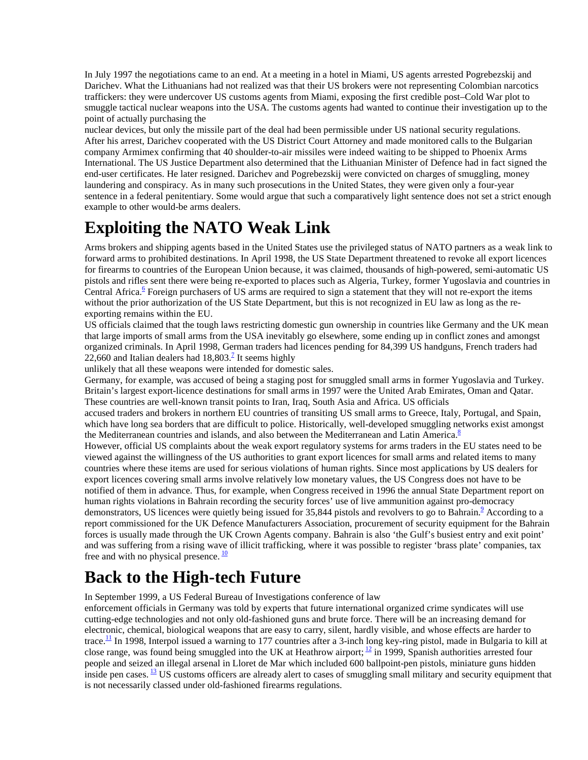In July 1997 the negotiations came to an end. At a meeting in a hotel in Miami, US agents arrested Pogrebezskij and Darichev. What the Lithuanians had not realized was that their US brokers were not representing Colombian narcotics traffickers: they were undercover US customs agents from Miami, exposing the first credible post–Cold War plot to smuggle tactical nuclear weapons into the USA. The customs agents had wanted to continue their investigation up to the point of actually purchasing the

nuclear devices, but only the missile part of the deal had been permissible under US national security regulations. After his arrest, Darichev cooperated with the US District Court Attorney and made monitored calls to the Bulgarian company Armimex confirming that 40 shoulder-to-air missiles were indeed waiting to be shipped to Phoenix Arms International. The US Justice Department also determined that the Lithuanian Minister of Defence had in fact signed the end-user certificates. He later resigned. Darichev and Pogrebezskij were convicted on charges of smuggling, money laundering and conspiracy. As in many such prosecutions in the United States, they were given only a four-year sentence in a federal penitentiary. Some would argue that such a comparatively light sentence does not set a strict enough example to other would-be arms dealers.

## **Exploiting the NATO Weak Link**

Arms brokers and shipping agents based in the United States use the privileged status of NATO partners as a weak link to forward arms to prohibited destinations. In April 1998, the US State Department threatened to revoke all export licences for firearms to countries of the European Union because, it was claimed, thousands of high-powered, semi-automatic US pistols and rifles sent there were being re-exported to places such as Algeria, Turkey, former Yugoslavia and countries in Central Africa.<sup>6</sup> Foreign purchasers of US arms are required to sign a statement that they will not re-export the items without the prior authorization of the US State Department, but this is not recognized in EU law as long as the reexporting remains within the EU.

US officials claimed that the tough laws restricting domestic gun ownership in countries like Germany and the UK mean that large imports of small arms from the USA inevitably go elsewhere, some ending up in conflict zones and amongst organized criminals. In April 1998, German traders had licences pending for 84,399 US handguns, French traders had 22,660 and Italian dealers had  $18,803$ <sup>2</sup> It seems highly

unlikely that all these weapons were intended for domestic sales.

Germany, for example, was accused of being a staging post for smuggled small arms in former Yugoslavia and Turkey. Britain's largest export-licence destinations for small arms in 1997 were the United Arab Emirates, Oman and Qatar. These countries are well-known transit points to Iran, Iraq, South Asia and Africa. US officials

accused traders and brokers in northern EU countries of transiting US small arms to Greece, Italy, Portugal, and Spain, which have long sea borders that are difficult to police. Historically, well-developed smuggling networks exist amongst the Mediterranean countries and islands, and also between the Mediterranean and Latin America. $\delta$ 

However, official US complaints about the weak export regulatory systems for arms traders in the EU states need to be viewed against the willingness of the US authorities to grant export licences for small arms and related items to many countries where these items are used for serious violations of human rights. Since most applications by US dealers for export licences covering small arms involve relatively low monetary values, the US Congress does not have to be notified of them in advance. Thus, for example, when Congress received in 1996 the annual State Department report on human rights violations in Bahrain recording the security forces' use of live ammunition against pro-democracy demonstrators, US licences were quietly being issued for 35,844 pistols and revolvers to go to Bahrain.<sup>9</sup> According to a report commissioned for the UK Defence Manufacturers Association, procurement of security equipment for the Bahrain forces is usually made through the UK Crown Agents company. Bahrain is also 'the Gulf's busiest entry and exit point' and was suffering from a rising wave of illicit trafficking, where it was possible to register 'brass plate' companies, tax free and with no physical presence.  $\frac{10}{2}$ 

### **Back to the High-tech Future**

In September 1999, a US Federal Bureau of Investigations conference of law

enforcement officials in Germany was told by experts that future international organized crime syndicates will use cutting-edge technologies and not only old-fashioned guns and brute force. There will be an increasing demand for electronic, chemical, biological weapons that are easy to carry, silent, hardly visible, and whose effects are harder to trace.<sup>11</sup> In 1998, Interpol issued a warning to 177 countries after a 3-inch long key-ring pistol, made in Bulgaria to kill at close range, was found being smuggled into the UK at Heathrow airport;  $\frac{12}{12}$  in 1999, Spanish authorities arrested four people and seized an illegal arsenal in Lloret de Mar which included 600 ballpoint-pen pistols, miniature guns hidden inside pen cases.  $\frac{13}{12}$  US customs officers are already alert to cases of smuggling small military and security equipment that is not necessarily classed under old-fashioned firearms regulations.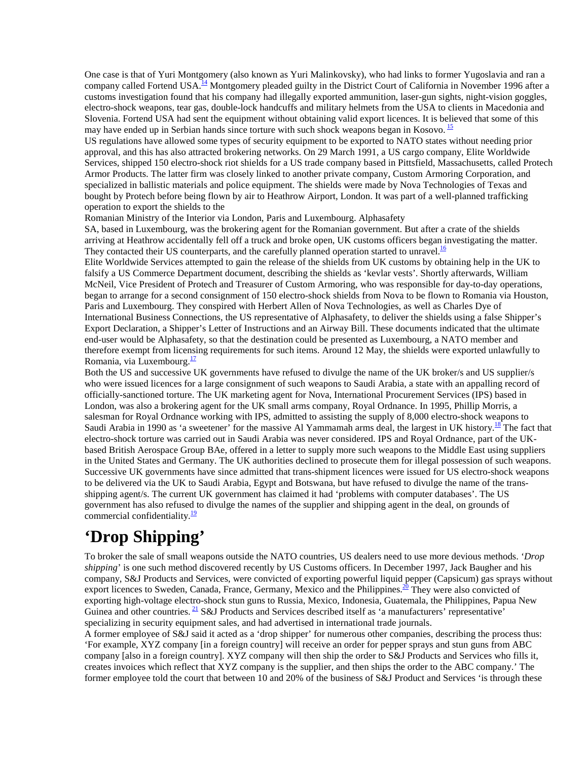One case is that of Yuri Montgomery (also known as Yuri Malinkovsky), who had links to former Yugoslavia and ran a company called Fortend USA.<sup>14</sup> Montgomery pleaded guilty in the District Court of California in November 1996 after a customs investigation found that his company had illegally exported ammunition, laser-gun sights, night-vision goggles, electro-shock weapons, tear gas, double-lock handcuffs and military helmets from the USA to clients in Macedonia and Slovenia. Fortend USA had sent the equipment without obtaining valid export licences. It is believed that some of this may have ended up in Serbian hands since torture with such shock weapons began in Kosovo.  $^{15}$ 

US regulations have allowed some types of security equipment to be exported to NATO states without needing prior approval, and this has also attracted brokering networks. On 29 March 1991, a US cargo company, Elite Worldwide Services, shipped 150 electro-shock riot shields for a US trade company based in Pittsfield, Massachusetts, called Protech Armor Products. The latter firm was closely linked to another private company, Custom Armoring Corporation, and specialized in ballistic materials and police equipment. The shields were made by Nova Technologies of Texas and bought by Protech before being flown by air to Heathrow Airport, London. It was part of a well-planned trafficking operation to export the shields to the

Romanian Ministry of the Interior via London, Paris and Luxembourg. Alphasafety

SA, based in Luxembourg, was the brokering agent for the Romanian government. But after a crate of the shields arriving at Heathrow accidentally fell off a truck and broke open, UK customs officers began investigating the matter. They contacted their US counterparts, and the carefully planned operation started to unravel.<sup>16</sup>

Elite Worldwide Services attempted to gain the release of the shields from UK customs by obtaining help in the UK to falsify a US Commerce Department document, describing the shields as 'kevlar vests'. Shortly afterwards, William McNeil, Vice President of Protech and Treasurer of Custom Armoring, who was responsible for day-to-day operations, began to arrange for a second consignment of 150 electro-shock shields from Nova to be flown to Romania via Houston, Paris and Luxembourg. They conspired with Herbert Allen of Nova Technologies, as well as Charles Dye of International Business Connections, the US representative of Alphasafety, to deliver the shields using a false Shipper's Export Declaration, a Shipper's Letter of Instructions and an Airway Bill. These documents indicated that the ultimate end-user would be Alphasafety, so that the destination could be presented as Luxembourg, a NATO member and therefore exempt from licensing requirements for such items. Around 12 May, the shields were exported unlawfully to Romania, via Luxembourg.<sup>17</sup>

Both the US and successive UK governments have refused to divulge the name of the UK broker/s and US supplier/s who were issued licences for a large consignment of such weapons to Saudi Arabia, a state with an appalling record of officially-sanctioned torture. The UK marketing agent for Nova, International Procurement Services (IPS) based in London, was also a brokering agent for the UK small arms company, Royal Ordnance. In 1995, Phillip Morris, a salesman for Royal Ordnance working with IPS, admitted to assisting the supply of 8,000 electro-shock weapons to Saudi Arabia in 1990 as 'a sweetener' for the massive Al Yammamah arms deal, the largest in UK history.<sup>18</sup> The fact that electro-shock torture was carried out in Saudi Arabia was never considered. IPS and Royal Ordnance, part of the UKbased British Aerospace Group BAe, offered in a letter to supply more such weapons to the Middle East using suppliers in the United States and Germany. The UK authorities declined to prosecute them for illegal possession of such weapons. Successive UK governments have since admitted that trans-shipment licences were issued for US electro-shock weapons to be delivered via the UK to Saudi Arabia, Egypt and Botswana, but have refused to divulge the name of the transshipping agent/s. The current UK government has claimed it had 'problems with computer databases'. The US government has also refused to divulge the names of the supplier and shipping agent in the deal, on grounds of commercial confidentiality. $\frac{19}{2}$ 

## **'Drop Shipping'**

To broker the sale of small weapons outside the NATO countries, US dealers need to use more devious methods. '*Drop shipping*' is one such method discovered recently by US Customs officers. In December 1997, Jack Baugher and his company, S&J Products and Services, were convicted of exporting powerful liquid pepper (Capsicum) gas sprays without export licences to Sweden, Canada, France, Germany, Mexico and the Philippines.<sup>20</sup> They were also convicted of exporting high-voltage electro-shock stun guns to Russia, Mexico, Indonesia, Guatemala, the Philippines, Papua New Guinea and other countries.  $\frac{21}{15}$  S&J Products and Services described itself as 'a manufacturers' representative' specializing in security equipment sales, and had advertised in international trade journals.

A former employee of S&J said it acted as a 'drop shipper' for numerous other companies, describing the process thus: 'For example, XYZ company [in a foreign country] will receive an order for pepper sprays and stun guns from ABC company [also in a foreign country]. XYZ company will then ship the order to S&J Products and Services who fills it, creates invoices which reflect that XYZ company is the supplier, and then ships the order to the ABC company.' The former employee told the court that between 10 and 20% of the business of S&J Product and Services 'is through these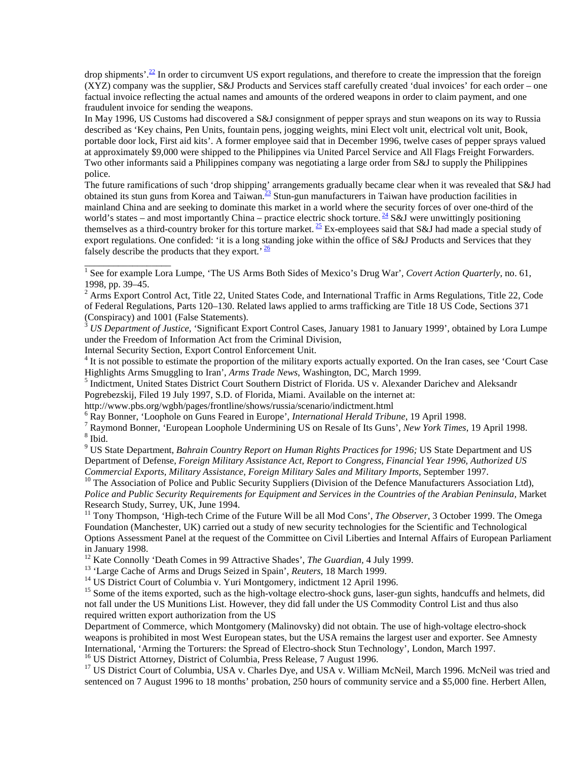drop shipments'.<sup>22</sup> In order to circumvent US export regulations, and therefore to create the impression that the foreign (XYZ) company was the supplier, S&J Products and Services staff carefully created 'dual invoices' for each order – one factual invoice reflecting the actual names and amounts of the ordered weapons in order to claim payment, and one fraudulent invoice for sending the weapons.

In May 1996, US Customs had discovered a S&J consignment of pepper sprays and stun weapons on its way to Russia described as 'Key chains, Pen Units, fountain pens, jogging weights, mini Elect volt unit, electrical volt unit, Book, portable door lock, First aid kits'. A former employee said that in December 1996, twelve cases of pepper sprays valued at approximately \$9,000 were shipped to the Philippines via United Parcel Service and All Flags Freight Forwarders. Two other informants said a Philippines company was negotiating a large order from S&J to supply the Philippines police.

The future ramifications of such 'drop shipping' arrangements gradually became clear when it was revealed that S&J had obtained its stun guns from Korea and Taiwan.<sup>23</sup> Stun-gun manufacturers in Taiwan have production facilities in mainland China and are seeking to dominate this market in a world where the security forces of over one-third of the world's states – and most importantly China – practice electric shock torture.  $\frac{24}{3}$  S&J were unwittingly positioning themselves as a third-country broker for this torture market.  $\frac{25}{5}$  Ex-employees said that S&J had made a special study of export regulations. One confided: 'it is a long standing joke within the office of S&J Products and Services that they falsely describe the products that they export.<sup>'  $\frac{26}{ }$ </sup>

<sup>3</sup> *US Department of Justice*, 'Significant Export Control Cases, January 1981 to January 1999', obtained by Lora Lumpe under the Freedom of Information Act from the Criminal Division,

Internal Security Section, Export Control Enforcement Unit.

\_\_\_\_\_\_\_\_\_\_\_\_\_\_\_\_\_\_

<sup>4</sup> It is not possible to estimate the proportion of the military exports actually exported. On the Iran cases, see 'Court Case Highlights Arms Smuggling to Iran', *Arms Trade News*, Washington, DC, March 1999. <sup>5</sup>

<sup>5</sup> Indictment, United States District Court Southern District of Florida. US v. Alexander Darichev and Aleksandr Pogrebezskij, Filed 19 July 1997, S.D. of Florida, Miami. Available on the internet at:

http://www.pbs.org/wgbh/pages/frontline/shows/russia/scenario/indictment.html

<sup>6</sup> Ray Bonner, 'Loophole on Guns Feared in Europe', *International Herald Tribune*, 19 April 1998.

<sup>7</sup> Raymond Bonner, 'European Loophole Undermining US on Resale of Its Guns', *New York Times*, 19 April 1998.  $8$  Ibid.

9 US State Department, *Bahrain Country Report on Human Rights Practices for 1996;* US State Department and US Department of Defense, *Foreign Military Assistance Act, Report to Congress, Financial Year 1996, Authorized US*

<sup>10</sup> The Association of Police and Public Security Suppliers (Division of the Defence Manufacturers Association Ltd), *Police and Public Security Requirements for Equipment and Services in the Countries of the Arabian Peninsula,* Market Research Study, Surrey, UK, June 1994.

11 Tony Thompson, 'High-tech Crime of the Future Will be all Mod Cons', *The Observer*, 3 October 1999. The Omega Foundation (Manchester, UK) carried out a study of new security technologies for the Scientific and Technological Options Assessment Panel at the request of the Committee on Civil Liberties and Internal Affairs of European Parliament in January 1998.<br><sup>12</sup> Kate Connolly 'Death Comes in 99 Attractive Shades', *The Guardian*, 4 July 1999.

<sup>13</sup> 'Large Cache of Arms and Drugs Seized in Spain', *Reuters*, 18 March 1999.<br><sup>14</sup> US District Court of Columbia v. Yuri Montgomery, indictment 12 April 1996.

<sup>15</sup> Some of the items exported, such as the high-voltage electro-shock guns, laser-gun sights, handcuffs and helmets, did not fall under the US Munitions List. However, they did fall under the US Commodity Control List and thus also required written export authorization from the US

Department of Commerce, which Montgomery (Malinovsky) did not obtain. The use of high-voltage electro-shock weapons is prohibited in most West European states, but the USA remains the largest user and exporter. See Amnesty International, 'Arming the Torturers: the Spread of Electro-shock Stun Technology', London, March 1997. <sup>16</sup> US District Attorney, District of Columbia, Press Release, 7 August 1996.

<sup>17</sup> US District Court of Columbia, USA v. Charles Dye, and USA v. William McNeil, March 1996. McNeil was tried and sentenced on 7 August 1996 to 18 months' probation, 250 hours of community service and a \$5,000 fine. Herbert Allen,

<sup>&</sup>lt;sup>1</sup> See for example Lora Lumpe, 'The US Arms Both Sides of Mexico's Drug War', Covert Action Quarterly, no. 61, 1998, pp. 39–45.

<sup>&</sup>lt;sup>2</sup> Arms Export Control Act, Title 22, United States Code, and International Traffic in Arms Regulations, Title 22, Code of Federal Regulations, Parts 120–130. Related laws applied to arms trafficking are Title 18 US Code, Sections 371 (Conspiracy) and 1001 (False Statements).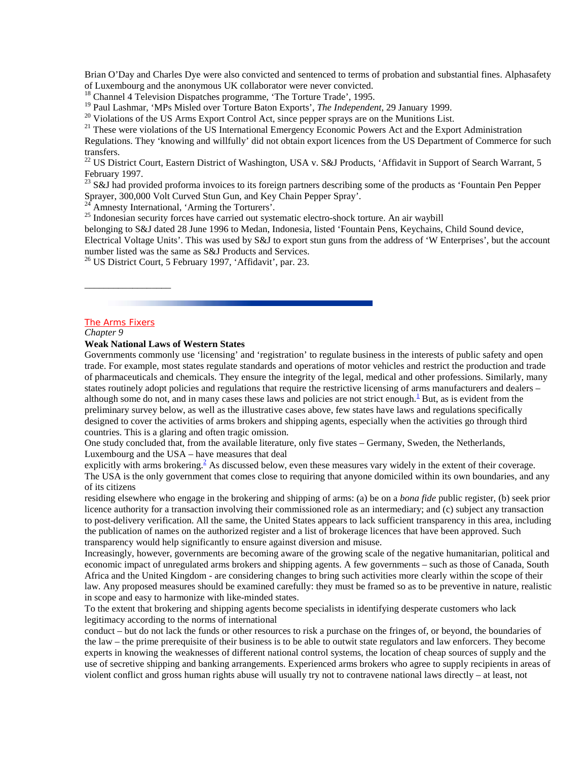Brian O'Day and Charles Dye were also convicted and sentenced to terms of probation and substantial fines. Alphasafety of Luxembourg and the anonymous UK collaborator were never convicted.

<sup>18</sup> Channel 4 Television Dispatches programme, 'The Torture Trade', 1995.<br><sup>19</sup> Paul Lashmar, 'MPs Misled over Torture Baton Exports', *The Independent*, 29 January 1999.

<sup>20</sup> Violations of the US Arms Export Control Act, since pepper sprays are on the Munitions List.

<sup>21</sup> These were violations of the US International Emergency Economic Powers Act and the Export Administration

Regulations. They 'knowing and willfully' did not obtain export licences from the US Department of Commerce for such transfers.

<sup>22</sup> US District Court, Eastern District of Washington, USA v. S&J Products, 'Affidavit in Support of Search Warrant, 5 February 1997.

 $^{23}$  S&J had provided proforma invoices to its foreign partners describing some of the products as 'Fountain Pen Pepper Sprayer, 300,000 Volt Curved Stun Gun, and Key Chain Pepper Spray'.

Amnesty International, 'Arming the Torturers'.

 $25$  Indonesian security forces have carried out systematic electro-shock torture. An air waybill

belonging to S&J dated 28 June 1996 to Medan, Indonesia, listed 'Fountain Pens, Keychains, Child Sound device,

Electrical Voltage Units'. This was used by S&J to export stun guns from the address of 'W Enterprises', but the account number listed was the same as S&J Products and Services.

 $^{26}$  US District Court, 5 February 1997, 'Affidavit', par. 23.

#### The Arms Fixers

\_\_\_\_\_\_\_\_\_\_\_\_\_\_\_\_\_\_

*Chapter 9*

**Weak National Laws of Western States**

Governments commonly use 'licensing' and 'registration' to regulate business in the interests of public safety and open trade. For example, most states regulate standards and operations of motor vehicles and restrict the production and trade of pharmaceuticals and chemicals. They ensure the integrity of the legal, medical and other professions. Similarly, many states routinely adopt policies and regulations that require the restrictive licensing of arms manufacturers and dealers – although some do not, and in many cases these laws and policies are not strict enough.<sup>1</sup> But, as is evident from the preliminary survey below, as well as the illustrative cases above, few states have laws and regulations specifically designed to cover the activities of arms brokers and shipping agents, especially when the activities go through third countries. This is a glaring and often tragic omission.

One study concluded that, from the available literature, only five states – Germany, Sweden, the Netherlands, Luxembourg and the USA – have measures that deal

explicitly with arms brokering.<sup>2</sup> As discussed below, even these measures vary widely in the extent of their coverage. The USA is the only government that comes close to requiring that anyone domiciled within its own boundaries, and any of its citizens

residing elsewhere who engage in the brokering and shipping of arms: (a) be on a *bona fide* public register, (b) seek prior licence authority for a transaction involving their commissioned role as an intermediary; and (c) subject any transaction to post-delivery verification. All the same, the United States appears to lack sufficient transparency in this area, including the publication of names on the authorized register and a list of brokerage licences that have been approved. Such transparency would help significantly to ensure against diversion and misuse.

Increasingly, however, governments are becoming aware of the growing scale of the negative humanitarian, political and economic impact of unregulated arms brokers and shipping agents. A few governments – such as those of Canada, South Africa and the United Kingdom - are considering changes to bring such activities more clearly within the scope of their law. Any proposed measures should be examined carefully: they must be framed so as to be preventive in nature, realistic in scope and easy to harmonize with like-minded states.

To the extent that brokering and shipping agents become specialists in identifying desperate customers who lack legitimacy according to the norms of international

conduct – but do not lack the funds or other resources to risk a purchase on the fringes of, or beyond, the boundaries of the law – the prime prerequisite of their business is to be able to outwit state regulators and law enforcers. They become experts in knowing the weaknesses of different national control systems, the location of cheap sources of supply and the use of secretive shipping and banking arrangements. Experienced arms brokers who agree to supply recipients in areas of violent conflict and gross human rights abuse will usually try not to contravene national laws directly – at least, not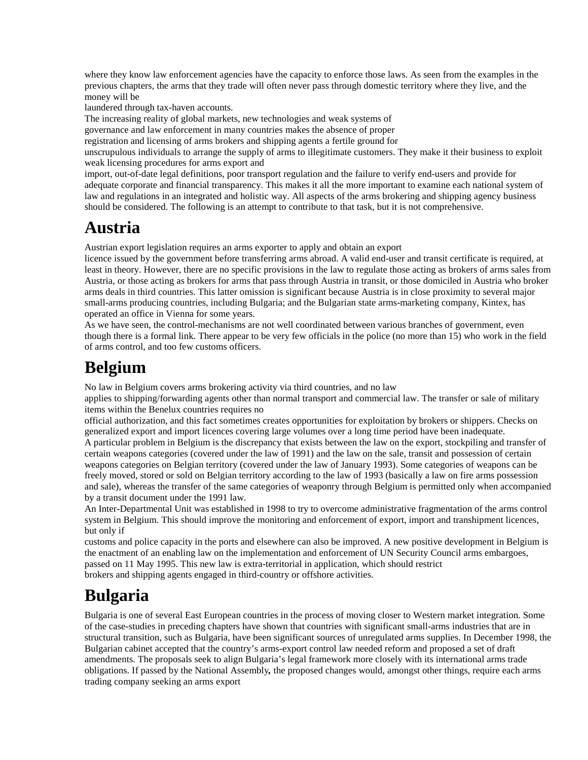where they know law enforcement agencies have the capacity to enforce those laws. As seen from the examples in the previous chapters, the arms that they trade will often never pass through domestic territory where they live, and the money will be

laundered through tax-haven accounts.

The increasing reality of global markets, new technologies and weak systems of

governance and law enforcement in many countries makes the absence of proper

registration and licensing of arms brokers and shipping agents a fertile ground for

unscrupulous individuals to arrange the supply of arms to illegitimate customers. They make it their business to exploit weak licensing procedures for arms export and

import, out-of-date legal definitions, poor transport regulation and the failure to verify end-users and provide for adequate corporate and financial transparency. This makes it all the more important to examine each national system of law and regulations in an integrated and holistic way. All aspects of the arms brokering and shipping agency business should be considered. The following is an attempt to contribute to that task, but it is not comprehensive.

### **Austria**

Austrian export legislation requires an arms exporter to apply and obtain an export

licence issued by the government before transferring arms abroad. A valid end-user and transit certificate is required, at least in theory. However, there are no specific provisions in the law to regulate those acting as brokers of arms sales from Austria, or those acting as brokers for arms that pass through Austria in transit, or those domiciled in Austria who broker arms deals in third countries. This latter omission is significant because Austria is in close proximity to several major small-arms producing countries, including Bulgaria; and the Bulgarian state arms-marketing company, Kintex, has operated an office in Vienna for some years.

As we have seen, the control-mechanisms are not well coordinated between various branches of government, even though there is a formal link. There appear to be very few officials in the police (no more than 15) who work in the field of arms control, and too few customs officers.

## **Belgium**

No law in Belgium covers arms brokering activity via third countries, and no law

applies to shipping/forwarding agents other than normal transport and commercial law. The transfer or sale of military items within the Benelux countries requires no

official authorization, and this fact sometimes creates opportunities for exploitation by brokers or shippers. Checks on generalized export and import licences covering large volumes over a long time period have been inadequate. A particular problem in Belgium is the discrepancy that exists between the law on the export, stockpiling and transfer of certain weapons categories (covered under the law of 1991) and the law on the sale, transit and possession of certain weapons categories on Belgian territory (covered under the law of January 1993). Some categories of weapons can be freely moved, stored or sold on Belgian territory according to the law of 1993 (basically a law on fire arms possession and sale), whereas the transfer of the same categories of weaponry through Belgium is permitted only when accompanied by a transit document under the 1991 law.

An Inter-Departmental Unit was established in 1998 to try to overcome administrative fragmentation of the arms control system in Belgium. This should improve the monitoring and enforcement of export, import and transhipment licences, but only if

customs and police capacity in the ports and elsewhere can also be improved. A new positive development in Belgium is the enactment of an enabling law on the implementation and enforcement of UN Security Council arms embargoes, passed on 11 May 1995. This new law is extra-territorial in application, which should restrict brokers and shipping agents engaged in third-country or offshore activities.

## **Bulgaria**

Bulgaria is one of several East European countries in the process of moving closer to Western market integration. Some of the case-studies in preceding chapters have shown that countries with significant small-arms industries that are in structural transition, such as Bulgaria, have been significant sources of unregulated arms supplies. In December 1998, the Bulgarian cabinet accepted that the country's arms-export control law needed reform and proposed a set of draft amendments. The proposals seek to align Bulgaria's legal framework more closely with its international arms trade obligations. If passed by the National Assembly*,* the proposed changes would, amongst other things, require each arms trading company seeking an arms export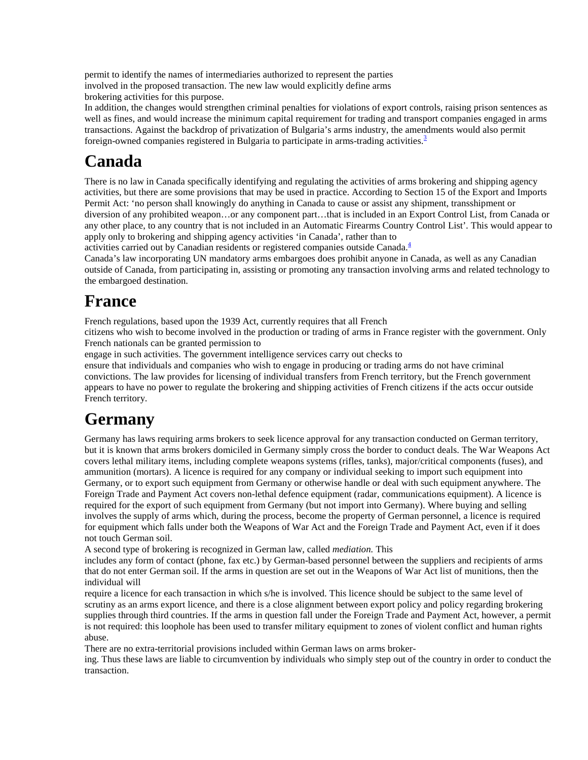permit to identify the names of intermediaries authorized to represent the parties involved in the proposed transaction. The new law would explicitly define arms brokering activities for this purpose.

In addition, the changes would strengthen criminal penalties for violations of export controls, raising prison sentences as well as fines, and would increase the minimum capital requirement for trading and transport companies engaged in arms transactions. Against the backdrop of privatization of Bulgaria's arms industry, the amendments would also permit foreign-owned companies registered in Bulgaria to participate in arms-trading activities. $3$ 

# **Canada**

There is no law in Canada specifically identifying and regulating the activities of arms brokering and shipping agency activities, but there are some provisions that may be used in practice. According to Section 15 of the Export and Imports Permit Act: 'no person shall knowingly do anything in Canada to cause or assist any shipment, transshipment or diversion of any prohibited weapon…or any component part…that is included in an Export Control List, from Canada or any other place, to any country that is not included in an Automatic Firearms Country Control List'. This would appear to apply only to brokering and shipping agency activities 'in Canada', rather than to

activities carried out by Canadian residents or registered companies outside Canada.<sup>4</sup>

Canada's law incorporating UN mandatory arms embargoes does prohibit anyone in Canada, as well as any Canadian outside of Canada, from participating in, assisting or promoting any transaction involving arms and related technology to the embargoed destination.

## **France**

French regulations, based upon the 1939 Act, currently requires that all French

citizens who wish to become involved in the production or trading of arms in France register with the government. Only French nationals can be granted permission to

engage in such activities. The government intelligence services carry out checks to

ensure that individuals and companies who wish to engage in producing or trading arms do not have criminal convictions. The law provides for licensing of individual transfers from French territory, but the French government appears to have no power to regulate the brokering and shipping activities of French citizens if the acts occur outside French territory.

## **Germany**

Germany has laws requiring arms brokers to seek licence approval for any transaction conducted on German territory, but it is known that arms brokers domiciled in Germany simply cross the border to conduct deals. The War Weapons Act covers lethal military items, including complete weapons systems (rifles, tanks), major/critical components (fuses), and ammunition (mortars). A licence is required for any company or individual seeking to import such equipment into Germany, or to export such equipment from Germany or otherwise handle or deal with such equipment anywhere. The Foreign Trade and Payment Act covers non-lethal defence equipment (radar, communications equipment). A licence is required for the export of such equipment from Germany (but not import into Germany). Where buying and selling involves the supply of arms which, during the process, become the property of German personnel, a licence is required for equipment which falls under both the Weapons of War Act and the Foreign Trade and Payment Act, even if it does not touch German soil.

A second type of brokering is recognized in German law, called *mediation.* This

includes any form of contact (phone, fax etc.) by German-based personnel between the suppliers and recipients of arms that do not enter German soil. If the arms in question are set out in the Weapons of War Act list of munitions, then the individual will

require a licence for each transaction in which s/he is involved. This licence should be subject to the same level of scrutiny as an arms export licence, and there is a close alignment between export policy and policy regarding brokering supplies through third countries. If the arms in question fall under the Foreign Trade and Payment Act, however, a permit is not required: this loophole has been used to transfer military equipment to zones of violent conflict and human rights abuse.

There are no extra-territorial provisions included within German laws on arms broker-

ing. Thus these laws are liable to circumvention by individuals who simply step out of the country in order to conduct the transaction.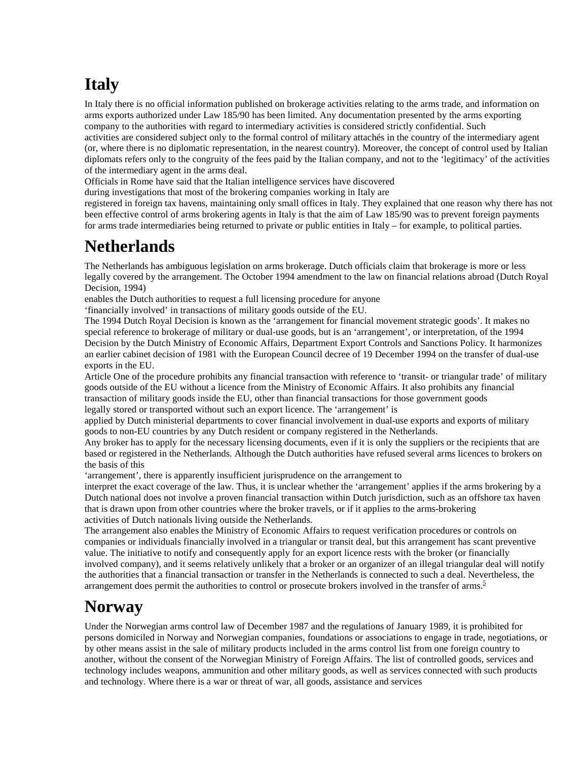# **Italy**

In Italy there is no official information published on brokerage activities relating to the arms trade, and information on arms exports authorized under Law 185/90 has been limited. Any documentation presented by the arms exporting company to the authorities with regard to intermediary activities is considered strictly confidential. Such activities are considered subject only to the formal control of military attachés in the country of the intermediary agent (or, where there is no diplomatic representation, in the nearest country). Moreover, the concept of control used by Italian diplomats refers only to the congruity of the fees paid by the Italian company, and not to the 'legitimacy' of the activities of the intermediary agent in the arms deal.

Officials in Rome have said that the Italian intelligence services have discovered

during investigations that most of the brokering companies working in Italy are

registered in foreign tax havens, maintaining only small offices in Italy. They explained that one reason why there has not been effective control of arms brokering agents in Italy is that the aim of Law 185/90 was to prevent foreign payments for arms trade intermediaries being returned to private or public entities in Italy – for example, to political parties.

## **Netherlands**

The Netherlands has ambiguous legislation on arms brokerage. Dutch officials claim that brokerage is more or less legally covered by the arrangement. The October 1994 amendment to the law on financial relations abroad (Dutch Royal Decision, 1994)

enables the Dutch authorities to request a full licensing procedure for anyone

'financially involved' in transactions of military goods outside of the EU.

The 1994 Dutch Royal Decision is known as the 'arrangement for financial movement strategic goods'. It makes no special reference to brokerage of military or dual-use goods, but is an 'arrangement', or interpretation, of the 1994 Decision by the Dutch Ministry of Economic Affairs, Department Export Controls and Sanctions Policy. It harmonizes an earlier cabinet decision of 1981 with the European Council decree of 19 December 1994 on the transfer of dual-use exports in the EU.

Article One of the procedure prohibits any financial transaction with reference to 'transit- or triangular trade' of military goods outside of the EU without a licence from the Ministry of Economic Affairs. It also prohibits any financial transaction of military goods inside the EU, other than financial transactions for those government goods legally stored or transported without such an export licence. The 'arrangement' is

applied by Dutch ministerial departments to cover financial involvement in dual-use exports and exports of military goods to non-EU countries by any Dutch resident or company registered in the Netherlands.

Any broker has to apply for the necessary licensing documents, even if it is only the suppliers or the recipients that are based or registered in the Netherlands. Although the Dutch authorities have refused several arms licences to brokers on the basis of this

'arrangement', there is apparently insufficient jurisprudence on the arrangement to

interpret the exact coverage of the law. Thus, it is unclear whether the 'arrangement' applies if the arms brokering by a Dutch national does not involve a proven financial transaction within Dutch jurisdiction, such as an offshore tax haven that is drawn upon from other countries where the broker travels, or if it applies to the arms-brokering activities of Dutch nationals living outside the Netherlands.

The arrangement also enables the Ministry of Economic Affairs to request verification procedures or controls on companies or individuals financially involved in a triangular or transit deal, but this arrangement has scant preventive value. The initiative to notify and consequently apply for an export licence rests with the broker (or financially involved company), and it seems relatively unlikely that a broker or an organizer of an illegal triangular deal will notify the authorities that a financial transaction or transfer in the Netherlands is connected to such a deal. Nevertheless, the arrangement does permit the authorities to control or prosecute brokers involved in the transfer of arms. $\frac{5}{5}$ 

#### **Norway**

Under the Norwegian arms control law of December 1987 and the regulations of January 1989, it is prohibited for persons domiciled in Norway and Norwegian companies, foundations or associations to engage in trade, negotiations, or by other means assist in the sale of military products included in the arms control list from one foreign country to another, without the consent of the Norwegian Ministry of Foreign Affairs. The list of controlled goods, services and technology includes weapons, ammunition and other military goods, as well as services connected with such products and technology. Where there is a war or threat of war, all goods, assistance and services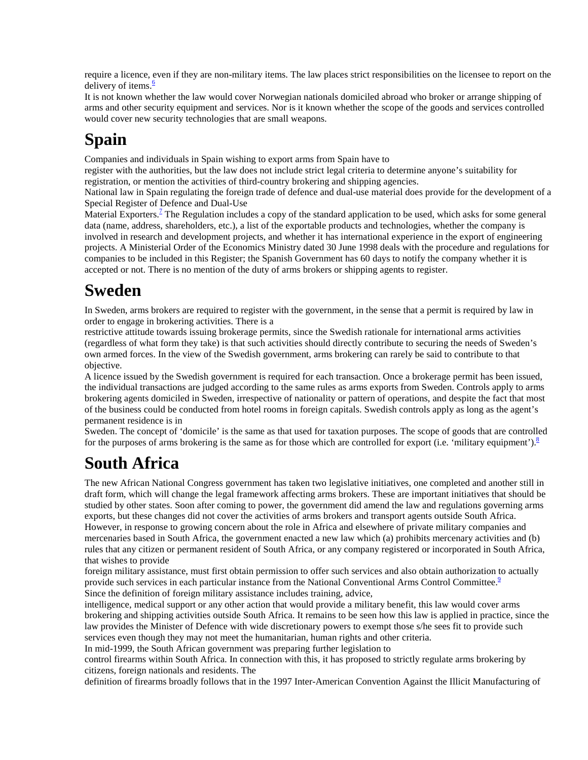require a licence, even if they are non-military items. The law places strict responsibilities on the licensee to report on the delivery of items. $\frac{6}{5}$ 

It is not known whether the law would cover Norwegian nationals domiciled abroad who broker or arrange shipping of arms and other security equipment and services. Nor is it known whether the scope of the goods and services controlled would cover new security technologies that are small weapons.

# **Spain**

Companies and individuals in Spain wishing to export arms from Spain have to

register with the authorities, but the law does not include strict legal criteria to determine anyone's suitability for registration, or mention the activities of third-country brokering and shipping agencies.

National law in Spain regulating the foreign trade of defence and dual-use material does provide for the development of a Special Register of Defence and Dual-Use

Material Exporters.<sup>2</sup> The Regulation includes a copy of the standard application to be used, which asks for some general data (name, address, shareholders, etc.), a list of the exportable products and technologies, whether the company is involved in research and development projects, and whether it has international experience in the export of engineering projects. A Ministerial Order of the Economics Ministry dated 30 June 1998 deals with the procedure and regulations for companies to be included in this Register; the Spanish Government has 60 days to notify the company whether it is accepted or not. There is no mention of the duty of arms brokers or shipping agents to register.

## **Sweden**

In Sweden, arms brokers are required to register with the government, in the sense that a permit is required by law in order to engage in brokering activities. There is a

restrictive attitude towards issuing brokerage permits, since the Swedish rationale for international arms activities (regardless of what form they take) is that such activities should directly contribute to securing the needs of Sweden's own armed forces. In the view of the Swedish government, arms brokering can rarely be said to contribute to that objective.

A licence issued by the Swedish government is required for each transaction. Once a brokerage permit has been issued, the individual transactions are judged according to the same rules as arms exports from Sweden. Controls apply to arms brokering agents domiciled in Sweden, irrespective of nationality or pattern of operations, and despite the fact that most of the business could be conducted from hotel rooms in foreign capitals. Swedish controls apply as long as the agent's permanent residence is in

Sweden. The concept of 'domicile' is the same as that used for taxation purposes. The scope of goods that are controlled for the purposes of arms brokering is the same as for those which are controlled for export (i.e. 'military equipment'). $8$ 

# **South Africa**

The new African National Congress government has taken two legislative initiatives, one completed and another still in draft form, which will change the legal framework affecting arms brokers. These are important initiatives that should be studied by other states. Soon after coming to power, the government did amend the law and regulations governing arms exports, but these changes did not cover the activities of arms brokers and transport agents outside South Africa. However, in response to growing concern about the role in Africa and elsewhere of private military companies and mercenaries based in South Africa, the government enacted a new law which (a) prohibits mercenary activities and (b) rules that any citizen or permanent resident of South Africa, or any company registered or incorporated in South Africa, that wishes to provide

foreign military assistance, must first obtain permission to offer such services and also obtain authorization to actually provide such services in each particular instance from the National Conventional Arms Control Committee.<sup>9</sup> Since the definition of foreign military assistance includes training, advice,

intelligence, medical support or any other action that would provide a military benefit, this law would cover arms brokering and shipping activities outside South Africa. It remains to be seen how this law is applied in practice, since the law provides the Minister of Defence with wide discretionary powers to exempt those s/he sees fit to provide such services even though they may not meet the humanitarian, human rights and other criteria.

In mid-1999, the South African government was preparing further legislation to

control firearms within South Africa. In connection with this, it has proposed to strictly regulate arms brokering by citizens, foreign nationals and residents. The

definition of firearms broadly follows that in the 1997 Inter-American Convention Against the Illicit Manufacturing of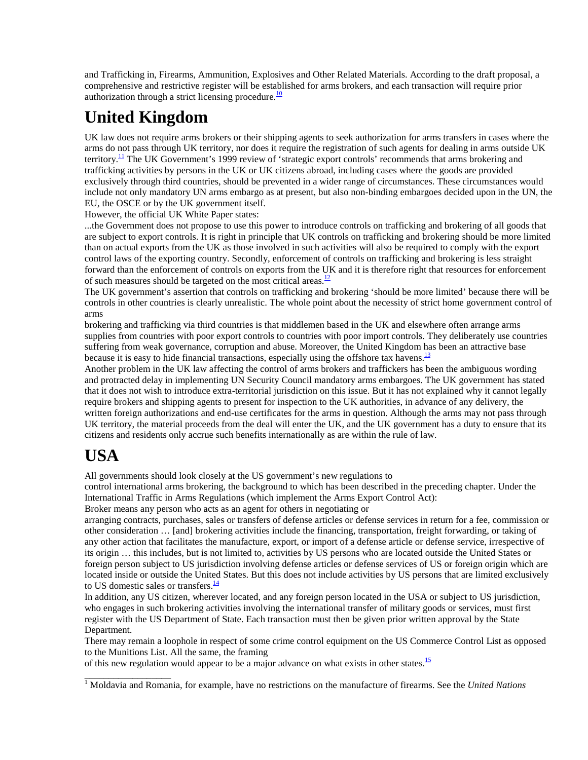and Trafficking in, Firearms, Ammunition, Explosives and Other Related Materials. According to the draft proposal, a comprehensive and restrictive register will be established for arms brokers, and each transaction will require prior authorization through a strict licensing procedure. $\frac{10}{2}$ 

# **United Kingdom**

UK law does not require arms brokers or their shipping agents to seek authorization for arms transfers in cases where the arms do not pass through UK territory, nor does it require the registration of such agents for dealing in arms outside UK territory.<sup>11</sup> The UK Government's 1999 review of 'strategic export controls' recommends that arms brokering and trafficking activities by persons in the UK or UK citizens abroad, including cases where the goods are provided exclusively through third countries, should be prevented in a wider range of circumstances. These circumstances would include not only mandatory UN arms embargo as at present, but also non-binding embargoes decided upon in the UN, the EU, the OSCE or by the UK government itself.

However, the official UK White Paper states:

...the Government does not propose to use this power to introduce controls on trafficking and brokering of all goods that are subject to export controls. It is right in principle that UK controls on trafficking and brokering should be more limited than on actual exports from the UK as those involved in such activities will also be required to comply with the export control laws of the exporting country. Secondly, enforcement of controls on trafficking and brokering is less straight forward than the enforcement of controls on exports from the UK and it is therefore right that resources for enforcement of such measures should be targeted on the most critical areas. $\frac{12}{12}$ 

The UK government's assertion that controls on trafficking and brokering 'should be more limited' because there will be controls in other countries is clearly unrealistic. The whole point about the necessity of strict home government control of arms

brokering and trafficking via third countries is that middlemen based in the UK and elsewhere often arrange arms supplies from countries with poor export controls to countries with poor import controls. They deliberately use countries suffering from weak governance, corruption and abuse. Moreover, the United Kingdom has been an attractive base because it is easy to hide financial transactions, especially using the offshore tax havens.<sup>13</sup>

Another problem in the UK law affecting the control of arms brokers and traffickers has been the ambiguous wording and protracted delay in implementing UN Security Council mandatory arms embargoes. The UK government has stated that it does not wish to introduce extra-territorial jurisdiction on this issue. But it has not explained why it cannot legally require brokers and shipping agents to present for inspection to the UK authorities, in advance of any delivery, the written foreign authorizations and end-use certificates for the arms in question. Although the arms may not pass through UK territory, the material proceeds from the deal will enter the UK, and the UK government has a duty to ensure that its citizens and residents only accrue such benefits internationally as are within the rule of law.

# **USA**

\_\_\_\_\_\_\_\_\_\_\_\_\_\_\_\_\_\_

All governments should look closely at the US government's new regulations to

control international arms brokering, the background to which has been described in the preceding chapter. Under the International Traffic in Arms Regulations (which implement the Arms Export Control Act):

Broker means any person who acts as an agent for others in negotiating or

arranging contracts, purchases, sales or transfers of defense articles or defense services in return for a fee, commission or other consideration … [and] brokering activities include the financing, transportation, freight forwarding, or taking of any other action that facilitates the manufacture, export, or import of a defense article or defense service, irrespective of its origin … this includes, but is not limited to, activities by US persons who are located outside the United States or foreign person subject to US jurisdiction involving defense articles or defense services of US or foreign origin which are located inside or outside the United States. But this does not include activities by US persons that are limited exclusively to US domestic sales or transfers. $\frac{14}{3}$ 

In addition, any US citizen, wherever located, and any foreign person located in the USA or subject to US jurisdiction, who engages in such brokering activities involving the international transfer of military goods or services, must first register with the US Department of State. Each transaction must then be given prior written approval by the State Department.

There may remain a loophole in respect of some crime control equipment on the US Commerce Control List as opposed to the Munitions List. All the same, the framing

of this new regulation would appear to be a major advance on what exists in other states.<sup>15</sup>

<sup>1</sup> Moldavia and Romania, for example, have no restrictions on the manufacture of firearms. See the *United Nations*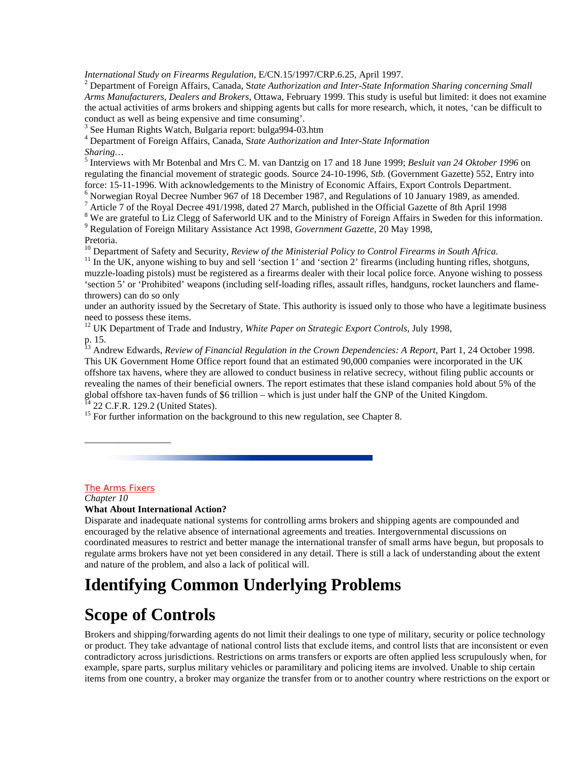*International Study on Firearms Regulation*, E/CN.15/1997/CRP.6.25, April 1997. <sup>2</sup>

 Department of Foreign Affairs, Canada, S*tate Authorization and Inter-State Information Sharing concerning Small Arms Manufacturers, Dealers and Brokers*, Ottawa, February 1999. This study is useful but limited: it does not examine the actual activities of arms brokers and shipping agents but calls for more research, which, it notes, 'can be difficult to conduct as well as being expensive and time consuming'.

3 See Human Rights Watch, Bulgaria report: bulga994-03.htm

4 Department of Foreign Affairs, Canada, S*tate Authorization and Inter-State Information*

*Sharing…*

<sup>5</sup> Interviews with Mr Botenbal and Mrs C. M. van Dantzig on 17 and 18 June 1999; *Besluit van 24 Oktober 1996* on regulating the financial movement of strategic goods. Source 24-10-1996, *Stb.* (Government Gazette) 552, Entry into force: 15-11-1996. With acknowledgements to the Ministry of Economic Affairs, Export Controls Department.

 $6$  Norwegian Royal Decree Number 967 of 18 December 1987, and Regulations of 10 January 1989, as amended.

<sup>7</sup> Article 7 of the Royal Decree 491/1998, dated 27 March, published in the Official Gazette of 8th April 1998

<sup>8</sup> We are grateful to Liz Clegg of Saferworld UK and to the Ministry of Foreign Affairs in Sweden for this information. 9 Regulation of Foreign Military Assistance Act 1998, *Government Gazette,* 20 May 1998,

Pretoria.<br><sup>10</sup> Department of Safety and Security, *Review of the Ministerial Policy to Control Firearms in South Africa.* 

 $^{11}$  In the UK, anyone wishing to buy and sell 'section 1' and 'section 2' firearms (including hunting rifles, shotguns, muzzle-loading pistols) must be registered as a firearms dealer with their local police force. Anyone wishing to possess 'section 5' or 'Prohibited' weapons (including self-loading rifles, assault rifles, handguns, rocket launchers and flamethrowers) can do so only

under an authority issued by the Secretary of State. This authority is issued only to those who have a legitimate business need to possess these items.

<sup>12</sup> UK Department of Trade and Industry, *White Paper on Strategic Export Controls*, July 1998, p. 15.

<sup>13</sup> Andrew Edwards, *Review of Financial Regulation in the Crown Dependencies: A Report*, Part 1, 24 October 1998. This UK Government Home Office report found that an estimated 90,000 companies were incorporated in the UK offshore tax havens, where they are allowed to conduct business in relative secrecy, without filing public accounts or revealing the names of their beneficial owners. The report estimates that these island companies hold about 5% of the global offshore tax-haven funds of \$6 trillion – which is just under half the GNP of the United Kingdom. 22 C.F.R. 129.2 (United States).

 $15$  For further information on the background to this new regulation, see Chapter 8.

#### The Arms Fixers

\_\_\_\_\_\_\_\_\_\_\_\_\_\_\_\_\_\_

*Chapter 10* **What About International Action?**

Disparate and inadequate national systems for controlling arms brokers and shipping agents are compounded and encouraged by the relative absence of international agreements and treaties. Intergovernmental discussions on coordinated measures to restrict and better manage the international transfer of small arms have begun, but proposals to regulate arms brokers have not yet been considered in any detail. There is still a lack of understanding about the extent and nature of the problem, and also a lack of political will.

### **Identifying Common Underlying Problems**

### **Scope of Controls**

Brokers and shipping/forwarding agents do not limit their dealings to one type of military, security or police technology or product. They take advantage of national control lists that exclude items, and control lists that are inconsistent or even contradictory across jurisdictions. Restrictions on arms transfers or exports are often applied less scrupulously when, for example, spare parts, surplus military vehicles or paramilitary and policing items are involved. Unable to ship certain items from one country, a broker may organize the transfer from or to another country where restrictions on the export or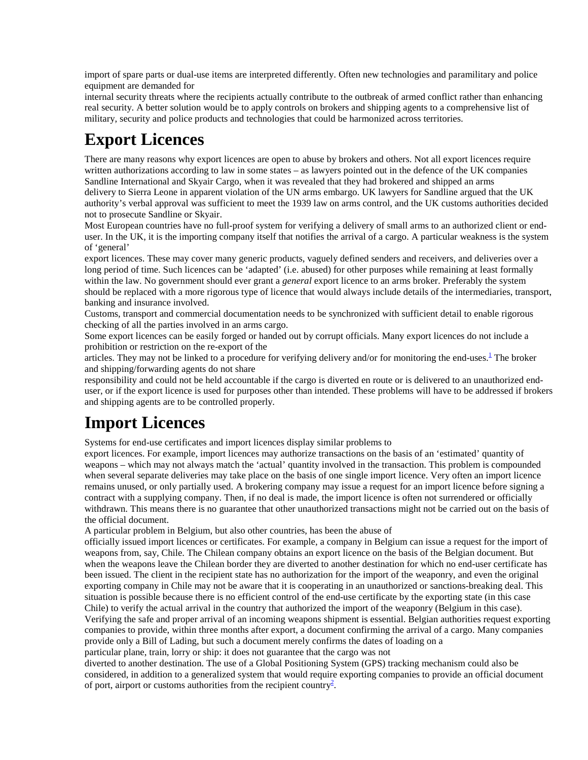import of spare parts or dual-use items are interpreted differently. Often new technologies and paramilitary and police equipment are demanded for

internal security threats where the recipients actually contribute to the outbreak of armed conflict rather than enhancing real security. A better solution would be to apply controls on brokers and shipping agents to a comprehensive list of military, security and police products and technologies that could be harmonized across territories.

# **Export Licences**

There are many reasons why export licences are open to abuse by brokers and others. Not all export licences require written authorizations according to law in some states – as lawyers pointed out in the defence of the UK companies Sandline International and Skyair Cargo, when it was revealed that they had brokered and shipped an arms delivery to Sierra Leone in apparent violation of the UN arms embargo. UK lawyers for Sandline argued that the UK authority's verbal approval was sufficient to meet the 1939 law on arms control, and the UK customs authorities decided not to prosecute Sandline or Skyair.

Most European countries have no full-proof system for verifying a delivery of small arms to an authorized client or enduser. In the UK, it is the importing company itself that notifies the arrival of a cargo. A particular weakness is the system of 'general'

export licences. These may cover many generic products, vaguely defined senders and receivers, and deliveries over a long period of time. Such licences can be 'adapted' (i.e. abused) for other purposes while remaining at least formally within the law. No government should ever grant a *general* export licence to an arms broker. Preferably the system should be replaced with a more rigorous type of licence that would always include details of the intermediaries, transport, banking and insurance involved.

Customs, transport and commercial documentation needs to be synchronized with sufficient detail to enable rigorous checking of all the parties involved in an arms cargo.

Some export licences can be easily forged or handed out by corrupt officials. Many export licences do not include a prohibition or restriction on the re-export of the

articles. They may not be linked to a procedure for verifying delivery and/or for monitoring the end-uses. $<sup>1</sup>$  The broker</sup> and shipping/forwarding agents do not share

responsibility and could not be held accountable if the cargo is diverted en route or is delivered to an unauthorized enduser, or if the export licence is used for purposes other than intended. These problems will have to be addressed if brokers and shipping agents are to be controlled properly.

# **Import Licences**

Systems for end-use certificates and import licences display similar problems to

export licences. For example, import licences may authorize transactions on the basis of an 'estimated' quantity of weapons – which may not always match the 'actual' quantity involved in the transaction. This problem is compounded when several separate deliveries may take place on the basis of one single import licence. Very often an import licence remains unused, or only partially used. A brokering company may issue a request for an import licence before signing a contract with a supplying company. Then, if no deal is made, the import licence is often not surrendered or officially withdrawn. This means there is no guarantee that other unauthorized transactions might not be carried out on the basis of the official document.

A particular problem in Belgium, but also other countries, has been the abuse of

officially issued import licences or certificates. For example, a company in Belgium can issue a request for the import of weapons from, say, Chile. The Chilean company obtains an export licence on the basis of the Belgian document. But when the weapons leave the Chilean border they are diverted to another destination for which no end-user certificate has been issued. The client in the recipient state has no authorization for the import of the weaponry, and even the original exporting company in Chile may not be aware that it is cooperating in an unauthorized or sanctions-breaking deal. This situation is possible because there is no efficient control of the end-use certificate by the exporting state (in this case Chile) to verify the actual arrival in the country that authorized the import of the weaponry (Belgium in this case). Verifying the safe and proper arrival of an incoming weapons shipment is essential. Belgian authorities request exporting companies to provide, within three months after export, a document confirming the arrival of a cargo. Many companies provide only a Bill of Lading, but such a document merely confirms the dates of loading on a

particular plane, train, lorry or ship: it does not guarantee that the cargo was not

diverted to another destination. The use of a Global Positioning System (GPS) tracking mechanism could also be considered, in addition to a generalized system that would require exporting companies to provide an official document of port, airport or customs authorities from the recipient country<sup>2</sup>.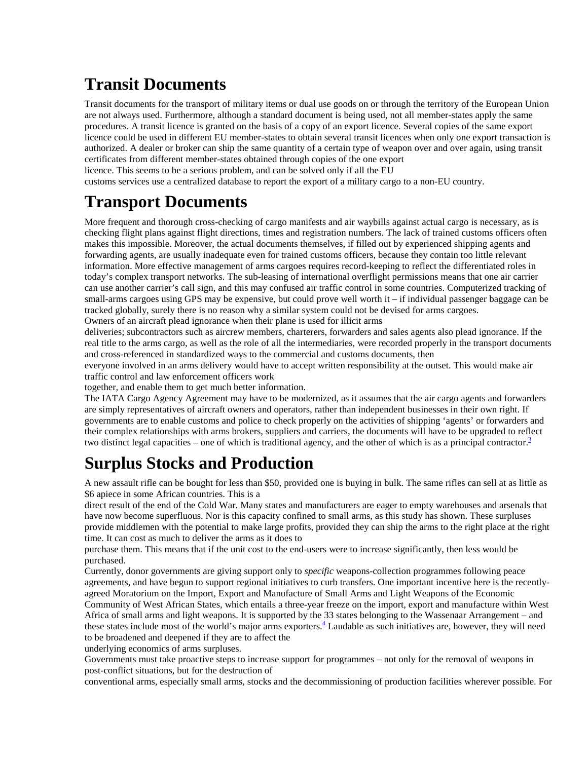## **Transit Documents**

Transit documents for the transport of military items or dual use goods on or through the territory of the European Union are not always used. Furthermore, although a standard document is being used, not all member-states apply the same procedures. A transit licence is granted on the basis of a copy of an export licence. Several copies of the same export licence could be used in different EU member-states to obtain several transit licences when only one export transaction is authorized. A dealer or broker can ship the same quantity of a certain type of weapon over and over again, using transit certificates from different member-states obtained through copies of the one export

licence. This seems to be a serious problem, and can be solved only if all the EU

customs services use a centralized database to report the export of a military cargo to a non-EU country.

## **Transport Documents**

More frequent and thorough cross-checking of cargo manifests and air waybills against actual cargo is necessary, as is checking flight plans against flight directions, times and registration numbers. The lack of trained customs officers often makes this impossible. Moreover, the actual documents themselves, if filled out by experienced shipping agents and forwarding agents, are usually inadequate even for trained customs officers, because they contain too little relevant information. More effective management of arms cargoes requires record-keeping to reflect the differentiated roles in today's complex transport networks. The sub-leasing of international overflight permissions means that one air carrier can use another carrier's call sign, and this may confused air traffic control in some countries. Computerized tracking of small-arms cargoes using GPS may be expensive, but could prove well worth it – if individual passenger baggage can be tracked globally, surely there is no reason why a similar system could not be devised for arms cargoes.

Owners of an aircraft plead ignorance when their plane is used for illicit arms

deliveries; subcontractors such as aircrew members, charterers, forwarders and sales agents also plead ignorance. If the real title to the arms cargo, as well as the role of all the intermediaries, were recorded properly in the transport documents and cross-referenced in standardized ways to the commercial and customs documents, then

everyone involved in an arms delivery would have to accept written responsibility at the outset. This would make air traffic control and law enforcement officers work

together, and enable them to get much better information.

The IATA Cargo Agency Agreement may have to be modernized, as it assumes that the air cargo agents and forwarders are simply representatives of aircraft owners and operators, rather than independent businesses in their own right. If governments are to enable customs and police to check properly on the activities of shipping 'agents' or forwarders and their complex relationships with arms brokers, suppliers and carriers, the documents will have to be upgraded to reflect two distinct legal capacities – one of which is traditional agency, and the other of which is as a principal contractor. $3$ 

# **Surplus Stocks and Production**

A new assault rifle can be bought for less than \$50, provided one is buying in bulk. The same rifles can sell at as little as \$6 apiece in some African countries. This is a

direct result of the end of the Cold War. Many states and manufacturers are eager to empty warehouses and arsenals that have now become superfluous. Nor is this capacity confined to small arms, as this study has shown. These surpluses provide middlemen with the potential to make large profits, provided they can ship the arms to the right place at the right time. It can cost as much to deliver the arms as it does to

purchase them. This means that if the unit cost to the end-users were to increase significantly, then less would be purchased.

Currently, donor governments are giving support only to *specific* weapons-collection programmes following peace agreements, and have begun to support regional initiatives to curb transfers. One important incentive here is the recentlyagreed Moratorium on the Import, Export and Manufacture of Small Arms and Light Weapons of the Economic

Community of West African States, which entails a three-year freeze on the import, export and manufacture within West Africa of small arms and light weapons. It is supported by the 33 states belonging to the Wassenaar Arrangement – and these states include most of the world's major arms exporters.<sup>4</sup> Laudable as such initiatives are, however, they will need to be broadened and deepened if they are to affect the

underlying economics of arms surpluses.

Governments must take proactive steps to increase support for programmes – not only for the removal of weapons in post-conflict situations, but for the destruction of

conventional arms, especially small arms, stocks and the decommissioning of production facilities wherever possible. For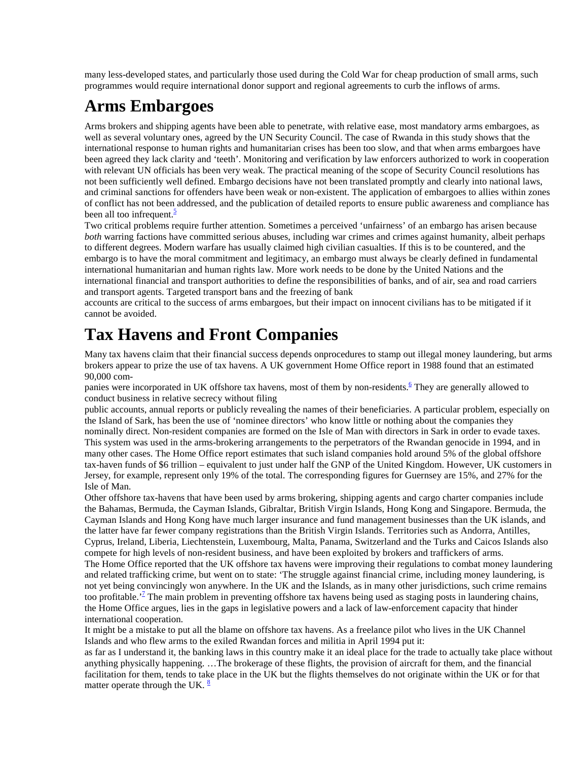many less-developed states, and particularly those used during the Cold War for cheap production of small arms, such programmes would require international donor support and regional agreements to curb the inflows of arms.

## **Arms Embargoes**

Arms brokers and shipping agents have been able to penetrate, with relative ease, most mandatory arms embargoes, as well as several voluntary ones, agreed by the UN Security Council. The case of Rwanda in this study shows that the international response to human rights and humanitarian crises has been too slow, and that when arms embargoes have been agreed they lack clarity and 'teeth'. Monitoring and verification by law enforcers authorized to work in cooperation with relevant UN officials has been very weak. The practical meaning of the scope of Security Council resolutions has not been sufficiently well defined. Embargo decisions have not been translated promptly and clearly into national laws, and criminal sanctions for offenders have been weak or non-existent. The application of embargoes to allies within zones of conflict has not been addressed, and the publication of detailed reports to ensure public awareness and compliance has been all too infrequent. $\frac{5}{3}$ 

Two critical problems require further attention. Sometimes a perceived 'unfairness' of an embargo has arisen because *both* warring factions have committed serious abuses, including war crimes and crimes against humanity, albeit perhaps to different degrees. Modern warfare has usually claimed high civilian casualties. If this is to be countered, and the embargo is to have the moral commitment and legitimacy, an embargo must always be clearly defined in fundamental international humanitarian and human rights law. More work needs to be done by the United Nations and the international financial and transport authorities to define the responsibilities of banks, and of air, sea and road carriers and transport agents. Targeted transport bans and the freezing of bank

accounts are critical to the success of arms embargoes, but their impact on innocent civilians has to be mitigated if it cannot be avoided.

### **Tax Havens and Front Companies**

Many tax havens claim that their financial success depends onprocedures to stamp out illegal money laundering, but arms brokers appear to prize the use of tax havens. A UK government Home Office report in 1988 found that an estimated 90,000 com-

panies were incorporated in UK offshore tax havens, most of them by non-residents.<sup>6</sup> They are generally allowed to conduct business in relative secrecy without filing

public accounts, annual reports or publicly revealing the names of their beneficiaries. A particular problem, especially on the Island of Sark, has been the use of 'nominee directors' who know little or nothing about the companies they nominally direct. Non-resident companies are formed on the Isle of Man with directors in Sark in order to evade taxes. This system was used in the arms-brokering arrangements to the perpetrators of the Rwandan genocide in 1994, and in many other cases. The Home Office report estimates that such island companies hold around 5% of the global offshore tax-haven funds of \$6 trillion – equivalent to just under half the GNP of the United Kingdom. However, UK customers in Jersey, for example, represent only 19% of the total. The corresponding figures for Guernsey are 15%, and 27% for the Isle of Man.

Other offshore tax-havens that have been used by arms brokering, shipping agents and cargo charter companies include the Bahamas, Bermuda, the Cayman Islands, Gibraltar, British Virgin Islands, Hong Kong and Singapore. Bermuda, the Cayman Islands and Hong Kong have much larger insurance and fund management businesses than the UK islands, and the latter have far fewer company registrations than the British Virgin Islands. Territories such as Andorra, Antilles, Cyprus, Ireland, Liberia, Liechtenstein, Luxembourg, Malta, Panama, Switzerland and the Turks and Caicos Islands also compete for high levels of non-resident business, and have been exploited by brokers and traffickers of arms. The Home Office reported that the UK offshore tax havens were improving their regulations to combat money laundering

and related trafficking crime, but went on to state: 'The struggle against financial crime, including money laundering, is not yet being convincingly won anywhere. In the UK and the Islands, as in many other jurisdictions, such crime remains too profitable.<sup> $2$ </sup> The main problem in preventing offshore tax havens being used as staging posts in laundering chains, the Home Office argues, lies in the gaps in legislative powers and a lack of law-enforcement capacity that hinder international cooperation.

It might be a mistake to put all the blame on offshore tax havens. As a freelance pilot who lives in the UK Channel Islands and who flew arms to the exiled Rwandan forces and militia in April 1994 put it:

as far as I understand it, the banking laws in this country make it an ideal place for the trade to actually take place without anything physically happening. …The brokerage of these flights, the provision of aircraft for them, and the financial facilitation for them, tends to take place in the UK but the flights themselves do not originate within the UK or for that matter operate through the UK.  $\frac{8}{3}$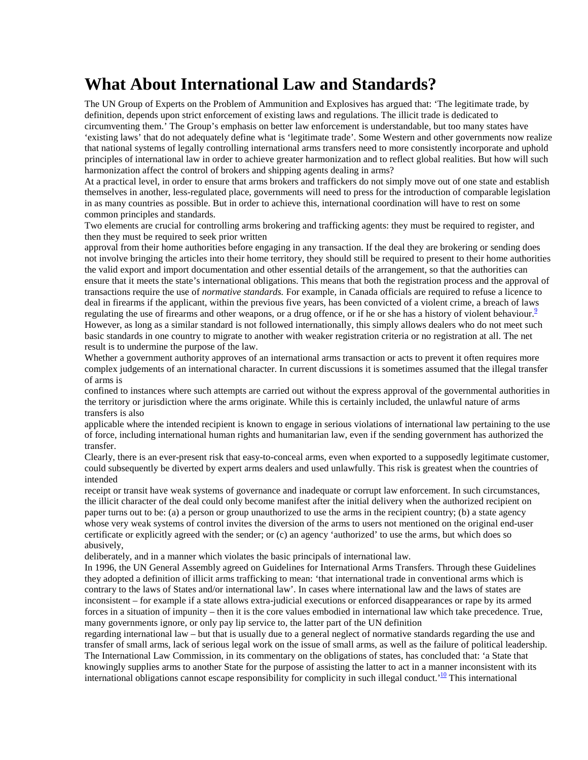## **What About International Law and Standards?**

The UN Group of Experts on the Problem of Ammunition and Explosives has argued that: 'The legitimate trade, by definition, depends upon strict enforcement of existing laws and regulations. The illicit trade is dedicated to circumventing them.' The Group's emphasis on better law enforcement is understandable, but too many states have 'existing laws' that do not adequately define what is 'legitimate trade'. Some Western and other governments now realize that national systems of legally controlling international arms transfers need to more consistently incorporate and uphold principles of international law in order to achieve greater harmonization and to reflect global realities. But how will such harmonization affect the control of brokers and shipping agents dealing in arms?

At a practical level, in order to ensure that arms brokers and traffickers do not simply move out of one state and establish themselves in another, less-regulated place, governments will need to press for the introduction of comparable legislation in as many countries as possible. But in order to achieve this, international coordination will have to rest on some common principles and standards.

Two elements are crucial for controlling arms brokering and trafficking agents: they must be required to register, and then they must be required to seek prior written

approval from their home authorities before engaging in any transaction. If the deal they are brokering or sending does not involve bringing the articles into their home territory, they should still be required to present to their home authorities the valid export and import documentation and other essential details of the arrangement, so that the authorities can ensure that it meets the state's international obligations. This means that both the registration process and the approval of transactions require the use of *normative standards.* For example, in Canada officials are required to refuse a licence to deal in firearms if the applicant, within the previous five years, has been convicted of a violent crime, a breach of laws regulating the use of firearms and other weapons, or a drug offence, or if he or she has a history of violent behaviour.<sup>9</sup> However, as long as a similar standard is not followed internationally, this simply allows dealers who do not meet such basic standards in one country to migrate to another with weaker registration criteria or no registration at all. The net result is to undermine the purpose of the law.

Whether a government authority approves of an international arms transaction or acts to prevent it often requires more complex judgements of an international character. In current discussions it is sometimes assumed that the illegal transfer of arms is

confined to instances where such attempts are carried out without the express approval of the governmental authorities in the territory or jurisdiction where the arms originate. While this is certainly included, the unlawful nature of arms transfers is also

applicable where the intended recipient is known to engage in serious violations of international law pertaining to the use of force, including international human rights and humanitarian law, even if the sending government has authorized the transfer.

Clearly, there is an ever-present risk that easy-to-conceal arms, even when exported to a supposedly legitimate customer, could subsequently be diverted by expert arms dealers and used unlawfully. This risk is greatest when the countries of intended

receipt or transit have weak systems of governance and inadequate or corrupt law enforcement. In such circumstances, the illicit character of the deal could only become manifest after the initial delivery when the authorized recipient on paper turns out to be: (a) a person or group unauthorized to use the arms in the recipient country; (b) a state agency whose very weak systems of control invites the diversion of the arms to users not mentioned on the original end-user certificate or explicitly agreed with the sender; or (c) an agency 'authorized' to use the arms, but which does so abusively,

deliberately, and in a manner which violates the basic principals of international law.

In 1996, the UN General Assembly agreed on Guidelines for International Arms Transfers. Through these Guidelines they adopted a definition of illicit arms trafficking to mean: 'that international trade in conventional arms which is contrary to the laws of States and/or international law'. In cases where international law and the laws of states are inconsistent – for example if a state allows extra-judicial executions or enforced disappearances or rape by its armed forces in a situation of impunity – then it is the core values embodied in international law which take precedence. True, many governments ignore, or only pay lip service to, the latter part of the UN definition

regarding international law – but that is usually due to a general neglect of normative standards regarding the use and transfer of small arms, lack of serious legal work on the issue of small arms, as well as the failure of political leadership. The International Law Commission, in its commentary on the obligations of states, has concluded that: 'a State that knowingly supplies arms to another State for the purpose of assisting the latter to act in a manner inconsistent with its international obligations cannot escape responsibility for complicity in such illegal conduct.<sup>'10</sup> This international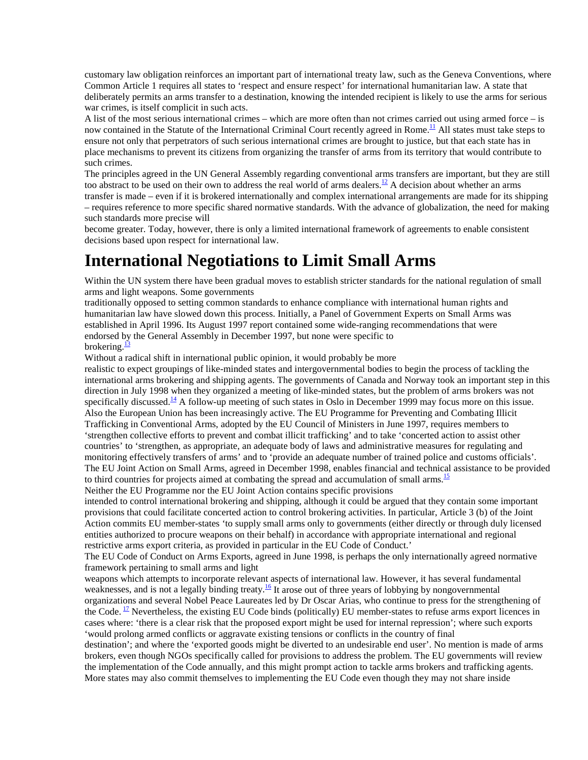customary law obligation reinforces an important part of international treaty law, such as the Geneva Conventions, where Common Article 1 requires all states to 'respect and ensure respect' for international humanitarian law. A state that deliberately permits an arms transfer to a destination, knowing the intended recipient is likely to use the arms for serious war crimes, is itself complicit in such acts.

A list of the most serious international crimes – which are more often than not crimes carried out using armed force – is now contained in the Statute of the International Criminal Court recently agreed in Rome.<sup>11</sup> All states must take steps to ensure not only that perpetrators of such serious international crimes are brought to justice, but that each state has in place mechanisms to prevent its citizens from organizing the transfer of arms from its territory that would contribute to such crimes.

The principles agreed in the UN General Assembly regarding conventional arms transfers are important, but they are still too abstract to be used on their own to address the real world of arms dealers.<sup>12</sup> A decision about whether an arms transfer is made – even if it is brokered internationally and complex international arrangements are made for its shipping – requires reference to more specific shared normative standards. With the advance of globalization, the need for making such standards more precise will

become greater. Today, however, there is only a limited international framework of agreements to enable consistent decisions based upon respect for international law.

### **International Negotiations to Limit Small Arms**

Within the UN system there have been gradual moves to establish stricter standards for the national regulation of small arms and light weapons. Some governments

traditionally opposed to setting common standards to enhance compliance with international human rights and humanitarian law have slowed down this process. Initially, a Panel of Government Experts on Small Arms was established in April 1996. Its August 1997 report contained some wide-ranging recommendations that were endorsed by the General Assembly in December 1997, but none were specific to brokering. $\frac{13}{2}$ 

Without a radical shift in international public opinion, it would probably be more

realistic to expect groupings of like-minded states and intergovernmental bodies to begin the process of tackling the international arms brokering and shipping agents. The governments of Canada and Norway took an important step in this direction in July 1998 when they organized a meeting of like-minded states, but the problem of arms brokers was not specifically discussed.<sup>14</sup> A follow-up meeting of such states in Oslo in December 1999 may focus more on this issue. Also the European Union has been increasingly active. The EU Programme for Preventing and Combating Illicit Trafficking in Conventional Arms, adopted by the EU Council of Ministers in June 1997, requires members to 'strengthen collective efforts to prevent and combat illicit trafficking' and to take 'concerted action to assist other countries' to 'strengthen, as appropriate, an adequate body of laws and administrative measures for regulating and monitoring effectively transfers of arms' and to 'provide an adequate number of trained police and customs officials'. The EU Joint Action on Small Arms, agreed in December 1998, enables financial and technical assistance to be provided to third countries for projects aimed at combating the spread and accumulation of small arms.<sup>15</sup> Neither the EU Programme nor the EU Joint Action contains specific provisions

intended to control international brokering and shipping, although it could be argued that they contain some important provisions that could facilitate concerted action to control brokering activities. In particular, Article 3 (b) of the Joint Action commits EU member-states 'to supply small arms only to governments (either directly or through duly licensed entities authorized to procure weapons on their behalf) in accordance with appropriate international and regional restrictive arms export criteria, as provided in particular in the EU Code of Conduct.'

The EU Code of Conduct on Arms Exports, agreed in June 1998, is perhaps the only internationally agreed normative framework pertaining to small arms and light

weapons which attempts to incorporate relevant aspects of international law. However, it has several fundamental weaknesses, and is not a legally binding treaty.<sup>16</sup> It arose out of three years of lobbying by nongovernmental organizations and several Nobel Peace Laureates led by Dr Oscar Arias, who continue to press for the strengthening of the Code.  $\frac{17}{12}$  Nevertheless, the existing EU Code binds (politically) EU member-states to refuse arms export licences in cases where: 'there is a clear risk that the proposed export might be used for internal repression'; where such exports 'would prolong armed conflicts or aggravate existing tensions or conflicts in the country of final

destination'; and where the 'exported goods might be diverted to an undesirable end user'. No mention is made of arms brokers, even though NGOs specifically called for provisions to address the problem. The EU governments will review the implementation of the Code annually, and this might prompt action to tackle arms brokers and trafficking agents. More states may also commit themselves to implementing the EU Code even though they may not share inside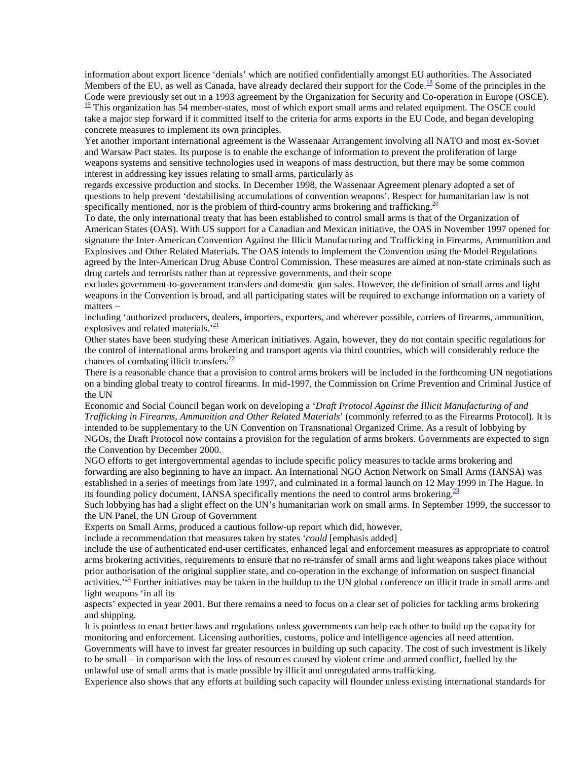information about export licence 'denials' which are notified confidentially amongst EU authorities. The Associated Members of the EU, as well as Canada, have already declared their support for the Code.<sup>18</sup> Some of the principles in the Code were previously set out in a 1993 agreement by the Organization for Security and Co-operation in Europe (OSCE).  $\frac{19}{2}$  This organization has 54 member-states, most of which export small arms and related equipment. The OSCE could take a major step forward if it committed itself to the criteria for arms exports in the EU Code, and began developing concrete measures to implement its own principles.

Yet another important international agreement is the Wassenaar Arrangement involving all NATO and most ex-Soviet and Warsaw Pact states. Its purpose is to enable the exchange of information to prevent the proliferation of large weapons systems and sensitive technologies used in weapons of mass destruction, but there may be some common interest in addressing key issues relating to small arms, particularly as

regards excessive production and stocks. In December 1998, the Wassenaar Agreement plenary adopted a set of questions to help prevent 'destabilising accumulations of convention weapons'. Respect for humanitarian law is not specifically mentioned, nor is the problem of third-country arms brokering and trafficking.<sup>20</sup>

To date, the only international treaty that has been established to control small arms is that of the Organization of American States (OAS). With US support for a Canadian and Mexican initiative, the OAS in November 1997 opened for signature the Inter-American Convention Against the Illicit Manufacturing and Trafficking in Firearms, Ammunition and Explosives and Other Related Materials. The OAS intends to implement the Convention using the Model Regulations agreed by the Inter-American Drug Abuse Control Commission. These measures are aimed at non-state criminals such as drug cartels and terrorists rather than at repressive governments, and their scope

excludes government-to-government transfers and domestic gun sales. However, the definition of small arms and light weapons in the Convention is broad, and all participating states will be required to exchange information on a variety of matters –

including 'authorized producers, dealers, importers, exporters, and wherever possible, carriers of firearms, ammunition, explosives and related materials. $\frac{21}{2}$ 

Other states have been studying these American initiatives. Again, however, they do not contain specific regulations for the control of international arms brokering and transport agents via third countries, which will considerably reduce the chances of combating illicit transfers. $\frac{22}{2}$ 

There is a reasonable chance that a provision to control arms brokers will be included in the forthcoming UN negotiations on a binding global treaty to control firearms. In mid-1997, the Commission on Crime Prevention and Criminal Justice of the UN

Economic and Social Council began work on developing a '*Draft Protocol Against the Illicit Manufacturing of and Trafficking in Firearms, Ammunition and Other Related Materials*' (commonly referred to as the Firearms Protocol). It is intended to be supplementary to the UN Convention on Transnational Organized Crime. As a result of lobbying by NGOs, the Draft Protocol now contains a provision for the regulation of arms brokers. Governments are expected to sign the Convention by December 2000.

NGO efforts to get intergovernmental agendas to include specific policy measures to tackle arms brokering and forwarding are also beginning to have an impact. An International NGO Action Network on Small Arms (IANSA) was established in a series of meetings from late 1997, and culminated in a formal launch on 12 May 1999 in The Hague. In its founding policy document, IANSA specifically mentions the need to control arms brokering.<sup>23</sup>

Such lobbying has had a slight effect on the UN's humanitarian work on small arms. In September 1999, the successor to the UN Panel, the UN Group of Government

Experts on Small Arms, produced a cautious follow-up report which did, however,

include a recommendation that measures taken by states '*could* [emphasis added]

include the use of authenticated end-user certificates, enhanced legal and enforcement measures as appropriate to control arms brokering activities, requirements to ensure that no re-transfer of small arms and light weapons takes place without prior authorisation of the original supplier state, and co-operation in the exchange of information on suspect financial activities.<sup>24</sup> Further initiatives may be taken in the buildup to the UN global conference on illicit trade in small arms and light weapons 'in all its

aspects' expected in year 2001. But there remains a need to focus on a clear set of policies for tackling arms brokering and shipping.

It is pointless to enact better laws and regulations unless governments can help each other to build up the capacity for monitoring and enforcement. Licensing authorities, customs, police and intelligence agencies all need attention.

Governments will have to invest far greater resources in building up such capacity. The cost of such investment is likely to be small – in comparison with the loss of resources caused by violent crime and armed conflict, fuelled by the unlawful use of small arms that is made possible by illicit and unregulated arms trafficking.

Experience also shows that any efforts at building such capacity will flounder unless existing international standards for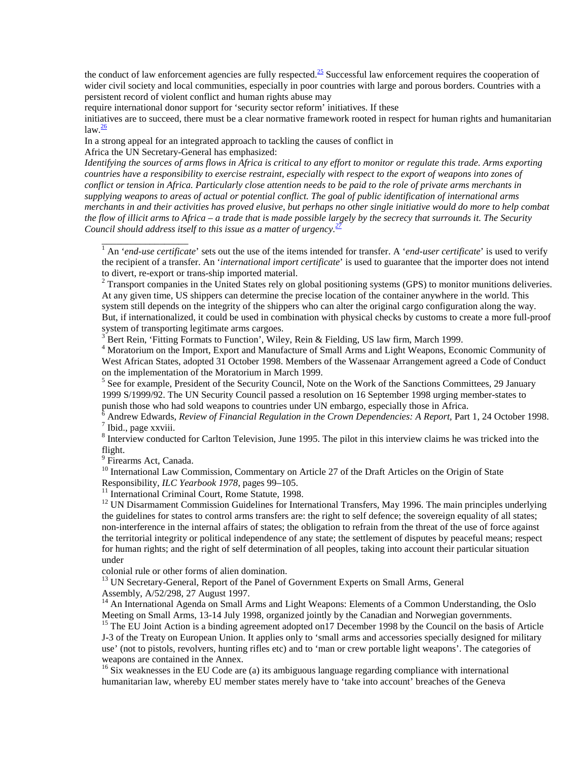the conduct of law enforcement agencies are fully respected.<sup>25</sup> Successful law enforcement requires the cooperation of wider civil society and local communities, especially in poor countries with large and porous borders. Countries with a persistent record of violent conflict and human rights abuse may

require international donor support for 'security sector reform' initiatives. If these

initiatives are to succeed, there must be a clear normative framework rooted in respect for human rights and humanitarian  $law.<sup>26</sup>$ 

In a strong appeal for an integrated approach to tackling the causes of conflict in Africa the UN Secretary-General has emphasized:

*Identifying the sources of arms flows in Africa is critical to any effort to monitor or regulate this trade. Arms exporting countries have a responsibility to exercise restraint, especially with respect to the export of weapons into zones of conflict or tension in Africa. Particularly close attention needs to be paid to the role of private arms merchants in supplying weapons to areas of actual or potential conflict. The goal of public identification of international arms merchants in and their activities has proved elusive, but perhaps no other single initiative would do more to help combat the flow of illicit arms to Africa – a trade that is made possible largely by the secrecy that surrounds it. The Security Council should address itself to this issue as a matter of urgency.<sup>27</sup>*

<sup>1</sup> An '*end-use certificate*' sets out the use of the items intended for transfer. A '*end-user certificate*' is used to verify the recipient of a transfer. An '*international import certificate*' is used to guarantee that the importer does not intend to divert, re-export or trans-ship imported material.

 $2$  Transport companies in the United States rely on global positioning systems (GPS) to monitor munitions deliveries. At any given time, US shippers can determine the precise location of the container anywhere in the world. This system still depends on the integrity of the shippers who can alter the original cargo configuration along the way. But, if internationalized, it could be used in combination with physical checks by customs to create a more full-proof system of transporting legitimate arms cargoes.

<sup>3</sup> Bert Rein, 'Fitting Formats to Function', Wiley, Rein & Fielding, US law firm, March 1999.

4 Moratorium on the Import, Export and Manufacture of Small Arms and Light Weapons, Economic Community of West African States, adopted 31 October 1998. Members of the Wassenaar Arrangement agreed a Code of Conduct on the implementation of the Moratorium in March 1999.

<sup>5</sup> See for example, President of the Security Council, Note on the Work of the Sanctions Committees, 29 January 1999 S/1999/92. The UN Security Council passed a resolution on 16 September 1998 urging member-states to punish those who had sold weapons to countries under UN embargo, especially those in Africa.

6 Andrew Edwards, *Review of Financial Regulation in the Crown Dependencies: A Report,* Part 1, 24 October 1998. <sup>7</sup>  $<sup>7</sup>$  Ibid., page xxviii.</sup>

<sup>8</sup> Interview conducted for Carlton Television, June 1995. The pilot in this interview claims he was tricked into the flight.

<sup>9</sup> Firearms Act, Canada.

\_\_\_\_\_\_\_\_\_\_\_\_\_\_\_\_\_\_

<sup>10</sup> International Law Commission, Commentary on Article 27 of the Draft Articles on the Origin of State Responsibility, *ILC Yearbook 1978*, pages  $99-105$ .

<sup>11</sup> International Criminal Court, Rome Statute, 1998.

 $12$  UN Disarmament Commission Guidelines for International Transfers, May 1996. The main principles underlying the guidelines for states to control arms transfers are: the right to self defence; the sovereign equality of all states; non-interference in the internal affairs of states; the obligation to refrain from the threat of the use of force against the territorial integrity or political independence of any state; the settlement of disputes by peaceful means; respect for human rights; and the right of self determination of all peoples, taking into account their particular situation under

colonial rule or other forms of alien domination.

<sup>13</sup> UN Secretary-General, Report of the Panel of Government Experts on Small Arms, General Assembly, A/52/298, 27 August 1997.

<sup>14</sup> An International Agenda on Small Arms and Light Weapons: Elements of a Common Understanding, the Oslo Meeting on Small Arms, 13-14 July 1998, organized jointly by the Canadian and Norwegian governments.

<sup>15</sup> The EU Joint Action is a binding agreement adopted on 17 December 1998 by the Council on the basis of Article J-3 of the Treaty on European Union. It applies only to 'small arms and accessories specially designed for military use' (not to pistols, revolvers, hunting rifles etc) and to 'man or crew portable light weapons'. The categories of weapons are contained in the Annex.

 $16$  Six weaknesses in the EU Code are (a) its ambiguous language regarding compliance with international humanitarian law, whereby EU member states merely have to 'take into account' breaches of the Geneva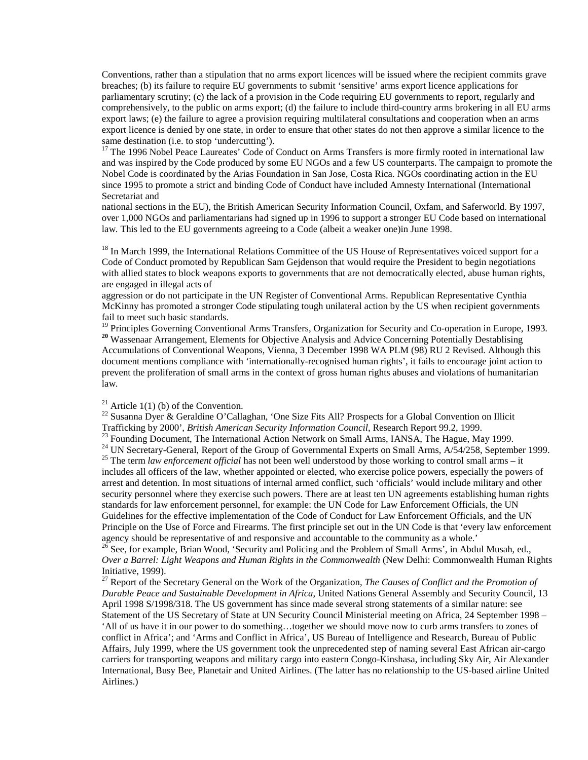Conventions, rather than a stipulation that no arms export licences will be issued where the recipient commits grave breaches; (b) its failure to require EU governments to submit 'sensitive' arms export licence applications for parliamentary scrutiny; (c) the lack of a provision in the Code requiring EU governments to report, regularly and comprehensively, to the public on arms export; (d) the failure to include third-country arms brokering in all EU arms export laws; (e) the failure to agree a provision requiring multilateral consultations and cooperation when an arms export licence is denied by one state, in order to ensure that other states do not then approve a similar licence to the same destination (i.e. to stop 'undercutting').

<sup>17</sup> The 1996 Nobel Peace Laureates' Code of Conduct on Arms Transfers is more firmly rooted in international law and was inspired by the Code produced by some EU NGOs and a few US counterparts. The campaign to promote the Nobel Code is coordinated by the Arias Foundation in San Jose, Costa Rica. NGOs coordinating action in the EU since 1995 to promote a strict and binding Code of Conduct have included Amnesty International (International Secretariat and

national sections in the EU), the British American Security Information Council, Oxfam, and Saferworld. By 1997, over 1,000 NGOs and parliamentarians had signed up in 1996 to support a stronger EU Code based on international law. This led to the EU governments agreeing to a Code (albeit a weaker one)in June 1998.

<sup>18</sup> In March 1999, the International Relations Committee of the US House of Representatives voiced support for a Code of Conduct promoted by Republican Sam Gejdenson that would require the President to begin negotiations with allied states to block weapons exports to governments that are not democratically elected, abuse human rights, are engaged in illegal acts of

aggression or do not participate in the UN Register of Conventional Arms. Republican Representative Cynthia McKinny has promoted a stronger Code stipulating tough unilateral action by the US when recipient governments fail to meet such basic standards.

<sup>19</sup> Principles Governing Conventional Arms Transfers, Organization for Security and Co-operation in Europe, 1993. <sup>20</sup> Wassenaar Arrangement, Elements for Objective Analysis and Advice Concerning Potentially Destablising Accumulations of Conventional Weapons, Vienna, 3 December 1998 WA PLM (98) RU 2 Revised. Although this document mentions compliance with 'internationally-recognised human rights', it fails to encourage joint action to prevent the proliferation of small arms in the context of gross human rights abuses and violations of humanitarian law.

#### <sup>21</sup> Article 1(1) (b) of the Convention.

<sup>22</sup> Susanna Dyer & Geraldine O'Callaghan, 'One Size Fits All? Prospects for a Global Convention on Illicit Trafficking by 2000', *British American Security Information Council*, Research Report 99.2, 1999.

<sup>23</sup> Founding Document, The International Action Network on Small Arms, IANSA, The Hague, May 1999.

<sup>24</sup> UN Secretary-General, Report of the Group of Governmental Experts on Small Arms, A/54/258, September 1999. <sup>25</sup> The term *law enforcement official* has not been well understood by those working to control small arms – it includes all officers of the law, whether appointed or elected, who exercise police powers, especially the powers of arrest and detention. In most situations of internal armed conflict, such 'officials' would include military and other security personnel where they exercise such powers. There are at least ten UN agreements establishing human rights standards for law enforcement personnel, for example: the UN Code for Law Enforcement Officials, the UN Guidelines for the effective implementation of the Code of Conduct for Law Enforcement Officials, and the UN Principle on the Use of Force and Firearms. The first principle set out in the UN Code is that 'every law enforcement agency should be representative of and responsive and accountable to the community as a whole.'

 $26$  See, for example, Brian Wood, 'Security and Policing and the Problem of Small Arms', in Abdul Musah, ed., *Over a Barrel: Light Weapons and Human Rights in the Commonwealth* (New Delhi: Commonwealth Human Rights Initiative, 1999).

27 Report of the Secretary General on the Work of the Organization, *The Causes of Conflict and the Promotion of Durable Peace and Sustainable Development in Africa*, United Nations General Assembly and Security Council, 13 April 1998 S/1998/318. The US government has since made several strong statements of a similar nature: see Statement of the US Secretary of State at UN Security Council Ministerial meeting on Africa, 24 September 1998 – 'All of us have it in our power to do something…together we should move now to curb arms transfers to zones of conflict in Africa'; and 'Arms and Conflict in Africa', US Bureau of Intelligence and Research, Bureau of Public Affairs, July 1999, where the US government took the unprecedented step of naming several East African air-cargo carriers for transporting weapons and military cargo into eastern Congo-Kinshasa, including Sky Air, Air Alexander International, Busy Bee, Planetair and United Airlines. (The latter has no relationship to the US-based airline United Airlines.)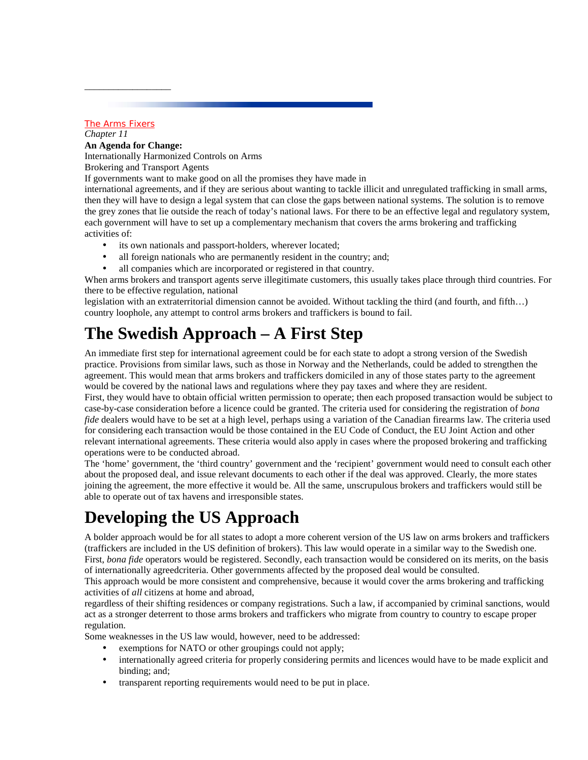#### The Arms Fixers

\_\_\_\_\_\_\_\_\_\_\_\_\_\_\_\_\_\_

*Chapter 11* **An Agenda for Change:** Internationally Harmonized Controls on Arms Brokering and Transport Agents

If governments want to make good on all the promises they have made in

international agreements, and if they are serious about wanting to tackle illicit and unregulated trafficking in small arms, then they will have to design a legal system that can close the gaps between national systems. The solution is to remove the grey zones that lie outside the reach of today's national laws. For there to be an effective legal and regulatory system, each government will have to set up a complementary mechanism that covers the arms brokering and trafficking activities of:

- its own nationals and passport-holders, wherever located;
- all foreign nationals who are permanently resident in the country; and;
- all companies which are incorporated or registered in that country.

When arms brokers and transport agents serve illegitimate customers, this usually takes place through third countries. For there to be effective regulation, national

legislation with an extraterritorial dimension cannot be avoided. Without tackling the third (and fourth, and fifth…) country loophole, any attempt to control arms brokers and traffickers is bound to fail.

## **The Swedish Approach – A First Step**

An immediate first step for international agreement could be for each state to adopt a strong version of the Swedish practice. Provisions from similar laws, such as those in Norway and the Netherlands, could be added to strengthen the agreement. This would mean that arms brokers and traffickers domiciled in any of those states party to the agreement would be covered by the national laws and regulations where they pay taxes and where they are resident.

First, they would have to obtain official written permission to operate; then each proposed transaction would be subject to case-by-case consideration before a licence could be granted. The criteria used for considering the registration of *bona fide* dealers would have to be set at a high level, perhaps using a variation of the Canadian firearms law. The criteria used for considering each transaction would be those contained in the EU Code of Conduct, the EU Joint Action and other relevant international agreements. These criteria would also apply in cases where the proposed brokering and trafficking operations were to be conducted abroad.

The 'home' government, the 'third country' government and the 'recipient' government would need to consult each other about the proposed deal, and issue relevant documents to each other if the deal was approved. Clearly, the more states joining the agreement, the more effective it would be. All the same, unscrupulous brokers and traffickers would still be able to operate out of tax havens and irresponsible states.

## **Developing the US Approach**

A bolder approach would be for all states to adopt a more coherent version of the US law on arms brokers and traffickers (traffickers are included in the US definition of brokers). This law would operate in a similar way to the Swedish one. First, *bona fide* operators would be registered. Secondly, each transaction would be considered on its merits, on the basis of internationally agreedcriteria. Other governments affected by the proposed deal would be consulted.

This approach would be more consistent and comprehensive, because it would cover the arms brokering and trafficking activities of *all* citizens at home and abroad,

regardless of their shifting residences or company registrations. Such a law, if accompanied by criminal sanctions, would act as a stronger deterrent to those arms brokers and traffickers who migrate from country to country to escape proper regulation.

Some weaknesses in the US law would, however, need to be addressed:

- exemptions for NATO or other groupings could not apply;
- internationally agreed criteria for properly considering permits and licences would have to be made explicit and binding; and;
- transparent reporting requirements would need to be put in place.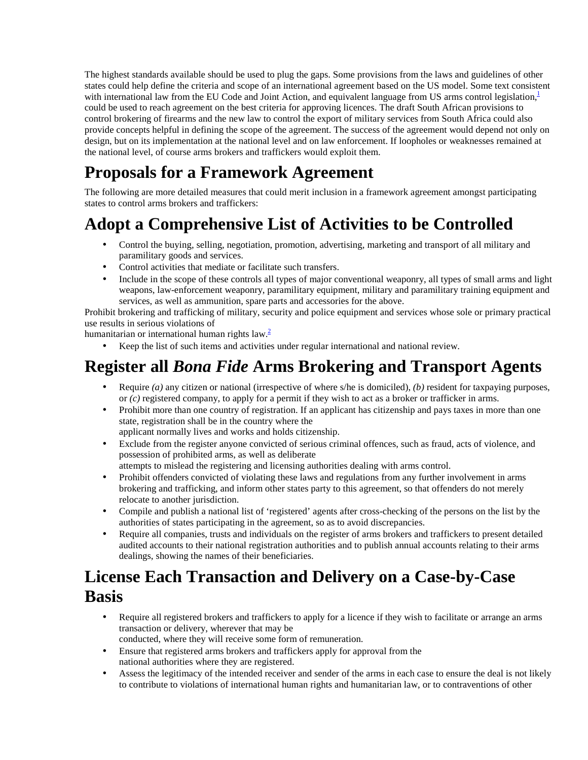The highest standards available should be used to plug the gaps. Some provisions from the laws and guidelines of other states could help define the criteria and scope of an international agreement based on the US model. Some text consistent with international law from the EU Code and Joint Action, and equivalent language from US arms control legislation, $\frac{1}{2}$ could be used to reach agreement on the best criteria for approving licences. The draft South African provisions to control brokering of firearms and the new law to control the export of military services from South Africa could also provide concepts helpful in defining the scope of the agreement. The success of the agreement would depend not only on design, but on its implementation at the national level and on law enforcement. If loopholes or weaknesses remained at the national level, of course arms brokers and traffickers would exploit them.

# **Proposals for a Framework Agreement**

The following are more detailed measures that could merit inclusion in a framework agreement amongst participating states to control arms brokers and traffickers:

# **Adopt a Comprehensive List of Activities to be Controlled**

- Control the buying, selling, negotiation, promotion, advertising, marketing and transport of all military and paramilitary goods and services.
- Control activities that mediate or facilitate such transfers.
- Include in the scope of these controls all types of major conventional weaponry, all types of small arms and light weapons, law-enforcement weaponry, paramilitary equipment, military and paramilitary training equipment and services, as well as ammunition, spare parts and accessories for the above.

Prohibit brokering and trafficking of military, security and police equipment and services whose sole or primary practical use results in serious violations of

humanitarian or international human rights law. $\frac{2}{3}$ 

• Keep the list of such items and activities under regular international and national review.

#### **Register all** *Bona Fide* **Arms Brokering and Transport Agents**

- Require *(a)* any citizen or national (irrespective of where s/he is domiciled), *(b)* resident for taxpaying purposes, or *(c)* registered company, to apply for a permit if they wish to act as a broker or trafficker in arms.
- Prohibit more than one country of registration. If an applicant has citizenship and pays taxes in more than one state, registration shall be in the country where the applicant normally lives and works and holds citizenship.
- Exclude from the register anyone convicted of serious criminal offences, such as fraud, acts of violence, and possession of prohibited arms, as well as deliberate

attempts to mislead the registering and licensing authorities dealing with arms control.

- Prohibit offenders convicted of violating these laws and regulations from any further involvement in arms brokering and trafficking, and inform other states party to this agreement, so that offenders do not merely relocate to another jurisdiction.
- Compile and publish a national list of 'registered' agents after cross-checking of the persons on the list by the authorities of states participating in the agreement, so as to avoid discrepancies.
- Require all companies, trusts and individuals on the register of arms brokers and traffickers to present detailed audited accounts to their national registration authorities and to publish annual accounts relating to their arms dealings, showing the names of their beneficiaries.

### **License Each Transaction and Delivery on a Case-by-Case Basis**

- Require all registered brokers and traffickers to apply for a licence if they wish to facilitate or arrange an arms transaction or delivery, wherever that may be conducted, where they will receive some form of remuneration.
- Ensure that registered arms brokers and traffickers apply for approval from the national authorities where they are registered.
- Assess the legitimacy of the intended receiver and sender of the arms in each case to ensure the deal is not likely to contribute to violations of international human rights and humanitarian law, or to contraventions of other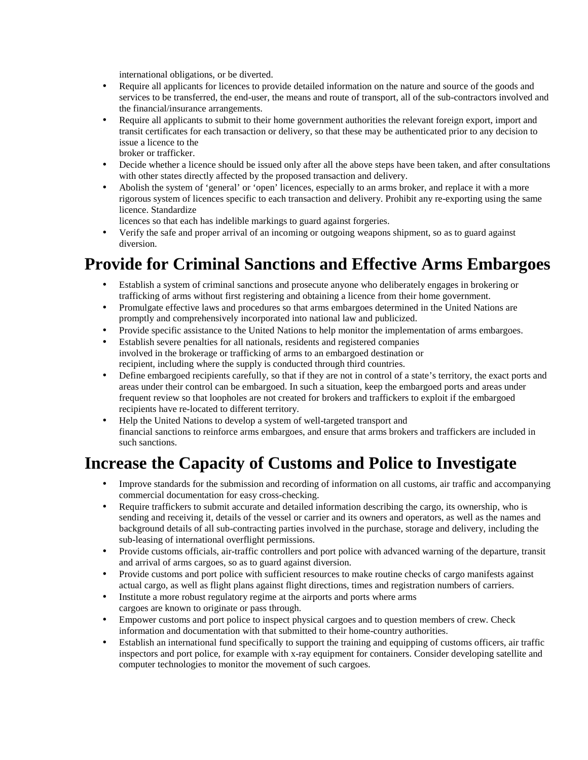international obligations, or be diverted.

- Require all applicants for licences to provide detailed information on the nature and source of the goods and services to be transferred, the end-user, the means and route of transport, all of the sub-contractors involved and the financial/insurance arrangements.
- Require all applicants to submit to their home government authorities the relevant foreign export, import and transit certificates for each transaction or delivery, so that these may be authenticated prior to any decision to issue a licence to the broker or trafficker.
- Decide whether a licence should be issued only after all the above steps have been taken, and after consultations with other states directly affected by the proposed transaction and delivery.
- Abolish the system of 'general' or 'open' licences, especially to an arms broker, and replace it with a more rigorous system of licences specific to each transaction and delivery. Prohibit any re-exporting using the same licence. Standardize

licences so that each has indelible markings to guard against forgeries.

• Verify the safe and proper arrival of an incoming or outgoing weapons shipment, so as to guard against diversion.

## **Provide for Criminal Sanctions and Effective Arms Embargoes**

- Establish a system of criminal sanctions and prosecute anyone who deliberately engages in brokering or trafficking of arms without first registering and obtaining a licence from their home government.
- Promulgate effective laws and procedures so that arms embargoes determined in the United Nations are promptly and comprehensively incorporated into national law and publicized.
- Provide specific assistance to the United Nations to help monitor the implementation of arms embargoes.
- Establish severe penalties for all nationals, residents and registered companies involved in the brokerage or trafficking of arms to an embargoed destination or recipient, including where the supply is conducted through third countries.
- Define embargoed recipients carefully, so that if they are not in control of a state's territory, the exact ports and areas under their control can be embargoed. In such a situation, keep the embargoed ports and areas under frequent review so that loopholes are not created for brokers and traffickers to exploit if the embargoed recipients have re-located to different territory.
- Help the United Nations to develop a system of well-targeted transport and financial sanctions to reinforce arms embargoes, and ensure that arms brokers and traffickers are included in such sanctions.

### **Increase the Capacity of Customs and Police to Investigate**

- Improve standards for the submission and recording of information on all customs, air traffic and accompanying commercial documentation for easy cross-checking.
- Require traffickers to submit accurate and detailed information describing the cargo, its ownership, who is sending and receiving it, details of the vessel or carrier and its owners and operators, as well as the names and background details of all sub-contracting parties involved in the purchase, storage and delivery, including the sub-leasing of international overflight permissions.
- Provide customs officials, air-traffic controllers and port police with advanced warning of the departure, transit and arrival of arms cargoes, so as to guard against diversion.
- Provide customs and port police with sufficient resources to make routine checks of cargo manifests against actual cargo, as well as flight plans against flight directions, times and registration numbers of carriers.
- Institute a more robust regulatory regime at the airports and ports where arms cargoes are known to originate or pass through.
- Empower customs and port police to inspect physical cargoes and to question members of crew. Check information and documentation with that submitted to their home-country authorities.
- Establish an international fund specifically to support the training and equipping of customs officers, air traffic inspectors and port police, for example with x-ray equipment for containers. Consider developing satellite and computer technologies to monitor the movement of such cargoes.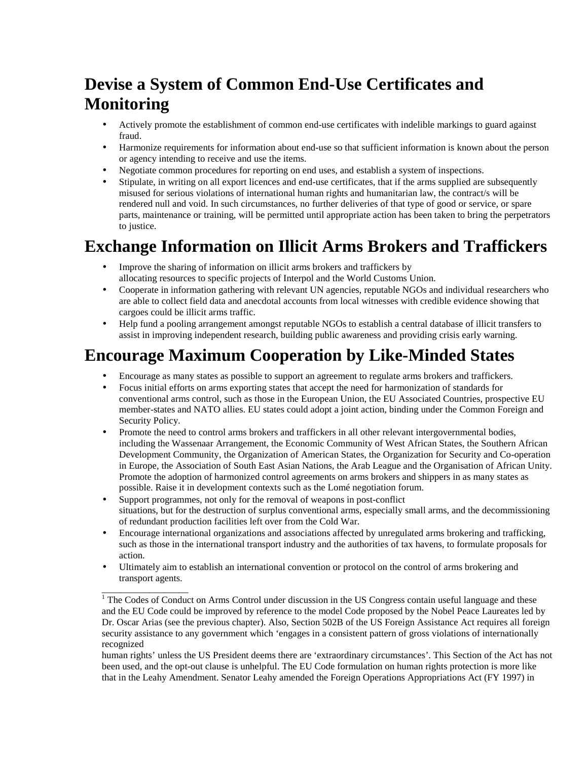## **Devise a System of Common End-Use Certificates and Monitoring**

- Actively promote the establishment of common end-use certificates with indelible markings to guard against fraud.
- Harmonize requirements for information about end-use so that sufficient information is known about the person or agency intending to receive and use the items.
- Negotiate common procedures for reporting on end uses, and establish a system of inspections.
- Stipulate, in writing on all export licences and end-use certificates, that if the arms supplied are subsequently misused for serious violations of international human rights and humanitarian law, the contract/s will be rendered null and void. In such circumstances, no further deliveries of that type of good or service, or spare parts, maintenance or training, will be permitted until appropriate action has been taken to bring the perpetrators to justice.

#### **Exchange Information on Illicit Arms Brokers and Traffickers**

- Improve the sharing of information on illicit arms brokers and traffickers by allocating resources to specific projects of Interpol and the World Customs Union.
- Cooperate in information gathering with relevant UN agencies, reputable NGOs and individual researchers who are able to collect field data and anecdotal accounts from local witnesses with credible evidence showing that cargoes could be illicit arms traffic.
- Help fund a pooling arrangement amongst reputable NGOs to establish a central database of illicit transfers to assist in improving independent research, building public awareness and providing crisis early warning.

### **Encourage Maximum Cooperation by Like-Minded States**

- Encourage as many states as possible to support an agreement to regulate arms brokers and traffickers.
- Focus initial efforts on arms exporting states that accept the need for harmonization of standards for conventional arms control, such as those in the European Union, the EU Associated Countries, prospective EU member-states and NATO allies. EU states could adopt a joint action, binding under the Common Foreign and Security Policy.
- Promote the need to control arms brokers and traffickers in all other relevant intergovernmental bodies, including the Wassenaar Arrangement, the Economic Community of West African States, the Southern African Development Community, the Organization of American States, the Organization for Security and Co-operation in Europe, the Association of South East Asian Nations, the Arab League and the Organisation of African Unity. Promote the adoption of harmonized control agreements on arms brokers and shippers in as many states as possible. Raise it in development contexts such as the Lomé negotiation forum.
- Support programmes, not only for the removal of weapons in post-conflict situations, but for the destruction of surplus conventional arms, especially small arms, and the decommissioning of redundant production facilities left over from the Cold War.
- Encourage international organizations and associations affected by unregulated arms brokering and trafficking, such as those in the international transport industry and the authorities of tax havens, to formulate proposals for action.
- Ultimately aim to establish an international convention or protocol on the control of arms brokering and transport agents.

\_\_\_\_\_\_\_\_\_\_\_\_\_\_\_\_\_\_

<sup>&</sup>lt;sup>1</sup> The Codes of Conduct on Arms Control under discussion in the US Congress contain useful language and these and the EU Code could be improved by reference to the model Code proposed by the Nobel Peace Laureates led by Dr. Oscar Arias (see the previous chapter). Also, Section 502B of the US Foreign Assistance Act requires all foreign security assistance to any government which 'engages in a consistent pattern of gross violations of internationally recognized

human rights' unless the US President deems there are 'extraordinary circumstances'. This Section of the Act has not been used, and the opt-out clause is unhelpful. The EU Code formulation on human rights protection is more like that in the Leahy Amendment. Senator Leahy amended the Foreign Operations Appropriations Act (FY 1997) in